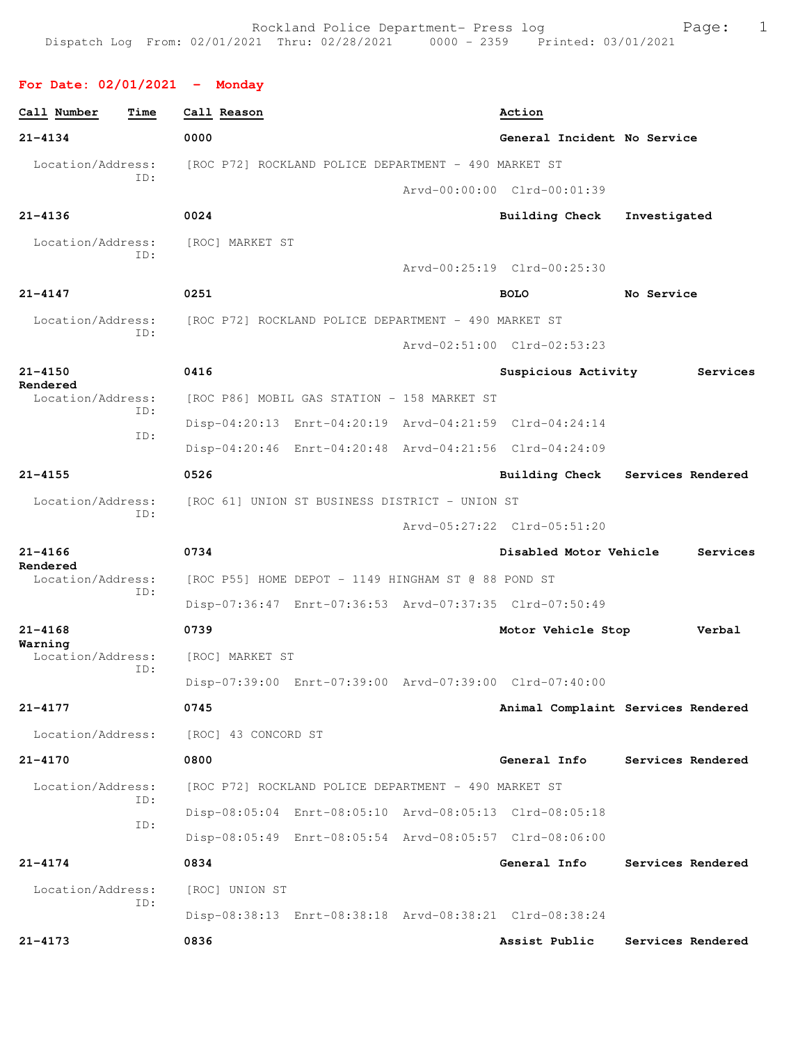### **For Date: 02/01/2021 - Monday**

| Call Number<br>Time      | Call Reason                                             | Action                                     |
|--------------------------|---------------------------------------------------------|--------------------------------------------|
| $21 - 4134$              | 0000                                                    | General Incident No Service                |
| Location/Address:        | [ROC P72] ROCKLAND POLICE DEPARTMENT - 490 MARKET ST    |                                            |
| ID:                      |                                                         | Arvd-00:00:00 Clrd-00:01:39                |
| $21 - 4136$              | 0024                                                    | <b>Building Check</b><br>Investigated      |
| Location/Address:<br>TD: | [ROC] MARKET ST                                         |                                            |
|                          |                                                         | Arvd-00:25:19 Clrd-00:25:30                |
| $21 - 4147$              | 0251                                                    | <b>BOLO</b><br>No Service                  |
| Location/Address:<br>ID: | [ROC P72] ROCKLAND POLICE DEPARTMENT - 490 MARKET ST    |                                            |
|                          |                                                         | Arvd-02:51:00 Clrd-02:53:23                |
| $21 - 4150$<br>Rendered  | 0416                                                    | Suspicious Activity<br>Services            |
| Location/Address:<br>ID: | [ROC P86] MOBIL GAS STATION - 158 MARKET ST             |                                            |
| ID:                      | Disp-04:20:13 Enrt-04:20:19 Arvd-04:21:59 Clrd-04:24:14 |                                            |
|                          | Disp-04:20:46 Enrt-04:20:48 Arvd-04:21:56 Clrd-04:24:09 |                                            |
| $21 - 4155$              | 0526                                                    | <b>Building Check</b><br>Services Rendered |
| Location/Address:<br>ID: | [ROC 61] UNION ST BUSINESS DISTRICT - UNION ST          |                                            |
|                          |                                                         | Arvd-05:27:22 Clrd-05:51:20                |
| $21 - 4166$<br>Rendered  | 0734                                                    | Disabled Motor Vehicle<br>Services         |
| Location/Address:<br>ID: | [ROC P55] HOME DEPOT - 1149 HINGHAM ST @ 88 POND ST     |                                            |
|                          | Disp-07:36:47 Enrt-07:36:53 Arvd-07:37:35 Clrd-07:50:49 |                                            |
| $21 - 4168$<br>Warning   | 0739                                                    | Motor Vehicle Stop<br>Verbal               |
| Location/Address:<br>ID: | [ROC] MARKET ST                                         |                                            |
|                          | Disp-07:39:00 Enrt-07:39:00 Arvd-07:39:00 Clrd-07:40:00 |                                            |
| 21-4177                  | 0745                                                    | Animal Complaint Services Rendered         |
| Location/Address:        | [ROC] 43 CONCORD ST                                     |                                            |
| $21 - 4170$              | 0800                                                    | Services Rendered<br>General Info          |
| Location/Address:<br>ID: | [ROC P72] ROCKLAND POLICE DEPARTMENT - 490 MARKET ST    |                                            |
| ID:                      | Disp-08:05:04 Enrt-08:05:10 Arvd-08:05:13 Clrd-08:05:18 |                                            |
|                          | Disp-08:05:49 Enrt-08:05:54 Arvd-08:05:57 Clrd-08:06:00 |                                            |
| 21-4174                  | 0834                                                    | General Info<br>Services Rendered          |
| Location/Address:<br>ID: | [ROC] UNION ST                                          |                                            |
|                          | Disp-08:38:13 Enrt-08:38:18 Arvd-08:38:21 Clrd-08:38:24 |                                            |
| $21 - 4173$              | 0836                                                    | Assist Public<br>Services Rendered         |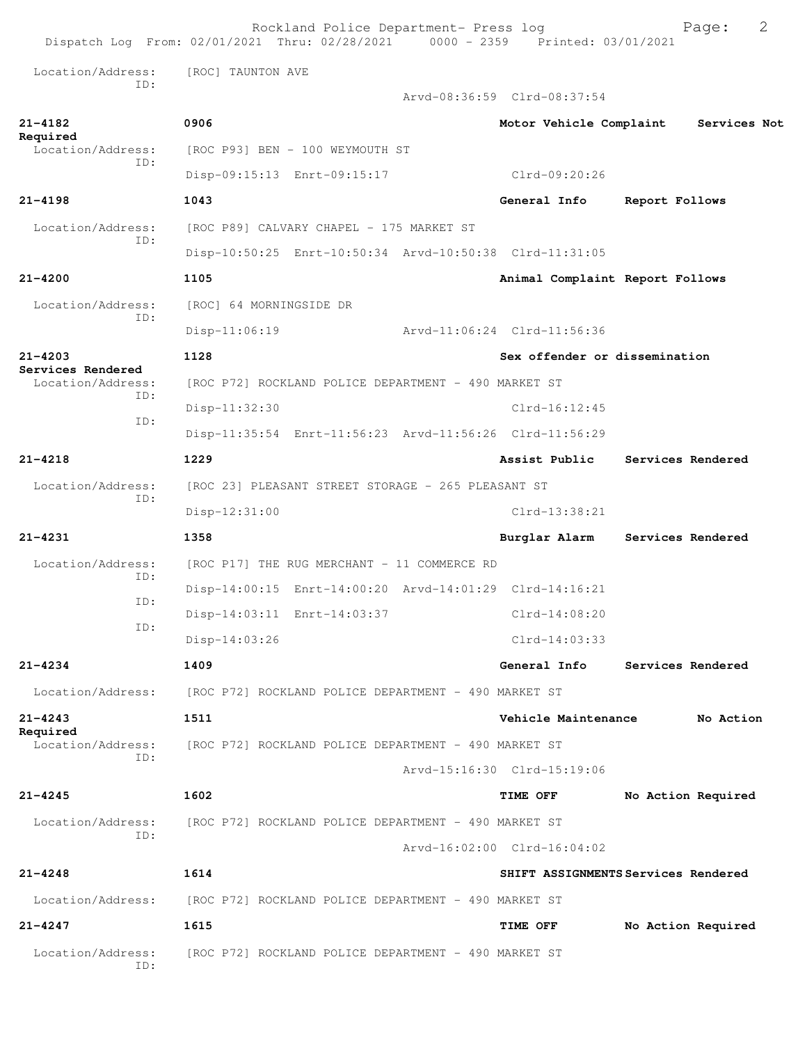|                                      | Rockland Police Department- Press log<br>Dispatch Log From: 02/01/2021 Thru: 02/28/2021 0000 - 2359 Printed: 03/01/2021 |  |                                 | 2<br>Page:                          |  |  |
|--------------------------------------|-------------------------------------------------------------------------------------------------------------------------|--|---------------------------------|-------------------------------------|--|--|
| Location/Address:<br>TD:             | [ROC] TAUNTON AVE                                                                                                       |  |                                 |                                     |  |  |
|                                      |                                                                                                                         |  | Arvd-08:36:59 Clrd-08:37:54     |                                     |  |  |
| $21 - 4182$<br>Required              | 0906                                                                                                                    |  | Motor Vehicle Complaint         | Services Not                        |  |  |
| Location/Address:<br>ID:             | [ROC P93] BEN - 100 WEYMOUTH ST                                                                                         |  |                                 |                                     |  |  |
|                                      | Disp-09:15:13 Enrt-09:15:17                                                                                             |  | Clrd-09:20:26                   |                                     |  |  |
| $21 - 4198$                          | 1043                                                                                                                    |  | General Info                    | Report Follows                      |  |  |
| Location/Address:<br>ID:             | [ROC P89] CALVARY CHAPEL - 175 MARKET ST                                                                                |  |                                 |                                     |  |  |
|                                      | Disp-10:50:25 Enrt-10:50:34 Arvd-10:50:38 Clrd-11:31:05                                                                 |  |                                 |                                     |  |  |
| $21 - 4200$                          | 1105                                                                                                                    |  | Animal Complaint Report Follows |                                     |  |  |
| Location/Address:<br>ID:             | [ROC] 64 MORNINGSIDE DR                                                                                                 |  |                                 |                                     |  |  |
|                                      | $Disp-11:06:19$                                                                                                         |  | Arvd-11:06:24 Clrd-11:56:36     |                                     |  |  |
| $21 - 4203$<br>Services Rendered     | 1128                                                                                                                    |  | Sex offender or dissemination   |                                     |  |  |
| Location/Address:                    | [ROC P72] ROCKLAND POLICE DEPARTMENT - 490 MARKET ST                                                                    |  |                                 |                                     |  |  |
| ID:<br>ID:                           | Disp-11:32:30                                                                                                           |  | $Clrd-16:12:45$                 |                                     |  |  |
|                                      | Disp-11:35:54 Enrt-11:56:23 Arvd-11:56:26 Clrd-11:56:29                                                                 |  |                                 |                                     |  |  |
| $21 - 4218$                          | 1229                                                                                                                    |  | Assist Public                   | Services Rendered                   |  |  |
| Location/Address:<br>ID:             | [ROC 23] PLEASANT STREET STORAGE - 265 PLEASANT ST                                                                      |  |                                 |                                     |  |  |
|                                      | $Disp-12:31:00$                                                                                                         |  | Clrd-13:38:21                   |                                     |  |  |
| 21-4231                              | 1358                                                                                                                    |  | Burglar Alarm                   | Services Rendered                   |  |  |
| Location/Address:<br>TD:             | [ROC P17] THE RUG MERCHANT - 11 COMMERCE RD                                                                             |  |                                 |                                     |  |  |
| ID:                                  | Disp-14:00:15 Enrt-14:00:20 Arvd-14:01:29 Clrd-14:16:21                                                                 |  |                                 |                                     |  |  |
| ID:                                  | Disp-14:03:11 Enrt-14:03:37                                                                                             |  | $Clrd-14:08:20$                 |                                     |  |  |
|                                      | $Disp-14:03:26$                                                                                                         |  | $Clrd-14:03:33$                 |                                     |  |  |
| $21 - 4234$                          | 1409                                                                                                                    |  | General Info                    | Services Rendered                   |  |  |
| Location/Address:                    | [ROC P72] ROCKLAND POLICE DEPARTMENT - 490 MARKET ST                                                                    |  |                                 |                                     |  |  |
| $21 - 4243$                          | 1511                                                                                                                    |  | Vehicle Maintenance             | No Action                           |  |  |
| Required<br>Location/Address:<br>ID: | [ROC P72] ROCKLAND POLICE DEPARTMENT - 490 MARKET ST                                                                    |  |                                 |                                     |  |  |
|                                      |                                                                                                                         |  | Arvd-15:16:30 Clrd-15:19:06     |                                     |  |  |
| $21 - 4245$                          | 1602                                                                                                                    |  | <b>TIME OFF</b>                 | No Action Required                  |  |  |
| Location/Address:<br>ID:             | [ROC P72] ROCKLAND POLICE DEPARTMENT - 490 MARKET ST                                                                    |  |                                 |                                     |  |  |
|                                      |                                                                                                                         |  | Arvd-16:02:00 Clrd-16:04:02     |                                     |  |  |
| $21 - 4248$                          | 1614                                                                                                                    |  |                                 | SHIFT ASSIGNMENTS Services Rendered |  |  |
| Location/Address:                    | [ROC P72] ROCKLAND POLICE DEPARTMENT - 490 MARKET ST                                                                    |  |                                 |                                     |  |  |
| $21 - 4247$                          | 1615                                                                                                                    |  | TIME OFF                        | No Action Required                  |  |  |
| Location/Address:<br>ID:             | [ROC P72] ROCKLAND POLICE DEPARTMENT - 490 MARKET ST                                                                    |  |                                 |                                     |  |  |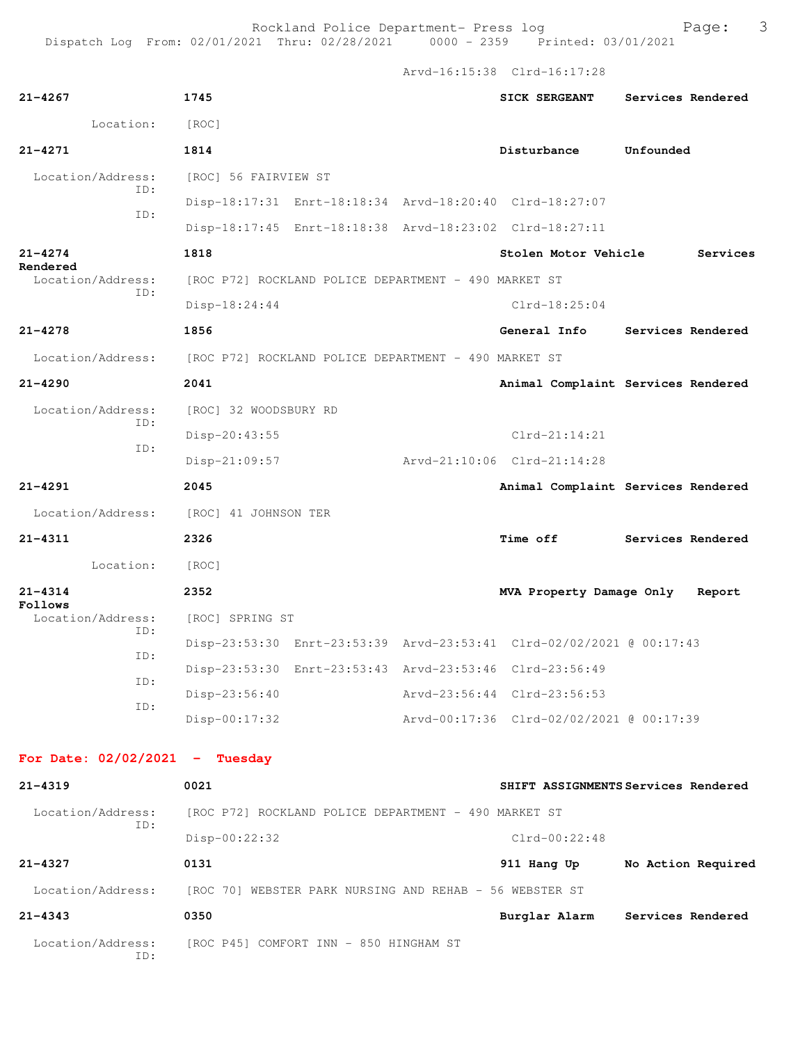Rockland Police Department- Press log entitled and Page: 3

Arvd-16:15:38 Clrd-16:17:28

| $21 - 4267$                      | 1745                                                                   | <b>SICK SERGEANT</b>                     | Services Rendered                   |
|----------------------------------|------------------------------------------------------------------------|------------------------------------------|-------------------------------------|
| Location:                        | [ROC]                                                                  |                                          |                                     |
| $21 - 4271$                      | 1814                                                                   | Disturbance                              | Unfounded                           |
| Location/Address:                | [ROC] 56 FAIRVIEW ST                                                   |                                          |                                     |
| ID:                              | Disp-18:17:31 Enrt-18:18:34 Arvd-18:20:40 Clrd-18:27:07                |                                          |                                     |
| ID:                              | Disp-18:17:45 Enrt-18:18:38 Arvd-18:23:02 Clrd-18:27:11                |                                          |                                     |
| $21 - 4274$<br>Rendered          | 1818                                                                   | Stolen Motor Vehicle                     | Services                            |
| Location/Address:<br>ID:         | [ROC P72] ROCKLAND POLICE DEPARTMENT - 490 MARKET ST                   |                                          |                                     |
|                                  | $Disp-18:24:44$                                                        | $Clrd-18:25:04$                          |                                     |
| $21 - 4278$                      | 1856                                                                   | General Info                             | Services Rendered                   |
|                                  | Location/Address: [ROC P72] ROCKLAND POLICE DEPARTMENT - 490 MARKET ST |                                          |                                     |
| $21 - 4290$                      | 2041                                                                   |                                          | Animal Complaint Services Rendered  |
| Location/Address:                | [ROC] 32 WOODSBURY RD                                                  |                                          |                                     |
| ID:<br>ID:                       | Disp-20:43:55                                                          | $Clrd-21:14:21$                          |                                     |
|                                  | $Disp-21:09:57$                                                        | Arvd-21:10:06 Clrd-21:14:28              |                                     |
| $21 - 4291$                      | 2045                                                                   |                                          | Animal Complaint Services Rendered  |
|                                  | Location/Address: [ROC] 41 JOHNSON TER                                 |                                          |                                     |
| $21 - 4311$                      | 2326                                                                   | <b>Time off</b>                          | Services Rendered                   |
| Location:                        | [ROC]                                                                  |                                          |                                     |
| $21 - 4314$<br>Follows           | 2352                                                                   | MVA Property Damage Only                 | Report                              |
| Location/Address:                | [ROC] SPRING ST                                                        |                                          |                                     |
| ID:<br>ID:                       | Disp-23:53:30 Enrt-23:53:39 Arvd-23:53:41 Clrd-02/02/2021 @ 00:17:43   |                                          |                                     |
| ID:                              | Disp-23:53:30 Enrt-23:53:43 Arvd-23:53:46 Clrd-23:56:49                |                                          |                                     |
| ID:                              | Disp-23:56:40                                                          | Arvd-23:56:44 Clrd-23:56:53              |                                     |
|                                  | $Disp-00:17:32$                                                        | Arvd-00:17:36 Clrd-02/02/2021 @ 00:17:39 |                                     |
| For Date: $02/02/2021$ - Tuesday |                                                                        |                                          |                                     |
| $21 - 4319$                      | 0021                                                                   |                                          | SHIFT ASSIGNMENTS Services Rendered |
| Location/Address:                | [ROC P72] ROCKLAND POLICE DEPARTMENT - 490 MARKET ST                   |                                          |                                     |
| ID:                              | $Disp-00:22:32$                                                        | $Clrd-00:22:48$                          |                                     |
| $21 - 4327$                      | 0131                                                                   | 911 Hang Up                              | No Action Required                  |
| Location/Address:                | [ROC 70] WEBSTER PARK NURSING AND REHAB - 56 WEBSTER ST                |                                          |                                     |
| $21 - 4343$                      | 0350                                                                   | Burglar Alarm                            | Services Rendered                   |
| Location/Address:<br>ID:         | [ROC P45] COMFORT INN - 850 HINGHAM ST                                 |                                          |                                     |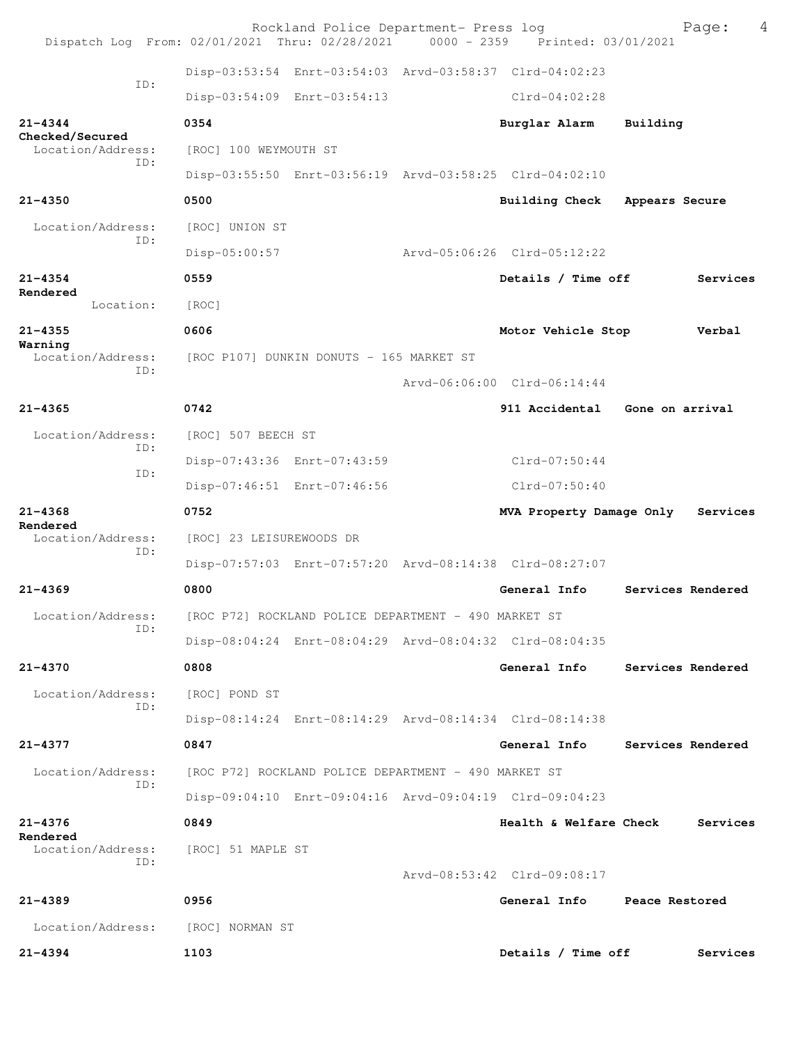| Dispatch Log From: 02/01/2021 Thru: 02/28/2021 0000 - 2359 Printed: 03/01/2021 |                                                      | Rockland Police Department- Press log                |                                                         | 4<br>Page:                     |
|--------------------------------------------------------------------------------|------------------------------------------------------|------------------------------------------------------|---------------------------------------------------------|--------------------------------|
|                                                                                |                                                      |                                                      | Disp-03:53:54 Enrt-03:54:03 Arvd-03:58:37 Clrd-04:02:23 |                                |
| ID:                                                                            | Disp-03:54:09 Enrt-03:54:13                          |                                                      | $Clrd-04:02:28$                                         |                                |
| $21 - 4344$                                                                    | 0354                                                 |                                                      | Burglar Alarm                                           | Building                       |
| Checked/Secured<br>Location/Address:                                           | [ROC] 100 WEYMOUTH ST                                |                                                      |                                                         |                                |
| ID:                                                                            |                                                      |                                                      | Disp-03:55:50 Enrt-03:56:19 Arvd-03:58:25 Clrd-04:02:10 |                                |
| $21 - 4350$                                                                    | 0500                                                 |                                                      | Building Check                                          | Appears Secure                 |
| Location/Address:                                                              | [ROC] UNION ST                                       |                                                      |                                                         |                                |
| ID:                                                                            | Disp-05:00:57                                        |                                                      | Arvd-05:06:26 Clrd-05:12:22                             |                                |
| $21 - 4354$                                                                    | 0559                                                 |                                                      | Details / Time off                                      | Services                       |
| Rendered<br>Location:                                                          | [ROC]                                                |                                                      |                                                         |                                |
| $21 - 4355$                                                                    | 0606                                                 |                                                      | Motor Vehicle Stop                                      | Verbal                         |
| Warning<br>Location/Address:                                                   | [ROC P107] DUNKIN DONUTS - 165 MARKET ST             |                                                      |                                                         |                                |
| TD:                                                                            |                                                      |                                                      | Arvd-06:06:00 Clrd-06:14:44                             |                                |
| $21 - 4365$                                                                    | 0742                                                 |                                                      | 911 Accidental                                          | Gone on arrival                |
| Location/Address:                                                              | [ROC] 507 BEECH ST                                   |                                                      |                                                         |                                |
| ID:                                                                            | Disp-07:43:36 Enrt-07:43:59                          |                                                      | $Clrd-07:50:44$                                         |                                |
| ID:                                                                            | Disp-07:46:51 Enrt-07:46:56                          |                                                      | $Clrd-07:50:40$                                         |                                |
| $21 - 4368$                                                                    | 0752                                                 |                                                      | MVA Property Damage Only                                | Services                       |
| Rendered<br>Location/Address:                                                  | [ROC] 23 LEISUREWOODS DR                             |                                                      |                                                         |                                |
|                                                                                |                                                      |                                                      |                                                         |                                |
| ID:                                                                            |                                                      |                                                      | Disp-07:57:03 Enrt-07:57:20 Arvd-08:14:38 Clrd-08:27:07 |                                |
| $21 - 4369$                                                                    | 0800                                                 |                                                      | General Info                                            | Services Rendered              |
| Location/Address:                                                              |                                                      | [ROC P72] ROCKLAND POLICE DEPARTMENT - 490 MARKET ST |                                                         |                                |
| ID:                                                                            |                                                      |                                                      | Disp-08:04:24 Enrt-08:04:29 Arvd-08:04:32 Clrd-08:04:35 |                                |
| $21 - 4370$                                                                    | 0808                                                 |                                                      | General Info                                            | Services Rendered              |
| Location/Address:                                                              | [ROC] POND ST                                        |                                                      |                                                         |                                |
| ID:                                                                            |                                                      |                                                      | Disp-08:14:24 Enrt-08:14:29 Arvd-08:14:34 Clrd-08:14:38 |                                |
| $21 - 4377$                                                                    | 0847                                                 |                                                      |                                                         | General Info Services Rendered |
| Location/Address:                                                              | [ROC P72] ROCKLAND POLICE DEPARTMENT - 490 MARKET ST |                                                      |                                                         |                                |
| ID:                                                                            |                                                      |                                                      | Disp-09:04:10 Enrt-09:04:16 Arvd-09:04:19 Clrd-09:04:23 |                                |
| $21 - 4376$                                                                    | 0849                                                 |                                                      | Health & Welfare Check                                  | Services                       |
| Rendered<br>Location/Address:                                                  | [ROC] 51 MAPLE ST                                    |                                                      |                                                         |                                |
| ID:                                                                            |                                                      |                                                      | Arvd-08:53:42 Clrd-09:08:17                             |                                |
| 21-4389                                                                        | 0956                                                 |                                                      | General Info                                            | Peace Restored                 |
| Location/Address:                                                              | [ROC] NORMAN ST                                      |                                                      |                                                         |                                |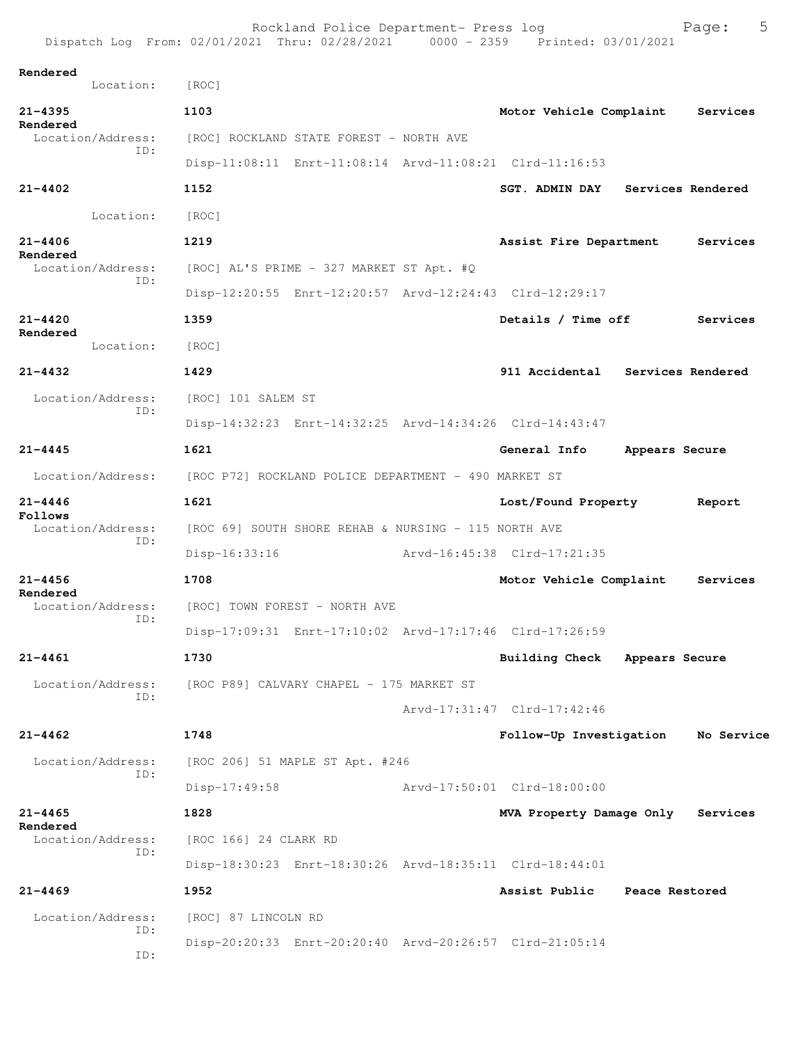Rockland Police Department- Press log Page: 5 Dispatch Log From:  $02/01/2021$  Thru:  $02/28/2021$  0000 - 2359 **Rendered**  Location: [ROC] **21-4395 1103 Motor Vehicle Complaint Services Rendered**  Location/Address: [ROC] ROCKLAND STATE FOREST - NORTH AVE ID: Disp-11:08:11 Enrt-11:08:14 Arvd-11:08:21 Clrd-11:16:53 **21-4402 1152 SGT. ADMIN DAY Services Rendered** Location: [ROC] **21-4406 1219 Assist Fire Department Services Rendered**  Location/Address: [ROC] AL'S PRIME - 327 MARKET ST Apt. #Q ID: Disp-12:20:55 Enrt-12:20:57 Arvd-12:24:43 Clrd-12:29:17 **21-4420 1359 Details / Time off Services Rendered**  Location: [ROC] **21-4432 1429 911 Accidental Services Rendered** Location/Address: [ROC] 101 SALEM ST ID: Disp-14:32:23 Enrt-14:32:25 Arvd-14:34:26 Clrd-14:43:47 **21-4445 1621 General Info Appears Secure** Location/Address: [ROC P72] ROCKLAND POLICE DEPARTMENT - 490 MARKET ST **21-4446 1621 Lost/Found Property Report Follows**  [ROC 69] SOUTH SHORE REHAB & NURSING - 115 NORTH AVE ID: Disp-16:33:16 Arvd-16:45:38 Clrd-17:21:35 **21-4456 1708 Motor Vehicle Complaint Services Rendered**  Location/Address: [ROC] TOWN FOREST - NORTH AVE ID: Disp-17:09:31 Enrt-17:10:02 Arvd-17:17:46 Clrd-17:26:59 **21-4461 1730 Building Check Appears Secure** Location/Address: [ROC P89] CALVARY CHAPEL - 175 MARKET ST ID: Arvd-17:31:47 Clrd-17:42:46 **21-4462 1748 Follow-Up Investigation No Service** Location/Address: [ROC 206] 51 MAPLE ST Apt. #246 ID: Disp-17:49:58 Arvd-17:50:01 Clrd-18:00:00 **21-4465 1828 MVA Property Damage Only Services Rendered**<br>Location/Address: [ROC 166] 24 CLARK RD ID: Disp-18:30:23 Enrt-18:30:26 Arvd-18:35:11 Clrd-18:44:01 **21-4469 1952 Assist Public Peace Restored** Location/Address: [ROC] 87 LINCOLN RD ID: Disp-20:20:33 Enrt-20:20:40 Arvd-20:26:57 Clrd-21:05:14 ID: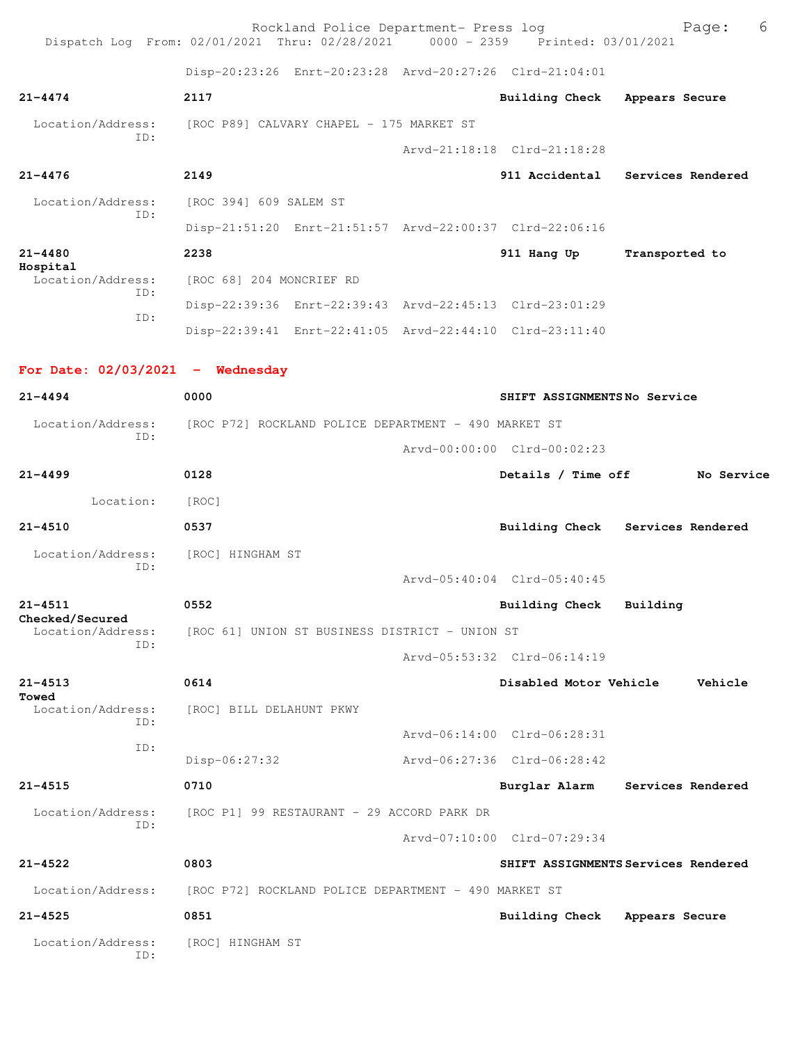| Dispatch Log From: 02/01/2021 Thru: 02/28/2021 0000 - 2359 Printed: 03/01/2021 |                                                      | Rockland Police Department- Press log |                                                         | 6<br>Page:                          |
|--------------------------------------------------------------------------------|------------------------------------------------------|---------------------------------------|---------------------------------------------------------|-------------------------------------|
|                                                                                |                                                      |                                       | Disp-20:23:26 Enrt-20:23:28 Arvd-20:27:26 Clrd-21:04:01 |                                     |
| $21 - 4474$                                                                    | 2117                                                 |                                       | Building Check Appears Secure                           |                                     |
| Location/Address:<br>TD:                                                       | [ROC P89] CALVARY CHAPEL - 175 MARKET ST             |                                       |                                                         |                                     |
|                                                                                |                                                      |                                       | Arvd-21:18:18 Clrd-21:18:28                             |                                     |
| $21 - 4476$                                                                    | 2149                                                 |                                       |                                                         | 911 Accidental Services Rendered    |
| Location/Address:                                                              | [ROC 394] 609 SALEM ST                               |                                       |                                                         |                                     |
| TD:                                                                            |                                                      |                                       | Disp-21:51:20 Enrt-21:51:57 Arvd-22:00:37 Clrd-22:06:16 |                                     |
| $21 - 4480$                                                                    | 2238                                                 |                                       | 911 Hang Up                                             | Transported to                      |
| Hospital<br>Location/Address:                                                  | [ROC 68] 204 MONCRIEF RD                             |                                       |                                                         |                                     |
| ID:                                                                            |                                                      |                                       | Disp-22:39:36 Enrt-22:39:43 Arvd-22:45:13 Clrd-23:01:29 |                                     |
| ID:                                                                            |                                                      |                                       | Disp-22:39:41 Enrt-22:41:05 Arvd-22:44:10 Clrd-23:11:40 |                                     |
|                                                                                |                                                      |                                       |                                                         |                                     |
| For Date: $02/03/2021$ - Wednesday                                             |                                                      |                                       |                                                         |                                     |
| $21 - 4494$                                                                    | 0000                                                 |                                       | SHIFT ASSIGNMENTSNo Service                             |                                     |
| Location/Address: [ROC P72] ROCKLAND POLICE DEPARTMENT - 490 MARKET ST<br>TD:  |                                                      |                                       |                                                         |                                     |
|                                                                                |                                                      |                                       | Arvd-00:00:00 Clrd-00:02:23                             |                                     |
| $21 - 4499$                                                                    | 0128                                                 |                                       |                                                         | Details / Time off No Service       |
| Location:                                                                      | [ROC]                                                |                                       |                                                         |                                     |
| $21 - 4510$                                                                    | 0537                                                 |                                       |                                                         | Building Check Services Rendered    |
| Location/Address:<br>ID:                                                       | [ROC] HINGHAM ST                                     |                                       |                                                         |                                     |
|                                                                                |                                                      |                                       | Arvd-05:40:04 Clrd-05:40:45                             |                                     |
| $21 - 4511$<br>Checked/Secured                                                 | 0552                                                 |                                       | Building Check                                          | Building                            |
| Location/Address:<br>ID:                                                       | [ROC 61] UNION ST BUSINESS DISTRICT - UNION ST       |                                       |                                                         |                                     |
|                                                                                |                                                      |                                       | Arvd-05:53:32 Clrd-06:14:19                             |                                     |
| $21 - 4513$<br>Towed                                                           | 0614                                                 |                                       | Disabled Motor Vehicle                                  | Vehicle                             |
| Location/Address:<br>ID:                                                       | [ROC] BILL DELAHUNT PKWY                             |                                       |                                                         |                                     |
| ID:                                                                            |                                                      |                                       | Arvd-06:14:00 Clrd-06:28:31                             |                                     |
|                                                                                | Disp-06:27:32                                        |                                       | Arvd-06:27:36 Clrd-06:28:42                             |                                     |
| $21 - 4515$                                                                    | 0710                                                 |                                       | Burglar Alarm                                           | Services Rendered                   |
| Location/Address:<br>ID:                                                       | [ROC P1] 99 RESTAURANT - 29 ACCORD PARK DR           |                                       |                                                         |                                     |
|                                                                                |                                                      |                                       | Arvd-07:10:00 Clrd-07:29:34                             |                                     |
| $21 - 4522$                                                                    | 0803                                                 |                                       |                                                         | SHIFT ASSIGNMENTS Services Rendered |
| Location/Address:                                                              | [ROC P72] ROCKLAND POLICE DEPARTMENT - 490 MARKET ST |                                       |                                                         |                                     |
| $21 - 4525$                                                                    | 0851                                                 |                                       | <b>Building Check</b>                                   | Appears Secure                      |
| Location/Address:<br>ID:                                                       | [ROC] HINGHAM ST                                     |                                       |                                                         |                                     |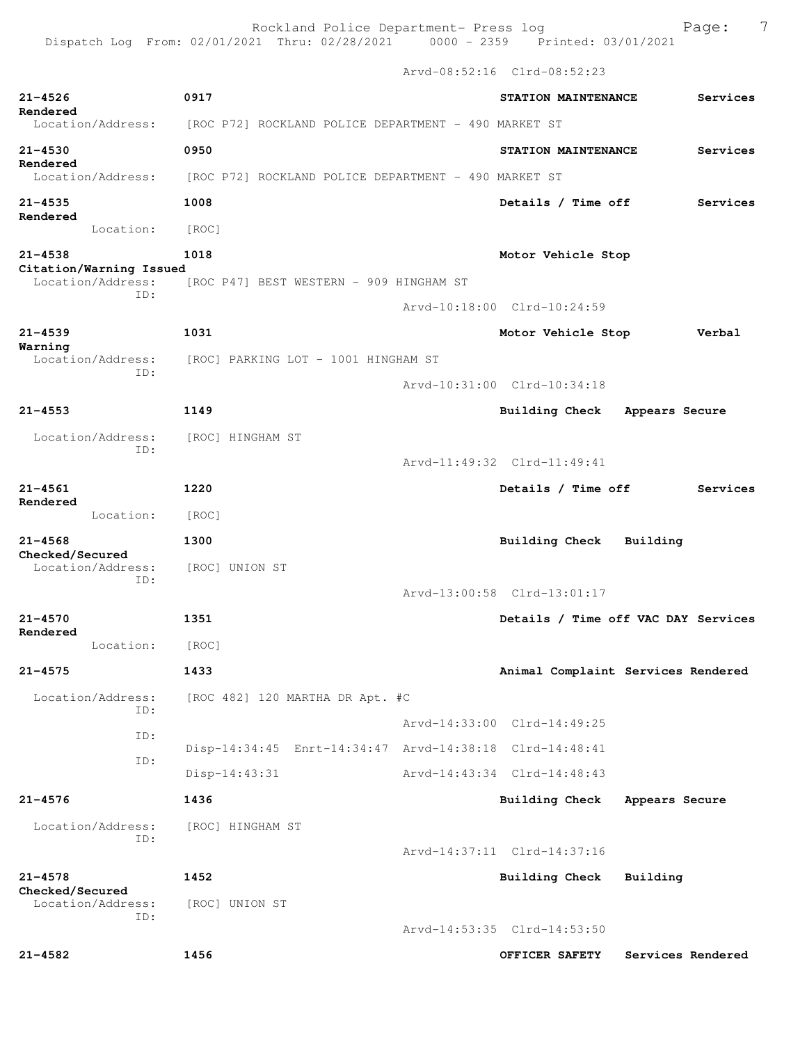Rockland Police Department- Press log entitled and Page: 7 Dispatch Log From: 02/01/2021 Thru: 02/28/2021 0000 - 2359 Printed: 03/01/2021

Arvd-08:52:16 Clrd-08:52:23

| $21 - 4526$<br>Rendered                | 0917                                                    | STATION MAINTENANCE         | Services                            |
|----------------------------------------|---------------------------------------------------------|-----------------------------|-------------------------------------|
| Location/Address:                      | [ROC P72] ROCKLAND POLICE DEPARTMENT - 490 MARKET ST    |                             |                                     |
| $21 - 4530$<br>Rendered                | 0950                                                    | STATION MAINTENANCE         | Services                            |
| Location/Address:                      | [ROC P72] ROCKLAND POLICE DEPARTMENT - 490 MARKET ST    |                             |                                     |
| $21 - 4535$<br>Rendered                | 1008                                                    | Details / Time off          | Services                            |
| Location:                              | [ROC]                                                   |                             |                                     |
| $21 - 4538$<br>Citation/Warning Issued | 1018                                                    | Motor Vehicle Stop          |                                     |
| Location/Address:<br>ID:               | [ROC P47] BEST WESTERN - 909 HINGHAM ST                 |                             |                                     |
|                                        |                                                         | Arvd-10:18:00 Clrd-10:24:59 |                                     |
| $21 - 4539$<br>Warning                 | 1031                                                    | Motor Vehicle Stop          | Verbal                              |
| Location/Address:<br>ID:               | [ROC] PARKING LOT - 1001 HINGHAM ST                     |                             |                                     |
|                                        |                                                         | Arvd-10:31:00 Clrd-10:34:18 |                                     |
| $21 - 4553$                            | 1149                                                    | Building Check              | Appears Secure                      |
| Location/Address:<br>ID:               | [ROC] HINGHAM ST                                        |                             |                                     |
|                                        |                                                         | Arvd-11:49:32 Clrd-11:49:41 |                                     |
| $21 - 4561$                            | 1220                                                    | Details / Time off          | Services                            |
| Rendered<br>Location:                  | [ROC]                                                   |                             |                                     |
| $21 - 4568$                            | 1300                                                    | <b>Building Check</b>       | Building                            |
| Checked/Secured<br>Location/Address:   | [ROC] UNION ST                                          |                             |                                     |
| ID:                                    |                                                         | Arvd-13:00:58 Clrd-13:01:17 |                                     |
| $21 - 4570$                            | 1351                                                    |                             | Details / Time off VAC DAY Services |
| Rendered<br>Location:                  | [ROC]                                                   |                             |                                     |
| $21 - 4575$                            | 1433                                                    |                             | Animal Complaint Services Rendered  |
| Location/Address:                      | [ROC 482] 120 MARTHA DR Apt. #C                         |                             |                                     |
| ID:                                    |                                                         | Arvd-14:33:00 Clrd-14:49:25 |                                     |
| ID:                                    | Disp-14:34:45 Enrt-14:34:47 Arvd-14:38:18 Clrd-14:48:41 |                             |                                     |
| ID:                                    | Disp-14:43:31                                           | Arvd-14:43:34 Clrd-14:48:43 |                                     |
| $21 - 4576$                            | 1436                                                    | <b>Building Check</b>       | Appears Secure                      |
| Location/Address:                      | [ROC] HINGHAM ST                                        |                             |                                     |
| ID:                                    |                                                         | Arvd-14:37:11 Clrd-14:37:16 |                                     |
| $21 - 4578$                            | 1452                                                    | <b>Building Check</b>       | Building                            |
| Checked/Secured<br>Location/Address:   | [ROC] UNION ST                                          |                             |                                     |
| ID:                                    |                                                         | Arvd-14:53:35 Clrd-14:53:50 |                                     |
| $21 - 4582$                            | 1456                                                    | OFFICER SAFETY              | Services Rendered                   |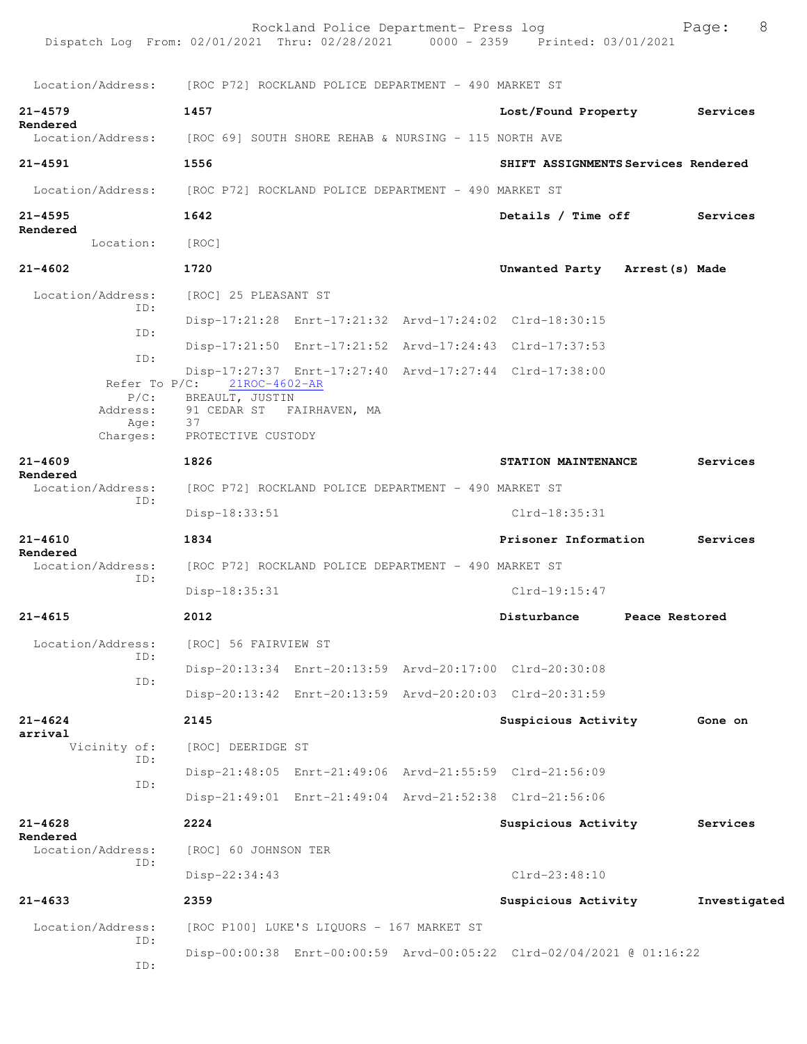| Dispatch Log From: 02/01/2021 Thru: 02/28/2021 0000 - 2359 Printed: 03/01/2021     |                                                       | Rockland Police Department- Press log                |                                                                      |                | 8<br>Page:   |
|------------------------------------------------------------------------------------|-------------------------------------------------------|------------------------------------------------------|----------------------------------------------------------------------|----------------|--------------|
| Location/Address: [ROC P72] ROCKLAND POLICE DEPARTMENT - 490 MARKET ST             |                                                       |                                                      |                                                                      |                |              |
| $21 - 4579$                                                                        | 1457                                                  |                                                      | Lost/Found Property                                                  |                | Services     |
| Rendered<br>Location/Address: [ROC 69] SOUTH SHORE REHAB & NURSING - 115 NORTH AVE |                                                       |                                                      |                                                                      |                |              |
| $21 - 4591$                                                                        | 1556                                                  |                                                      | SHIFT ASSIGNMENTS Services Rendered                                  |                |              |
| Location/Address: [ROC P72] ROCKLAND POLICE DEPARTMENT - 490 MARKET ST             |                                                       |                                                      |                                                                      |                |              |
| $21 - 4595$                                                                        | 1642                                                  |                                                      | Details / Time off                                                   |                | Services     |
| Rendered<br>Location:                                                              | [ROC]                                                 |                                                      |                                                                      |                |              |
| $21 - 4602$                                                                        | 1720                                                  |                                                      | Unwanted Party Arrest (s) Made                                       |                |              |
| Location/Address:                                                                  | [ROC] 25 PLEASANT ST                                  |                                                      |                                                                      |                |              |
| ID:                                                                                |                                                       |                                                      | Disp-17:21:28 Enrt-17:21:32 Arvd-17:24:02 Clrd-18:30:15              |                |              |
| ID:<br>ID:                                                                         |                                                       |                                                      | Disp-17:21:50 Enrt-17:21:52 Arvd-17:24:43 Clrd-17:37:53              |                |              |
| Refer To $P/C$ :                                                                   | 21ROC-4602-AR<br>P/C: BREAULT, JUSTIN                 |                                                      | Disp-17:27:37 Enrt-17:27:40 Arvd-17:27:44 Clrd-17:38:00              |                |              |
| Address:<br>Age:<br>Charges:                                                       | 91 CEDAR ST FAIRHAVEN, MA<br>37<br>PROTECTIVE CUSTODY |                                                      |                                                                      |                |              |
| $21 - 4609$<br>Rendered                                                            | 1826                                                  |                                                      | STATION MAINTENANCE                                                  |                | Services     |
| Location/Address:<br>ID:                                                           |                                                       | [ROC P72] ROCKLAND POLICE DEPARTMENT - 490 MARKET ST |                                                                      |                |              |
|                                                                                    | Disp-18:33:51                                         |                                                      | Clrd-18:35:31                                                        |                |              |
| $21 - 4610$<br>Rendered                                                            | 1834                                                  |                                                      | Prisoner Information                                                 |                | Services     |
| Location/Address:<br>ID:                                                           |                                                       | [ROC P72] ROCKLAND POLICE DEPARTMENT - 490 MARKET ST |                                                                      |                |              |
|                                                                                    | Disp-18:35:31                                         |                                                      | $Clrd-19:15:47$                                                      |                |              |
| $21 - 4615$                                                                        | 2012                                                  |                                                      | Disturbance                                                          | Peace Restored |              |
| Location/Address:<br>ID:                                                           | [ROC] 56 FAIRVIEW ST                                  |                                                      |                                                                      |                |              |
| ID:                                                                                |                                                       |                                                      | Disp-20:13:34 Enrt-20:13:59 Arvd-20:17:00 Clrd-20:30:08              |                |              |
|                                                                                    |                                                       |                                                      | Disp-20:13:42 Enrt-20:13:59 Arvd-20:20:03 Clrd-20:31:59              |                |              |
| $21 - 4624$<br>arrival                                                             | 2145                                                  |                                                      | Suspicious Activity                                                  |                | Gone on      |
| Vicinity of:<br>ID:                                                                | [ROC] DEERIDGE ST                                     |                                                      |                                                                      |                |              |
|                                                                                    |                                                       |                                                      | Disp-21:48:05 Enrt-21:49:06 Arvd-21:55:59 Clrd-21:56:09              |                |              |
| ID:                                                                                |                                                       |                                                      | Disp-21:49:01 Enrt-21:49:04 Arvd-21:52:38 Clrd-21:56:06              |                |              |
| $21 - 4628$                                                                        | 2224                                                  |                                                      | Suspicious Activity                                                  |                | Services     |
| Rendered<br>Location/Address:                                                      | [ROC] 60 JOHNSON TER                                  |                                                      |                                                                      |                |              |
| ID:                                                                                | Disp-22:34:43                                         |                                                      | $Clrd-23:48:10$                                                      |                |              |
| $21 - 4633$                                                                        | 2359                                                  |                                                      | Suspicious Activity                                                  |                | Investigated |
| Location/Address:                                                                  |                                                       | [ROC P100] LUKE'S LIQUORS - 167 MARKET ST            |                                                                      |                |              |
| ID:                                                                                |                                                       |                                                      | Disp-00:00:38 Enrt-00:00:59 Arvd-00:05:22 Clrd-02/04/2021 @ 01:16:22 |                |              |
| ID:                                                                                |                                                       |                                                      |                                                                      |                |              |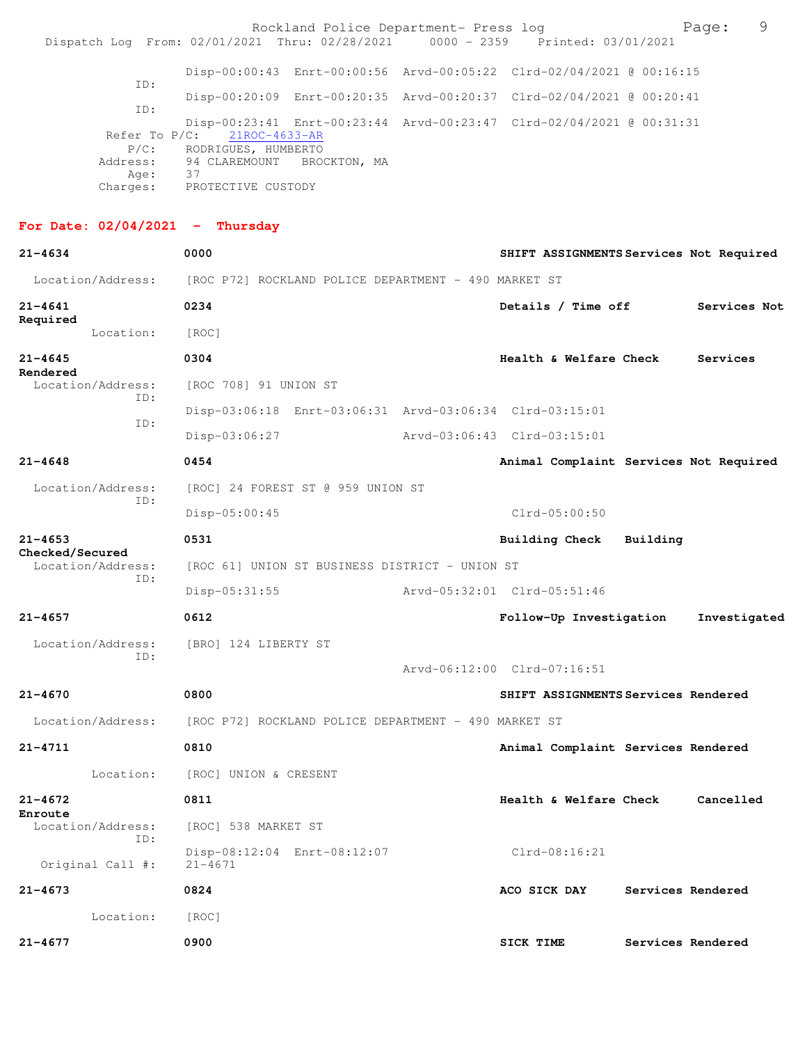|                                   | Rockland Police Department- Press log<br>Dispatch Log From: 02/01/2021 Thru: 02/28/2021 0000 - 2359 Printed: 03/01/2021 |                                         | 9<br>Page:        |  |
|-----------------------------------|-------------------------------------------------------------------------------------------------------------------------|-----------------------------------------|-------------------|--|
|                                   | Disp-00:00:43 Enrt-00:00:56 Arvd-00:05:22 Clrd-02/04/2021 @ 00:16:15                                                    |                                         |                   |  |
| ID:                               | Disp-00:20:09 Enrt-00:20:35 Arvd-00:20:37 Clrd-02/04/2021 @ 00:20:41                                                    |                                         |                   |  |
| ID:<br>Refer To $P/C$ :           | Disp-00:23:41 Enrt-00:23:44 Arvd-00:23:47 Clrd-02/04/2021 @ 00:31:31<br>21ROC-4633-AR<br>P/C: RODRIGUES, HUMBERTO       |                                         |                   |  |
| Address:<br>Age:                  | 94 CLAREMOUNT BROCKTON, MA<br>37<br>Charges: PROTECTIVE CUSTODY                                                         |                                         |                   |  |
| For Date: $02/04/2021$ - Thursday |                                                                                                                         |                                         |                   |  |
| 21-4634                           | 0000                                                                                                                    | SHIFT ASSIGNMENTS Services Not Required |                   |  |
|                                   | Location/Address: [ROC P72] ROCKLAND POLICE DEPARTMENT - 490 MARKET ST                                                  |                                         |                   |  |
| 21-4641                           | 0234                                                                                                                    | Details / Time off Services Not         |                   |  |
| Required<br>Location:             | [ROC]                                                                                                                   |                                         |                   |  |
| 21-4645<br>Rendered               | 0304                                                                                                                    | <b>Health &amp; Welfare Check</b>       | Services          |  |
| Location/Address:<br>ID:          | [ROC 708] 91 UNION ST                                                                                                   |                                         |                   |  |
| ID:                               | Disp-03:06:18 Enrt-03:06:31 Arvd-03:06:34 Clrd-03:15:01                                                                 |                                         |                   |  |
|                                   | Disp-03:06:27                                                                                                           | Arvd-03:06:43 Clrd-03:15:01             |                   |  |
| $21 - 4648$                       | 0454                                                                                                                    | Animal Complaint Services Not Required  |                   |  |
| Location/Address:<br>ID:          | [ROC] 24 FOREST ST @ 959 UNION ST                                                                                       |                                         |                   |  |
|                                   | $Disp-05:00:45$                                                                                                         | $Clrd-05:00:50$                         |                   |  |
| 21-4653<br>Checked/Secured        | 0531                                                                                                                    | Building Check Building                 |                   |  |
| Location/Address:<br>ID:          | [ROC 61] UNION ST BUSINESS DISTRICT - UNION ST                                                                          |                                         |                   |  |
|                                   | $Disp-05:31:55$                                                                                                         |                                         |                   |  |
| $21 - 4657$                       | 0612                                                                                                                    | Follow-Up Investigation                 | Investigated      |  |
| Location/Address:<br>ID:          | [BRO] 124 LIBERTY ST                                                                                                    |                                         |                   |  |
|                                   |                                                                                                                         | Arvd-06:12:00 Clrd-07:16:51             |                   |  |
| 21-4670                           | 0800                                                                                                                    | SHIFT ASSIGNMENTS Services Rendered     |                   |  |
| Location/Address:                 | [ROC P72] ROCKLAND POLICE DEPARTMENT - 490 MARKET ST                                                                    |                                         |                   |  |
| 21-4711                           | 0810                                                                                                                    | Animal Complaint Services Rendered      |                   |  |
| Location:                         | [ROC] UNION & CRESENT                                                                                                   |                                         |                   |  |
| 21-4672<br>Enroute                | 0811                                                                                                                    | Health & Welfare Check                  | Cancelled         |  |
| Location/Address:<br>ID:          | [ROC] 538 MARKET ST                                                                                                     |                                         |                   |  |
| Original Call #:                  | Disp-08:12:04 Enrt-08:12:07<br>$21 - 4671$                                                                              | Clrd-08:16:21                           |                   |  |
| 21-4673                           | 0824                                                                                                                    | ACO SICK DAY                            | Services Rendered |  |
| Location:                         | [ROC]                                                                                                                   |                                         |                   |  |
| 21-4677                           | 0900                                                                                                                    | SICK TIME                               | Services Rendered |  |
|                                   |                                                                                                                         |                                         |                   |  |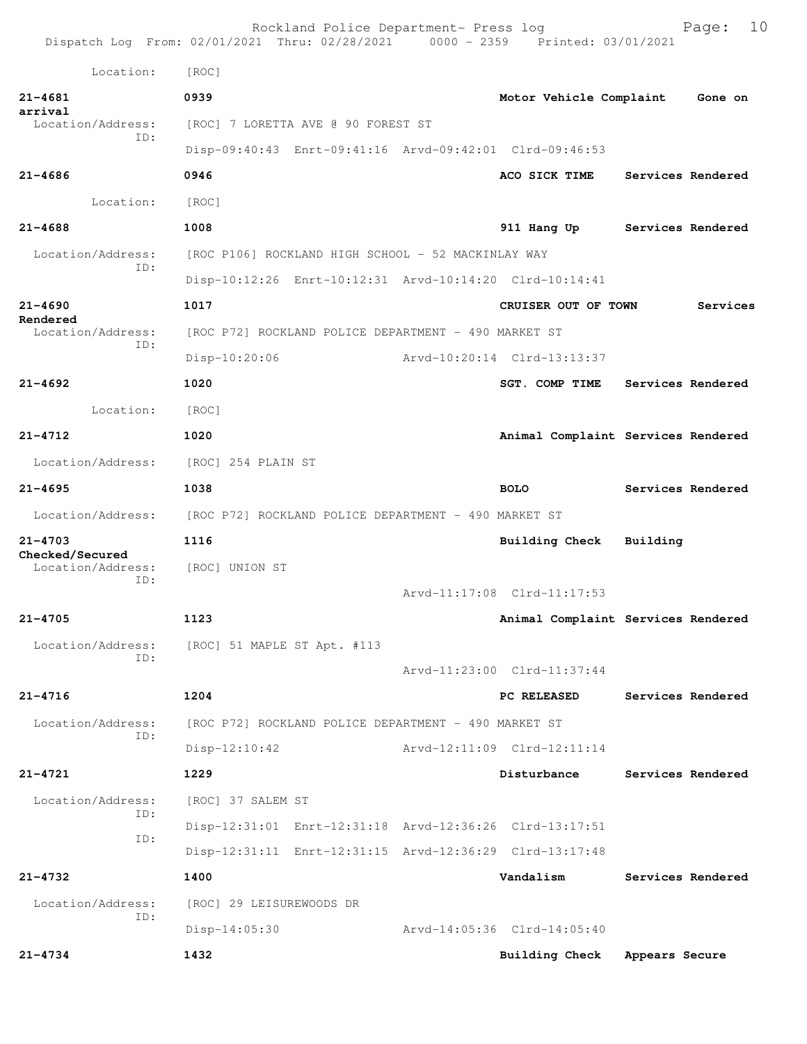Rockland Police Department- Press log Fage: 10 Dispatch Log From: 02/01/2021 Thru: 02/28/2021 0000 - 2359 Printed: 03/01/2021 Location: [ROC] **21-4681 0939 Motor Vehicle Complaint Gone on arrival**  [ROC] 7 LORETTA AVE @ 90 FOREST ST ID: Disp-09:40:43 Enrt-09:41:16 Arvd-09:42:01 Clrd-09:46:53 **21-4686 0946 ACO SICK TIME Services Rendered** Location: [ROC] **21-4688 1008 911 Hang Up Services Rendered** Location/Address: [ROC P106] ROCKLAND HIGH SCHOOL - 52 MACKINLAY WAY ID: Disp-10:12:26 Enrt-10:12:31 Arvd-10:14:20 Clrd-10:14:41 **21-4690 1017 CRUISER OUT OF TOWN Services Rendered**  Location/Address: [ROC P72] ROCKLAND POLICE DEPARTMENT - 490 MARKET ST ID: Disp-10:20:06 Arvd-10:20:14 Clrd-13:13:37 **21-4692 1020 SGT. COMP TIME Services Rendered** Location: [ROC] **21-4712 1020 Animal Complaint Services Rendered** Location/Address: [ROC] 254 PLAIN ST **21-4695 1038 BOLO Services Rendered** Location/Address: [ROC P72] ROCKLAND POLICE DEPARTMENT - 490 MARKET ST **21-4703 1116 Building Check Building Checked/Secured**  Location/Address: [ROC] UNION ST ID: Arvd-11:17:08 Clrd-11:17:53 **21-4705 1123 Animal Complaint Services Rendered** Location/Address: [ROC] 51 MAPLE ST Apt. #113 ID: Arvd-11:23:00 Clrd-11:37:44 **21-4716 1204 PC RELEASED Services Rendered** Location/Address: [ROC P72] ROCKLAND POLICE DEPARTMENT - 490 MARKET ST ID: Disp-12:10:42 Arvd-12:11:09 Clrd-12:11:14 **21-4721 1229 Disturbance Services Rendered** Location/Address: [ROC] 37 SALEM ST ID: Disp-12:31:01 Enrt-12:31:18 Arvd-12:36:26 Clrd-13:17:51 ID: Disp-12:31:11 Enrt-12:31:15 Arvd-12:36:29 Clrd-13:17:48 **21-4732 1400 Vandalism Services Rendered** Location/Address: [ROC] 29 LEISUREWOODS DR ID: Disp-14:05:30 Arvd-14:05:36 Clrd-14:05:40 **21-4734 1432 Building Check Appears Secure**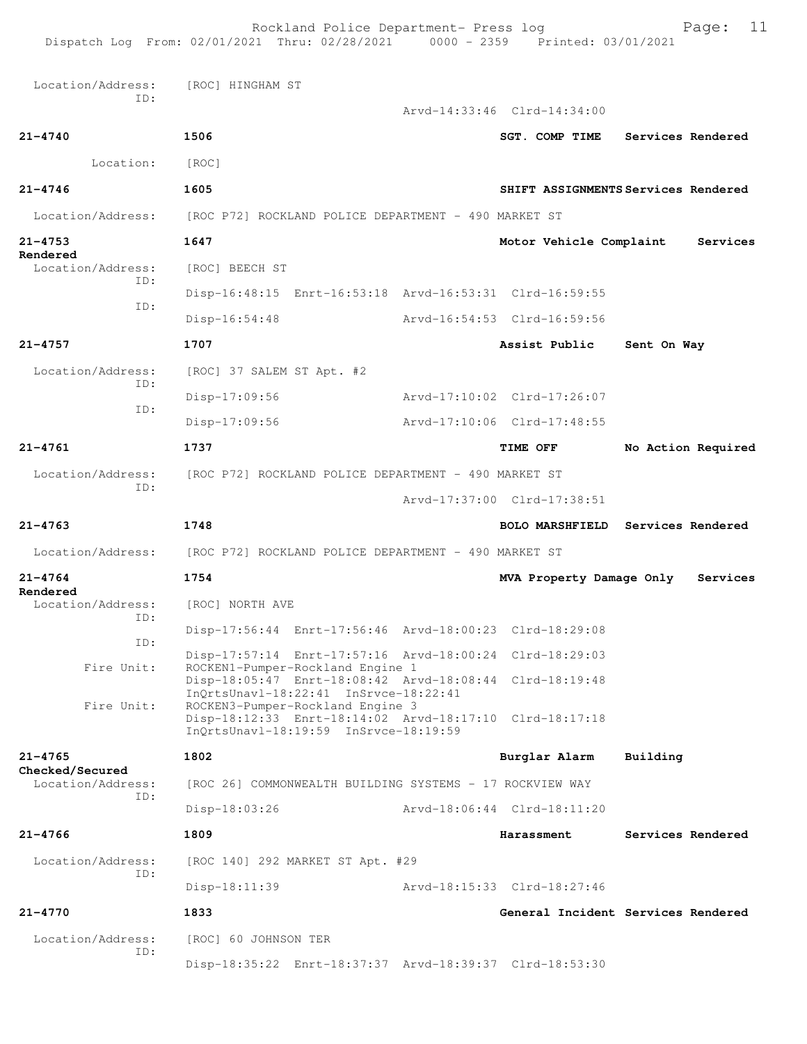Rockland Police Department- Press log Page: 11 Dispatch Log From: 02/01/2021 Thru: 02/28/2021 Location/Address: [ROC] HINGHAM ST ID: Arvd-14:33:46 Clrd-14:34:00 **21-4740 1506 SGT. COMP TIME Services Rendered** Location: [ROC] **21-4746 1605 SHIFT ASSIGNMENTS Services Rendered** Location/Address: [ROC P72] ROCKLAND POLICE DEPARTMENT - 490 MARKET ST **21-4753 1647 Motor Vehicle Complaint Services Rendered**  Location/Address: [ROC] BEECH ST ID: Disp-16:48:15 Enrt-16:53:18 Arvd-16:53:31 Clrd-16:59:55 ID: Disp-16:54:48 Arvd-16:54:53 Clrd-16:59:56 **21-4757 1707 Assist Public Sent On Way** Location/Address: [ROC] 37 SALEM ST Apt. #2 ID: Disp-17:09:56 Arvd-17:10:02 Clrd-17:26:07 ID: Disp-17:09:56 Arvd-17:10:06 Clrd-17:48:55 **21-4761 1737 TIME OFF No Action Required** Location/Address: [ROC P72] ROCKLAND POLICE DEPARTMENT - 490 MARKET ST ID: Arvd-17:37:00 Clrd-17:38:51 **21-4763 1748 BOLO MARSHFIELD Services Rendered** Location/Address: [ROC P72] ROCKLAND POLICE DEPARTMENT - 490 MARKET ST **21-4764 1754 MVA Property Damage Only Services Rendered**  Location/Address: [ROC] NORTH AVE ID: Disp-17:56:44 Enrt-17:56:46 Arvd-18:00:23 Clrd-18:29:08 ID: Disp-17:57:14 Enrt-17:57:16 Arvd-18:00:24 Clrd-18:29:03<br>Fire Unit: ROCKEN1-Pumper-Rockland Engine 1 ROCKEN1-Pumper-Rockland Engine 1 Disp-18:05:47 Enrt-18:08:42 Arvd-18:08:44 Clrd-18:19:48 InQrtsUnavl-18:22:41 InSrvce-18:22:41 Fire Unit: ROCKEN3-Pumper-Rockland Engine 3 Disp-18:12:33 Enrt-18:14:02 Arvd-18:17:10 Clrd-18:17:18 InQrtsUnavl-18:19:59 InSrvce-18:19:59 **21-4765 1802 Burglar Alarm Building Checked/Secured**  Location/Address: [ROC 26] COMMONWEALTH BUILDING SYSTEMS - 17 ROCKVIEW WAY ID: Disp-18:03:26 Arvd-18:06:44 Clrd-18:11:20 **21-4766 1809 Harassment Services Rendered** Location/Address: [ROC 140] 292 MARKET ST Apt. #29 ID: Disp-18:11:39 Arvd-18:15:33 Clrd-18:27:46 **21-4770 1833 General Incident Services Rendered** Location/Address: [ROC] 60 JOHNSON TER ID: Disp-18:35:22 Enrt-18:37:37 Arvd-18:39:37 Clrd-18:53:30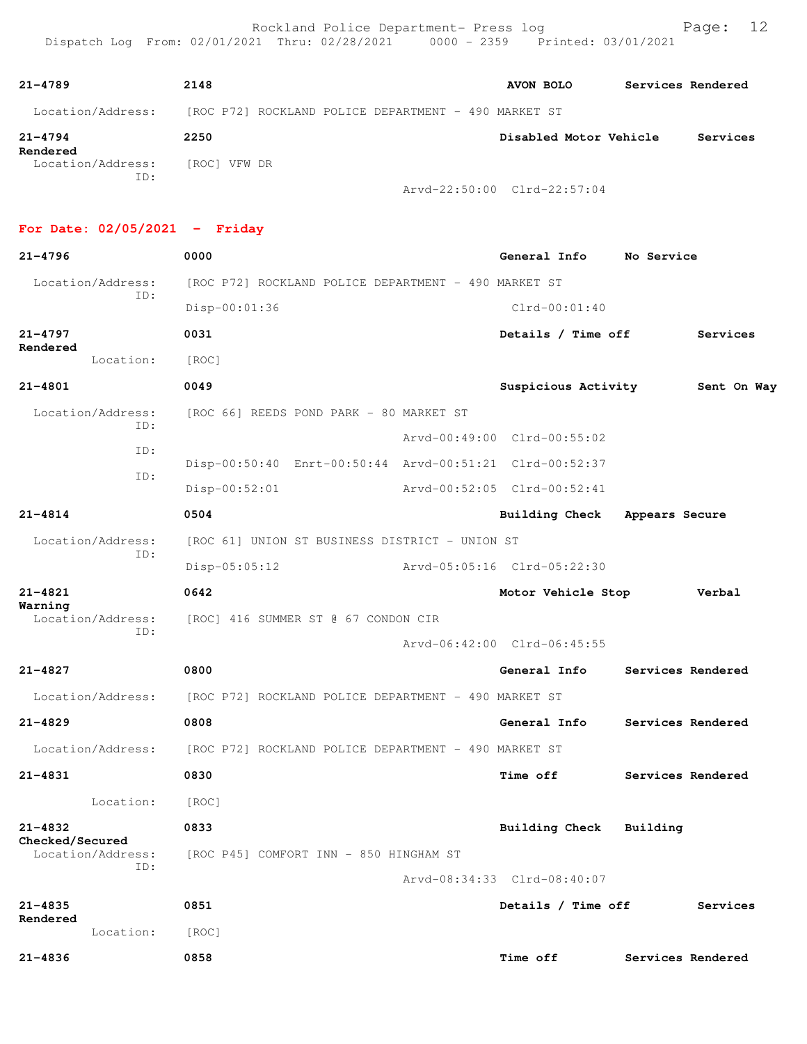| $21 - 4789$              | 2148                                                 | AVON BOLO              | Services Rendered |          |
|--------------------------|------------------------------------------------------|------------------------|-------------------|----------|
| Location/Address:        | [ROC P72] ROCKLAND POLICE DEPARTMENT - 490 MARKET ST |                        |                   |          |
| $21 - 4794$<br>Rendered  | 2250                                                 | Disabled Motor Vehicle |                   | Services |
| Location/Address:<br>ID: | [ROC] VFW DR                                         |                        |                   |          |
|                          | Arvd-22:50:00 Clrd-22:57:04                          |                        |                   |          |

### **For Date: 02/05/2021 - Friday**

| $21 - 4796$                                 | 0000                                                  | General Info                                            | No Service        |
|---------------------------------------------|-------------------------------------------------------|---------------------------------------------------------|-------------------|
| Location/Address:                           | [ROC P72] ROCKLAND POLICE DEPARTMENT - 490 MARKET ST  |                                                         |                   |
| ID:                                         | Disp-00:01:36                                         | $Clrd-00:01:40$                                         |                   |
| $21 - 4797$                                 | 0031                                                  | Details / Time off                                      | Services          |
| Rendered<br>Location:                       | [ROC]                                                 |                                                         |                   |
| $21 - 4801$                                 | 0049                                                  | Suspicious Activity                                     | Sent On Way       |
| Location/Address:                           | [ROC 66] REEDS POND PARK - 80 MARKET ST               |                                                         |                   |
| ID:                                         |                                                       | Arvd-00:49:00 Clrd-00:55:02                             |                   |
| ID:                                         |                                                       | Disp-00:50:40 Enrt-00:50:44 Arvd-00:51:21 Clrd-00:52:37 |                   |
| ID:                                         | $Disp-00:52:01$                                       | Arvd-00:52:05 Clrd-00:52:41                             |                   |
| $21 - 4814$                                 | 0504                                                  | Building Check                                          | Appears Secure    |
| Location/Address:                           | [ROC 61] UNION ST BUSINESS DISTRICT - UNION ST        |                                                         |                   |
| ID:                                         | Disp-05:05:12                                         | Arvd-05:05:16 Clrd-05:22:30                             |                   |
| 21-4821                                     | 0642                                                  | Motor Vehicle Stop                                      | Verbal            |
| Warning                                     | Location/Address: [ROC] 416 SUMMER ST @ 67 CONDON CIR |                                                         |                   |
| ID:                                         |                                                       | Arvd-06:42:00 Clrd-06:45:55                             |                   |
| $21 - 4827$                                 | 0800                                                  | General Info                                            | Services Rendered |
| Location/Address:                           | [ROC P72] ROCKLAND POLICE DEPARTMENT - 490 MARKET ST  |                                                         |                   |
| $21 - 4829$                                 | 0808                                                  | General Info                                            | Services Rendered |
| Location/Address:                           | [ROC P72] ROCKLAND POLICE DEPARTMENT - 490 MARKET ST  |                                                         |                   |
| $21 - 4831$                                 | 0830                                                  | <b>Time off</b>                                         | Services Rendered |
| Location:                                   | [ROC]                                                 |                                                         |                   |
| $21 - 4832$                                 | 0833                                                  | <b>Building Check</b>                                   | Building          |
| Checked/Secured<br>Location/Address:<br>ID: | [ROC P45] COMFORT INN - 850 HINGHAM ST                |                                                         |                   |
|                                             |                                                       | Arvd-08:34:33 Clrd-08:40:07                             |                   |
| $21 - 4835$<br>Rendered                     | 0851                                                  | Details / Time off                                      | Services          |
| Location:                                   | [ROC]                                                 |                                                         |                   |
| $21 - 4836$                                 | 0858                                                  | Time off                                                | Services Rendered |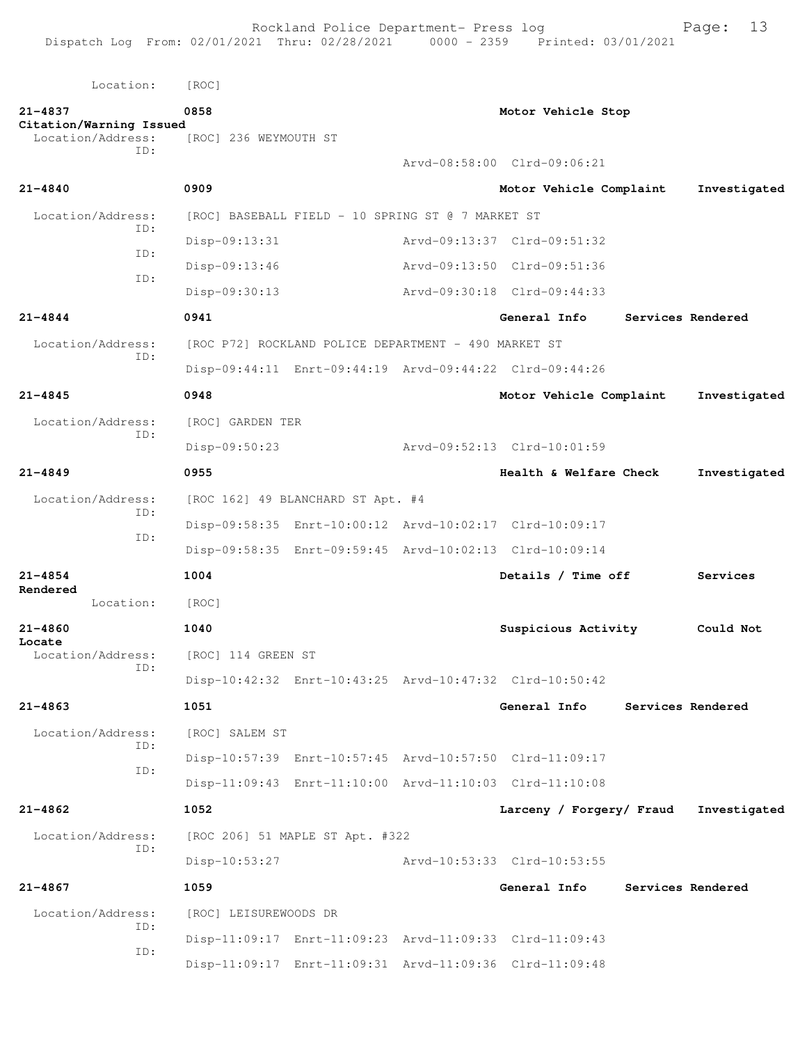Rockland Police Department- Press log entitled Page: 13

| Location:                                    | [ROC]                 |                                                         |                             |                   |              |
|----------------------------------------------|-----------------------|---------------------------------------------------------|-----------------------------|-------------------|--------------|
| $21 - 4837$                                  | 0858                  |                                                         | Motor Vehicle Stop          |                   |              |
| Citation/Warning Issued<br>Location/Address: | [ROC] 236 WEYMOUTH ST |                                                         |                             |                   |              |
| TD:                                          |                       |                                                         | Arvd-08:58:00 Clrd-09:06:21 |                   |              |
| $21 - 4840$                                  | 0909                  |                                                         | Motor Vehicle Complaint     |                   | Investigated |
| Location/Address:                            |                       | [ROC] BASEBALL FIELD - 10 SPRING ST @ 7 MARKET ST       |                             |                   |              |
| TD:                                          | Disp-09:13:31         |                                                         | Arvd-09:13:37 Clrd-09:51:32 |                   |              |
| ID:                                          | Disp-09:13:46         |                                                         | Arvd-09:13:50 Clrd-09:51:36 |                   |              |
| ID:                                          | Disp-09:30:13         |                                                         | Arvd-09:30:18 Clrd-09:44:33 |                   |              |
| $21 - 4844$                                  | 0941                  |                                                         | General Info                | Services Rendered |              |
| Location/Address:                            |                       | [ROC P72] ROCKLAND POLICE DEPARTMENT - 490 MARKET ST    |                             |                   |              |
| ID:                                          |                       | Disp-09:44:11 Enrt-09:44:19 Arvd-09:44:22 Clrd-09:44:26 |                             |                   |              |
| $21 - 4845$                                  | 0948                  |                                                         | Motor Vehicle Complaint     |                   | Investigated |
| Location/Address:                            | [ROC] GARDEN TER      |                                                         |                             |                   |              |
| ID:                                          | Disp-09:50:23         |                                                         | Arvd-09:52:13 Clrd-10:01:59 |                   |              |
| $21 - 4849$                                  | 0955                  |                                                         | Health & Welfare Check      |                   | Investigated |
| Location/Address:                            |                       | [ROC 162] 49 BLANCHARD ST Apt. #4                       |                             |                   |              |
| ID:                                          |                       | Disp-09:58:35 Enrt-10:00:12 Arvd-10:02:17 Clrd-10:09:17 |                             |                   |              |
| ID:                                          |                       | Disp-09:58:35 Enrt-09:59:45 Arvd-10:02:13 Clrd-10:09:14 |                             |                   |              |
| $21 - 4854$                                  | 1004                  |                                                         | Details / Time off          |                   | Services     |
| Rendered<br>Location:                        | [ROC]                 |                                                         |                             |                   |              |
| $21 - 4860$                                  | 1040                  |                                                         | Suspicious Activity         |                   | Could Not    |
| Locate<br>Location/Address:                  | [ROC] 114 GREEN ST    |                                                         |                             |                   |              |
| ID:                                          |                       | Disp-10:42:32 Enrt-10:43:25 Arvd-10:47:32 Clrd-10:50:42 |                             |                   |              |
| $21 - 4863$                                  | 1051                  |                                                         | General Info                | Services Rendered |              |
| Location/Address:                            | [ROC] SALEM ST        |                                                         |                             |                   |              |
| ID:                                          |                       | Disp-10:57:39 Enrt-10:57:45 Arvd-10:57:50 Clrd-11:09:17 |                             |                   |              |
| ID:                                          |                       | Disp-11:09:43 Enrt-11:10:00 Arvd-11:10:03 Clrd-11:10:08 |                             |                   |              |
| $21 - 4862$                                  | 1052                  |                                                         | Larceny / Forgery/ Fraud    |                   | Investigated |
| Location/Address:<br>ID:                     |                       | [ROC 206] 51 MAPLE ST Apt. #322                         |                             |                   |              |
|                                              | Disp-10:53:27         |                                                         | Arvd-10:53:33 Clrd-10:53:55 |                   |              |
| $21 - 4867$                                  | 1059                  |                                                         | General Info                | Services Rendered |              |
| Location/Address:                            | [ROC] LEISUREWOODS DR |                                                         |                             |                   |              |
| ID:<br>ID:                                   |                       | Disp-11:09:17 Enrt-11:09:23 Arvd-11:09:33 Clrd-11:09:43 |                             |                   |              |
|                                              |                       | Disp-11:09:17 Enrt-11:09:31 Arvd-11:09:36 Clrd-11:09:48 |                             |                   |              |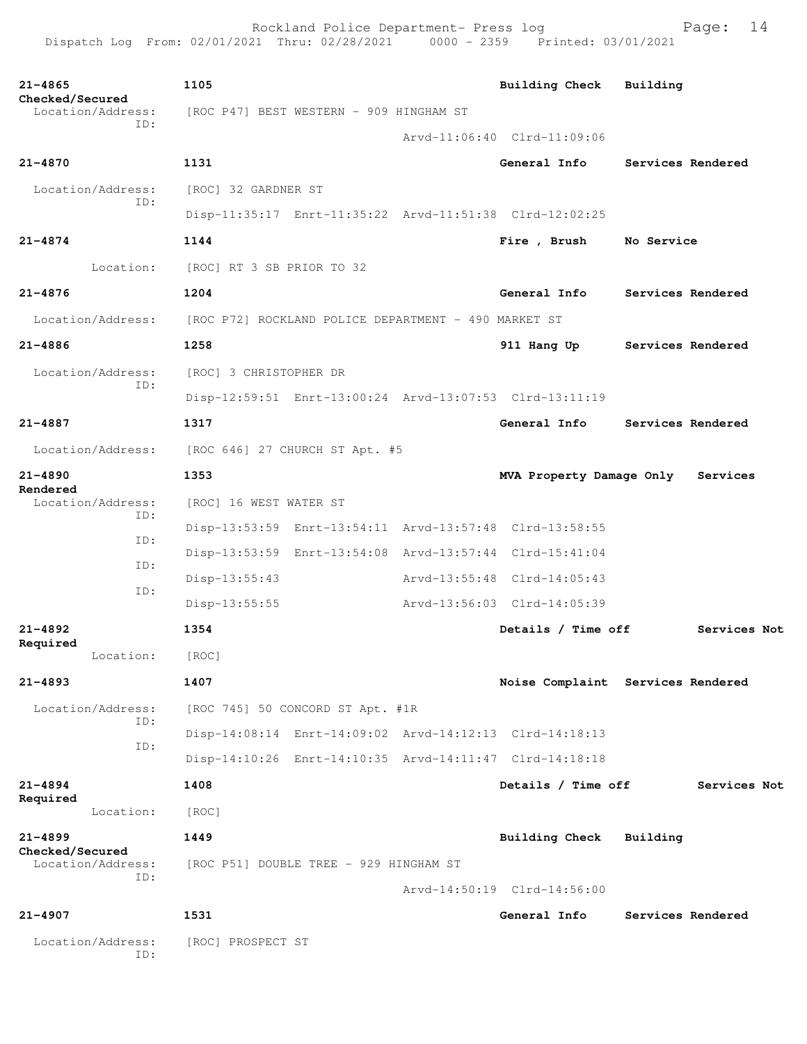Rockland Police Department- Press log Fage: 14 Dispatch Log From: 02/01/2021 Thru: 02/28/2021 0000 - 2359 Printed: 03/01/2021

**21-4865 1105 Building Check Building Checked/Secured**  Location/Address: [ROC P47] BEST WESTERN - 909 HINGHAM ST ID: Arvd-11:06:40 Clrd-11:09:06 **21-4870 1131 General Info Services Rendered** Location/Address: [ROC] 32 GARDNER ST ID: Disp-11:35:17 Enrt-11:35:22 Arvd-11:51:38 Clrd-12:02:25 **21-4874 1144 Fire , Brush No Service** Location: [ROC] RT 3 SB PRIOR TO 32 **21-4876 1204 General Info Services Rendered** Location/Address: [ROC P72] ROCKLAND POLICE DEPARTMENT - 490 MARKET ST **21-4886 1258 911 Hang Up Services Rendered** Location/Address: [ROC] 3 CHRISTOPHER DR ID: Disp-12:59:51 Enrt-13:00:24 Arvd-13:07:53 Clrd-13:11:19 **21-4887 1317 General Info Services Rendered** Location/Address: [ROC 646] 27 CHURCH ST Apt. #5 **21-4890 1353 MVA Property Damage Only Services Rendered**  Location/Address: [ROC] 16 WEST WATER ST ID: Disp-13:53:59 Enrt-13:54:11 Arvd-13:57:48 Clrd-13:58:55 ID: Disp-13:53:59 Enrt-13:54:08 Arvd-13:57:44 Clrd-15:41:04 ID: Disp-13:55:43 Arvd-13:55:48 Clrd-14:05:43 ID: Disp-13:55:55 Arvd-13:56:03 Clrd-14:05:39 **21-4892 1354 Details / Time off Services Not Required**  Location: [ROC] **21-4893 1407 Noise Complaint Services Rendered** Location/Address: [ROC 745] 50 CONCORD ST Apt. #1R ID: Disp-14:08:14 Enrt-14:09:02 Arvd-14:12:13 Clrd-14:18:13 ID: Disp-14:10:26 Enrt-14:10:35 Arvd-14:11:47 Clrd-14:18:18 **21-4894 1408 Details / Time off Services Not Required**  Location: [ROC] **21-4899 1449 Building Check Building Checked/Secured**  Location/Address: [ROC P51] DOUBLE TREE - 929 HINGHAM ST ID: Arvd-14:50:19 Clrd-14:56:00 **21-4907 1531 General Info Services Rendered** Location/Address: [ROC] PROSPECT ST ID: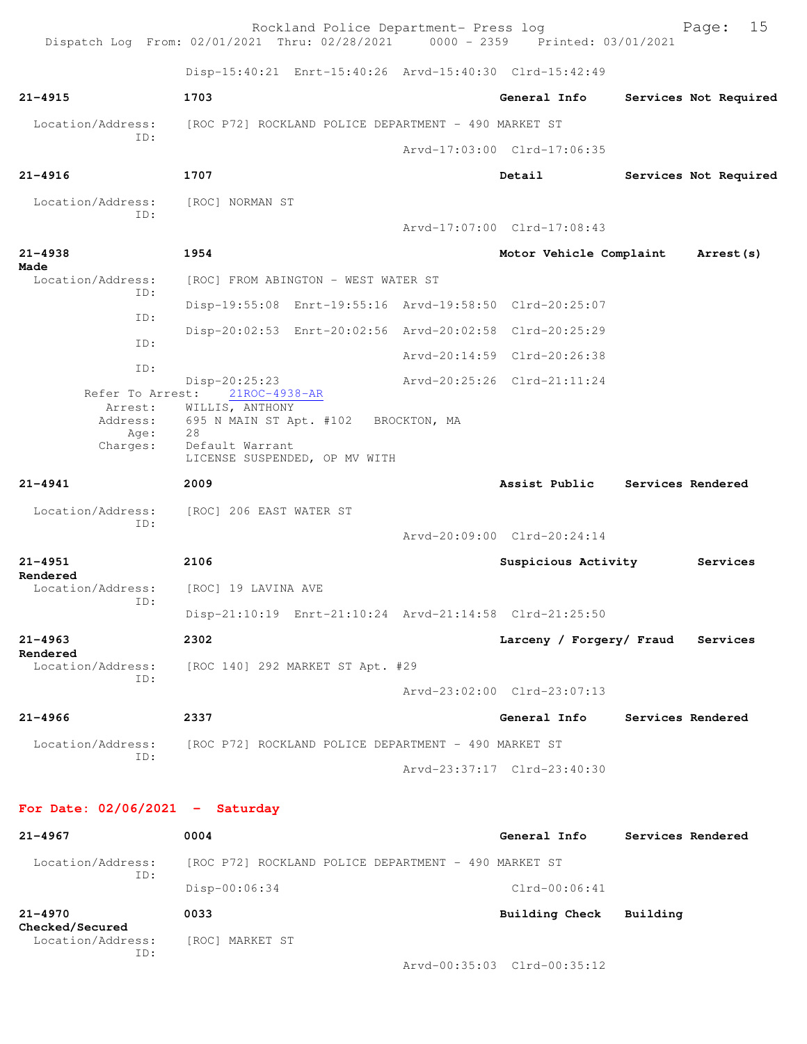Rockland Police Department- Press log Fage: 15 Dispatch Log From: 02/01/2021 Thru: 02/28/2021 0000 - 2359 Printed: 03/01/2021 Disp-15:40:21 Enrt-15:40:26 Arvd-15:40:30 Clrd-15:42:49 **21-4915 1703 General Info Services Not Required** Location/Address: [ROC P72] ROCKLAND POLICE DEPARTMENT - 490 MARKET ST ID: Arvd-17:03:00 Clrd-17:06:35 **21-4916 1707 Detail Services Not Required** Location/Address: [ROC] NORMAN ST ID: Arvd-17:07:00 Clrd-17:08:43 **21-4938 1954 Motor Vehicle Complaint Arrest(s) Made**  Location/Address: [ROC] FROM ABINGTON - WEST WATER ST ID: Disp-19:55:08 Enrt-19:55:16 Arvd-19:58:50 Clrd-20:25:07 ID: Disp-20:02:53 Enrt-20:02:56 Arvd-20:02:58 Clrd-20:25:29 ID: Arvd-20:14:59 Clrd-20:26:38 ID: Disp-20:25:23 Arvd-20:25:26 Clrd-21:11:24 Refer To Arrest: Arrest: WILLIS, ANTHONY Address: 695 N MAIN ST Apt. #102 BROCKTON, MA Age: 28 Charges: Default Warrant LICENSE SUSPENDED, OP MV WITH **21-4941 2009 Assist Public Services Rendered** Location/Address: [ROC] 206 EAST WATER ST ID: Arvd-20:09:00 Clrd-20:24:14 **21-4951 2106 Suspicious Activity Services Rendered**  Location/Address: [ROC] 19 LAVINA AVE ID: Disp-21:10:19 Enrt-21:10:24 Arvd-21:14:58 Clrd-21:25:50 **21-4963 2302 Larceny / Forgery/ Fraud Services Rendered**  Location/Address: [ROC 140] 292 MARKET ST Apt. #29 ID: Arvd-23:02:00 Clrd-23:07:13 **21-4966 2337 General Info Services Rendered** Location/Address: [ROC P72] ROCKLAND POLICE DEPARTMENT - 490 MARKET ST ID: Arvd-23:37:17 Clrd-23:40:30 **For Date: 02/06/2021 - Saturday 21-4967 0004 General Info Services Rendered** Location/Address: [ROC P72] ROCKLAND POLICE DEPARTMENT - 490 MARKET ST ID: Disp-00:06:34 Clrd-00:06:41 **21-4970 0033 Building Check Building**

**Checked/Secured**  Location/Address: [ROC] MARKET ST ID:

Arvd-00:35:03 Clrd-00:35:12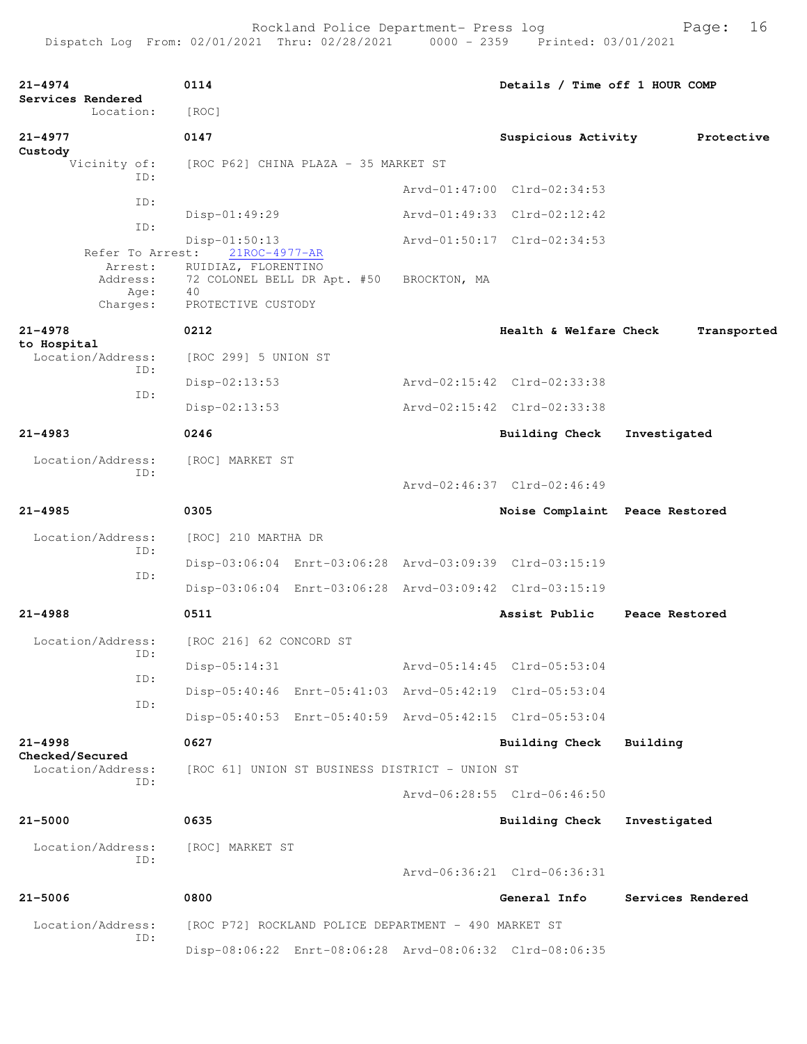| 21-4974<br>Services Rendered |                                                             | 0114                                                                                            |                                                |              | Details / Time off 1 HOUR COMP                          |                   |             |
|------------------------------|-------------------------------------------------------------|-------------------------------------------------------------------------------------------------|------------------------------------------------|--------------|---------------------------------------------------------|-------------------|-------------|
|                              | Location:                                                   | [ROC]                                                                                           |                                                |              |                                                         |                   |             |
| 21-4977<br>Custody           |                                                             | 0147                                                                                            |                                                |              | Suspicious Activity                                     |                   | Protective  |
|                              | Vicinity of:<br>ID:                                         | [ROC P62] CHINA PLAZA - 35 MARKET ST                                                            |                                                |              |                                                         |                   |             |
|                              |                                                             |                                                                                                 |                                                |              | Arvd-01:47:00 Clrd-02:34:53                             |                   |             |
|                              | ID:                                                         | $Disp-01:49:29$                                                                                 |                                                |              | Arvd-01:49:33 Clrd-02:12:42                             |                   |             |
|                              | ID:                                                         | $Disp-01:50:13$                                                                                 |                                                |              | Arvd-01:50:17 Clrd-02:34:53                             |                   |             |
|                              | Refer To Arrest:<br>Arrest:<br>Address:<br>Age:<br>Charges: | 21ROC-4977-AR<br>RUIDIAZ, FLORENTINO<br>72 COLONEL BELL DR Apt. #50<br>40<br>PROTECTIVE CUSTODY |                                                | BROCKTON, MA |                                                         |                   |             |
| $21 - 4978$                  |                                                             | 0212                                                                                            |                                                |              | Health & Welfare Check                                  |                   | Transported |
| to Hospital                  | Location/Address:                                           | [ROC 299] 5 UNION ST                                                                            |                                                |              |                                                         |                   |             |
|                              | ID:                                                         | $Disp-02:13:53$                                                                                 |                                                |              | Arvd-02:15:42 Clrd-02:33:38                             |                   |             |
|                              | ID:                                                         | $Disp-02:13:53$                                                                                 |                                                |              | Arvd-02:15:42 Clrd-02:33:38                             |                   |             |
| $21 - 4983$                  |                                                             | 0246                                                                                            |                                                |              | <b>Building Check</b>                                   | Investigated      |             |
|                              | Location/Address:                                           | [ROC] MARKET ST                                                                                 |                                                |              |                                                         |                   |             |
|                              | ID:                                                         |                                                                                                 |                                                |              | Arvd-02:46:37 Clrd-02:46:49                             |                   |             |
| $21 - 4985$                  |                                                             | 0305                                                                                            |                                                |              | Noise Complaint Peace Restored                          |                   |             |
|                              | Location/Address:                                           | [ROC] 210 MARTHA DR                                                                             |                                                |              |                                                         |                   |             |
|                              | ID:                                                         |                                                                                                 |                                                |              | Disp-03:06:04 Enrt-03:06:28 Arvd-03:09:39 Clrd-03:15:19 |                   |             |
|                              | ID:                                                         |                                                                                                 |                                                |              | Disp-03:06:04 Enrt-03:06:28 Arvd-03:09:42 Clrd-03:15:19 |                   |             |
| $21 - 4988$                  |                                                             | 0511                                                                                            |                                                |              | Assist Public                                           | Peace Restored    |             |
|                              | Location/Address:                                           | [ROC 216] 62 CONCORD ST                                                                         |                                                |              |                                                         |                   |             |
|                              | ID:                                                         | $Disp-05:14:31$                                                                                 |                                                |              | Arvd-05:14:45 Clrd-05:53:04                             |                   |             |
|                              | ID:                                                         |                                                                                                 |                                                |              | Disp-05:40:46 Enrt-05:41:03 Arvd-05:42:19 Clrd-05:53:04 |                   |             |
|                              | ID:                                                         |                                                                                                 |                                                |              | Disp-05:40:53 Enrt-05:40:59 Arvd-05:42:15 Clrd-05:53:04 |                   |             |
| $21 - 4998$                  |                                                             | 0627                                                                                            |                                                |              | Building Check                                          | Building          |             |
| Checked/Secured              | Location/Address:                                           |                                                                                                 | [ROC 61] UNION ST BUSINESS DISTRICT - UNION ST |              |                                                         |                   |             |
|                              | ID:                                                         |                                                                                                 |                                                |              | Arvd-06:28:55 Clrd-06:46:50                             |                   |             |
| $21 - 5000$                  |                                                             | 0635                                                                                            |                                                |              | <b>Building Check</b>                                   | Investigated      |             |
|                              | Location/Address:                                           | [ROC] MARKET ST                                                                                 |                                                |              |                                                         |                   |             |
|                              | ID:                                                         |                                                                                                 |                                                |              | Arvd-06:36:21 Clrd-06:36:31                             |                   |             |
| $21 - 5006$                  |                                                             | 0800                                                                                            |                                                |              | General Info                                            | Services Rendered |             |
|                              | Location/Address:                                           | [ROC P72] ROCKLAND POLICE DEPARTMENT - 490 MARKET ST                                            |                                                |              |                                                         |                   |             |
|                              | ID:                                                         |                                                                                                 |                                                |              | Disp-08:06:22 Enrt-08:06:28 Arvd-08:06:32 Clrd-08:06:35 |                   |             |
|                              |                                                             |                                                                                                 |                                                |              |                                                         |                   |             |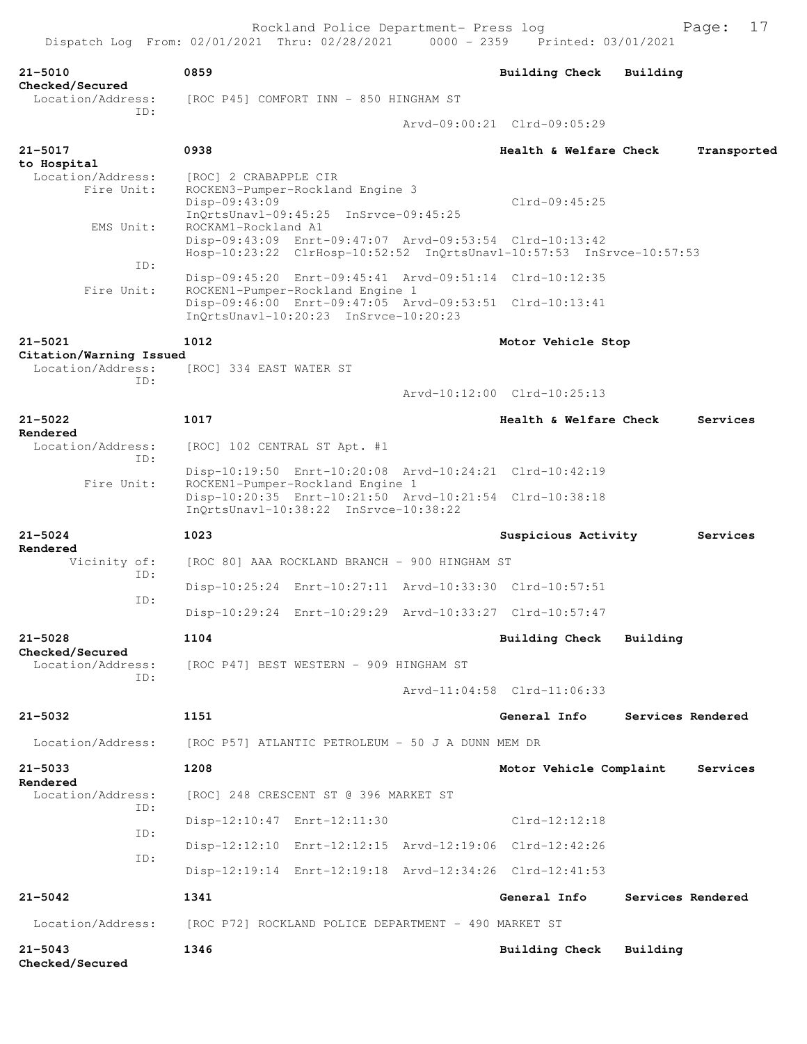| $21 - 5010$<br>Checked/Secured               | 0859                                                                                                 | <b>Building Check</b>       | Building |                   |
|----------------------------------------------|------------------------------------------------------------------------------------------------------|-----------------------------|----------|-------------------|
| Location/Address:                            | [ROC P45] COMFORT INN - 850 HINGHAM ST                                                               |                             |          |                   |
| ID:                                          |                                                                                                      | Arvd-09:00:21 Clrd-09:05:29 |          |                   |
| $21 - 5017$                                  | 0938                                                                                                 | Health & Welfare Check      |          | Transported       |
| to Hospital<br>Location/Address:             | [ROC] 2 CRABAPPLE CIR                                                                                |                             |          |                   |
| Fire Unit:                                   | ROCKEN3-Pumper-Rockland Engine 3<br>Disp-09:43:09                                                    | $Clrd-09:45:25$             |          |                   |
|                                              | InOrtsUnavl-09:45:25 InSrvce-09:45:25                                                                |                             |          |                   |
| EMS Unit:                                    | ROCKAM1-Rockland A1<br>Disp-09:43:09 Enrt-09:47:07 Arvd-09:53:54 Clrd-10:13:42                       |                             |          |                   |
| ID:                                          | Hosp-10:23:22 ClrHosp-10:52:52 InQrtsUnavl-10:57:53 InSrvce-10:57:53                                 |                             |          |                   |
| Fire Unit:                                   | Disp-09:45:20 Enrt-09:45:41 Arvd-09:51:14 Clrd-10:12:35<br>ROCKEN1-Pumper-Rockland Engine 1          |                             |          |                   |
|                                              | Disp-09:46:00 Enrt-09:47:05 Arvd-09:53:51 Clrd-10:13:41<br>InQrtsUnavl-10:20:23 InSrvce-10:20:23     |                             |          |                   |
| $21 - 5021$                                  | 1012                                                                                                 | Motor Vehicle Stop          |          |                   |
| Citation/Warning Issued<br>Location/Address: | [ROC] 334 EAST WATER ST                                                                              |                             |          |                   |
| ID:                                          |                                                                                                      | Arvd-10:12:00 Clrd-10:25:13 |          |                   |
| $21 - 5022$                                  | 1017                                                                                                 | Health & Welfare Check      |          | Services          |
| Rendered                                     |                                                                                                      |                             |          |                   |
| Location/Address:<br>ID:<br>Fire Unit:       | [ROC] 102 CENTRAL ST Apt. #1                                                                         |                             |          |                   |
|                                              | Disp-10:19:50 Enrt-10:20:08 Arvd-10:24:21 Clrd-10:42:19<br>ROCKEN1-Pumper-Rockland Engine 1          |                             |          |                   |
|                                              | Disp-10:20:35 Enrt-10:21:50 Arvd-10:21:54 Clrd-10:38:18<br>$InOrtsUnav1-10:38:22$ $InSrvec-10:38:22$ |                             |          |                   |
| $21 - 5024$                                  | 1023                                                                                                 | Suspicious Activity         |          | Services          |
| Rendered<br>Vicinity of:<br>ID:              | [ROC 80] AAA ROCKLAND BRANCH - 900 HINGHAM ST                                                        |                             |          |                   |
| ID:                                          | Disp-10:25:24 Enrt-10:27:11 Arvd-10:33:30 Clrd-10:57:51                                              |                             |          |                   |
|                                              | Disp-10:29:24 Enrt-10:29:29 Arvd-10:33:27 Clrd-10:57:47                                              |                             |          |                   |
| $21 - 5028$                                  | 1104                                                                                                 | Building Check Building     |          |                   |
| Checked/Secured<br>Location/Address:         | [ROC P47] BEST WESTERN - 909 HINGHAM ST                                                              |                             |          |                   |
| ID:                                          |                                                                                                      | Arvd-11:04:58 Clrd-11:06:33 |          |                   |
| 21-5032                                      | 1151                                                                                                 | General Info                |          | Services Rendered |
| Location/Address:                            | [ROC P57] ATLANTIC PETROLEUM - 50 J A DUNN MEM DR                                                    |                             |          |                   |
| $21 - 5033$                                  | 1208                                                                                                 | Motor Vehicle Complaint     |          | Services          |
| Rendered<br>Location/Address:                | [ROC] 248 CRESCENT ST @ 396 MARKET ST                                                                |                             |          |                   |
| ID:                                          | Disp-12:10:47 Enrt-12:11:30                                                                          | $Clrd-12:12:18$             |          |                   |
| ID:                                          | Disp-12:12:10 Enrt-12:12:15 Arvd-12:19:06 Clrd-12:42:26                                              |                             |          |                   |
| ID:                                          |                                                                                                      |                             |          |                   |
|                                              | Disp-12:19:14 Enrt-12:19:18 Arvd-12:34:26 Clrd-12:41:53                                              |                             |          |                   |
| $21 - 5042$                                  | 1341                                                                                                 | General Info                |          | Services Rendered |
|                                              | Location/Address: [ROC P72] ROCKLAND POLICE DEPARTMENT - 490 MARKET ST                               |                             |          |                   |

**21-5043 1346 Building Check Building Checked/Secured**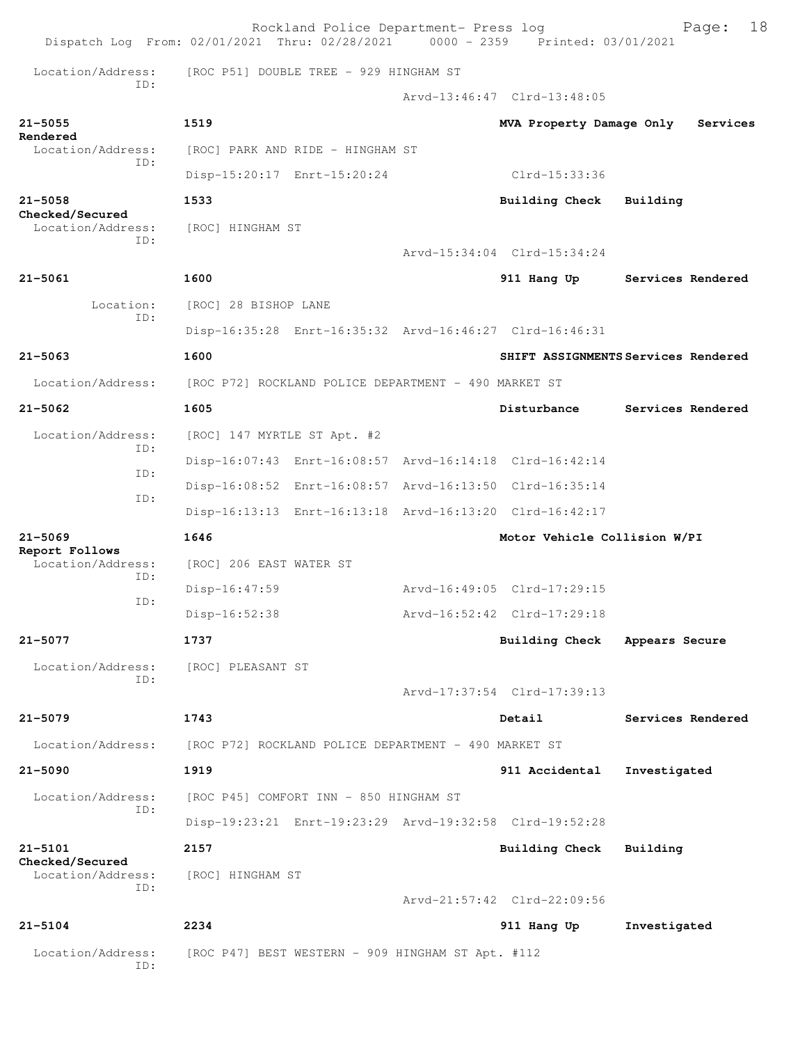|                                      | Rockland Police Department- Press log<br>Dispatch Log From: 02/01/2021 Thru: 02/28/2021 0000 - 2359 Printed: 03/01/2021 |                              | 18<br>Page:                         |
|--------------------------------------|-------------------------------------------------------------------------------------------------------------------------|------------------------------|-------------------------------------|
| Location/Address:<br>TD:             | [ROC P51] DOUBLE TREE - 929 HINGHAM ST                                                                                  |                              |                                     |
|                                      |                                                                                                                         | Arvd-13:46:47 Clrd-13:48:05  |                                     |
| $21 - 5055$                          | 1519                                                                                                                    | MVA Property Damage Only     | Services                            |
| Rendered<br>Location/Address:        | [ROC] PARK AND RIDE - HINGHAM ST                                                                                        |                              |                                     |
| TD:                                  | Disp-15:20:17 Enrt-15:20:24                                                                                             | Clrd-15:33:36                |                                     |
| $21 - 5058$                          | 1533                                                                                                                    | <b>Building Check</b>        | Building                            |
| Checked/Secured<br>Location/Address: | [ROC] HINGHAM ST                                                                                                        |                              |                                     |
| TD:                                  |                                                                                                                         | Arvd-15:34:04 Clrd-15:34:24  |                                     |
| $21 - 5061$                          | 1600                                                                                                                    |                              | 911 Hang Up Services Rendered       |
| Location:                            | [ROC] 28 BISHOP LANE                                                                                                    |                              |                                     |
| ID:                                  | Disp-16:35:28 Enrt-16:35:32 Arvd-16:46:27 Clrd-16:46:31                                                                 |                              |                                     |
| $21 - 5063$                          | 1600                                                                                                                    |                              | SHIFT ASSIGNMENTS Services Rendered |
| Location/Address:                    | [ROC P72] ROCKLAND POLICE DEPARTMENT - 490 MARKET ST                                                                    |                              |                                     |
| $21 - 5062$                          | 1605                                                                                                                    | Disturbance                  | Services Rendered                   |
| Location/Address:                    | [ROC] 147 MYRTLE ST Apt. #2                                                                                             |                              |                                     |
| TD:                                  | Disp-16:07:43 Enrt-16:08:57 Arvd-16:14:18 Clrd-16:42:14                                                                 |                              |                                     |
| ID:                                  | Disp-16:08:52 Enrt-16:08:57 Arvd-16:13:50 Clrd-16:35:14                                                                 |                              |                                     |
| ID:                                  | Disp-16:13:13 Enrt-16:13:18 Arvd-16:13:20 Clrd-16:42:17                                                                 |                              |                                     |
| $21 - 5069$                          | 1646                                                                                                                    | Motor Vehicle Collision W/PI |                                     |
| Report Follows<br>Location/Address:  | [ROC] 206 EAST WATER ST                                                                                                 |                              |                                     |
| TD:                                  | Disp-16:47:59                                                                                                           | Arvd-16:49:05 Clrd-17:29:15  |                                     |
| ID:                                  | $Disp-16:52:38$                                                                                                         | Arvd-16:52:42 Clrd-17:29:18  |                                     |
| 21-5077                              | 1737                                                                                                                    | Building Check               | Appears Secure                      |
| Location/Address:                    | [ROC] PLEASANT ST                                                                                                       |                              |                                     |
| TD:                                  |                                                                                                                         | Arvd-17:37:54 Clrd-17:39:13  |                                     |
| $21 - 5079$                          | 1743                                                                                                                    | Detail                       | Services Rendered                   |
| Location/Address:                    | [ROC P72] ROCKLAND POLICE DEPARTMENT - 490 MARKET ST                                                                    |                              |                                     |
| $21 - 5090$                          | 1919                                                                                                                    | 911 Accidental               | Investigated                        |
| Location/Address:                    | [ROC P45] COMFORT INN - 850 HINGHAM ST                                                                                  |                              |                                     |
| TD:                                  | Disp-19:23:21 Enrt-19:23:29 Arvd-19:32:58 Clrd-19:52:28                                                                 |                              |                                     |
| $21 - 5101$                          | 2157                                                                                                                    | Building Check               | Building                            |
| Checked/Secured<br>Location/Address: | [ROC] HINGHAM ST                                                                                                        |                              |                                     |
| ID:                                  |                                                                                                                         | Arvd-21:57:42 Clrd-22:09:56  |                                     |
| $21 - 5104$                          | 2234                                                                                                                    | 911 Hang Up                  | Investigated                        |
| Location/Address:<br>ID:             | [ROC P47] BEST WESTERN - 909 HINGHAM ST Apt. #112                                                                       |                              |                                     |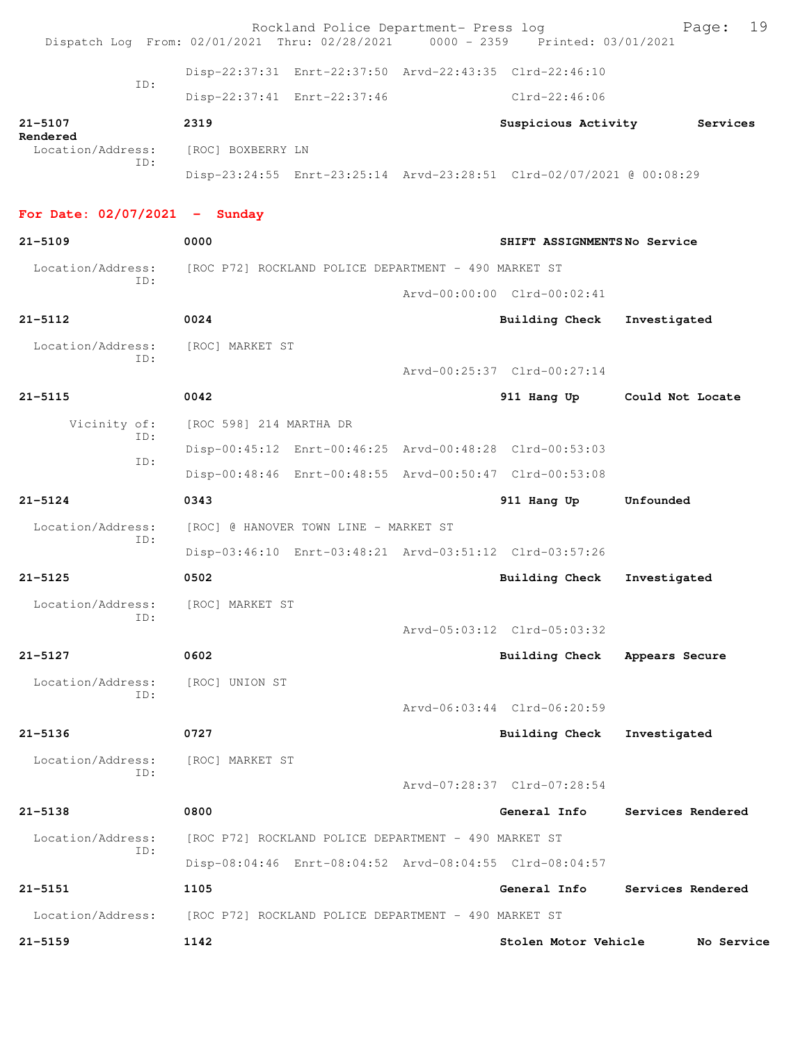|                                   | Rockland Police Department- Press log<br>Dispatch Log From: 02/01/2021 Thru: 02/28/2021 0000 - 2359 Printed: 03/01/2021 |                              | 19<br>Page:       |
|-----------------------------------|-------------------------------------------------------------------------------------------------------------------------|------------------------------|-------------------|
|                                   | Disp-22:37:31 Enrt-22:37:50 Arvd-22:43:35 Clrd-22:46:10                                                                 |                              |                   |
| TD:                               | Disp-22:37:41 Enrt-22:37:46                                                                                             | Clrd-22:46:06                |                   |
| 21-5107                           | 2319                                                                                                                    | Suspicious Activity          | Services          |
| Rendered<br>Location/Address:     | [ROC] BOXBERRY LN                                                                                                       |                              |                   |
| ID:                               | Disp-23:24:55 Enrt-23:25:14 Arvd-23:28:51 Clrd-02/07/2021 @ 00:08:29                                                    |                              |                   |
| For Date: $02/07/2021$ - Sunday   |                                                                                                                         |                              |                   |
| $21 - 5109$                       | 0000                                                                                                                    | SHIFT ASSIGNMENTSNo Service  |                   |
| Location/Address:                 | [ROC P72] ROCKLAND POLICE DEPARTMENT - 490 MARKET ST                                                                    |                              |                   |
| ID:                               |                                                                                                                         | Arvd-00:00:00 Clrd-00:02:41  |                   |
| $21 - 5112$                       | 0024                                                                                                                    | Building Check               | Investigated      |
| Location/Address:<br>TD:          | [ROC] MARKET ST                                                                                                         |                              |                   |
|                                   |                                                                                                                         | Arvd-00:25:37 Clrd-00:27:14  |                   |
| $21 - 5115$                       | 0042                                                                                                                    | 911 Hang Up Could Not Locate |                   |
| Vicinity of:<br>TD:               | [ROC 598] 214 MARTHA DR                                                                                                 |                              |                   |
| ID:                               | Disp-00:45:12 Enrt-00:46:25 Arvd-00:48:28 Clrd-00:53:03                                                                 |                              |                   |
|                                   | Disp-00:48:46 Enrt-00:48:55 Arvd-00:50:47 Clrd-00:53:08                                                                 |                              |                   |
|                                   |                                                                                                                         |                              |                   |
| $21 - 5124$                       | 0343                                                                                                                    | 911 Hang Up                  | Unfounded         |
| Location/Address:                 | [ROC] @ HANOVER TOWN LINE - MARKET ST                                                                                   |                              |                   |
| ID:                               | Disp-03:46:10 Enrt-03:48:21 Arvd-03:51:12 Clrd-03:57:26                                                                 |                              |                   |
| $21 - 5125$                       | 0502                                                                                                                    | <b>Building Check</b>        | Investigated      |
| Location/Address: [ROC] MARKET ST |                                                                                                                         |                              |                   |
| ID:                               |                                                                                                                         | Arvd-05:03:12 Clrd-05:03:32  |                   |
| 21-5127                           | 0602                                                                                                                    | Building Check               | Appears Secure    |
| Location/Address:                 | [ROC] UNION ST                                                                                                          |                              |                   |
| TD:                               |                                                                                                                         | Arvd-06:03:44 Clrd-06:20:59  |                   |
| $21 - 5136$                       | 0727                                                                                                                    | <b>Building Check</b>        | Investigated      |
| Location/Address:                 | [ROC] MARKET ST                                                                                                         |                              |                   |
| ID:                               |                                                                                                                         | Arvd-07:28:37 Clrd-07:28:54  |                   |
| $21 - 5138$                       | 0800                                                                                                                    | General Info                 | Services Rendered |
| Location/Address:<br>ID:          | [ROC P72] ROCKLAND POLICE DEPARTMENT - 490 MARKET ST                                                                    |                              |                   |
|                                   | Disp-08:04:46 Enrt-08:04:52 Arvd-08:04:55 Clrd-08:04:57                                                                 |                              |                   |
| 21-5151                           | 1105                                                                                                                    | General Info                 | Services Rendered |
| Location/Address:                 | [ROC P72] ROCKLAND POLICE DEPARTMENT - 490 MARKET ST                                                                    |                              |                   |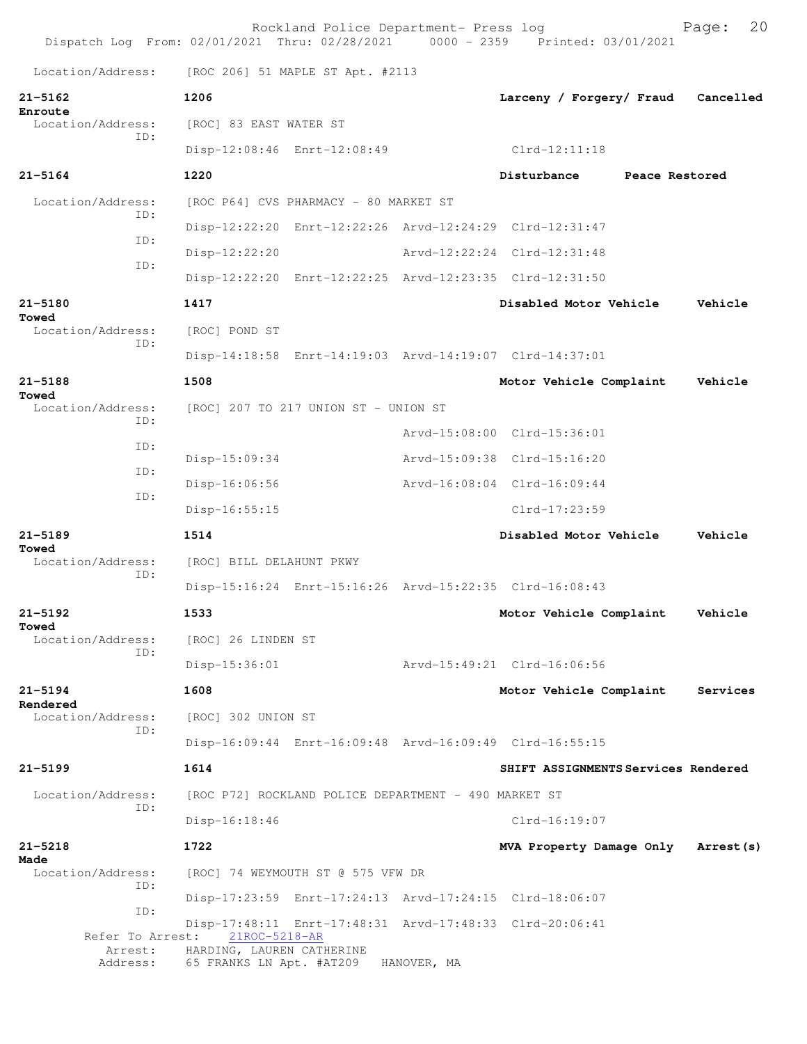|                               |                                                       | Rockland Police Department- Press log                |             | Dispatch Log From: 02/01/2021 Thru: 02/28/2021 0000 - 2359 Printed: 03/01/2021 | 20<br>Page: |
|-------------------------------|-------------------------------------------------------|------------------------------------------------------|-------------|--------------------------------------------------------------------------------|-------------|
| Location/Address:             | [ROC 206] 51 MAPLE ST Apt. #2113                      |                                                      |             |                                                                                |             |
| $21 - 5162$                   | 1206                                                  |                                                      |             | Larceny / Forgery/ Fraud                                                       | Cancelled   |
| Enroute<br>Location/Address:  | [ROC] 83 EAST WATER ST                                |                                                      |             |                                                                                |             |
| TD:                           | Disp-12:08:46 Enrt-12:08:49                           |                                                      |             | $Clrd-12:11:18$                                                                |             |
| $21 - 5164$                   | 1220                                                  |                                                      |             | Disturbance<br>Peace Restored                                                  |             |
| Location/Address:             |                                                       | [ROC P64] CVS PHARMACY - 80 MARKET ST                |             |                                                                                |             |
| TD:                           |                                                       |                                                      |             | Disp-12:22:20 Enrt-12:22:26 Arvd-12:24:29 Clrd-12:31:47                        |             |
| TD:                           | $Disp-12:22:20$                                       |                                                      |             | Arvd-12:22:24 Clrd-12:31:48                                                    |             |
| ID:                           |                                                       |                                                      |             | Disp-12:22:20 Enrt-12:22:25 Arvd-12:23:35 Clrd-12:31:50                        |             |
| $21 - 5180$                   | 1417                                                  |                                                      |             | Disabled Motor Vehicle                                                         | Vehicle     |
| Towed<br>Location/Address:    | [ROC] POND ST                                         |                                                      |             |                                                                                |             |
| TD:                           |                                                       |                                                      |             | Disp-14:18:58 Enrt-14:19:03 Arvd-14:19:07 Clrd-14:37:01                        |             |
| $21 - 5188$                   | 1508                                                  |                                                      |             | Motor Vehicle Complaint                                                        | Vehicle     |
| Towed<br>Location/Address:    | [ROC] 207 TO 217 UNION ST - UNION ST                  |                                                      |             |                                                                                |             |
| ID:                           |                                                       |                                                      |             | Arvd-15:08:00 Clrd-15:36:01                                                    |             |
| ID:                           | Disp-15:09:34                                         |                                                      |             | Arvd-15:09:38 Clrd-15:16:20                                                    |             |
| ID:<br>ID:                    | Disp-16:06:56                                         |                                                      |             | Arvd-16:08:04 Clrd-16:09:44                                                    |             |
|                               | Disp-16:55:15                                         |                                                      |             | Clrd-17:23:59                                                                  |             |
| $21 - 5189$                   | 1514                                                  |                                                      |             | Disabled Motor Vehicle                                                         | Vehicle     |
| Towed<br>Location/Address:    | [ROC] BILL DELAHUNT PKWY                              |                                                      |             |                                                                                |             |
| TD:                           |                                                       |                                                      |             | Disp-15:16:24 Enrt-15:16:26 Arvd-15:22:35 Clrd-16:08:43                        |             |
| $21 - 5192$                   | 1533                                                  |                                                      |             | Motor Vehicle Complaint                                                        | Vehicle     |
| Towed<br>Location/Address:    | [ROC] 26 LINDEN ST                                    |                                                      |             |                                                                                |             |
| ID:                           | Disp-15:36:01                                         |                                                      |             | Arvd-15:49:21 Clrd-16:06:56                                                    |             |
| $21 - 5194$                   | 1608                                                  |                                                      |             | Motor Vehicle Complaint                                                        | Services    |
| Rendered<br>Location/Address: | [ROC] 302 UNION ST                                    |                                                      |             |                                                                                |             |
| TD:                           |                                                       |                                                      |             | Disp-16:09:44 Enrt-16:09:48 Arvd-16:09:49 Clrd-16:55:15                        |             |
| $21 - 5199$                   | 1614                                                  |                                                      |             | SHIFT ASSIGNMENTS Services Rendered                                            |             |
| Location/Address:             |                                                       | [ROC P72] ROCKLAND POLICE DEPARTMENT - 490 MARKET ST |             |                                                                                |             |
| TD:                           | $Disp-16:18:46$                                       |                                                      |             | Clrd-16:19:07                                                                  |             |
| $21 - 5218$                   | 1722                                                  |                                                      |             | MVA Property Damage Only                                                       | Arrest (s)  |
| Made<br>Location/Address:     |                                                       | [ROC] 74 WEYMOUTH ST @ 575 VFW DR                    |             |                                                                                |             |
| ID:                           |                                                       |                                                      |             | Disp-17:23:59 Enrt-17:24:13 Arvd-17:24:15 Clrd-18:06:07                        |             |
| ID:<br>Refer To Arrest:       | 21ROC-5218-AR                                         |                                                      |             | Disp-17:48:11 Enrt-17:48:31 Arvd-17:48:33 Clrd-20:06:41                        |             |
| Arrest:<br>Address:           | HARDING, LAUREN CATHERINE<br>65 FRANKS LN Apt. #AT209 |                                                      | HANOVER, MA |                                                                                |             |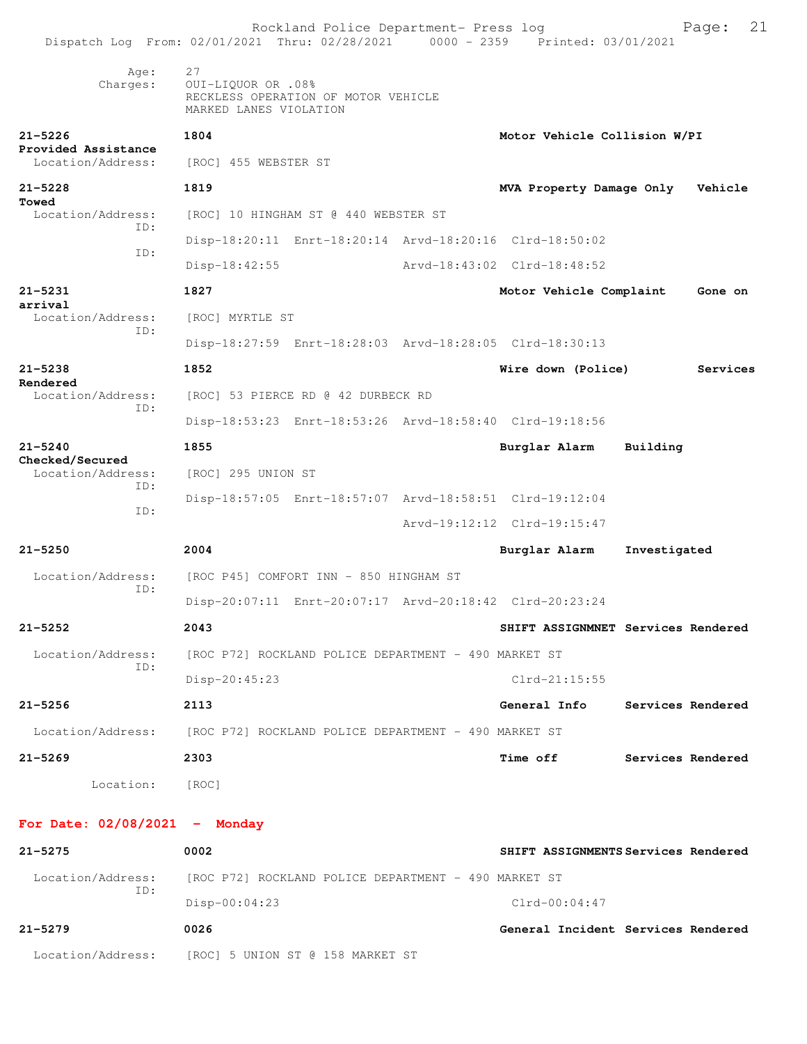| Dispatch Log From: 02/01/2021 Thru: 02/28/2021 0000 - 2359 Printed: 03/01/2021 |                                                      | Rockland Police Department- Press log                |                                                         |                   | 21<br>Page: |
|--------------------------------------------------------------------------------|------------------------------------------------------|------------------------------------------------------|---------------------------------------------------------|-------------------|-------------|
| Age:<br>Charges:                                                               | 27<br>OUI-LIQUOR OR .08%<br>MARKED LANES VIOLATION   | RECKLESS OPERATION OF MOTOR VEHICLE                  |                                                         |                   |             |
| $21 - 5226$                                                                    | 1804                                                 |                                                      | Motor Vehicle Collision W/PI                            |                   |             |
| Provided Assistance<br>Location/Address:                                       | [ROC] 455 WEBSTER ST                                 |                                                      |                                                         |                   |             |
| $21 - 5228$<br>Towed                                                           | 1819                                                 |                                                      | MVA Property Damage Only                                |                   | Vehicle     |
| Location/Address:<br>TD:                                                       |                                                      | [ROC] 10 HINGHAM ST @ 440 WEBSTER ST                 |                                                         |                   |             |
| ID:                                                                            |                                                      |                                                      | Disp-18:20:11 Enrt-18:20:14 Arvd-18:20:16 Clrd-18:50:02 |                   |             |
|                                                                                | Disp-18:42:55                                        |                                                      | Arvd-18:43:02 Clrd-18:48:52                             |                   |             |
| $21 - 5231$<br>arrival                                                         | 1827                                                 |                                                      | Motor Vehicle Complaint                                 |                   | Gone on     |
| Location/Address:<br>ID:                                                       | [ROC] MYRTLE ST                                      |                                                      |                                                         |                   |             |
|                                                                                |                                                      |                                                      | Disp-18:27:59 Enrt-18:28:03 Arvd-18:28:05 Clrd-18:30:13 |                   |             |
| $21 - 5238$<br>Rendered                                                        | 1852                                                 |                                                      | Wire down (Police)                                      |                   | Services    |
| Location/Address:<br>ID:                                                       |                                                      | [ROC] 53 PIERCE RD @ 42 DURBECK RD                   |                                                         |                   |             |
|                                                                                |                                                      |                                                      | Disp-18:53:23 Enrt-18:53:26 Arvd-18:58:40 Clrd-19:18:56 |                   |             |
| $21 - 5240$                                                                    | 1855                                                 |                                                      | Burglar Alarm                                           | Building          |             |
| Checked/Secured<br>Location/Address:                                           | [ROC] 295 UNION ST                                   |                                                      |                                                         |                   |             |
| ID:                                                                            |                                                      |                                                      | Disp-18:57:05 Enrt-18:57:07 Arvd-18:58:51 Clrd-19:12:04 |                   |             |
| ID:                                                                            |                                                      |                                                      | Arvd-19:12:12 Clrd-19:15:47                             |                   |             |
| $21 - 5250$                                                                    | 2004                                                 |                                                      | Burglar Alarm                                           | Investigated      |             |
| Location/Address:                                                              |                                                      | [ROC P45] COMFORT INN - 850 HINGHAM ST               |                                                         |                   |             |
| TD:                                                                            |                                                      |                                                      | Disp-20:07:11 Enrt-20:07:17 Arvd-20:18:42 Clrd-20:23:24 |                   |             |
| $21 - 5252$                                                                    | 2043                                                 |                                                      | SHIFT ASSIGNMNET Services Rendered                      |                   |             |
| Location/Address:                                                              |                                                      | [ROC P72] ROCKLAND POLICE DEPARTMENT - 490 MARKET ST |                                                         |                   |             |
| TD:                                                                            | Disp-20:45:23                                        |                                                      | $Clrd-21:15:55$                                         |                   |             |
| $21 - 5256$                                                                    | 2113                                                 |                                                      | General Info                                            | Services Rendered |             |
| Location/Address:                                                              | [ROC P72] ROCKLAND POLICE DEPARTMENT - 490 MARKET ST |                                                      |                                                         |                   |             |
| $21 - 5269$                                                                    | 2303                                                 |                                                      | <b>Time off</b>                                         | Services Rendered |             |
| Location:                                                                      | [ROC]                                                |                                                      |                                                         |                   |             |
| For Date: $02/08/2021$ - Monday                                                |                                                      |                                                      |                                                         |                   |             |
| 21-5275                                                                        | 0002                                                 |                                                      | SHIFT ASSIGNMENTS Services Rendered                     |                   |             |
| Location/Address:                                                              |                                                      | [ROC P72] ROCKLAND POLICE DEPARTMENT - 490 MARKET ST |                                                         |                   |             |
| ID:                                                                            | Disp-00:04:23                                        |                                                      | $Clrd-00:04:47$                                         |                   |             |
| $21 - 5279$                                                                    | 0026                                                 |                                                      | General Incident Services Rendered                      |                   |             |
| Location/Address:                                                              |                                                      | [ROC] 5 UNION ST @ 158 MARKET ST                     |                                                         |                   |             |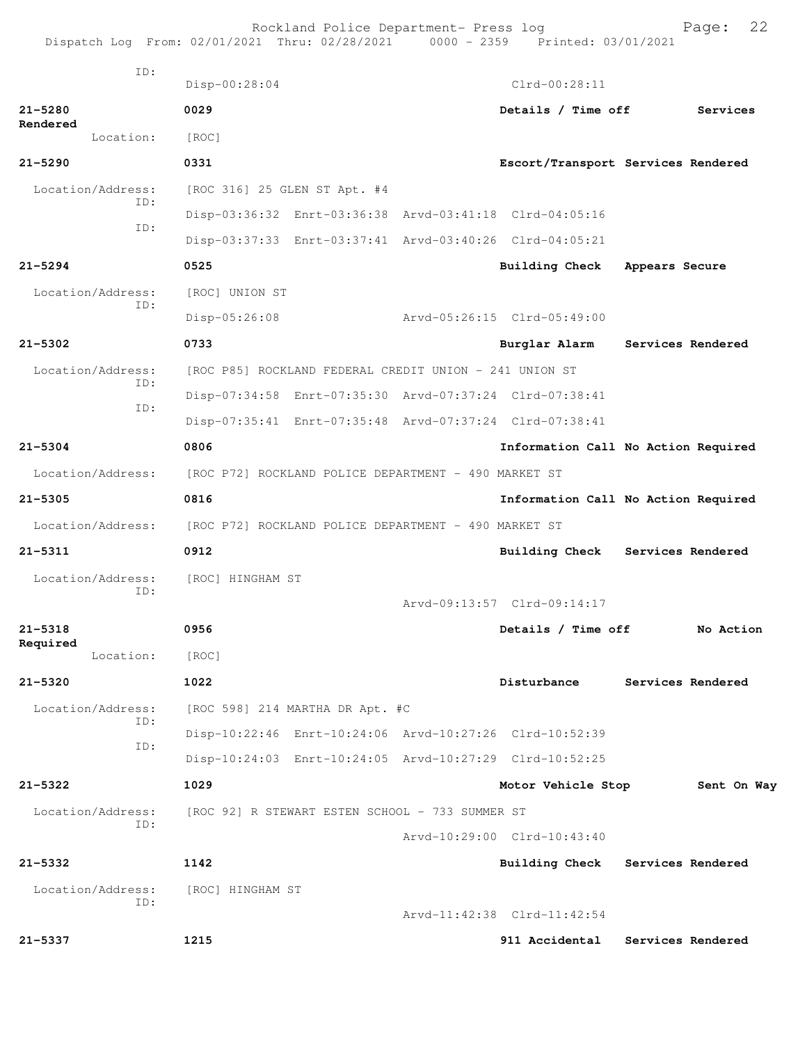|                          | Dispatch Log From: 02/01/2021 Thru: 02/28/2021 0000 - 2359 Printed: 03/01/2021 | Rockland Police Department- Press log |                             | 22<br>Page:                         |
|--------------------------|--------------------------------------------------------------------------------|---------------------------------------|-----------------------------|-------------------------------------|
| ID:                      | Disp-00:28:04                                                                  |                                       | $Clrd-00:28:11$             |                                     |
| $21 - 5280$              | 0029                                                                           |                                       | Details / Time off          | Services                            |
| Rendered<br>Location:    | [ROC]                                                                          |                                       |                             |                                     |
| $21 - 5290$              | 0331                                                                           |                                       |                             | Escort/Transport Services Rendered  |
| Location/Address:        | [ROC 316] 25 GLEN ST Apt. #4                                                   |                                       |                             |                                     |
| TD:                      | Disp-03:36:32 Enrt-03:36:38 Arvd-03:41:18 Clrd-04:05:16                        |                                       |                             |                                     |
| ID:                      | Disp-03:37:33 Enrt-03:37:41 Arvd-03:40:26 Clrd-04:05:21                        |                                       |                             |                                     |
| $21 - 5294$              | 0525                                                                           |                                       | <b>Building Check</b>       | Appears Secure                      |
| Location/Address:        | [ROC] UNION ST                                                                 |                                       |                             |                                     |
| ID:                      | Disp-05:26:08                                                                  |                                       | Arvd-05:26:15 Clrd-05:49:00 |                                     |
| $21 - 5302$              | 0733                                                                           |                                       | Burglar Alarm               | Services Rendered                   |
| Location/Address:        | [ROC P85] ROCKLAND FEDERAL CREDIT UNION - 241 UNION ST                         |                                       |                             |                                     |
| ID:                      | Disp-07:34:58 Enrt-07:35:30 Arvd-07:37:24 Clrd-07:38:41                        |                                       |                             |                                     |
| ID:                      | Disp-07:35:41 Enrt-07:35:48 Arvd-07:37:24 Clrd-07:38:41                        |                                       |                             |                                     |
| $21 - 5304$              | 0806                                                                           |                                       |                             | Information Call No Action Required |
| Location/Address:        | [ROC P72] ROCKLAND POLICE DEPARTMENT - 490 MARKET ST                           |                                       |                             |                                     |
| $21 - 5305$              | 0816                                                                           |                                       |                             | Information Call No Action Required |
| Location/Address:        | [ROC P72] ROCKLAND POLICE DEPARTMENT - 490 MARKET ST                           |                                       |                             |                                     |
| $21 - 5311$              | 0912                                                                           |                                       | Building Check              | Services Rendered                   |
| Location/Address:        | [ROC] HINGHAM ST                                                               |                                       |                             |                                     |
| TD:                      |                                                                                |                                       | Arvd-09:13:57 Clrd-09:14:17 |                                     |
| $21 - 5318$              | 0956                                                                           |                                       | Details / Time off          | No Action                           |
| Required<br>Location:    | [ROC]                                                                          |                                       |                             |                                     |
| $21 - 5320$              | 1022                                                                           |                                       | Disturbance                 | Services Rendered                   |
| Location/Address:        | [ROC 598] 214 MARTHA DR Apt. #C                                                |                                       |                             |                                     |
| ID:                      | Disp-10:22:46 Enrt-10:24:06 Arvd-10:27:26 Clrd-10:52:39                        |                                       |                             |                                     |
| ID:                      | Disp-10:24:03 Enrt-10:24:05 Arvd-10:27:29 Clrd-10:52:25                        |                                       |                             |                                     |
| $21 - 5322$              | 1029                                                                           |                                       | Motor Vehicle Stop          | Sent On Way                         |
| Location/Address:        | [ROC 92] R STEWART ESTEN SCHOOL - 733 SUMMER ST                                |                                       |                             |                                     |
| ID:                      |                                                                                |                                       | Arvd-10:29:00 Clrd-10:43:40 |                                     |
| $21 - 5332$              | 1142                                                                           |                                       |                             | Building Check Services Rendered    |
| Location/Address:<br>ID: | [ROC] HINGHAM ST                                                               |                                       |                             |                                     |
|                          |                                                                                |                                       | Arvd-11:42:38 Clrd-11:42:54 |                                     |
| 21-5337                  | 1215                                                                           |                                       | 911 Accidental              | Services Rendered                   |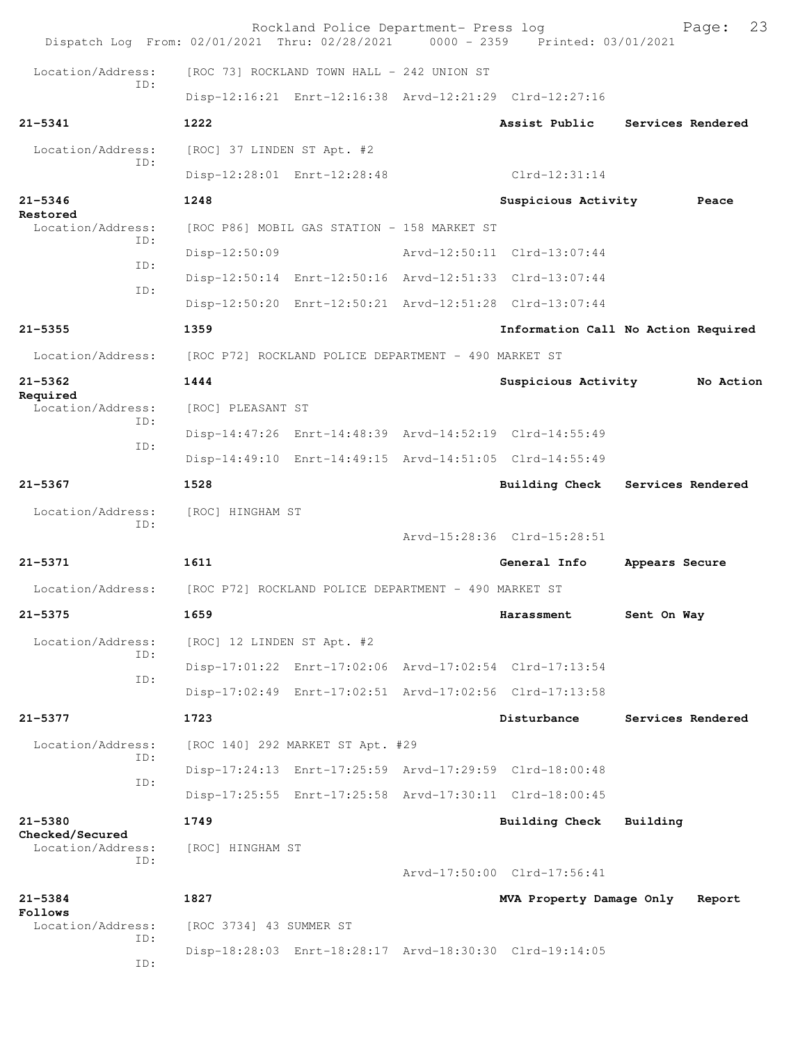|                                      | Rockland Police Department- Press log<br>Dispatch Log From: 02/01/2021 Thru: 02/28/2021 0000 - 2359 Printed: 03/01/2021 |                             | 23<br>Page:                         |
|--------------------------------------|-------------------------------------------------------------------------------------------------------------------------|-----------------------------|-------------------------------------|
| Location/Address:                    | [ROC 73] ROCKLAND TOWN HALL - 242 UNION ST                                                                              |                             |                                     |
| TD:                                  | Disp-12:16:21 Enrt-12:16:38 Arvd-12:21:29 Clrd-12:27:16                                                                 |                             |                                     |
| $21 - 5341$                          | 1222                                                                                                                    | Assist Public               | Services Rendered                   |
| Location/Address:                    | [ROC] 37 LINDEN ST Apt. #2                                                                                              |                             |                                     |
| ID:                                  | Disp-12:28:01 Enrt-12:28:48                                                                                             | $Clrd-12:31:14$             |                                     |
| $21 - 5346$                          | 1248                                                                                                                    | Suspicious Activity         | Peace                               |
| Restored<br>Location/Address:        | [ROC P86] MOBIL GAS STATION - 158 MARKET ST                                                                             |                             |                                     |
| TD:                                  | $Disp-12:50:09$                                                                                                         | Arvd-12:50:11 Clrd-13:07:44 |                                     |
| ID:                                  | Disp-12:50:14 Enrt-12:50:16 Arvd-12:51:33 Clrd-13:07:44                                                                 |                             |                                     |
| ID:                                  | Disp-12:50:20 Enrt-12:50:21 Arvd-12:51:28 Clrd-13:07:44                                                                 |                             |                                     |
| $21 - 5355$                          | 1359                                                                                                                    |                             | Information Call No Action Required |
| Location/Address:                    | [ROC P72] ROCKLAND POLICE DEPARTMENT - 490 MARKET ST                                                                    |                             |                                     |
| $21 - 5362$                          | 1444                                                                                                                    | Suspicious Activity         | No Action                           |
| Required<br>Location/Address:        | [ROC] PLEASANT ST                                                                                                       |                             |                                     |
| TD:                                  | Disp-14:47:26 Enrt-14:48:39 Arvd-14:52:19 Clrd-14:55:49                                                                 |                             |                                     |
| TD:                                  | Disp-14:49:10 Enrt-14:49:15 Arvd-14:51:05 Clrd-14:55:49                                                                 |                             |                                     |
| $21 - 5367$                          | 1528                                                                                                                    |                             | Building Check Services Rendered    |
| Location/Address:                    | [ROC] HINGHAM ST                                                                                                        |                             |                                     |
| ID:                                  |                                                                                                                         | Arvd-15:28:36 Clrd-15:28:51 |                                     |
| $21 - 5371$                          | 1611                                                                                                                    | General Info                | Appears Secure                      |
| Location/Address:                    | [ROC P72] ROCKLAND POLICE DEPARTMENT - 490 MARKET ST                                                                    |                             |                                     |
| 21-5375                              | 1659                                                                                                                    | Harassment                  | Sent On Way                         |
| Location/Address:                    | [ROC] 12 LINDEN ST Apt. #2                                                                                              |                             |                                     |
| ID:                                  | Disp-17:01:22 Enrt-17:02:06 Arvd-17:02:54 Clrd-17:13:54                                                                 |                             |                                     |
| ID:                                  | Disp-17:02:49 Enrt-17:02:51 Arvd-17:02:56 Clrd-17:13:58                                                                 |                             |                                     |
| $21 - 5377$                          | 1723                                                                                                                    | Disturbance                 | Services Rendered                   |
| Location/Address:                    | [ROC 140] 292 MARKET ST Apt. #29                                                                                        |                             |                                     |
| ID:                                  | Disp-17:24:13 Enrt-17:25:59 Arvd-17:29:59 Clrd-18:00:48                                                                 |                             |                                     |
| ID:                                  | Disp-17:25:55 Enrt-17:25:58 Arvd-17:30:11 Clrd-18:00:45                                                                 |                             |                                     |
| $21 - 5380$                          | 1749                                                                                                                    | <b>Building Check</b>       | Building                            |
| Checked/Secured<br>Location/Address: | [ROC] HINGHAM ST                                                                                                        |                             |                                     |
| ID:                                  |                                                                                                                         | Arvd-17:50:00 Clrd-17:56:41 |                                     |
| $21 - 5384$                          | 1827                                                                                                                    | MVA Property Damage Only    | Report                              |
| Follows<br>Location/Address:         | [ROC 3734] 43 SUMMER ST                                                                                                 |                             |                                     |
| ID:<br>ID:                           | Disp-18:28:03 Enrt-18:28:17 Arvd-18:30:30 Clrd-19:14:05                                                                 |                             |                                     |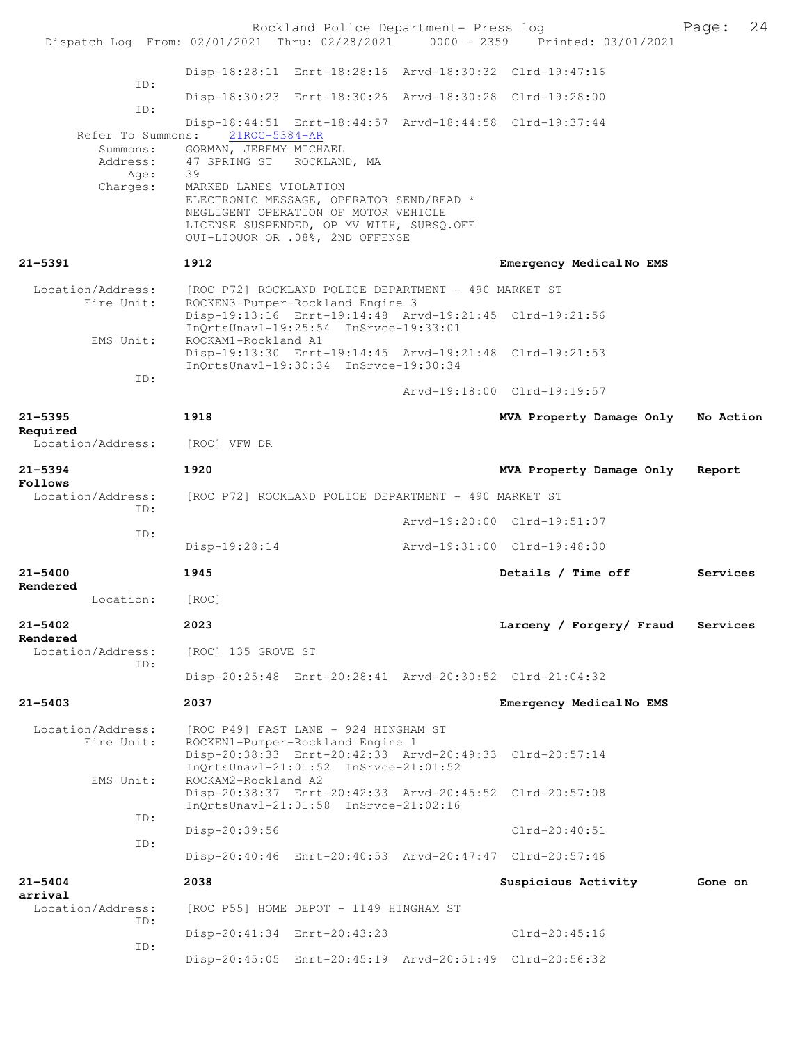|                                 |                                                                                                            | Rockland Police Department- Press log                                                                             |                                                                                | 24<br>Page: |
|---------------------------------|------------------------------------------------------------------------------------------------------------|-------------------------------------------------------------------------------------------------------------------|--------------------------------------------------------------------------------|-------------|
|                                 |                                                                                                            |                                                                                                                   | Dispatch Log From: 02/01/2021 Thru: 02/28/2021 0000 - 2359 Printed: 03/01/2021 |             |
| ID:                             |                                                                                                            |                                                                                                                   | Disp-18:28:11 Enrt-18:28:16 Arvd-18:30:32 Clrd-19:47:16                        |             |
| ID:                             |                                                                                                            |                                                                                                                   | Disp-18:30:23 Enrt-18:30:26 Arvd-18:30:28 Clrd-19:28:00                        |             |
| Refer To Summons:               | 21ROC-5384-AR                                                                                              |                                                                                                                   | Disp-18:44:51 Enrt-18:44:57 Arvd-18:44:58 Clrd-19:37:44                        |             |
| Summons:<br>Address:<br>Age:    | GORMAN, JEREMY MICHAEL<br>47 SPRING ST ROCKLAND, MA<br>39                                                  |                                                                                                                   |                                                                                |             |
| Charges:                        | MARKED LANES VIOLATION<br>NEGLIGENT OPERATION OF MOTOR VEHICLE<br>LICENSE SUSPENDED, OP MV WITH, SUBSQ.OFF | ELECTRONIC MESSAGE, OPERATOR SEND/READ *<br>OUI-LIQUOR OR .08%, 2ND OFFENSE                                       |                                                                                |             |
| 21-5391                         | 1912                                                                                                       |                                                                                                                   | Emergency MedicalNo EMS                                                        |             |
| Location/Address:<br>Fire Unit: | [ROC P72] ROCKLAND POLICE DEPARTMENT - 490 MARKET ST                                                       | ROCKEN3-Pumper-Rockland Engine 3                                                                                  |                                                                                |             |
| EMS Unit:                       | ROCKAM1-Rockland A1                                                                                        | InQrtsUnavl-19:25:54 InSrvce-19:33:01                                                                             | Disp-19:13:16 Enrt-19:14:48 Arvd-19:21:45 Clrd-19:21:56                        |             |
| ID:                             |                                                                                                            | InOrtsUnav1-19:30:34 InSrvce-19:30:34                                                                             | Disp-19:13:30 Enrt-19:14:45 Arvd-19:21:48 Clrd-19:21:53                        |             |
|                                 |                                                                                                            |                                                                                                                   | Arvd-19:18:00 Clrd-19:19:57                                                    |             |
| 21-5395<br>Required             | 1918                                                                                                       |                                                                                                                   | MVA Property Damage Only                                                       | No Action   |
| Location/Address:               | [ROC] VFW DR                                                                                               |                                                                                                                   |                                                                                |             |
| 21–5394<br>Follows              | 1920                                                                                                       |                                                                                                                   | MVA Property Damage Only                                                       | Report      |
| Location/Address:<br>ID:        | [ROC P72] ROCKLAND POLICE DEPARTMENT - 490 MARKET ST                                                       |                                                                                                                   |                                                                                |             |
| ID:                             |                                                                                                            |                                                                                                                   | Arvd-19:20:00 Clrd-19:51:07                                                    |             |
|                                 | Disp-19:28:14                                                                                              |                                                                                                                   | Arvd-19:31:00 Clrd-19:48:30                                                    |             |
| 21-5400<br>Rendered             | 1945                                                                                                       |                                                                                                                   | Details / Time off                                                             | Services    |
| Location:                       | [ROC]                                                                                                      |                                                                                                                   |                                                                                |             |
| 21-5402<br>Rendered             | 2023                                                                                                       |                                                                                                                   | Larceny / Forgery/ Fraud                                                       | Services    |
| Location/Address:<br>ID:        | [ROC] 135 GROVE ST                                                                                         |                                                                                                                   |                                                                                |             |
|                                 |                                                                                                            |                                                                                                                   | Disp-20:25:48 Enrt-20:28:41 Arvd-20:30:52 Clrd-21:04:32                        |             |
| 21-5403                         | 2037                                                                                                       |                                                                                                                   | Emergency MedicalNo EMS                                                        |             |
| Location/Address:<br>Fire Unit: |                                                                                                            | [ROC P49] FAST LANE - 924 HINGHAM ST<br>ROCKEN1-Pumper-Rockland Engine 1<br>InOrtsUnavl-21:01:52 InSrvce-21:01:52 | Disp-20:38:33 Enrt-20:42:33 Arvd-20:49:33 Clrd-20:57:14                        |             |
| EMS Unit:                       | ROCKAM2-Rockland A2                                                                                        | InQrtsUnavl-21:01:58 InSrvce-21:02:16                                                                             | Disp-20:38:37 Enrt-20:42:33 Arvd-20:45:52 Clrd-20:57:08                        |             |
| ID:                             | Disp-20:39:56                                                                                              |                                                                                                                   | Clrd-20:40:51                                                                  |             |
| ID:                             |                                                                                                            |                                                                                                                   | Disp-20:40:46 Enrt-20:40:53 Arvd-20:47:47 Clrd-20:57:46                        |             |
| 21-5404                         | 2038                                                                                                       |                                                                                                                   | Suspicious Activity                                                            | Gone on     |
| arrival<br>Location/Address:    |                                                                                                            | [ROC P55] HOME DEPOT - 1149 HINGHAM ST                                                                            |                                                                                |             |
| ID:                             | Disp-20:41:34 Enrt-20:43:23                                                                                |                                                                                                                   | $Clrd-20:45:16$                                                                |             |
| ID:                             |                                                                                                            |                                                                                                                   | Disp-20:45:05 Enrt-20:45:19 Arvd-20:51:49 Clrd-20:56:32                        |             |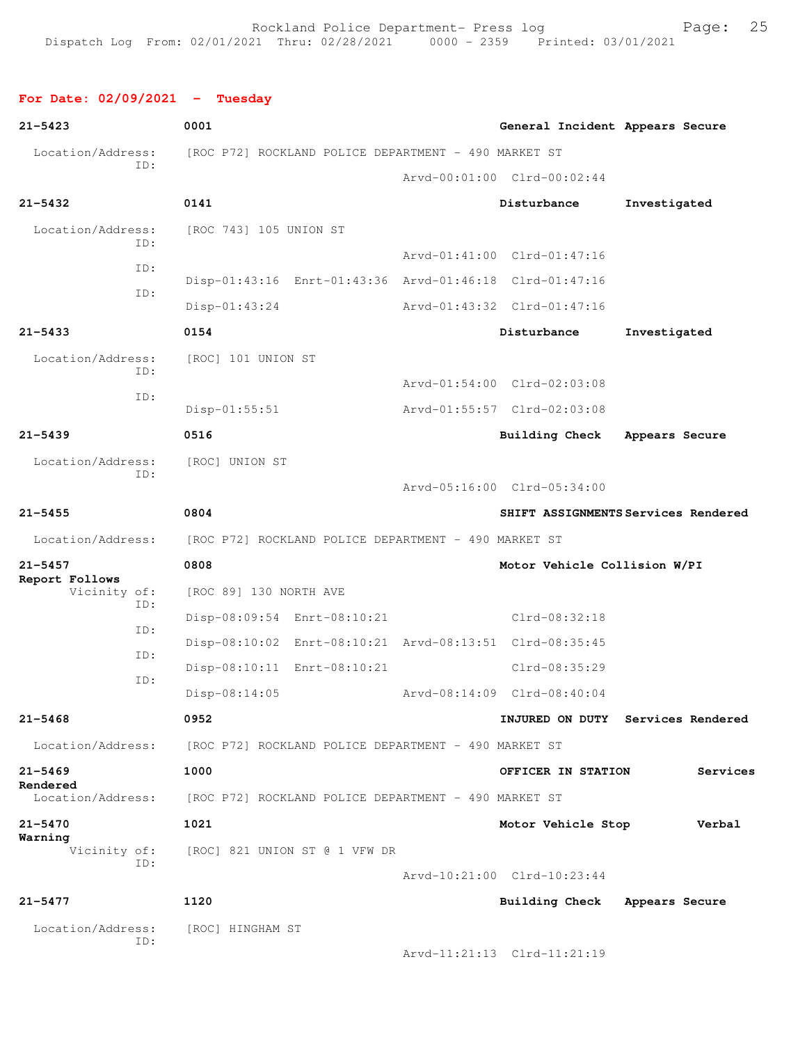### **For Date: 02/09/2021 - Tuesday**

| $21 - 5423$                           | 0001                                                    | General Incident Appears Secure |                                     |
|---------------------------------------|---------------------------------------------------------|---------------------------------|-------------------------------------|
| Location/Address:                     | [ROC P72] ROCKLAND POLICE DEPARTMENT - 490 MARKET ST    |                                 |                                     |
| TD:                                   |                                                         | Arvd-00:01:00 Clrd-00:02:44     |                                     |
| $21 - 5432$                           | 0141                                                    | Disturbance                     | Investigated                        |
| Location/Address:<br>TD:              | [ROC 743] 105 UNION ST                                  | Arvd-01:41:00 Clrd-01:47:16     |                                     |
| ID:                                   | Disp-01:43:16 Enrt-01:43:36 Arvd-01:46:18 Clrd-01:47:16 |                                 |                                     |
| ID:                                   | $Disp-01:43:24$                                         | Arvd-01:43:32 Clrd-01:47:16     |                                     |
| $21 - 5433$                           | 0154                                                    | Disturbance                     | Investigated                        |
| Location/Address:<br>ID:              | [ROC] 101 UNION ST                                      |                                 |                                     |
| ID:                                   |                                                         | Arvd-01:54:00 Clrd-02:03:08     |                                     |
|                                       | Disp-01:55:51                                           | Arvd-01:55:57 Clrd-02:03:08     |                                     |
| $21 - 5439$                           | 0516                                                    | Building Check                  | Appears Secure                      |
| Location/Address:<br>ID:              | [ROC] UNION ST                                          | Arvd-05:16:00 Clrd-05:34:00     |                                     |
| $21 - 5455$                           | 0804                                                    |                                 | SHIFT ASSIGNMENTS Services Rendered |
| Location/Address:                     | [ROC P72] ROCKLAND POLICE DEPARTMENT - 490 MARKET ST    |                                 |                                     |
| $21 - 5457$                           | 0808                                                    | Motor Vehicle Collision W/PI    |                                     |
| Report Follows<br>Vicinity of:<br>ID: | [ROC 89] 130 NORTH AVE                                  |                                 |                                     |
| ID:                                   | Disp-08:09:54 Enrt-08:10:21                             | Clrd-08:32:18                   |                                     |
| ID:                                   | Disp-08:10:02 Enrt-08:10:21 Arvd-08:13:51 Clrd-08:35:45 |                                 |                                     |
| ID:                                   | Disp-08:10:11 Enrt-08:10:21                             | Clrd-08:35:29                   |                                     |
|                                       | Disp-08:14:05                                           | Arvd-08:14:09 Clrd-08:40:04     |                                     |
| $21 - 5468$                           | 0952                                                    |                                 | INJURED ON DUTY Services Rendered   |
| Location/Address:                     | [ROC P72] ROCKLAND POLICE DEPARTMENT - 490 MARKET ST    |                                 |                                     |
| $21 - 5469$<br>Rendered               | 1000                                                    | OFFICER IN STATION              | Services                            |
| Location/Address:                     | [ROC P72] ROCKLAND POLICE DEPARTMENT - 490 MARKET ST    |                                 |                                     |
| $21 - 5470$                           | 1021                                                    | Motor Vehicle Stop              | Verbal                              |
| Warning<br>Vicinity of:<br>ID:        | [ROC] 821 UNION ST @ 1 VFW DR                           |                                 |                                     |
|                                       |                                                         | Arvd-10:21:00 Clrd-10:23:44     |                                     |
| $21 - 5477$                           | 1120                                                    | <b>Building Check</b>           | Appears Secure                      |
| Location/Address:<br>ID:              | [ROC] HINGHAM ST                                        |                                 |                                     |

Arvd-11:21:13 Clrd-11:21:19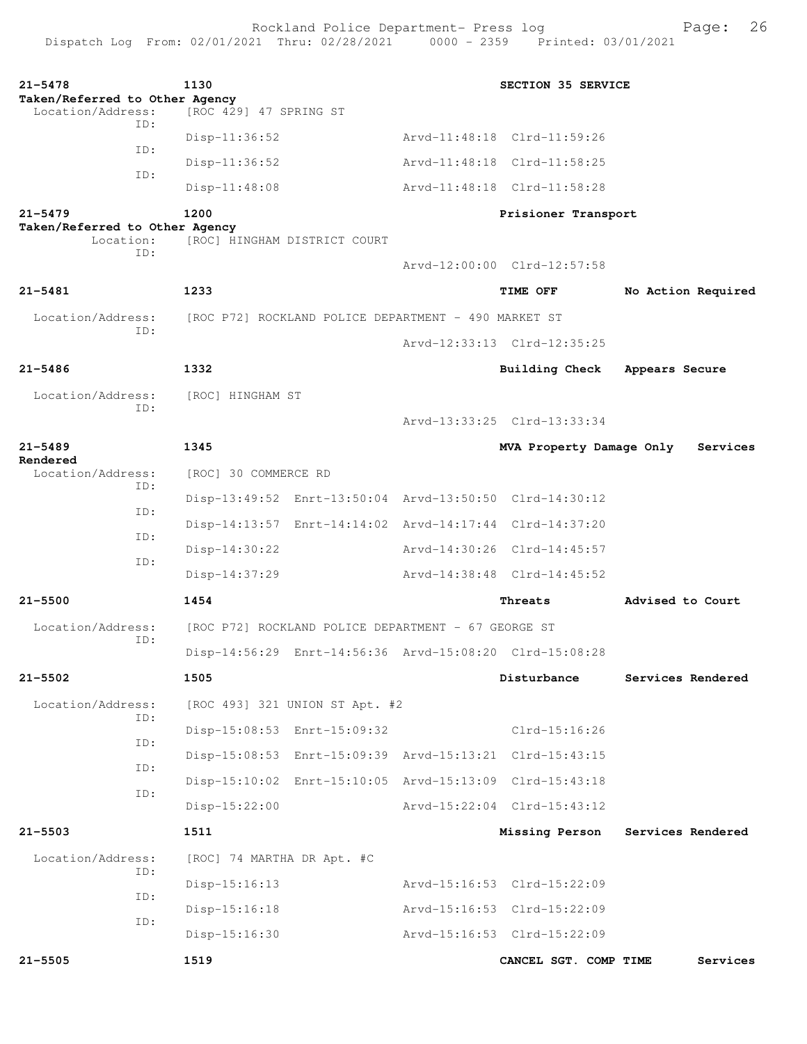Rockland Police Department- Press log entitled and Page: 26

| $21 - 5478$<br>Taken/Referred to Other Agency | 1130                                                    | SECTION 35 SERVICE          |                    |
|-----------------------------------------------|---------------------------------------------------------|-----------------------------|--------------------|
| Location/Address:                             | [ROC 429] 47 SPRING ST                                  |                             |                    |
| TD:                                           | Disp-11:36:52                                           | Arvd-11:48:18 Clrd-11:59:26 |                    |
| ID:                                           | $Disp-11:36:52$                                         | Arvd-11:48:18 Clrd-11:58:25 |                    |
| ID:                                           | Disp-11:48:08                                           | Arvd-11:48:18 Clrd-11:58:28 |                    |
| $21 - 5479$                                   | 1200                                                    | Prisioner Transport         |                    |
| Taken/Referred to Other Agency<br>Location:   | [ROC] HINGHAM DISTRICT COURT                            |                             |                    |
| TD:                                           |                                                         | Arvd-12:00:00 Clrd-12:57:58 |                    |
| $21 - 5481$                                   | 1233                                                    | TIME OFF                    | No Action Required |
| Location/Address:                             | [ROC P72] ROCKLAND POLICE DEPARTMENT - 490 MARKET ST    |                             |                    |
| ID:                                           |                                                         |                             |                    |
|                                               |                                                         | Arvd-12:33:13 Clrd-12:35:25 |                    |
| $21 - 5486$                                   | 1332                                                    | <b>Building Check</b>       | Appears Secure     |
| Location/Address:<br>ID:                      | [ROC] HINGHAM ST                                        |                             |                    |
|                                               |                                                         | Arvd-13:33:25 Clrd-13:33:34 |                    |
| $21 - 5489$<br>Rendered                       | 1345                                                    | MVA Property Damage Only    | Services           |
| Location/Address:                             | [ROC] 30 COMMERCE RD                                    |                             |                    |
| TD:                                           | Disp-13:49:52 Enrt-13:50:04 Arvd-13:50:50 Clrd-14:30:12 |                             |                    |
| ID:                                           | Disp-14:13:57 Enrt-14:14:02 Arvd-14:17:44 Clrd-14:37:20 |                             |                    |
| ID:                                           | Disp-14:30:22                                           | Arvd-14:30:26 Clrd-14:45:57 |                    |
| ID:                                           | $Disp-14:37:29$                                         | Arvd-14:38:48 Clrd-14:45:52 |                    |
| $21 - 5500$                                   | 1454                                                    | Threats                     | Advised to Court   |
| Location/Address:<br>ID:                      | [ROC P72] ROCKLAND POLICE DEPARTMENT - 67 GEORGE ST     |                             |                    |
|                                               | Disp-14:56:29 Enrt-14:56:36 Arvd-15:08:20 Clrd-15:08:28 |                             |                    |
| $21 - 5502$                                   | 1505                                                    | Disturbance                 | Services Rendered  |
| Location/Address:                             | [ROC 493] 321 UNION ST Apt. #2                          |                             |                    |
| ID:                                           | Disp-15:08:53 Enrt-15:09:32                             | Clrd-15:16:26               |                    |
| ID:                                           | Disp-15:08:53 Enrt-15:09:39 Arvd-15:13:21 Clrd-15:43:15 |                             |                    |
| ID:                                           | Disp-15:10:02 Enrt-15:10:05 Arvd-15:13:09 Clrd-15:43:18 |                             |                    |
| ID:                                           | $Disp-15:22:00$                                         | Arvd-15:22:04 Clrd-15:43:12 |                    |
| $21 - 5503$                                   | 1511                                                    | Missing Person              | Services Rendered  |
| Location/Address:                             | [ROC] 74 MARTHA DR Apt. #C                              |                             |                    |
| ID:                                           | Disp-15:16:13                                           | Arvd-15:16:53 Clrd-15:22:09 |                    |
| ID:                                           | Disp-15:16:18                                           | Arvd-15:16:53 Clrd-15:22:09 |                    |
| ID:                                           | Disp-15:16:30                                           | Arvd-15:16:53 Clrd-15:22:09 |                    |
| $21 - 5505$                                   | 1519                                                    | CANCEL SGT. COMP TIME       | Services           |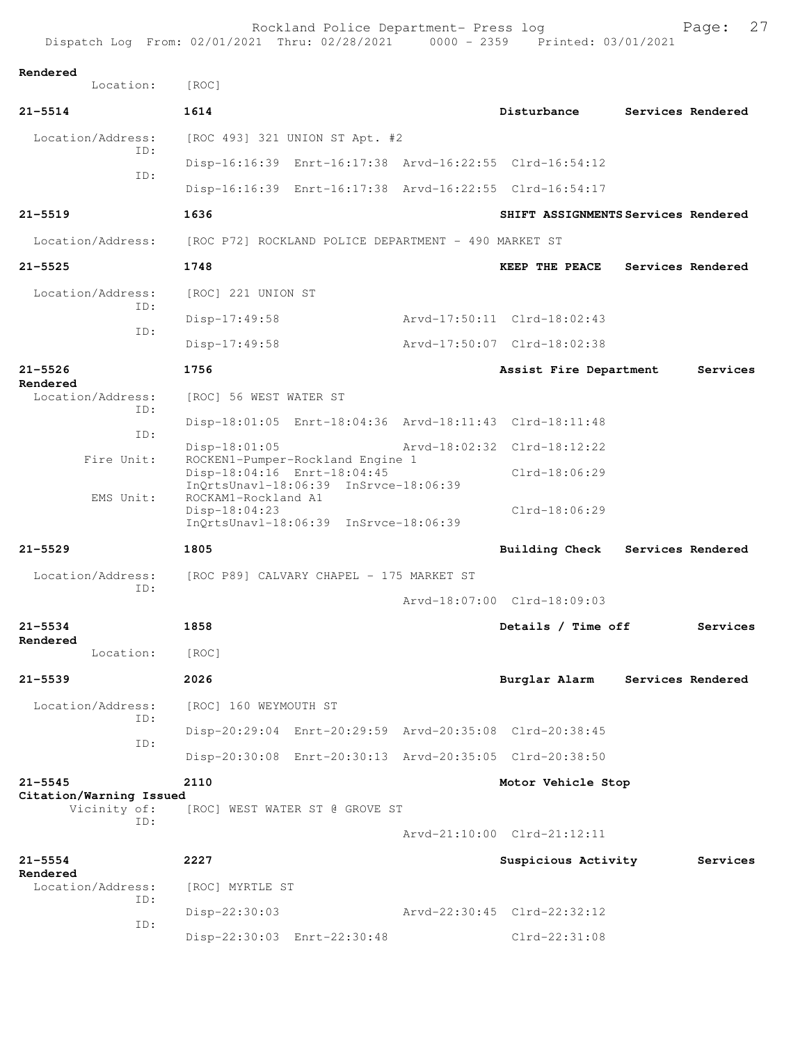| Dispatch Log From: 02/01/2021 Thru: 02/28/2021 |                                                      |                                                                                                          | $0000 - 2359$ | Printed: 03/01/2021                                     |                   |
|------------------------------------------------|------------------------------------------------------|----------------------------------------------------------------------------------------------------------|---------------|---------------------------------------------------------|-------------------|
| Rendered<br>Location:                          | [ROC]                                                |                                                                                                          |               |                                                         |                   |
| $21 - 5514$                                    | 1614                                                 |                                                                                                          |               | Disturbance                                             | Services Rendered |
| Location/Address:                              |                                                      | [ROC 493] 321 UNION ST Apt. #2                                                                           |               |                                                         |                   |
| TD:                                            |                                                      |                                                                                                          |               | Disp-16:16:39 Enrt-16:17:38 Arvd-16:22:55 Clrd-16:54:12 |                   |
| ID:                                            |                                                      |                                                                                                          |               | Disp-16:16:39 Enrt-16:17:38 Arvd-16:22:55 Clrd-16:54:17 |                   |
| $21 - 5519$                                    | 1636                                                 |                                                                                                          |               | SHIFT ASSIGNMENTS Services Rendered                     |                   |
| Location/Address:                              | [ROC P72] ROCKLAND POLICE DEPARTMENT - 490 MARKET ST |                                                                                                          |               |                                                         |                   |
| $21 - 5525$                                    | 1748                                                 |                                                                                                          |               | <b>KEEP THE PEACE</b>                                   | Services Rendered |
| Location/Address:                              | [ROC] 221 UNION ST                                   |                                                                                                          |               |                                                         |                   |
| ID:                                            | $Disp-17:49:58$                                      |                                                                                                          |               | Arvd-17:50:11 Clrd-18:02:43                             |                   |
| ID:                                            | $Disp-17:49:58$                                      |                                                                                                          |               | Arvd-17:50:07 Clrd-18:02:38                             |                   |
| $21 - 5526$                                    | 1756                                                 |                                                                                                          |               | Assist Fire Department                                  | Services          |
| Rendered<br>Location/Address:                  | [ROC] 56 WEST WATER ST                               |                                                                                                          |               |                                                         |                   |
| ID:                                            |                                                      |                                                                                                          |               | Disp-18:01:05 Enrt-18:04:36 Arvd-18:11:43 Clrd-18:11:48 |                   |
| ID:                                            | $Disp-18:01:05$                                      |                                                                                                          |               | Arvd-18:02:32 Clrd-18:12:22                             |                   |
| Fire Unit:                                     |                                                      | ROCKEN1-Pumper-Rockland Engine 1<br>Disp-18:04:16 Enrt-18:04:45<br>InOrtsUnav1-18:06:39 InSrvce-18:06:39 |               | $Clrd-18:06:29$                                         |                   |
| EMS Unit:                                      | ROCKAM1-Rockland A1<br>Disp-18:04:23                 | InQrtsUnavl-18:06:39 InSrvce-18:06:39                                                                    |               | $Clrd-18:06:29$                                         |                   |
| $21 - 5529$                                    | 1805                                                 |                                                                                                          |               | <b>Building Check</b>                                   | Services Rendered |
| Location/Address:                              | [ROC P89] CALVARY CHAPEL - 175 MARKET ST             |                                                                                                          |               |                                                         |                   |
| ID:                                            |                                                      |                                                                                                          |               | Arvd-18:07:00 Clrd-18:09:03                             |                   |
| $21 - 5534$                                    | 1858                                                 |                                                                                                          |               | Details / Time off                                      | Services          |
| Rendered<br>Location:                          | [ROC]                                                |                                                                                                          |               |                                                         |                   |
| $21 - 5539$                                    | 2026                                                 |                                                                                                          |               | Burglar Alarm                                           | Services Rendered |
| Location/Address:                              | [ROC] 160 WEYMOUTH ST                                |                                                                                                          |               |                                                         |                   |
| ID:                                            |                                                      |                                                                                                          |               | Disp-20:29:04 Enrt-20:29:59 Arvd-20:35:08 Clrd-20:38:45 |                   |
| ID:                                            |                                                      |                                                                                                          |               | Disp-20:30:08 Enrt-20:30:13 Arvd-20:35:05 Clrd-20:38:50 |                   |
| $21 - 5545$                                    | 2110                                                 |                                                                                                          |               | Motor Vehicle Stop                                      |                   |
| Citation/Warning Issued<br>Vicinity of:        | [ROC] WEST WATER ST @ GROVE ST                       |                                                                                                          |               |                                                         |                   |
| ID:                                            |                                                      |                                                                                                          |               | Arvd-21:10:00 Clrd-21:12:11                             |                   |
| $21 - 5554$                                    | 2227                                                 |                                                                                                          |               | Suspicious Activity                                     | Services          |
| Rendered<br>Location/Address:                  | [ROC] MYRTLE ST                                      |                                                                                                          |               |                                                         |                   |
| ID:                                            | Disp-22:30:03                                        |                                                                                                          |               | Arvd-22:30:45 Clrd-22:32:12                             |                   |
| ID:                                            |                                                      | Disp-22:30:03 Enrt-22:30:48                                                                              |               | Clrd-22:31:08                                           |                   |

Rockland Police Department- Press log entitled and Page: 27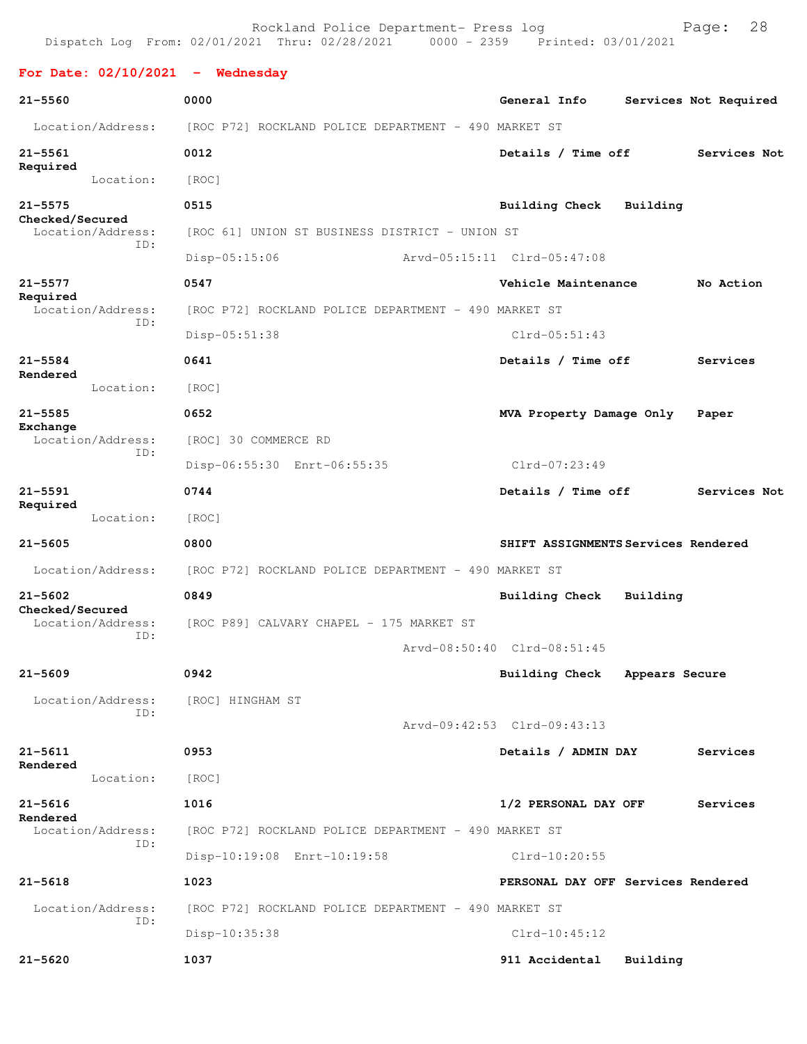Rockland Police Department- Press log Fage: 28 Dispatch Log From: 02/01/2021 Thru: 02/28/2021 0000 - 2359 Printed: 03/01/2021 **For Date: 02/10/2021 - Wednesday 21-5560 0000 General Info Services Not Required** Location/Address: [ROC P72] ROCKLAND POLICE DEPARTMENT - 490 MARKET ST **21-5561 0012 Details / Time off Services Not Required**  Location: [ROC] **21-5575 0515 Building Check Building Checked/Secured**  Location/Address: [ROC 61] UNION ST BUSINESS DISTRICT - UNION ST ID: Disp-05:15:06 Arvd-05:15:11 Clrd-05:47:08 **21-5577 0547 Vehicle Maintenance No Action Required**  Location/Address: [ROC P72] ROCKLAND POLICE DEPARTMENT - 490 MARKET ST ID: Disp-05:51:38 Clrd-05:51:43 **21-5584 0641 Details / Time off Services Rendered**  Location: [ROC] **21-5585 0652 MVA Property Damage Only Paper Exchange**  Location/Address: [ROC] 30 COMMERCE RD ID: Disp-06:55:30 Enrt-06:55:35 Clrd-07:23:49 **21-5591 0744 Details / Time off Services Not Required**  Location: [ROC] **21-5605 0800 SHIFT ASSIGNMENTS Services Rendered** Location/Address: [ROC P72] ROCKLAND POLICE DEPARTMENT - 490 MARKET ST **21-5602 0849 Building Check Building Checked/Secured**  Location/Address: [ROC P89] CALVARY CHAPEL - 175 MARKET ST ID: Arvd-08:50:40 Clrd-08:51:45 **21-5609 0942 Building Check Appears Secure** Location/Address: [ROC] HINGHAM ST ID: Arvd-09:42:53 Clrd-09:43:13 **21-5611 0953 Details / ADMIN DAY Services Rendered**  Location: [ROC] **21-5616 1016 1/2 PERSONAL DAY OFF Services Rendered**  Location/Address: [ROC P72] ROCKLAND POLICE DEPARTMENT - 490 MARKET ST ID: Disp-10:19:08 Enrt-10:19:58 Clrd-10:20:55 **21-5618 1023 PERSONAL DAY OFF Services Rendered** Location/Address: [ROC P72] ROCKLAND POLICE DEPARTMENT - 490 MARKET ST ID: Disp-10:35:38 Clrd-10:45:12 **21-5620 1037 911 Accidental Building**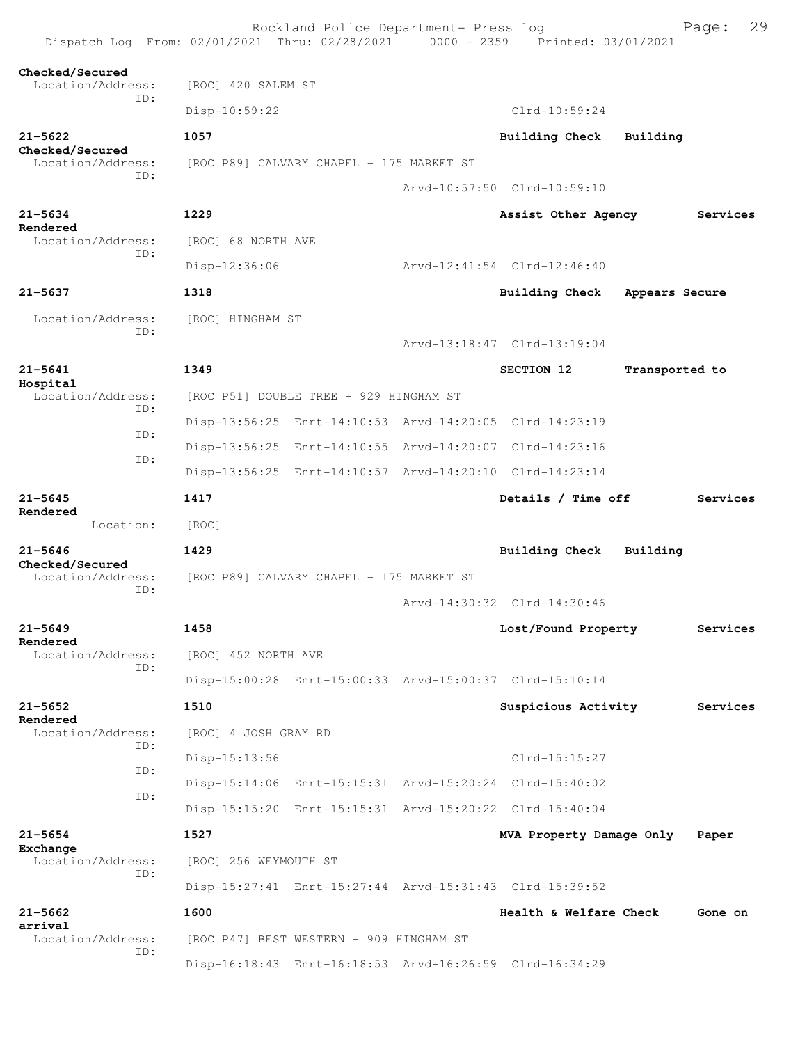| Dispatch Log From: 02/01/2021 Thru: 02/28/2021 0000 - 2359 Printed: 03/01/2021 |                                          | Rockland Police Department- Press log    |                                                         |                | 29<br>Page: |
|--------------------------------------------------------------------------------|------------------------------------------|------------------------------------------|---------------------------------------------------------|----------------|-------------|
| Checked/Secured<br>Location/Address:                                           | [ROC] 420 SALEM ST                       |                                          |                                                         |                |             |
| TD:                                                                            | $Disp-10:59:22$                          |                                          | $Clrd-10:59:24$                                         |                |             |
| $21 - 5622$                                                                    | 1057                                     |                                          | <b>Building Check</b>                                   | Building       |             |
| Checked/Secured<br>Location/Address:                                           | [ROC P89] CALVARY CHAPEL - 175 MARKET ST |                                          |                                                         |                |             |
| TD:                                                                            |                                          |                                          | Arvd-10:57:50 Clrd-10:59:10                             |                |             |
| $21 - 5634$<br>Rendered                                                        | 1229                                     |                                          | Assist Other Agency                                     |                | Services    |
| Location/Address:<br>TD:                                                       | [ROC] 68 NORTH AVE                       |                                          |                                                         |                |             |
|                                                                                | Disp-12:36:06                            |                                          | Arvd-12:41:54 Clrd-12:46:40                             |                |             |
| $21 - 5637$                                                                    | 1318                                     |                                          | Building Check                                          | Appears Secure |             |
| Location/Address:<br>TD:                                                       | [ROC] HINGHAM ST                         |                                          | Arvd-13:18:47 Clrd-13:19:04                             |                |             |
|                                                                                |                                          |                                          |                                                         |                |             |
| $21 - 5641$<br>Hospital                                                        | 1349                                     |                                          | SECTION 12                                              | Transported to |             |
| Location/Address:<br>ID:                                                       |                                          | [ROC P51] DOUBLE TREE - 929 HINGHAM ST   |                                                         |                |             |
| ID:                                                                            |                                          |                                          | Disp-13:56:25 Enrt-14:10:53 Arvd-14:20:05 Clrd-14:23:19 |                |             |
| ID:                                                                            |                                          |                                          | Disp-13:56:25 Enrt-14:10:55 Arvd-14:20:07 Clrd-14:23:16 |                |             |
|                                                                                |                                          |                                          | Disp-13:56:25 Enrt-14:10:57 Arvd-14:20:10 Clrd-14:23:14 |                |             |
| $21 - 5645$<br>Rendered                                                        | 1417                                     |                                          | Details / Time off                                      |                | Services    |
| Location:                                                                      | [ROC]                                    |                                          |                                                         |                |             |
| $21 - 5646$<br>Checked/Secured                                                 | 1429                                     |                                          | Building Check                                          | Building       |             |
| Location/Address:<br>TD:                                                       |                                          | [ROC P89] CALVARY CHAPEL - 175 MARKET ST | Arvd-14:30:32 Clrd-14:30:46                             |                |             |
| $21 - 5649$                                                                    | 1458                                     |                                          | Lost/Found Property                                     |                | Services    |
| Rendered<br>Location/Address:                                                  | [ROC] 452 NORTH AVE                      |                                          |                                                         |                |             |
| TD:                                                                            |                                          |                                          | Disp-15:00:28 Enrt-15:00:33 Arvd-15:00:37 Clrd-15:10:14 |                |             |
| $21 - 5652$                                                                    | 1510                                     |                                          | Suspicious Activity                                     |                | Services    |
| Rendered<br>Location/Address:                                                  | [ROC] 4 JOSH GRAY RD                     |                                          |                                                         |                |             |
| TD:                                                                            | $Disp-15:13:56$                          |                                          | $Clrd-15:15:27$                                         |                |             |
| ID:                                                                            |                                          |                                          | Disp-15:14:06 Enrt-15:15:31 Arvd-15:20:24 Clrd-15:40:02 |                |             |
| ID:                                                                            |                                          |                                          | Disp-15:15:20 Enrt-15:15:31 Arvd-15:20:22 Clrd-15:40:04 |                |             |
| $21 - 5654$                                                                    | 1527                                     |                                          | MVA Property Damage Only                                |                | Paper       |
| Exchange<br>Location/Address:                                                  | [ROC] 256 WEYMOUTH ST                    |                                          |                                                         |                |             |
| ID:                                                                            |                                          |                                          | Disp-15:27:41 Enrt-15:27:44 Arvd-15:31:43 Clrd-15:39:52 |                |             |
| $21 - 5662$<br>arrival                                                         | 1600                                     |                                          | Health & Welfare Check                                  |                | Gone on     |
| Location/Address:<br>ID:                                                       |                                          | [ROC P47] BEST WESTERN - 909 HINGHAM ST  |                                                         |                |             |
|                                                                                |                                          |                                          | Disp-16:18:43 Enrt-16:18:53 Arvd-16:26:59 Clrd-16:34:29 |                |             |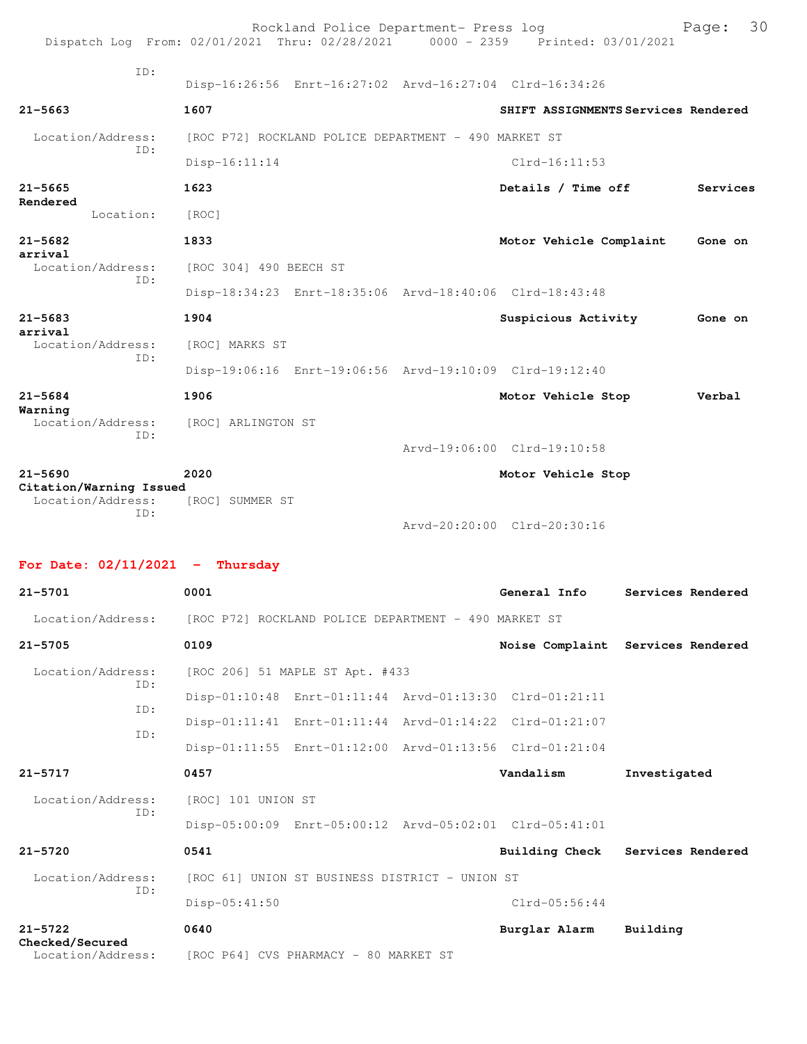|                                        |                                                         | Rockland Police Department- Press log | Dispatch Log From: 02/01/2021 Thru: 02/28/2021 0000 - 2359 Printed: 03/01/2021 | 30<br>Page: |
|----------------------------------------|---------------------------------------------------------|---------------------------------------|--------------------------------------------------------------------------------|-------------|
| TD:                                    | Disp-16:26:56 Enrt-16:27:02 Arvd-16:27:04 Clrd-16:34:26 |                                       |                                                                                |             |
| $21 - 5663$                            | 1607                                                    |                                       | SHIFT ASSIGNMENTS Services Rendered                                            |             |
| Location/Address:<br>ID:               | [ROC P72] ROCKLAND POLICE DEPARTMENT - 490 MARKET ST    |                                       |                                                                                |             |
|                                        | $Disp-16:11:14$                                         |                                       | $Clrd-16:11:53$                                                                |             |
| $21 - 5665$<br>Rendered                | 1623                                                    |                                       | Details / Time off                                                             | Services    |
| Location:                              | [ROC]                                                   |                                       |                                                                                |             |
| $21 - 5682$                            | 1833                                                    |                                       | Motor Vehicle Complaint                                                        | Gone on     |
| arrival<br>Location/Address:<br>TD:    | [ROC 304] 490 BEECH ST                                  |                                       |                                                                                |             |
|                                        | Disp-18:34:23 Enrt-18:35:06 Arvd-18:40:06 Clrd-18:43:48 |                                       |                                                                                |             |
| $21 - 5683$<br>arrival                 | 1904                                                    |                                       | Suspicious Activity                                                            | Gone on     |
| Location/Address:<br>TD:               | [ROC] MARKS ST                                          |                                       |                                                                                |             |
|                                        | Disp-19:06:16 Enrt-19:06:56 Arvd-19:10:09 Clrd-19:12:40 |                                       |                                                                                |             |
| $21 - 5684$<br>Warning                 | 1906                                                    |                                       | Motor Vehicle Stop                                                             | Verbal      |
| Location/Address:<br>TD:               | [ROC] ARLINGTON ST                                      |                                       |                                                                                |             |
|                                        |                                                         |                                       | Arvd-19:06:00 Clrd-19:10:58                                                    |             |
| $21 - 5690$<br>Citation/Warning Issued | 2020                                                    |                                       | Motor Vehicle Stop                                                             |             |

 Location/Address: [ROC] SUMMER ST ID:

Arvd-20:20:00 Clrd-20:30:16

## **For Date: 02/11/2021 - Thursday**

| $21 - 5701$                          | 0001                                                                   | General Info    | Services Rendered                 |
|--------------------------------------|------------------------------------------------------------------------|-----------------|-----------------------------------|
|                                      | Location/Address: [ROC P72] ROCKLAND POLICE DEPARTMENT - 490 MARKET ST |                 |                                   |
| $21 - 5705$                          | 0109                                                                   |                 | Noise Complaint Services Rendered |
| Location/Address:                    | [ROC 206] 51 MAPLE ST Apt. #433                                        |                 |                                   |
| ID:                                  | Disp-01:10:48 Enrt-01:11:44 Arvd-01:13:30 Clrd-01:21:11                |                 |                                   |
| ID:                                  | Disp-01:11:41 Enrt-01:11:44 Arvd-01:14:22 Clrd-01:21:07                |                 |                                   |
| ID:                                  | Disp-01:11:55 Enrt-01:12:00 Arvd-01:13:56 Clrd-01:21:04                |                 |                                   |
| $21 - 5717$                          | 0457                                                                   | Vandalism       | Investigated                      |
| Location/Address:                    | [ROC] 101 UNION ST                                                     |                 |                                   |
| TD:                                  | Disp-05:00:09 Enrt-05:00:12 Arvd-05:02:01 Clrd-05:41:01                |                 |                                   |
| $21 - 5720$                          | 0541                                                                   | Building Check  | Services Rendered                 |
| Location/Address:                    | [ROC 61] UNION ST BUSINESS DISTRICT - UNION ST                         |                 |                                   |
| ID:                                  | Disp-05:41:50                                                          | $Clrd-05:56:44$ |                                   |
| $21 - 5722$                          | 0640                                                                   | Burglar Alarm   | Building                          |
| Checked/Secured<br>Location/Address: | [ROC P64] CVS PHARMACY - 80 MARKET ST                                  |                 |                                   |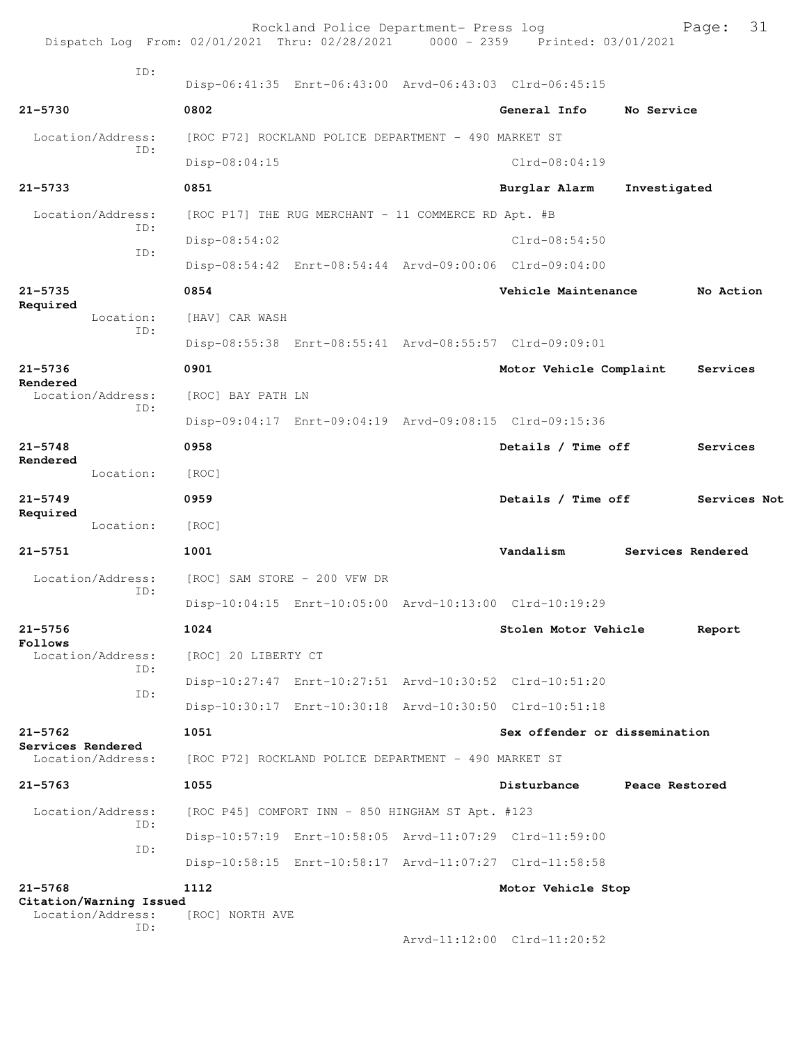| Dispatch Log From: 02/01/2021 Thru: 02/28/2021 0000 - 2359 Printed: 03/01/2021 |                     | Rockland Police Department- Press log                |                                                         |                | 31<br>Page:       |
|--------------------------------------------------------------------------------|---------------------|------------------------------------------------------|---------------------------------------------------------|----------------|-------------------|
| TD:                                                                            |                     |                                                      |                                                         |                |                   |
|                                                                                |                     |                                                      | Disp-06:41:35 Enrt-06:43:00 Arvd-06:43:03 Clrd-06:45:15 |                |                   |
| $21 - 5730$                                                                    | 0802                |                                                      | General Info                                            | No Service     |                   |
| Location/Address:<br>ID:                                                       |                     | [ROC P72] ROCKLAND POLICE DEPARTMENT - 490 MARKET ST |                                                         |                |                   |
|                                                                                | Disp-08:04:15       |                                                      | $Clrd-08:04:19$                                         |                |                   |
| $21 - 5733$                                                                    | 0851                |                                                      | Burglar Alarm                                           | Investigated   |                   |
| Location/Address:<br>ID:                                                       |                     | [ROC P17] THE RUG MERCHANT - 11 COMMERCE RD Apt. #B  |                                                         |                |                   |
| ID:                                                                            | Disp-08:54:02       |                                                      | $Clrd-08:54:50$                                         |                |                   |
|                                                                                |                     |                                                      | Disp-08:54:42 Enrt-08:54:44 Arvd-09:00:06 Clrd-09:04:00 |                |                   |
| 21-5735                                                                        | 0854                |                                                      | Vehicle Maintenance                                     |                | No Action         |
| Required<br>Location:                                                          | [HAV] CAR WASH      |                                                      |                                                         |                |                   |
| ID:                                                                            |                     |                                                      | Disp-08:55:38 Enrt-08:55:41 Arvd-08:55:57 Clrd-09:09:01 |                |                   |
| $21 - 5736$                                                                    | 0901                |                                                      | Motor Vehicle Complaint                                 |                | Services          |
| Rendered<br>Location/Address:<br>ID:                                           | [ROC] BAY PATH LN   |                                                      |                                                         |                |                   |
|                                                                                |                     |                                                      | Disp-09:04:17 Enrt-09:04:19 Arvd-09:08:15 Clrd-09:15:36 |                |                   |
| $21 - 5748$                                                                    | 0958                |                                                      | Details / Time off                                      |                | Services          |
| Rendered<br>Location:                                                          | [ROC]               |                                                      |                                                         |                |                   |
| $21 - 5749$                                                                    | 0959                |                                                      | Details / Time off                                      |                | Services Not      |
| Required<br>Location:                                                          | [ROC]               |                                                      |                                                         |                |                   |
| $21 - 5751$                                                                    | 1001                |                                                      | Vandalism                                               |                | Services Rendered |
| Location/Address:                                                              |                     | [ROC] SAM STORE - 200 VFW DR                         |                                                         |                |                   |
| ID:                                                                            |                     |                                                      | Disp-10:04:15 Enrt-10:05:00 Arvd-10:13:00 Clrd-10:19:29 |                |                   |
|                                                                                |                     |                                                      |                                                         |                |                   |
| $21 - 5756$<br>Follows                                                         | 1024                |                                                      | Stolen Motor Vehicle                                    |                | Report            |
| Location/Address:<br>ID:                                                       | [ROC] 20 LIBERTY CT |                                                      |                                                         |                |                   |
| ID:                                                                            |                     |                                                      | Disp-10:27:47 Enrt-10:27:51 Arvd-10:30:52 Clrd-10:51:20 |                |                   |
|                                                                                |                     |                                                      | Disp-10:30:17 Enrt-10:30:18 Arvd-10:30:50 Clrd-10:51:18 |                |                   |
| $21 - 5762$<br>Services Rendered                                               | 1051                |                                                      | Sex offender or dissemination                           |                |                   |
| Location/Address:                                                              |                     | [ROC P72] ROCKLAND POLICE DEPARTMENT - 490 MARKET ST |                                                         |                |                   |
| $21 - 5763$                                                                    | 1055                |                                                      | Disturbance                                             | Peace Restored |                   |
| Location/Address:<br>ID:                                                       |                     | [ROC P45] COMFORT INN - 850 HINGHAM ST Apt. #123     |                                                         |                |                   |
| ID:                                                                            |                     |                                                      | Disp-10:57:19 Enrt-10:58:05 Arvd-11:07:29 Clrd-11:59:00 |                |                   |
|                                                                                |                     |                                                      | Disp-10:58:15 Enrt-10:58:17 Arvd-11:07:27 Clrd-11:58:58 |                |                   |
| $21 - 5768$                                                                    | 1112                |                                                      | Motor Vehicle Stop                                      |                |                   |
| Citation/Warning Issued<br>Location/Address:                                   | [ROC] NORTH AVE     |                                                      |                                                         |                |                   |
| ID:                                                                            |                     |                                                      | Arvd-11:12:00 Clrd-11:20:52                             |                |                   |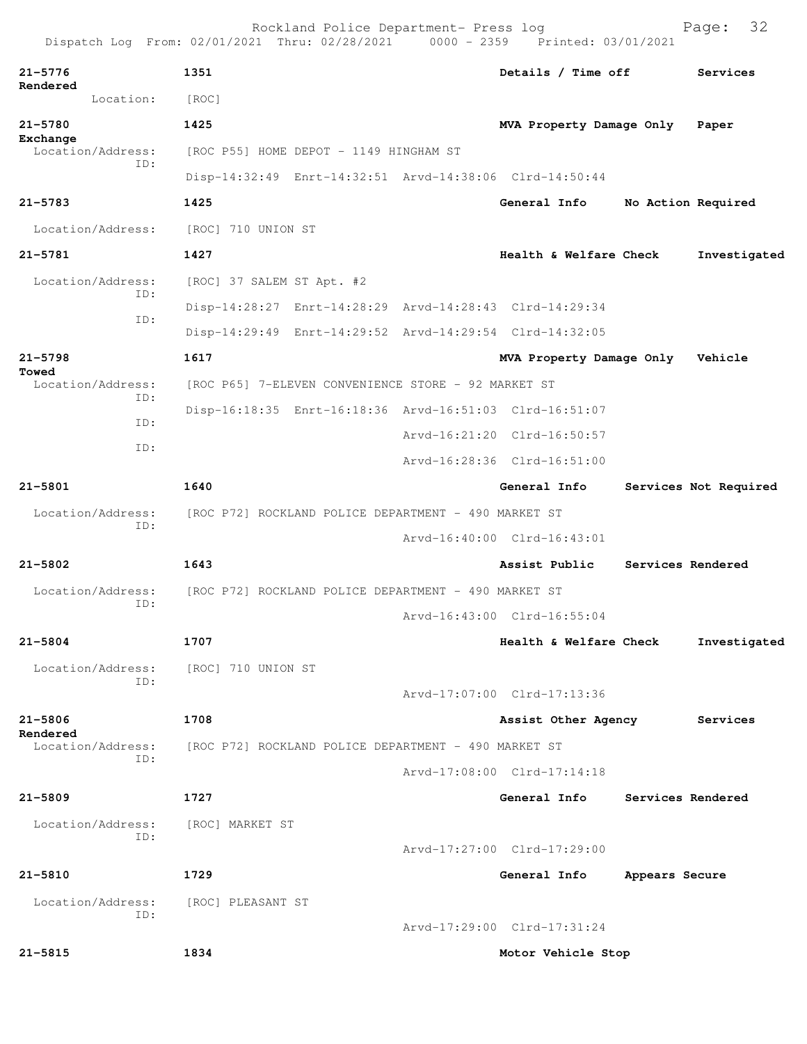|                               |           |                                                      | Rockland Police Department- Press log                | Dispatch Log From: 02/01/2021 Thru: 02/28/2021 0000 - 2359 Printed: 03/01/2021 |                   | 32<br>Page:           |
|-------------------------------|-----------|------------------------------------------------------|------------------------------------------------------|--------------------------------------------------------------------------------|-------------------|-----------------------|
| $21 - 5776$                   |           | 1351                                                 |                                                      | Details / Time off                                                             |                   | Services              |
| Rendered                      | Location: | [ROC]                                                |                                                      |                                                                                |                   |                       |
| $21 - 5780$                   |           | 1425                                                 |                                                      | MVA Property Damage Only                                                       |                   | Paper                 |
| Exchange<br>Location/Address: |           |                                                      | [ROC P55] HOME DEPOT - 1149 HINGHAM ST               |                                                                                |                   |                       |
|                               | TD:       |                                                      |                                                      | Disp-14:32:49 Enrt-14:32:51 Arvd-14:38:06 Clrd-14:50:44                        |                   |                       |
| $21 - 5783$                   |           | 1425                                                 |                                                      | General Info                                                                   |                   | No Action Required    |
| Location/Address:             |           | [ROC] 710 UNION ST                                   |                                                      |                                                                                |                   |                       |
| $21 - 5781$                   |           | 1427                                                 |                                                      | Health & Welfare Check                                                         |                   | Investigated          |
| Location/Address:             |           | [ROC] 37 SALEM ST Apt. #2                            |                                                      |                                                                                |                   |                       |
|                               | ID:       |                                                      |                                                      | Disp-14:28:27 Enrt-14:28:29 Arvd-14:28:43 Clrd-14:29:34                        |                   |                       |
|                               | ID:       |                                                      |                                                      | Disp-14:29:49 Enrt-14:29:52 Arvd-14:29:54 Clrd-14:32:05                        |                   |                       |
| $21 - 5798$                   |           | 1617                                                 |                                                      | MVA Property Damage Only                                                       |                   | Vehicle               |
| Towed<br>Location/Address:    |           |                                                      | [ROC P65] 7-ELEVEN CONVENIENCE STORE - 92 MARKET ST  |                                                                                |                   |                       |
|                               | ID:       |                                                      |                                                      | Disp-16:18:35 Enrt-16:18:36 Arvd-16:51:03 Clrd-16:51:07                        |                   |                       |
|                               | ID:       |                                                      |                                                      | Arvd-16:21:20 Clrd-16:50:57                                                    |                   |                       |
|                               | ID:       |                                                      |                                                      | Arvd-16:28:36 Clrd-16:51:00                                                    |                   |                       |
| 21-5801                       |           | 1640                                                 |                                                      | General Info                                                                   |                   | Services Not Required |
| Location/Address:             |           |                                                      | [ROC P72] ROCKLAND POLICE DEPARTMENT - 490 MARKET ST |                                                                                |                   |                       |
|                               | ID:       |                                                      |                                                      | Arvd-16:40:00 Clrd-16:43:01                                                    |                   |                       |
| 21-5802                       |           | 1643                                                 |                                                      | Assist Public                                                                  | Services Rendered |                       |
| Location/Address:             |           |                                                      | [ROC P72] ROCKLAND POLICE DEPARTMENT - 490 MARKET ST |                                                                                |                   |                       |
|                               | ID:       |                                                      |                                                      | Arvd-16:43:00 Clrd-16:55:04                                                    |                   |                       |
| $21 - 5804$                   |           | 1707                                                 |                                                      | Health & Welfare Check                                                         |                   | Investigated          |
| Location/Address:             | ID:       | [ROC] 710 UNION ST                                   |                                                      |                                                                                |                   |                       |
|                               |           |                                                      |                                                      | Arvd-17:07:00 Clrd-17:13:36                                                    |                   |                       |
| 21-5806                       |           | 1708                                                 |                                                      | Assist Other Agency                                                            |                   | Services              |
| Rendered<br>Location/Address: |           | [ROC P72] ROCKLAND POLICE DEPARTMENT - 490 MARKET ST |                                                      |                                                                                |                   |                       |
|                               | ID:       |                                                      |                                                      | Arvd-17:08:00 Clrd-17:14:18                                                    |                   |                       |
| $21 - 5809$                   |           | 1727                                                 |                                                      | General Info                                                                   | Services Rendered |                       |
| Location/Address:             |           | [ROC] MARKET ST                                      |                                                      |                                                                                |                   |                       |
|                               | ID:       |                                                      |                                                      | Arvd-17:27:00 Clrd-17:29:00                                                    |                   |                       |
| $21 - 5810$                   |           | 1729                                                 |                                                      | General Info                                                                   | Appears Secure    |                       |
| Location/Address:             |           | [ROC] PLEASANT ST                                    |                                                      |                                                                                |                   |                       |
|                               | ID:       |                                                      |                                                      | Arvd-17:29:00 Clrd-17:31:24                                                    |                   |                       |
| $21 - 5815$                   |           | 1834                                                 |                                                      | Motor Vehicle Stop                                                             |                   |                       |
|                               |           |                                                      |                                                      |                                                                                |                   |                       |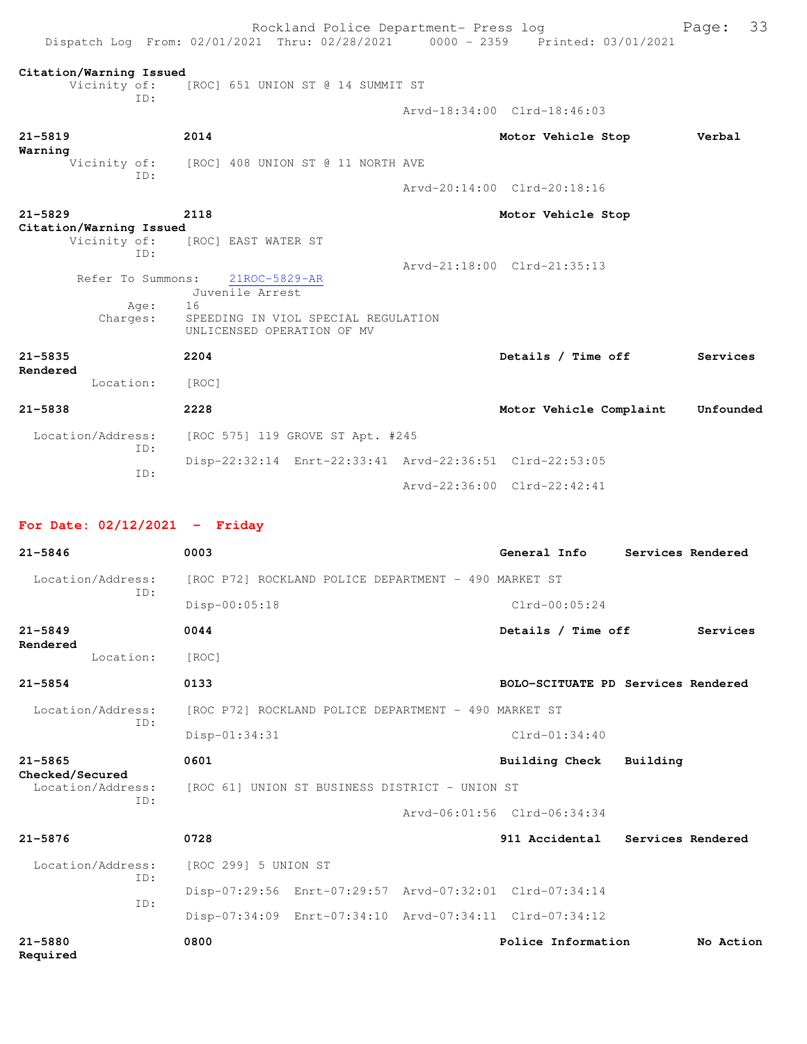|                         |                                                | Rockland Police Department- Press log<br>Dispatch Log From: 02/01/2021 Thru: 02/28/2021 0000 - 2359 Printed: 03/01/2021 |                             | 33<br>Page: |
|-------------------------|------------------------------------------------|-------------------------------------------------------------------------------------------------------------------------|-----------------------------|-------------|
|                         | Citation/Warning Issued<br>Vicinity of:<br>TD: | [ROC] 651 UNION ST @ 14 SUMMIT ST                                                                                       |                             |             |
|                         |                                                |                                                                                                                         | Arvd-18:34:00 Clrd-18:46:03 |             |
| $21 - 5819$<br>Warning  |                                                | 2014                                                                                                                    | Motor Vehicle Stop          | Verbal      |
|                         | TD:                                            | Vicinity of: [ROC] 408 UNION ST @ 11 NORTH AVE                                                                          |                             |             |
|                         |                                                |                                                                                                                         | Arvd-20:14:00 Clrd-20:18:16 |             |
| $21 - 5829$             | Citation/Warning Issued                        | 2118                                                                                                                    | Motor Vehicle Stop          |             |
|                         | Vicinity of:<br>TD:                            | [ROC] EAST WATER ST                                                                                                     |                             |             |
|                         | Refer To Summons:<br>Age:<br>Charges:          | 21ROC-5829-AR<br>Juvenile Arrest<br>16<br>SPEEDING IN VIOL SPECIAL REGULATION<br>UNLICENSED OPERATION OF MV             | Arvd-21:18:00 Clrd-21:35:13 |             |
| $21 - 5835$<br>Rendered |                                                | 2204                                                                                                                    | Details / Time off          | Services    |
|                         | Location:                                      | [ROC]                                                                                                                   |                             |             |
| $21 - 5838$             |                                                | 2228                                                                                                                    | Motor Vehicle Complaint     | Unfounded   |
|                         | Location/Address:<br>TD:                       | [ROC 575] 119 GROVE ST Apt. #245                                                                                        |                             |             |
|                         | TD:                                            | Disp-22:32:14 Enrt-22:33:41 Arvd-22:36:51 Clrd-22:53:05                                                                 |                             |             |
|                         |                                                |                                                                                                                         | Arvd-22:36:00 Clrd-22:42:41 |             |

# **For Date: 02/12/2021 - Friday**

| $21 - 5846$                          | 0003                                                    | General Info<br>Services Rendered  |  |  |  |
|--------------------------------------|---------------------------------------------------------|------------------------------------|--|--|--|
| Location/Address:<br>TD:             | [ROC P72] ROCKLAND POLICE DEPARTMENT - 490 MARKET ST    |                                    |  |  |  |
|                                      | Disp-00:05:18                                           | $Clrd-00:05:24$                    |  |  |  |
| $21 - 5849$<br>Rendered              | 0044                                                    | Details / Time off<br>Services     |  |  |  |
| Location:                            | [ROC]                                                   |                                    |  |  |  |
| $21 - 5854$                          | 0133                                                    | BOLO-SCITUATE PD Services Rendered |  |  |  |
| Location/Address:                    | [ROC P72] ROCKLAND POLICE DEPARTMENT - 490 MARKET ST    |                                    |  |  |  |
| ID:                                  | Disp-01:34:31                                           | $Clrd-01:34:40$                    |  |  |  |
| $21 - 5865$                          | 0601                                                    | Building Check Building            |  |  |  |
| Checked/Secured<br>Location/Address: | [ROC 61] UNION ST BUSINESS DISTRICT - UNION ST          |                                    |  |  |  |
| TD:                                  |                                                         | Arvd-06:01:56 Clrd-06:34:34        |  |  |  |
| $21 - 5876$                          | 0728                                                    | 911 Accidental Services Rendered   |  |  |  |
| Location/Address:                    | [ROC 299] 5 UNION ST                                    |                                    |  |  |  |
| ID:                                  | Disp-07:29:56 Enrt-07:29:57 Arvd-07:32:01 Clrd-07:34:14 |                                    |  |  |  |
| ID:                                  | Disp-07:34:09 Enrt-07:34:10 Arvd-07:34:11 Clrd-07:34:12 |                                    |  |  |  |
| $21 - 5880$<br>Required              | 0800                                                    | Police Information<br>No Action    |  |  |  |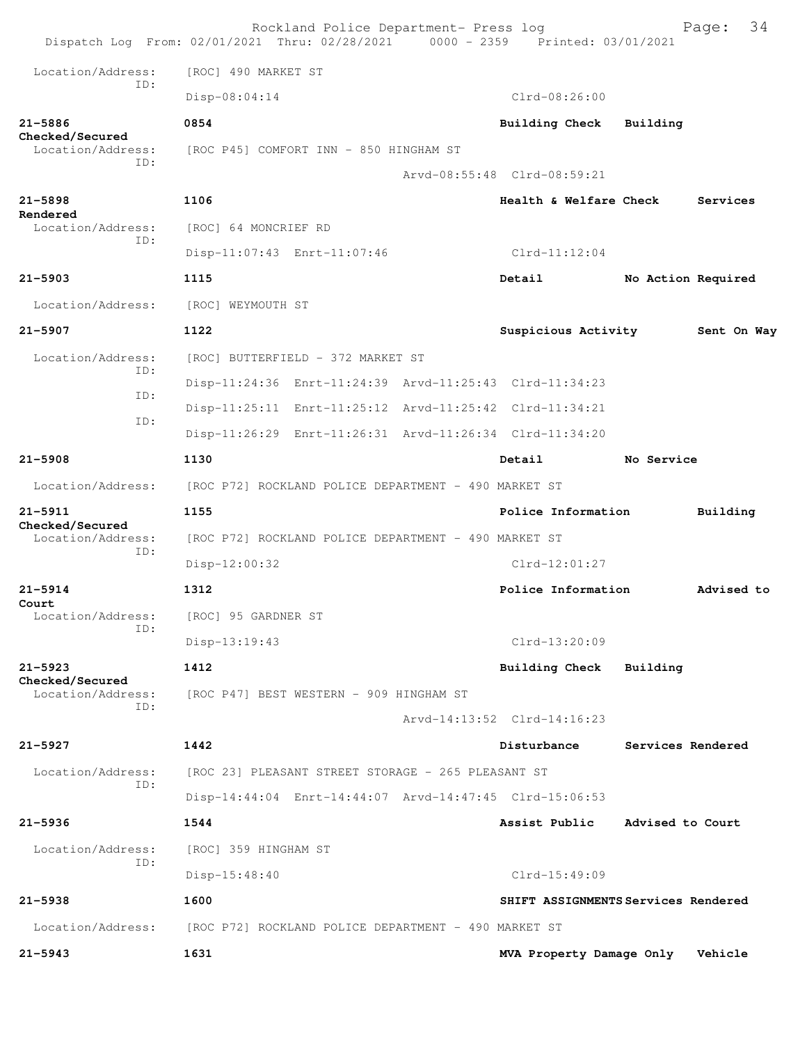| Dispatch Log From: 02/01/2021 Thru: 02/28/2021 0000 - 2359 Printed: 03/01/2021 |                                                         | Rockland Police Department- Press log |                             |                        |  |                                     | 34<br>Page: |
|--------------------------------------------------------------------------------|---------------------------------------------------------|---------------------------------------|-----------------------------|------------------------|--|-------------------------------------|-------------|
| Location/Address:                                                              | [ROC] 490 MARKET ST                                     |                                       |                             |                        |  |                                     |             |
| TD:                                                                            | Disp-08:04:14                                           |                                       |                             | $Clrd-08:26:00$        |  |                                     |             |
| 21-5886                                                                        | 0854                                                    |                                       |                             | <b>Building Check</b>  |  | Building                            |             |
| Checked/Secured<br>Location/Address:                                           | [ROC P45] COMFORT INN - 850 HINGHAM ST                  |                                       |                             |                        |  |                                     |             |
| ID:                                                                            |                                                         |                                       | Arvd-08:55:48 Clrd-08:59:21 |                        |  |                                     |             |
| $21 - 5898$                                                                    | 1106                                                    |                                       |                             | Health & Welfare Check |  |                                     | Services    |
| Rendered<br>Location/Address:                                                  | [ROC] 64 MONCRIEF RD                                    |                                       |                             |                        |  |                                     |             |
| TD:                                                                            | Disp-11:07:43 Enrt-11:07:46                             |                                       |                             | $Clrd-11:12:04$        |  |                                     |             |
| $21 - 5903$                                                                    | 1115                                                    |                                       |                             | Detail                 |  | No Action Required                  |             |
| Location/Address:                                                              | [ROC] WEYMOUTH ST                                       |                                       |                             |                        |  |                                     |             |
| $21 - 5907$                                                                    | 1122                                                    |                                       |                             |                        |  | Suspicious Activity                 | Sent On Way |
| Location/Address:                                                              |                                                         | [ROC] BUTTERFIELD - 372 MARKET ST     |                             |                        |  |                                     |             |
| ID:                                                                            | Disp-11:24:36 Enrt-11:24:39 Arvd-11:25:43 Clrd-11:34:23 |                                       |                             |                        |  |                                     |             |
| ID:                                                                            | Disp-11:25:11 Enrt-11:25:12 Arvd-11:25:42 Clrd-11:34:21 |                                       |                             |                        |  |                                     |             |
| ID:                                                                            | Disp-11:26:29 Enrt-11:26:31 Arvd-11:26:34 Clrd-11:34:20 |                                       |                             |                        |  |                                     |             |
| $21 - 5908$                                                                    | 1130                                                    |                                       |                             | Detail                 |  | No Service                          |             |
| Location/Address:                                                              | [ROC P72] ROCKLAND POLICE DEPARTMENT - 490 MARKET ST    |                                       |                             |                        |  |                                     |             |
| $21 - 5911$<br>Checked/Secured                                                 | 1155                                                    |                                       |                             | Police Information     |  |                                     | Building    |
| Location/Address:                                                              | [ROC P72] ROCKLAND POLICE DEPARTMENT - 490 MARKET ST    |                                       |                             |                        |  |                                     |             |
| ID:                                                                            | Disp-12:00:32                                           |                                       |                             | $Clrd-12:01:27$        |  |                                     |             |
| $21 - 5914$                                                                    | 1312                                                    |                                       |                             | Police Information     |  |                                     | Advised to  |
| Court<br>Location/Address:                                                     | [ROC] 95 GARDNER ST                                     |                                       |                             |                        |  |                                     |             |
| ID:                                                                            | Disp-13:19:43                                           |                                       |                             | $Clrd-13:20:09$        |  |                                     |             |
| $21 - 5923$<br>Checked/Secured                                                 | 1412                                                    |                                       |                             | Building Check         |  | Building                            |             |
| Location/Address:<br>TD:                                                       | [ROC P47] BEST WESTERN - 909 HINGHAM ST                 |                                       |                             |                        |  |                                     |             |
|                                                                                |                                                         |                                       | Arvd-14:13:52 Clrd-14:16:23 |                        |  |                                     |             |
| $21 - 5927$                                                                    | 1442                                                    |                                       |                             | Disturbance            |  | Services Rendered                   |             |
| Location/Address:<br>ID:                                                       | [ROC 23] PLEASANT STREET STORAGE - 265 PLEASANT ST      |                                       |                             |                        |  |                                     |             |
|                                                                                | Disp-14:44:04 Enrt-14:44:07 Arvd-14:47:45 Clrd-15:06:53 |                                       |                             |                        |  |                                     |             |
| $21 - 5936$                                                                    | 1544                                                    |                                       |                             | Assist Public          |  | Advised to Court                    |             |
| Location/Address:                                                              | [ROC] 359 HINGHAM ST                                    |                                       |                             |                        |  |                                     |             |
| ID:                                                                            | $Disp-15:48:40$                                         |                                       |                             | $Clrd-15:49:09$        |  |                                     |             |
| 21-5938                                                                        | 1600                                                    |                                       |                             |                        |  | SHIFT ASSIGNMENTS Services Rendered |             |
| Location/Address:                                                              | [ROC P72] ROCKLAND POLICE DEPARTMENT - 490 MARKET ST    |                                       |                             |                        |  |                                     |             |
| $21 - 5943$                                                                    | 1631                                                    |                                       |                             |                        |  | MVA Property Damage Only            | Vehicle     |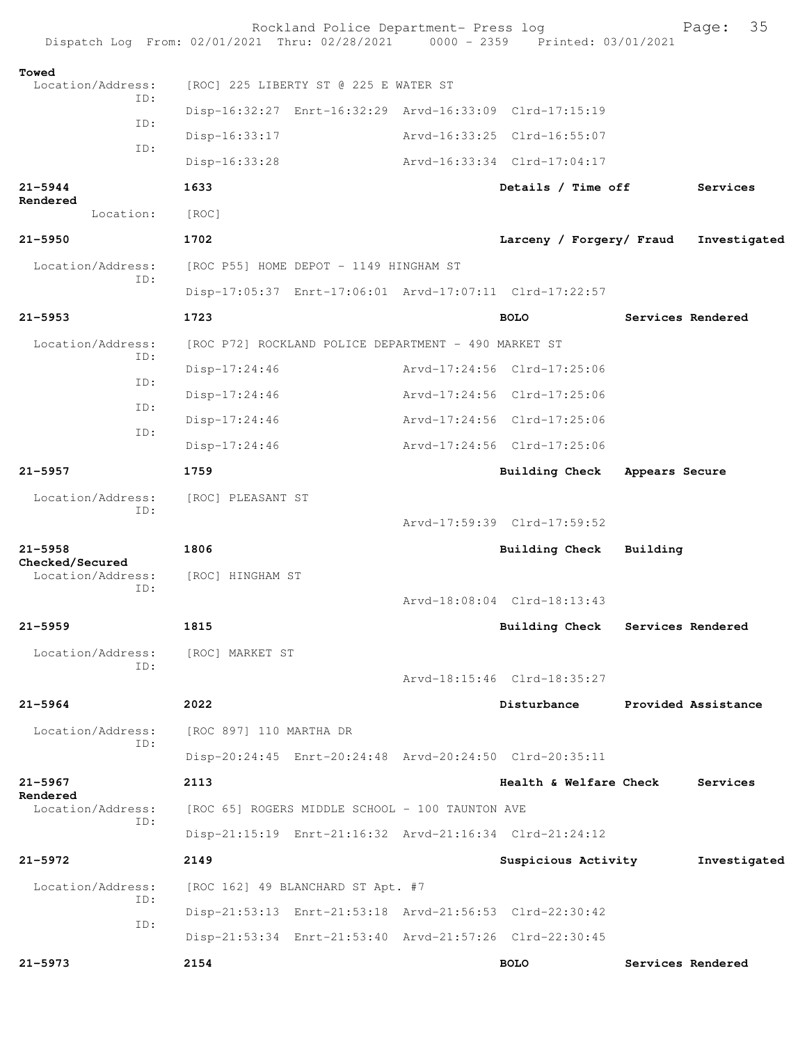|                                | Rockland Police Department- Press log<br>Dispatch Log From: 02/01/2021 Thru: 02/28/2021 0000 - 2359 Printed: 03/01/2021 |                                  |                | 35<br>Page:         |
|--------------------------------|-------------------------------------------------------------------------------------------------------------------------|----------------------------------|----------------|---------------------|
| Towed<br>Location/Address:     | [ROC] 225 LIBERTY ST @ 225 E WATER ST                                                                                   |                                  |                |                     |
| TD:                            | Disp-16:32:27 Enrt-16:32:29 Arvd-16:33:09 Clrd-17:15:19                                                                 |                                  |                |                     |
| ID:                            | Disp-16:33:17                                                                                                           | Arvd-16:33:25 Clrd-16:55:07      |                |                     |
| ID:                            | Disp-16:33:28                                                                                                           | Arvd-16:33:34 Clrd-17:04:17      |                |                     |
| $21 - 5944$                    | 1633                                                                                                                    | Details / Time off               |                | Services            |
| Rendered<br>Location:          | [ROC]                                                                                                                   |                                  |                |                     |
| $21 - 5950$                    | 1702                                                                                                                    | Larceny / Forgery/ Fraud         |                | Investigated        |
| Location/Address:              | [ROC P55] HOME DEPOT - 1149 HINGHAM ST                                                                                  |                                  |                |                     |
| ID:                            | Disp-17:05:37 Enrt-17:06:01 Arvd-17:07:11 Clrd-17:22:57                                                                 |                                  |                |                     |
| $21 - 5953$                    | 1723                                                                                                                    | <b>BOLO</b>                      |                | Services Rendered   |
| Location/Address:              | [ROC P72] ROCKLAND POLICE DEPARTMENT - 490 MARKET ST                                                                    |                                  |                |                     |
| ID:                            | Disp-17:24:46                                                                                                           | Arvd-17:24:56 Clrd-17:25:06      |                |                     |
| ID:                            | $Disp-17:24:46$                                                                                                         | Arvd-17:24:56 Clrd-17:25:06      |                |                     |
| ID:                            | Disp-17:24:46                                                                                                           | Arvd-17:24:56 Clrd-17:25:06      |                |                     |
| ID:                            | Disp-17:24:46                                                                                                           | Arvd-17:24:56 Clrd-17:25:06      |                |                     |
| $21 - 5957$                    | 1759                                                                                                                    | <b>Building Check</b>            | Appears Secure |                     |
| Location/Address:<br>ID:       | [ROC] PLEASANT ST                                                                                                       |                                  |                |                     |
|                                |                                                                                                                         | Arvd-17:59:39 Clrd-17:59:52      |                |                     |
| $21 - 5958$<br>Checked/Secured | 1806                                                                                                                    | <b>Building Check</b>            | Building       |                     |
| Location/Address:<br>ID:       | [ROC] HINGHAM ST                                                                                                        |                                  |                |                     |
|                                |                                                                                                                         | Arvd-18:08:04 Clrd-18:13:43      |                |                     |
| $21 - 5959$                    | 1815                                                                                                                    | Building Check Services Rendered |                |                     |
| Location/Address:<br>TD:       | [ROC] MARKET ST                                                                                                         |                                  |                |                     |
|                                |                                                                                                                         | Arvd-18:15:46 Clrd-18:35:27      |                |                     |
| $21 - 5964$                    | 2022                                                                                                                    | Disturbance                      |                | Provided Assistance |
| Location/Address:<br>ID:       | [ROC 897] 110 MARTHA DR                                                                                                 |                                  |                |                     |
|                                | Disp-20:24:45 Enrt-20:24:48 Arvd-20:24:50 Clrd-20:35:11                                                                 |                                  |                |                     |
| $21 - 5967$<br>Rendered        | 2113                                                                                                                    | Health & Welfare Check           |                | Services            |
| Location/Address:<br>TD:       | [ROC 65] ROGERS MIDDLE SCHOOL - 100 TAUNTON AVE                                                                         |                                  |                |                     |
|                                | Disp-21:15:19 Enrt-21:16:32 Arvd-21:16:34 Clrd-21:24:12                                                                 |                                  |                |                     |
| $21 - 5972$                    | 2149                                                                                                                    | Suspicious Activity              |                | Investigated        |
| Location/Address:<br>ID:       | [ROC 162] 49 BLANCHARD ST Apt. #7                                                                                       |                                  |                |                     |
| ID:                            | Disp-21:53:13 Enrt-21:53:18 Arvd-21:56:53 Clrd-22:30:42                                                                 |                                  |                |                     |
|                                | Disp-21:53:34 Enrt-21:53:40 Arvd-21:57:26 Clrd-22:30:45                                                                 |                                  |                |                     |
| $21 - 5973$                    | 2154                                                                                                                    | <b>BOLO</b>                      |                | Services Rendered   |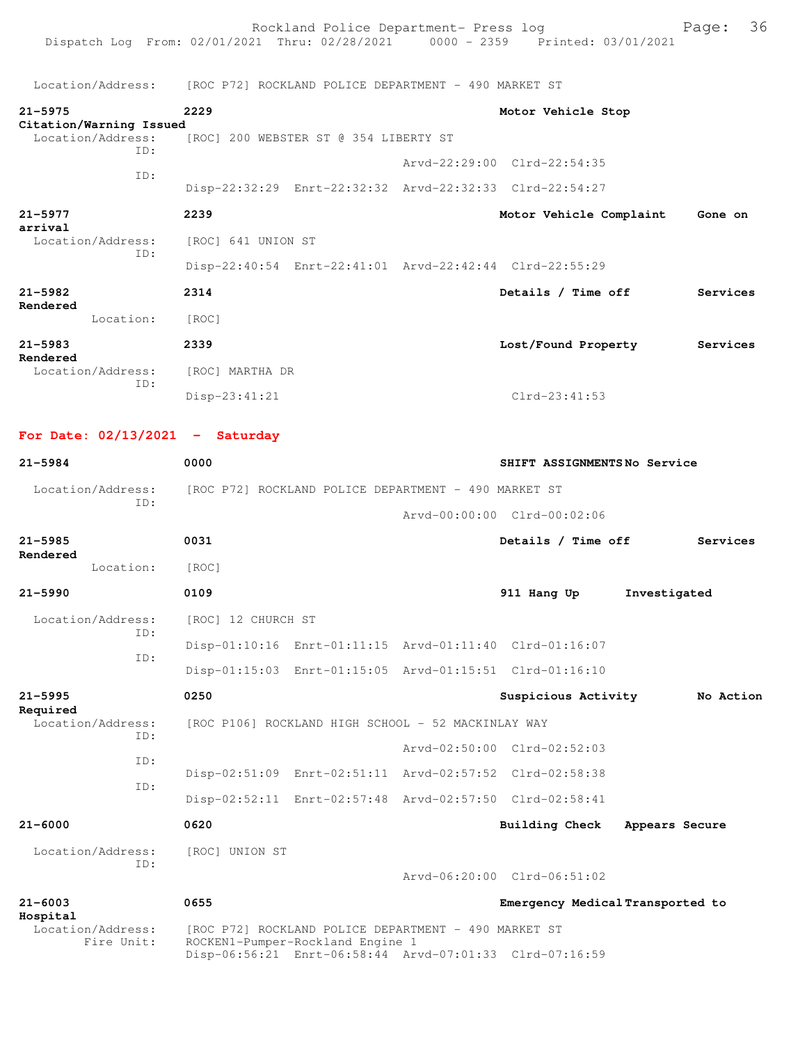Location/Address: [ROC P72] ROCKLAND POLICE DEPARTMENT - 490 MARKET ST

| $21 - 5975$<br>Citation/Warning Issued | 2229                                                                   | Motor Vehicle Stop                                      |          |
|----------------------------------------|------------------------------------------------------------------------|---------------------------------------------------------|----------|
| Location/Address:<br>ID:               | [ROC] 200 WEBSTER ST @ 354 LIBERTY ST                                  |                                                         |          |
| TD:                                    |                                                                        | Arvd-22:29:00 Clrd-22:54:35                             |          |
|                                        |                                                                        | Disp-22:32:29 Enrt-22:32:32 Arvd-22:32:33 Clrd-22:54:27 |          |
| $21 - 5977$<br>arrival                 | 2239                                                                   | Motor Vehicle Complaint                                 | Gone on  |
| Location/Address:                      | [ROC] 641 UNION ST                                                     |                                                         |          |
| TD:                                    |                                                                        | Disp-22:40:54 Enrt-22:41:01 Arvd-22:42:44 Clrd-22:55:29 |          |
| $21 - 5982$                            | 2314                                                                   | Details / Time off                                      | Services |
| Rendered<br>Location:                  | [ROC]                                                                  |                                                         |          |
| $21 - 5983$<br>Rendered                | 2339                                                                   | Lost/Found Property                                     | Services |
| Location/Address:                      | [ROC] MARTHA DR                                                        |                                                         |          |
| TD:                                    | $Disp-23:41:21$                                                        | $Clrd-23:41:53$                                         |          |
| For Date: $02/13/2021$ - Saturday      |                                                                        |                                                         |          |
| $21 - 5984$                            | 0000                                                                   | SHIFT ASSIGNMENTSNo Service                             |          |
| TD:                                    | Location/Address: [ROC P72] ROCKLAND POLICE DEPARTMENT - 490 MARKET ST |                                                         |          |

**21-5985 0031 Details / Time off Services Rendered**  Location: [ROC] **21-5990 0109 911 Hang Up Investigated** Location/Address: [ROC] 12 CHURCH ST ID: Disp-01:10:16 Enrt-01:11:15 Arvd-01:11:40 Clrd-01:16:07 ID: Disp-01:15:03 Enrt-01:15:05 Arvd-01:15:51 Clrd-01:16:10 **21-5995 0250 Suspicious Activity No Action Required**  Location/Address: [ROC P106] ROCKLAND HIGH SCHOOL - 52 MACKINLAY WAY ID: Arvd-02:50:00 Clrd-02:52:03 ID: Disp-02:51:09 Enrt-02:51:11 Arvd-02:57:52 Clrd-02:58:38 ID: Disp-02:52:11 Enrt-02:57:48 Arvd-02:57:50 Clrd-02:58:41 **21-6000 0620 Building Check Appears Secure**

Arvd-00:00:00 Clrd-00:02:06

Arvd-06:20:00 Clrd-06:51:02

 Location/Address: [ROC] UNION ST ID:

**21-6003 0655 Emergency Medical Transported to**

 Location/Address: [ROC P72] ROCKLAND POLICE DEPARTMENT - 490 MARKET ST Fire Unit: ROCKEN1-Pumper-Rockland Engine 1 Disp-06:56:21 Enrt-06:58:44 Arvd-07:01:33 Clrd-07:16:59

**Hospital**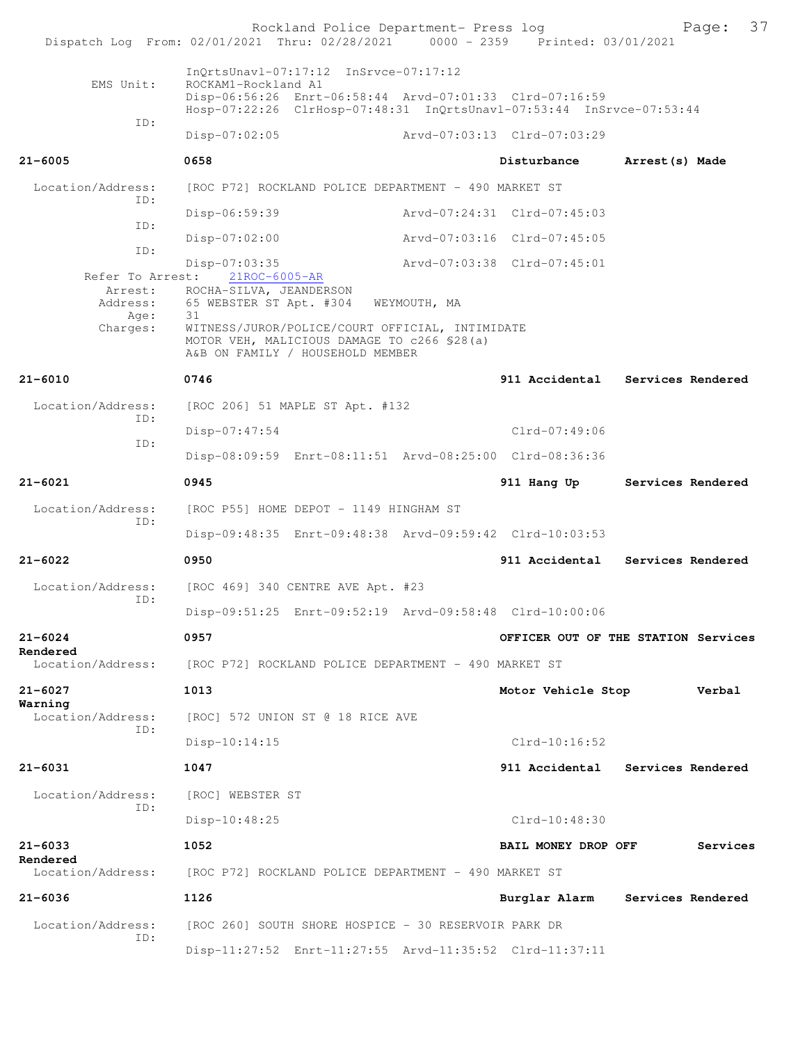|                          | Rockland Police Department- Press log<br>Dispatch Log From: 02/01/2021 Thru: 02/28/2021 0000 - 2359 Printed: 03/01/2021         | 37<br>Page:                         |  |  |  |
|--------------------------|---------------------------------------------------------------------------------------------------------------------------------|-------------------------------------|--|--|--|
|                          |                                                                                                                                 |                                     |  |  |  |
| EMS Unit:                | InQrtsUnavl-07:17:12 InSrvce-07:17:12<br>ROCKAM1-Rockland A1                                                                    |                                     |  |  |  |
|                          | Disp-06:56:26 Enrt-06:58:44 Arvd-07:01:33 Clrd-07:16:59<br>Hosp-07:22:26 ClrHosp-07:48:31 InQrtsUnavl-07:53:44 InSrvce-07:53:44 |                                     |  |  |  |
| ID:                      | Disp-07:02:05                                                                                                                   | Arvd-07:03:13 Clrd-07:03:29         |  |  |  |
| $21 - 6005$              | 0658                                                                                                                            | Disturbance<br>Arrest (s) Made      |  |  |  |
| Location/Address:<br>ID: | [ROC P72] ROCKLAND POLICE DEPARTMENT - 490 MARKET ST                                                                            |                                     |  |  |  |
| ID:                      | Disp-06:59:39                                                                                                                   | Arvd-07:24:31 Clrd-07:45:03         |  |  |  |
| ID:                      | $Disp-07:02:00$                                                                                                                 | Arvd-07:03:16 Clrd-07:45:05         |  |  |  |
| Refer To Arrest:         | $Disp-07:03:35$                                                                                                                 | Arvd-07:03:38 Clrd-07:45:01         |  |  |  |
| Address:                 | 21ROC-6005-AR<br>Arrest: ROCHA-SILVA, JEANDERSON<br>65 WEBSTER ST Apt. #304<br>WEYMOUTH, MA                                     |                                     |  |  |  |
| Age:<br>Charges:         | 31<br>WITNESS/JUROR/POLICE/COURT OFFICIAL, INTIMIDATE                                                                           |                                     |  |  |  |
|                          | MOTOR VEH, MALICIOUS DAMAGE TO c266 \$28(a)<br>A&B ON FAMILY / HOUSEHOLD MEMBER                                                 |                                     |  |  |  |
| $21 - 6010$              | 0746                                                                                                                            | 911 Accidental Services Rendered    |  |  |  |
| Location/Address:        | [ROC 206] 51 MAPLE ST Apt. #132                                                                                                 |                                     |  |  |  |
| ID:<br>ID:               | Disp-07:47:54                                                                                                                   | $Clrd-07:49:06$                     |  |  |  |
|                          | Disp-08:09:59 Enrt-08:11:51 Arvd-08:25:00 Clrd-08:36:36                                                                         |                                     |  |  |  |
| $21 - 6021$              | 0945                                                                                                                            | Services Rendered<br>911 Hang Up    |  |  |  |
| Location/Address:<br>ID: | [ROC P55] HOME DEPOT - 1149 HINGHAM ST                                                                                          |                                     |  |  |  |
|                          | Disp-09:48:35 Enrt-09:48:38 Arvd-09:59:42 Clrd-10:03:53                                                                         |                                     |  |  |  |
| $21 - 6022$              | 0950                                                                                                                            | 911 Accidental<br>Services Rendered |  |  |  |
| Location/Address:<br>ID: | [ROC 469] 340 CENTRE AVE Apt. #23                                                                                               |                                     |  |  |  |
|                          | Disp-09:51:25 Enrt-09:52:19 Arvd-09:58:48 Clrd-10:00:06                                                                         |                                     |  |  |  |
| $21 - 6024$<br>Rendered  | 0957                                                                                                                            | OFFICER OUT OF THE STATION Services |  |  |  |
| Location/Address:        | [ROC P72] ROCKLAND POLICE DEPARTMENT - 490 MARKET ST                                                                            |                                     |  |  |  |
| $21 - 6027$<br>Warning   | 1013                                                                                                                            | Motor Vehicle Stop<br>Verbal        |  |  |  |
| Location/Address:<br>ID: | [ROC] 572 UNION ST @ 18 RICE AVE                                                                                                |                                     |  |  |  |
|                          | $Disp-10:14:15$                                                                                                                 | $Clrd-10:16:52$                     |  |  |  |
| $21 - 6031$              | 1047                                                                                                                            | 911 Accidental Services Rendered    |  |  |  |
| Location/Address:<br>ID: | [ROC] WEBSTER ST                                                                                                                |                                     |  |  |  |
|                          | Disp-10:48:25                                                                                                                   | $Clrd-10:48:30$                     |  |  |  |
| $21 - 6033$<br>Rendered  | 1052                                                                                                                            | BAIL MONEY DROP OFF<br>Services     |  |  |  |
| Location/Address:        | [ROC P72] ROCKLAND POLICE DEPARTMENT - 490 MARKET ST                                                                            |                                     |  |  |  |
| $21 - 6036$              | 1126                                                                                                                            | Burglar Alarm<br>Services Rendered  |  |  |  |
| Location/Address:<br>ID: | [ROC 260] SOUTH SHORE HOSPICE - 30 RESERVOIR PARK DR                                                                            |                                     |  |  |  |
|                          | Disp-11:27:52 Enrt-11:27:55 Arvd-11:35:52 Clrd-11:37:11                                                                         |                                     |  |  |  |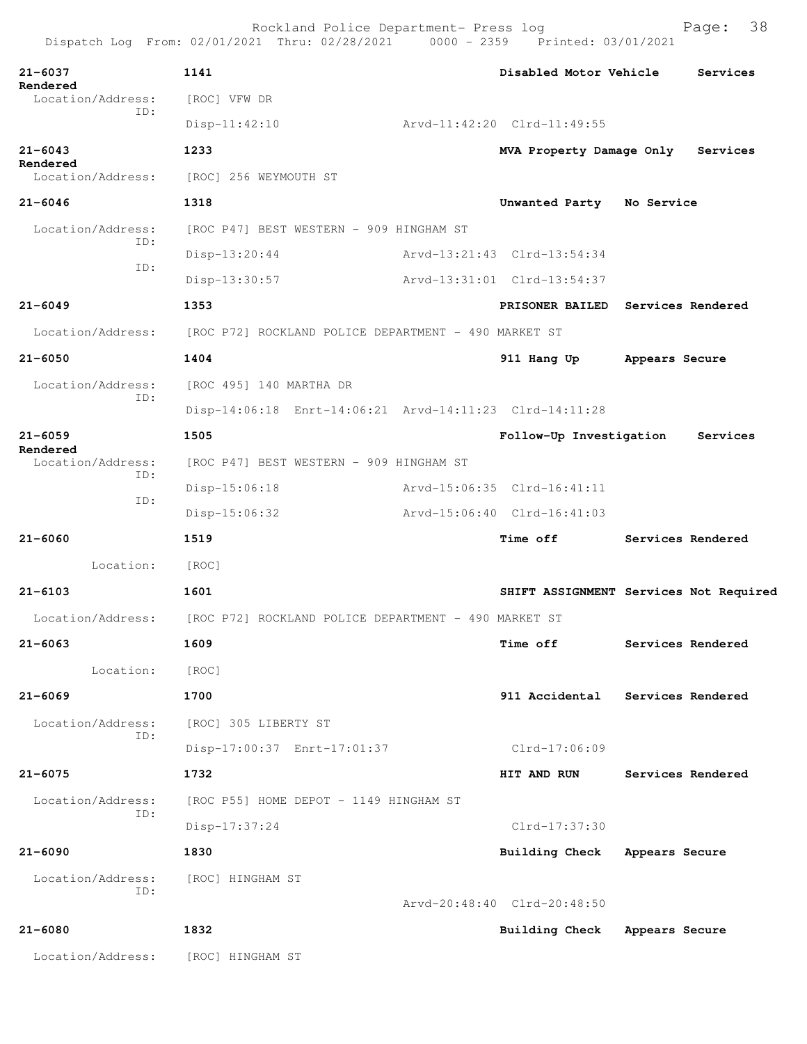| $21 - 6037$<br>Rendered       | 1141                                                                   | Disabled Motor Vehicle                 |                | Services          |
|-------------------------------|------------------------------------------------------------------------|----------------------------------------|----------------|-------------------|
| Location/Address:<br>ID:      | [ROC] VFW DR                                                           |                                        |                |                   |
|                               | $Disp-11:42:10$                                                        | Arvd-11:42:20 Clrd-11:49:55            |                |                   |
| $21 - 6043$<br>Rendered       | 1233                                                                   | MVA Property Damage Only Services      |                |                   |
| Location/Address:             | [ROC] 256 WEYMOUTH ST                                                  |                                        |                |                   |
| $21 - 6046$                   | 1318                                                                   | Unwanted Party                         | No Service     |                   |
| Location/Address:<br>ID:      | [ROC P47] BEST WESTERN - 909 HINGHAM ST                                |                                        |                |                   |
|                               | $Disp-13:20:44$                                                        | Arvd-13:21:43 Clrd-13:54:34            |                |                   |
| ID:                           | Disp-13:30:57                                                          | Arvd-13:31:01 Clrd-13:54:37            |                |                   |
| $21 - 6049$                   | 1353                                                                   | PRISONER BAILED Services Rendered      |                |                   |
| Location/Address:             | [ROC P72] ROCKLAND POLICE DEPARTMENT - 490 MARKET ST                   |                                        |                |                   |
| $21 - 6050$                   | 1404                                                                   | 911 Hang Up                            | Appears Secure |                   |
| Location/Address:             | [ROC 495] 140 MARTHA DR                                                |                                        |                |                   |
| ID:                           | Disp-14:06:18 Enrt-14:06:21 Arvd-14:11:23 Clrd-14:11:28                |                                        |                |                   |
| $21 - 6059$                   | 1505                                                                   | Follow-Up Investigation                |                | Services          |
| Rendered<br>Location/Address: | [ROC P47] BEST WESTERN - 909 HINGHAM ST                                |                                        |                |                   |
| ID:                           | $Disp-15:06:18$                                                        | Arvd-15:06:35 Clrd-16:41:11            |                |                   |
| ID:                           | $Disp-15:06:32$                                                        | Arvd-15:06:40 Clrd-16:41:03            |                |                   |
| $21 - 6060$                   | 1519                                                                   | <b>Time off</b>                        |                | Services Rendered |
| Location:                     | [ROC]                                                                  |                                        |                |                   |
| $21 - 6103$                   | 1601                                                                   | SHIFT ASSIGNMENT Services Not Required |                |                   |
|                               | Location/Address: [ROC P72] ROCKLAND POLICE DEPARTMENT - 490 MARKET ST |                                        |                |                   |
| 21-6063                       | 1609                                                                   | <b>Time off</b>                        |                | Services Rendered |
| Location:                     |                                                                        |                                        |                |                   |
|                               | [ROC]<br>1700                                                          | 911 Accidental                         |                |                   |
| $21 - 6069$                   |                                                                        |                                        |                | Services Rendered |
| Location/Address:<br>ID:      | [ROC] 305 LIBERTY ST                                                   |                                        |                |                   |
|                               | Disp-17:00:37 Enrt-17:01:37                                            | $Clrd-17:06:09$                        |                |                   |
| $21 - 6075$                   | 1732                                                                   | HIT AND RUN                            |                | Services Rendered |
| Location/Address:<br>ID:      | [ROC P55] HOME DEPOT - 1149 HINGHAM ST                                 |                                        |                |                   |
|                               | $Disp-17:37:24$                                                        | Clrd-17:37:30                          |                |                   |
| $21 - 6090$                   | 1830                                                                   | <b>Building Check</b>                  | Appears Secure |                   |
| Location/Address:<br>ID:      | [ROC] HINGHAM ST                                                       |                                        |                |                   |
|                               |                                                                        | Arvd-20:48:40 Clrd-20:48:50            |                |                   |
| 21-6080                       | 1832                                                                   | <b>Building Check</b>                  | Appears Secure |                   |
| Location/Address:             | [ROC] HINGHAM ST                                                       |                                        |                |                   |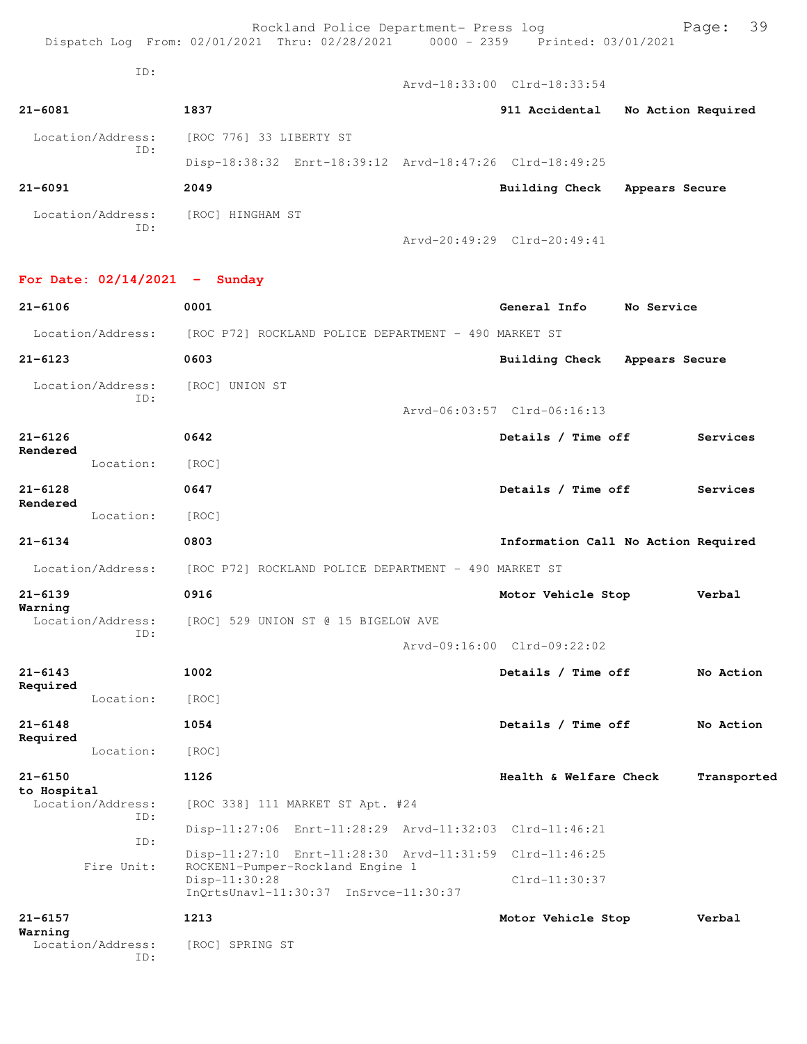Rockland Police Department- Press log entitled Page: 39 Dispatch Log From: 02/01/2021 Thru: 02/28/2021 0000 - 2359 Printed: 03/01/2021

ID:

Location/Address: [ROC] UNION ST

|                                 |                                                      | Arvd-18:33:00 Clrd-18:33:54                             |                    |
|---------------------------------|------------------------------------------------------|---------------------------------------------------------|--------------------|
| $21 - 6081$                     | 1837                                                 | 911 Accidental                                          | No Action Required |
| Location/Address:<br>ID:        | [ROC 776] 33 LIBERTY ST                              |                                                         |                    |
|                                 |                                                      | Disp-18:38:32 Enrt-18:39:12 Arvd-18:47:26 Clrd-18:49:25 |                    |
| $21 - 6091$                     | 2049                                                 | Building Check                                          | Appears Secure     |
| Location/Address:<br>ID:        | [ROC] HINGHAM ST                                     | Arvd-20:49:29 Clrd-20:49:41                             |                    |
| For Date: $02/14/2021$ - Sunday |                                                      |                                                         |                    |
| $21 - 6106$                     | 0001                                                 | General Info                                            | No Service         |
| Location/Address:               | [ROC P72] ROCKLAND POLICE DEPARTMENT - 490 MARKET ST |                                                         |                    |
| $21 - 6123$                     | 0603                                                 | Building Check                                          | Appears Secure     |

 ID: Arvd-06:03:57 Clrd-06:16:13 **21-6126 0642 Details / Time off Services Rendered**  Location: [ROC] **21-6128 0647 Details / Time off Services Rendered** 

 Location: [ROC] **21-6134 0803 Information Call No Action Required** Location/Address: [ROC P72] ROCKLAND POLICE DEPARTMENT - 490 MARKET ST

**21-6139 0916 Motor Vehicle Stop Verbal Warning**  Location/Address: [ROC] 529 UNION ST @ 15 BIGELOW AVE ID:

Arvd-09:16:00 Clrd-09:22:02

| $21 - 6143$                |                          | 1002                                                                                        | Details / Time off     | No Action   |
|----------------------------|--------------------------|---------------------------------------------------------------------------------------------|------------------------|-------------|
| Required                   | Location:                | [ROC]                                                                                       |                        |             |
| $21 - 6148$<br>Required    |                          | 1054                                                                                        | Details / Time off     | No Action   |
|                            | Location:                | [ROC]                                                                                       |                        |             |
| $21 - 6150$<br>to Hospital |                          | 1126                                                                                        | Health & Welfare Check | Transported |
|                            | Location/Address:<br>TD: | [ROC 338] 111 MARKET ST Apt. #24                                                            |                        |             |
|                            | TD:                      | Disp-11:27:06 Enrt-11:28:29 Arvd-11:32:03 Clrd-11:46:21                                     |                        |             |
|                            | Fire Unit:               | Disp-11:27:10 Enrt-11:28:30 Arvd-11:31:59 Clrd-11:46:25<br>ROCKEN1-Pumper-Rockland Engine 1 |                        |             |
|                            |                          | $Disp-11:30:28$<br>InOrtsUnav1-11:30:37 InSrvce-11:30:37                                    | $Clrd-11:30:37$        |             |
| $21 - 6157$<br>Warning     |                          | 1213                                                                                        | Motor Vehicle Stop     | Verbal      |
|                            | Location/Address:<br>TD: | SPRING ST<br>[ROC]                                                                          |                        |             |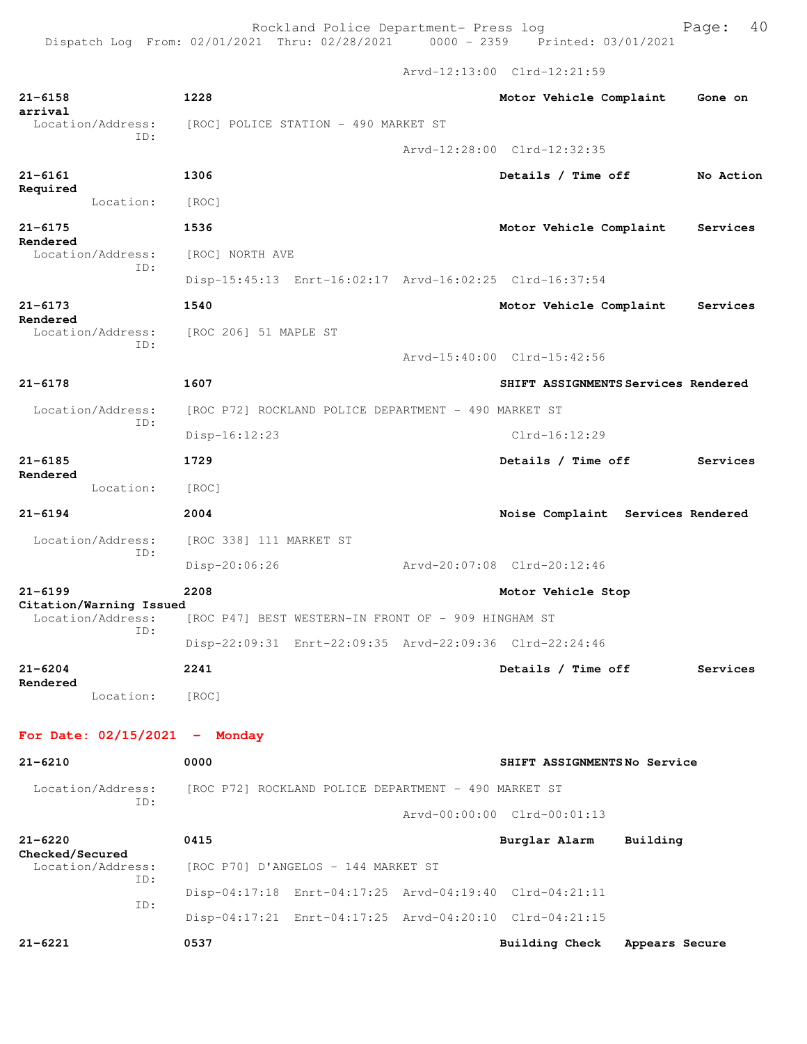Rockland Police Department- Press log Fage: 40 Dispatch Log From: 02/01/2021 Thru: 02/28/2021 0000 - 2359 Printed: 03/01/2021

 Arvd-12:13:00 Clrd-12:21:59 **21-6158 1228 Motor Vehicle Complaint Gone on arrival**  Location/Address: [ROC] POLICE STATION - 490 MARKET ST ID: Arvd-12:28:00 Clrd-12:32:35 **21-6161 1306 Details / Time off No Action Required**  Location: [ROC] **21-6175 1536 Motor Vehicle Complaint Services Rendered**  Location/Address: [ROC] NORTH AVE ID: Disp-15:45:13 Enrt-16:02:17 Arvd-16:02:25 Clrd-16:37:54 **21-6173 1540 Motor Vehicle Complaint Services Rendered**  Location/Address: [ROC 206] 51 MAPLE ST ID: Arvd-15:40:00 Clrd-15:42:56 **21-6178 1607 SHIFT ASSIGNMENTS Services Rendered** Location/Address: [ROC P72] ROCKLAND POLICE DEPARTMENT - 490 MARKET ST ID: Disp-16:12:23 Clrd-16:12:29 **21-6185 1729 Details / Time off Services Rendered**  Location: [ROC] **21-6194 2004 Noise Complaint Services Rendered** Location/Address: [ROC 338] 111 MARKET ST ID: Disp-20:06:26 Arvd-20:07:08 Clrd-20:12:46 **21-6199 2208 Motor Vehicle Stop Citation/Warning Issued**  Location/Address: [ROC P47] BEST WESTERN-IN FRONT OF - 909 HINGHAM ST ID: Disp-22:09:31 Enrt-22:09:35 Arvd-22:09:36 Clrd-22:24:46 **21-6204 2241 Details / Time off Services Rendered**  Location: [ROC] **For Date: 02/15/2021 - Monday 21-6210 0000 SHIFT ASSIGNMENTS No Service** Location/Address: [ROC P72] ROCKLAND POLICE DEPARTMENT - 490 MARKET ST ID: Arvd-00:00:00 Clrd-00:01:13 **21-6220 0415 Burglar Alarm Building Checked/Secured**  [ROC P70] D'ANGELOS - 144 MARKET ST ID: Disp-04:17:18 Enrt-04:17:25 Arvd-04:19:40 Clrd-04:21:11 ID:

**21-6221 0537 Building Check Appears Secure**

Disp-04:17:21 Enrt-04:17:25 Arvd-04:20:10 Clrd-04:21:15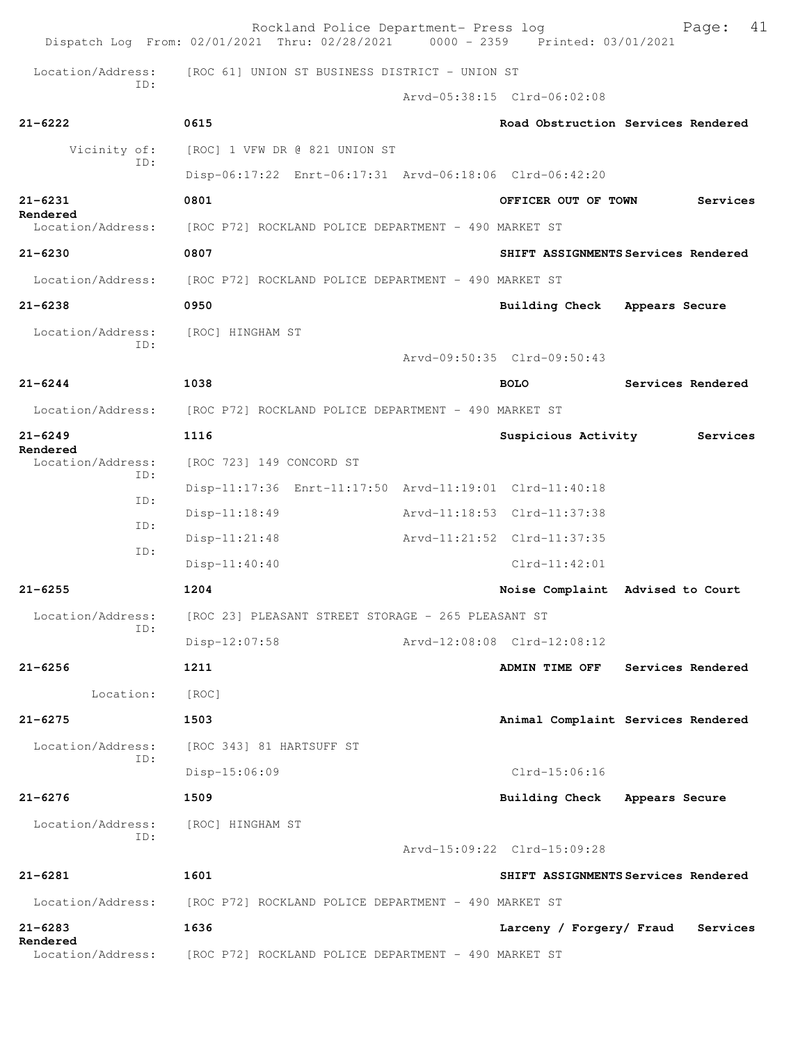|                               | Rockland Police Department- Press log<br>Dispatch Log From: 02/01/2021 Thru: 02/28/2021 0000 - 2359 Printed: 03/01/2021 | 41<br>Page:                          |  |  |  |
|-------------------------------|-------------------------------------------------------------------------------------------------------------------------|--------------------------------------|--|--|--|
| Location/Address:             | [ROC 61] UNION ST BUSINESS DISTRICT - UNION ST                                                                          |                                      |  |  |  |
| TD:                           |                                                                                                                         | Arvd-05:38:15 Clrd-06:02:08          |  |  |  |
| $21 - 6222$                   | 0615                                                                                                                    | Road Obstruction Services Rendered   |  |  |  |
| Vicinity of:                  | [ROC] 1 VFW DR @ 821 UNION ST                                                                                           |                                      |  |  |  |
| ID:                           | Disp-06:17:22 Enrt-06:17:31 Arvd-06:18:06 Clrd-06:42:20                                                                 |                                      |  |  |  |
| $21 - 6231$                   | 0801                                                                                                                    | Services<br>OFFICER OUT OF TOWN      |  |  |  |
| Rendered<br>Location/Address: | [ROC P72] ROCKLAND POLICE DEPARTMENT - 490 MARKET ST                                                                    |                                      |  |  |  |
| $21 - 6230$                   | 0807                                                                                                                    | SHIFT ASSIGNMENTS Services Rendered  |  |  |  |
| Location/Address:             | [ROC P72] ROCKLAND POLICE DEPARTMENT - 490 MARKET ST                                                                    |                                      |  |  |  |
| $21 - 6238$                   | 0950                                                                                                                    | Building Check<br>Appears Secure     |  |  |  |
| Location/Address:             | [ROC] HINGHAM ST                                                                                                        |                                      |  |  |  |
| TD:                           |                                                                                                                         | Arvd-09:50:35 Clrd-09:50:43          |  |  |  |
| $21 - 6244$                   | 1038                                                                                                                    | Services Rendered<br><b>BOLO</b>     |  |  |  |
| Location/Address:             | [ROC P72] ROCKLAND POLICE DEPARTMENT - 490 MARKET ST                                                                    |                                      |  |  |  |
| $21 - 6249$                   | 1116                                                                                                                    | Suspicious Activity<br>Services      |  |  |  |
| Rendered<br>Location/Address: | [ROC 723] 149 CONCORD ST                                                                                                |                                      |  |  |  |
| TD:                           | Disp-11:17:36 Enrt-11:17:50 Arvd-11:19:01 Clrd-11:40:18                                                                 |                                      |  |  |  |
| ID:                           | Disp-11:18:49                                                                                                           | Arvd-11:18:53 Clrd-11:37:38          |  |  |  |
| ID:                           | Disp-11:21:48                                                                                                           | Arvd-11:21:52 Clrd-11:37:35          |  |  |  |
| ID:                           | $Disp-11:40:40$                                                                                                         | $Clrd-11:42:01$                      |  |  |  |
| $21 - 6255$                   | 1204                                                                                                                    | Noise Complaint Advised to Court     |  |  |  |
| Location/Address:<br>ID:      | [ROC 23] PLEASANT STREET STORAGE - 265 PLEASANT ST                                                                      |                                      |  |  |  |
|                               | Disp-12:07:58                                                                                                           | Arvd-12:08:08 Clrd-12:08:12          |  |  |  |
| $21 - 6256$                   | 1211                                                                                                                    | ADMIN TIME OFF<br>Services Rendered  |  |  |  |
| Location:                     | [ROC]                                                                                                                   |                                      |  |  |  |
| $21 - 6275$                   | 1503                                                                                                                    | Animal Complaint Services Rendered   |  |  |  |
| Location/Address:             | [ROC 343] 81 HARTSUFF ST                                                                                                |                                      |  |  |  |
| ID:                           | Disp-15:06:09                                                                                                           | Clrd-15:06:16                        |  |  |  |
| $21 - 6276$                   | 1509                                                                                                                    | Building Check Appears Secure        |  |  |  |
| Location/Address:             | [ROC] HINGHAM ST                                                                                                        |                                      |  |  |  |
| ID:                           |                                                                                                                         | Arvd-15:09:22 Clrd-15:09:28          |  |  |  |
| $21 - 6281$                   | 1601                                                                                                                    | SHIFT ASSIGNMENTS Services Rendered  |  |  |  |
| Location/Address:             | [ROC P72] ROCKLAND POLICE DEPARTMENT - 490 MARKET ST                                                                    |                                      |  |  |  |
| $21 - 6283$                   | 1636                                                                                                                    | Larceny / Forgery/ Fraud<br>Services |  |  |  |
| Rendered<br>Location/Address: | [ROC P72] ROCKLAND POLICE DEPARTMENT - 490 MARKET ST                                                                    |                                      |  |  |  |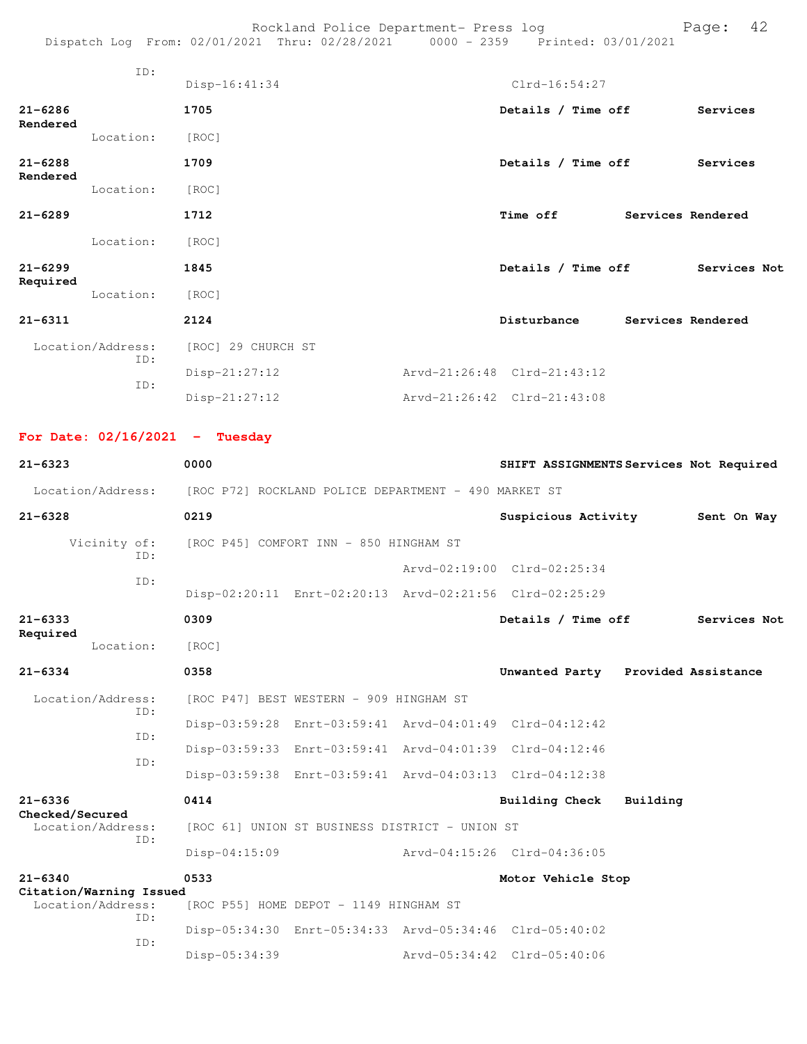Rockland Police Department- Press log entitled and Page: 42 Dispatch Log From: 02/01/2021 Thru: 02/28/2021 0000 - 2359 Printed: 03/01/2021

|                         | ID:                      |                    |                             |                   |              |
|-------------------------|--------------------------|--------------------|-----------------------------|-------------------|--------------|
|                         |                          | Disp-16:41:34      | $Clrd-16:54:27$             |                   |              |
| $21 - 6286$<br>Rendered |                          | 1705               | Details / Time off          |                   | Services     |
|                         | Location:                | [ROC]              |                             |                   |              |
| $21 - 6288$<br>Rendered |                          | 1709               | Details / Time off          |                   | Services     |
|                         | Location:                | [ROC]              |                             |                   |              |
| $21 - 6289$             |                          | 1712               | Time off                    | Services Rendered |              |
|                         | Location:                | [ROC]              |                             |                   |              |
| $21 - 6299$<br>Required |                          | 1845               | Details / Time off          |                   | Services Not |
|                         | Location:                | [ROC]              |                             |                   |              |
| $21 - 6311$             |                          | 2124               | Disturbance                 | Services Rendered |              |
|                         | Location/Address:<br>ID: | [ROC] 29 CHURCH ST |                             |                   |              |
|                         | ID:                      | $Disp-21:27:12$    | Arvd-21:26:48 Clrd-21:43:12 |                   |              |
|                         |                          | $Disp-21:27:12$    | Arvd-21:26:42 Clrd-21:43:08 |                   |              |

**For Date: 02/16/2021 - Tuesday**

| $21 - 6323$                                         | 0000                                                    | SHIFT ASSIGNMENTS Services Not Required |          |              |
|-----------------------------------------------------|---------------------------------------------------------|-----------------------------------------|----------|--------------|
| Location/Address:                                   | [ROC P72] ROCKLAND POLICE DEPARTMENT - 490 MARKET ST    |                                         |          |              |
| $21 - 6328$                                         | 0219                                                    | Suspicious Activity                     |          | Sent On Way  |
| Vicinity of:<br>TD:                                 | [ROC P45] COMFORT INN - 850 HINGHAM ST                  |                                         |          |              |
|                                                     |                                                         | Arvd-02:19:00 Clrd-02:25:34             |          |              |
| ID:                                                 | Disp-02:20:11 Enrt-02:20:13 Arvd-02:21:56 Clrd-02:25:29 |                                         |          |              |
| $21 - 6333$                                         | 0309                                                    | Details / Time off                      |          | Services Not |
| Required<br>Location:                               | [ROC]                                                   |                                         |          |              |
| $21 - 6334$                                         | 0358                                                    | Unwanted Party Provided Assistance      |          |              |
| Location/Address:<br>TD:                            | [ROC P47] BEST WESTERN - 909 HINGHAM ST                 |                                         |          |              |
|                                                     | Disp-03:59:28 Enrt-03:59:41 Arvd-04:01:49 Clrd-04:12:42 |                                         |          |              |
| ID:<br>ID:                                          | Disp-03:59:33 Enrt-03:59:41 Arvd-04:01:39 Clrd-04:12:46 |                                         |          |              |
|                                                     | Disp-03:59:38 Enrt-03:59:41 Arvd-04:03:13 Clrd-04:12:38 |                                         |          |              |
| $21 - 6336$<br>Checked/Secured                      | 0414                                                    | <b>Building Check</b>                   | Building |              |
| Location/Address:<br>ID:                            | [ROC 61] UNION ST BUSINESS DISTRICT - UNION ST          |                                         |          |              |
|                                                     | $Disp-04:15:09$                                         | Arvd-04:15:26 Clrd-04:36:05             |          |              |
| $21 - 6340$                                         | 0533                                                    | Motor Vehicle Stop                      |          |              |
| Citation/Warning Issued<br>Location/Address:<br>TD: | [ROC P55] HOME DEPOT - 1149 HINGHAM ST                  |                                         |          |              |
| TD:                                                 | Disp-05:34:30 Enrt-05:34:33 Arvd-05:34:46 Clrd-05:40:02 |                                         |          |              |
|                                                     | Disp-05:34:39                                           | Arvd-05:34:42 Clrd-05:40:06             |          |              |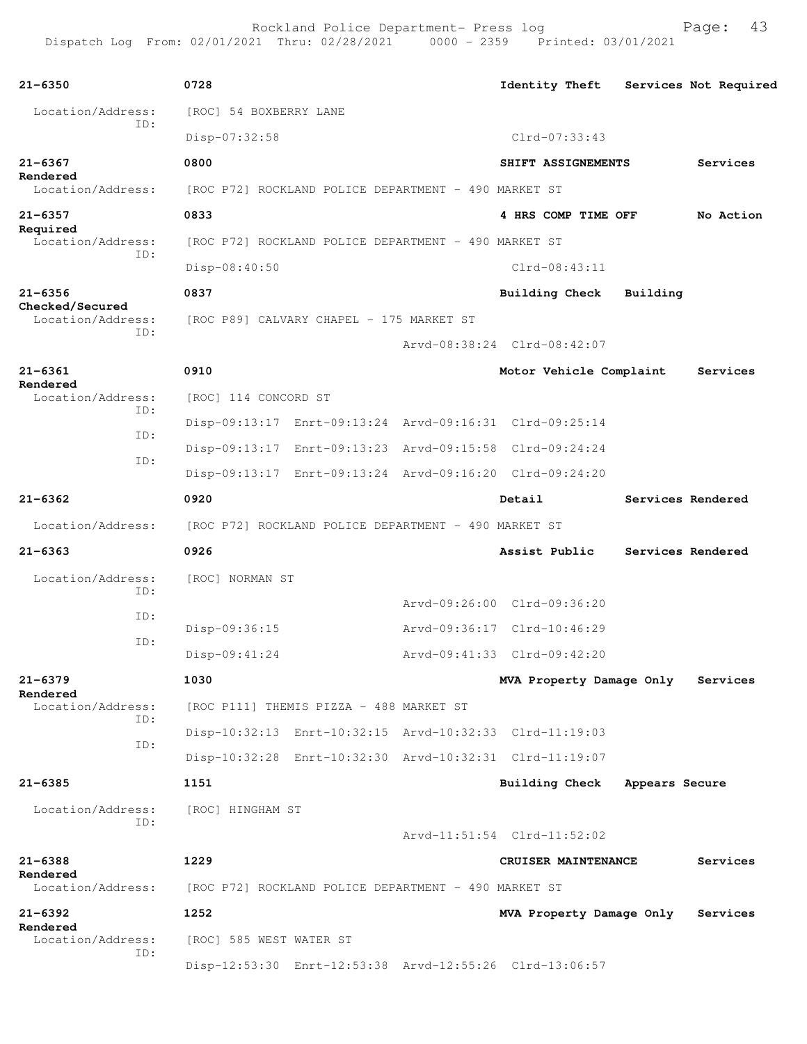| $21 - 6350$                          | 0728                                                    | <b>Identity Theft</b>             | Services Not Required |           |
|--------------------------------------|---------------------------------------------------------|-----------------------------------|-----------------------|-----------|
| Location/Address:                    | [ROC] 54 BOXBERRY LANE                                  |                                   |                       |           |
| ID:                                  | Disp-07:32:58                                           | $Clrd-07:33:43$                   |                       |           |
| $21 - 6367$                          | 0800                                                    | SHIFT ASSIGNEMENTS                |                       | Services  |
| Rendered<br>Location/Address:        | [ROC P72] ROCKLAND POLICE DEPARTMENT - 490 MARKET ST    |                                   |                       |           |
| $21 - 6357$                          | 0833                                                    | 4 HRS COMP TIME OFF               |                       | No Action |
| Required<br>Location/Address:        | [ROC P72] ROCKLAND POLICE DEPARTMENT - 490 MARKET ST    |                                   |                       |           |
| ID:                                  | Disp-08:40:50                                           | Clrd-08:43:11                     |                       |           |
| $21 - 6356$                          | 0837                                                    | Building Check                    | Building              |           |
| Checked/Secured<br>Location/Address: | [ROC P89] CALVARY CHAPEL - 175 MARKET ST                |                                   |                       |           |
| ID:                                  |                                                         | Aryd-08:38:24 Clrd-08:42:07       |                       |           |
| $21 - 6361$                          | 0910                                                    | Motor Vehicle Complaint           |                       | Services  |
| Rendered<br>Location/Address:        | [ROC] 114 CONCORD ST                                    |                                   |                       |           |
| ID:<br>ID:                           | Disp-09:13:17 Enrt-09:13:24 Arvd-09:16:31 Clrd-09:25:14 |                                   |                       |           |
| ID:                                  | Disp-09:13:17 Enrt-09:13:23 Arvd-09:15:58 Clrd-09:24:24 |                                   |                       |           |
|                                      | Disp-09:13:17 Enrt-09:13:24 Arvd-09:16:20 Clrd-09:24:20 |                                   |                       |           |
| $21 - 6362$                          | 0920                                                    | Detail                            | Services Rendered     |           |
| Location/Address:                    | [ROC P72] ROCKLAND POLICE DEPARTMENT - 490 MARKET ST    |                                   |                       |           |
| $21 - 6363$                          | 0926                                                    | Assist Public                     | Services Rendered     |           |
| Location/Address:<br>ID:             | [ROC] NORMAN ST                                         |                                   |                       |           |
| ID:                                  |                                                         | Arvd-09:26:00 Clrd-09:36:20       |                       |           |
| ID:                                  | Disp-09:36:15                                           | Arvd-09:36:17 Clrd-10:46:29       |                       |           |
|                                      | Disp-09:41:24                                           | Arvd-09:41:33 Clrd-09:42:20       |                       |           |
| $21 - 6379$<br>Rendered              | 1030                                                    | MVA Property Damage Only          |                       | Services  |
| Location/Address:<br>ID:             | [ROC P111] THEMIS PIZZA - 488 MARKET ST                 |                                   |                       |           |
| ID:                                  | Disp-10:32:13 Enrt-10:32:15 Arvd-10:32:33 Clrd-11:19:03 |                                   |                       |           |
|                                      | Disp-10:32:28 Enrt-10:32:30 Arvd-10:32:31 Clrd-11:19:07 |                                   |                       |           |
| 21-6385                              | 1151                                                    | Building Check                    | Appears Secure        |           |
| Location/Address:<br>TD:             | [ROC] HINGHAM ST                                        |                                   |                       |           |
|                                      |                                                         | Arvd-11:51:54 Clrd-11:52:02       |                       |           |
| $21 - 6388$<br>Rendered              | 1229                                                    | CRUISER MAINTENANCE               |                       | Services  |
| Location/Address:                    | [ROC P72] ROCKLAND POLICE DEPARTMENT - 490 MARKET ST    |                                   |                       |           |
| $21 - 6392$<br>Rendered              | 1252                                                    | MVA Property Damage Only Services |                       |           |
| Location/Address:<br>ID:             | [ROC] 585 WEST WATER ST                                 |                                   |                       |           |
|                                      | Disp-12:53:30 Enrt-12:53:38 Arvd-12:55:26 Clrd-13:06:57 |                                   |                       |           |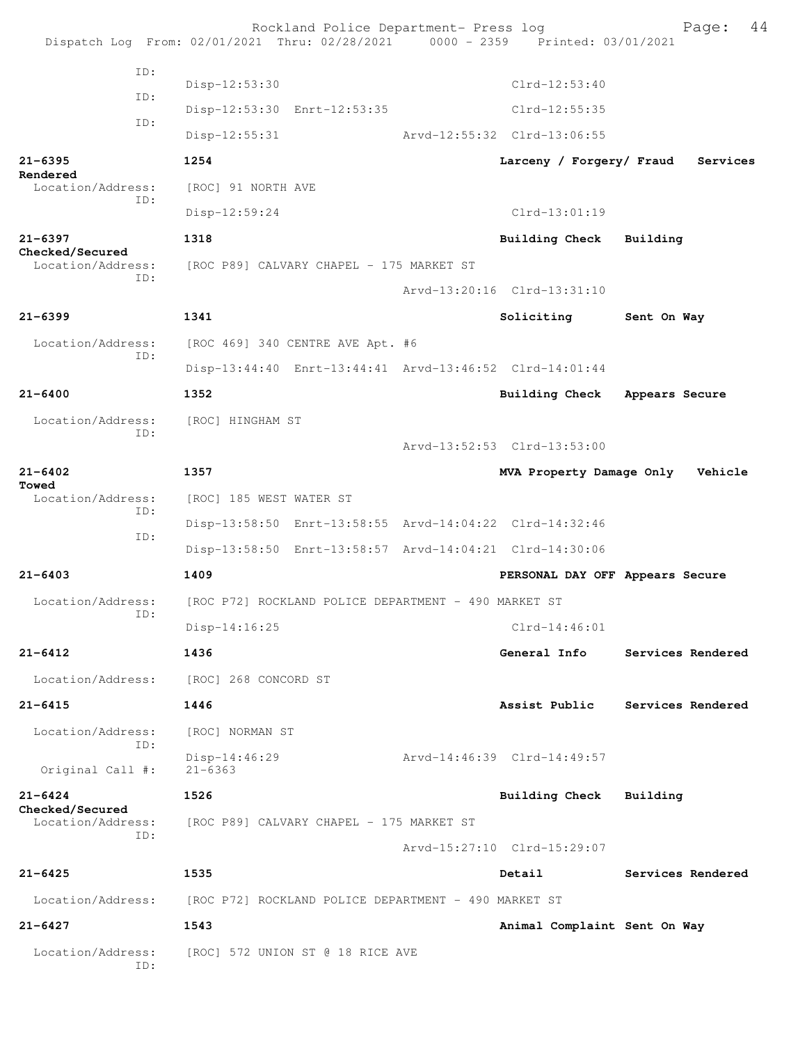Rockland Police Department- Press log Bookland Police Department- Press log Page: 44 Dispatch Log From: 02/01/2021 Thru: 02/28/2021 ID: Disp-12:53:30 Clrd-12:53:40 ID: Disp-12:53:30 Enrt-12:53:35 Clrd-12:55:35 ID: Disp-12:55:31 Arvd-12:55:32 Clrd-13:06:55 **21-6395 1254 Larceny / Forgery/ Fraud Services Rendered**<br>Location/Address: [ROC] 91 NORTH AVE ID: Disp-12:59:24 Clrd-13:01:19 **21-6397 1318 Building Check Building Checked/Secured**  Location/Address: [ROC P89] CALVARY CHAPEL - 175 MARKET ST ID: Arvd-13:20:16 Clrd-13:31:10 **21-6399 1341 Soliciting Sent On Way** Location/Address: [ROC 469] 340 CENTRE AVE Apt. #6 ID: Disp-13:44:40 Enrt-13:44:41 Arvd-13:46:52 Clrd-14:01:44 **21-6400 1352 Building Check Appears Secure** Location/Address: [ROC] HINGHAM ST ID: Arvd-13:52:53 Clrd-13:53:00 **21-6402 1357 MVA Property Damage Only Vehicle Towed**<br>Location/Address: [ROC] 185 WEST WATER ST ID: Disp-13:58:50 Enrt-13:58:55 Arvd-14:04:22 Clrd-14:32:46 ID: Disp-13:58:50 Enrt-13:58:57 Arvd-14:04:21 Clrd-14:30:06 **21-6403 1409 PERSONAL DAY OFF Appears Secure** Location/Address: [ROC P72] ROCKLAND POLICE DEPARTMENT - 490 MARKET ST ID: Disp-14:16:25 Clrd-14:46:01 **21-6412 1436 General Info Services Rendered** Location/Address: [ROC] 268 CONCORD ST **21-6415 1446 Assist Public Services Rendered** Location/Address: [ROC] NORMAN ST ID: Disp-14:46:29 Arvd-14:46:39 Clrd-14:49:57 Original Call #: **21-6424 1526 Building Check Building Checked/Secured**  Location/Address: [ROC P89] CALVARY CHAPEL - 175 MARKET ST ID: Arvd-15:27:10 Clrd-15:29:07 **21-6425 1535 Detail Services Rendered** Location/Address: [ROC P72] ROCKLAND POLICE DEPARTMENT - 490 MARKET ST **21-6427 1543 Animal Complaint Sent On Way** Location/Address: [ROC] 572 UNION ST @ 18 RICE AVE ID: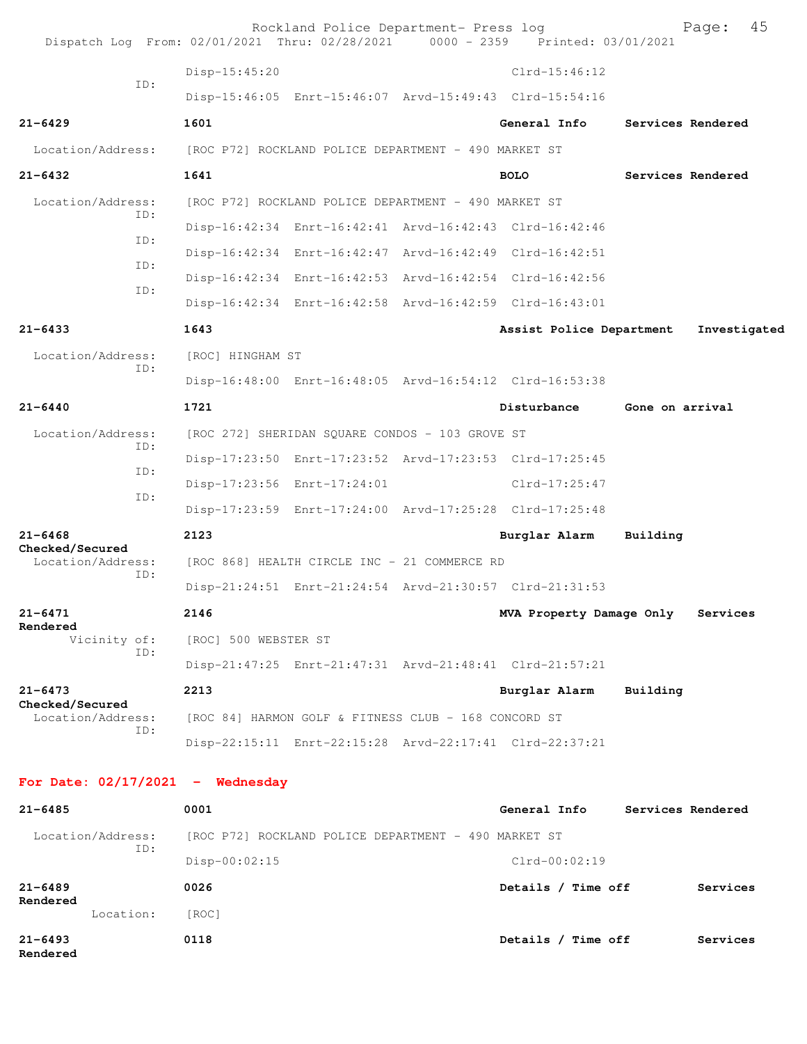| Dispatch Log From: 02/01/2021 Thru: 02/28/2021 0000 - 2359 Printed: 03/01/2021 |                                                      | Rockland Police Department- Press log                   |                                                         |                 | 45<br>Page:       |
|--------------------------------------------------------------------------------|------------------------------------------------------|---------------------------------------------------------|---------------------------------------------------------|-----------------|-------------------|
|                                                                                | Disp-15:45:20                                        |                                                         | $Clrd-15:46:12$                                         |                 |                   |
| ID:                                                                            |                                                      | Disp-15:46:05 Enrt-15:46:07 Arvd-15:49:43 Clrd-15:54:16 |                                                         |                 |                   |
| $21 - 6429$                                                                    | 1601                                                 |                                                         | General Info                                            |                 | Services Rendered |
| Location/Address:                                                              | [ROC P72] ROCKLAND POLICE DEPARTMENT - 490 MARKET ST |                                                         |                                                         |                 |                   |
| $21 - 6432$                                                                    | 1641                                                 |                                                         | <b>BOLO</b>                                             |                 | Services Rendered |
| Location/Address:                                                              |                                                      | [ROC P72] ROCKLAND POLICE DEPARTMENT - 490 MARKET ST    |                                                         |                 |                   |
| ID:                                                                            |                                                      | Disp-16:42:34 Enrt-16:42:41 Arvd-16:42:43 Clrd-16:42:46 |                                                         |                 |                   |
| ID:                                                                            |                                                      | Disp-16:42:34 Enrt-16:42:47 Arvd-16:42:49 Clrd-16:42:51 |                                                         |                 |                   |
| ID:                                                                            |                                                      | Disp-16:42:34 Enrt-16:42:53 Arvd-16:42:54 Clrd-16:42:56 |                                                         |                 |                   |
| ID:                                                                            |                                                      |                                                         | Disp-16:42:34 Enrt-16:42:58 Arvd-16:42:59 Clrd-16:43:01 |                 |                   |
| $21 - 6433$                                                                    | 1643                                                 |                                                         | Assist Police Department                                |                 | Investigated      |
| Location/Address:                                                              | [ROC] HINGHAM ST                                     |                                                         |                                                         |                 |                   |
| ID:                                                                            |                                                      | Disp-16:48:00 Enrt-16:48:05 Arvd-16:54:12 Clrd-16:53:38 |                                                         |                 |                   |
| $21 - 6440$                                                                    | 1721                                                 |                                                         | Disturbance                                             | Gone on arrival |                   |
| Location/Address:                                                              |                                                      | [ROC 272] SHERIDAN SQUARE CONDOS - 103 GROVE ST         |                                                         |                 |                   |
| ID:                                                                            |                                                      | Disp-17:23:50 Enrt-17:23:52 Arvd-17:23:53 Clrd-17:25:45 |                                                         |                 |                   |
| ID:                                                                            |                                                      | Disp-17:23:56 Enrt-17:24:01                             | Clrd-17:25:47                                           |                 |                   |
| ID:                                                                            |                                                      | Disp-17:23:59 Enrt-17:24:00 Arvd-17:25:28 Clrd-17:25:48 |                                                         |                 |                   |
| $21 - 6468$                                                                    | 2123                                                 |                                                         | Burglar Alarm                                           | Building        |                   |
| Checked/Secured<br>Location/Address:                                           |                                                      | [ROC 868] HEALTH CIRCLE INC - 21 COMMERCE RD            |                                                         |                 |                   |
| ID:                                                                            |                                                      | Disp-21:24:51 Enrt-21:24:54 Arvd-21:30:57 Clrd-21:31:53 |                                                         |                 |                   |
| $21 - 6471$                                                                    | 2146                                                 |                                                         | MVA Property Damage Only Services                       |                 |                   |
| Rendered<br>Vicinity of:                                                       | [ROC] 500 WEBSTER ST                                 |                                                         |                                                         |                 |                   |
| ID:                                                                            |                                                      | Disp-21:47:25 Enrt-21:47:31 Arvd-21:48:41 Clrd-21:57:21 |                                                         |                 |                   |
| $21 - 6473$                                                                    | 2213                                                 |                                                         | Burglar Alarm                                           | Building        |                   |
| Checked/Secured<br>Location/Address:                                           |                                                      | [ROC 84] HARMON GOLF & FITNESS CLUB - 168 CONCORD ST    |                                                         |                 |                   |
| ID:                                                                            |                                                      | Disp-22:15:11 Enrt-22:15:28 Arvd-22:17:41 Clrd-22:37:21 |                                                         |                 |                   |
|                                                                                |                                                      |                                                         |                                                         |                 |                   |
| For Date: $02/17/2021$ - Wednesday                                             |                                                      |                                                         |                                                         |                 |                   |
| $21 - 6485$                                                                    | 0001                                                 |                                                         | General Info                                            |                 | Services Rendered |
| Location/Address:<br>ID:                                                       |                                                      | [ROC P72] ROCKLAND POLICE DEPARTMENT - 490 MARKET ST    |                                                         |                 |                   |
|                                                                                | $Disp-00:02:15$                                      |                                                         | $Clrd-00:02:19$                                         |                 |                   |
| $21 - 6489$<br>Rendered                                                        | 0026                                                 |                                                         | Details / Time off                                      |                 | Services          |
| Location:                                                                      | [ROC]                                                |                                                         |                                                         |                 |                   |
| $21 - 6493$<br>Rendered                                                        | 0118                                                 |                                                         | Details / Time off                                      |                 | Services          |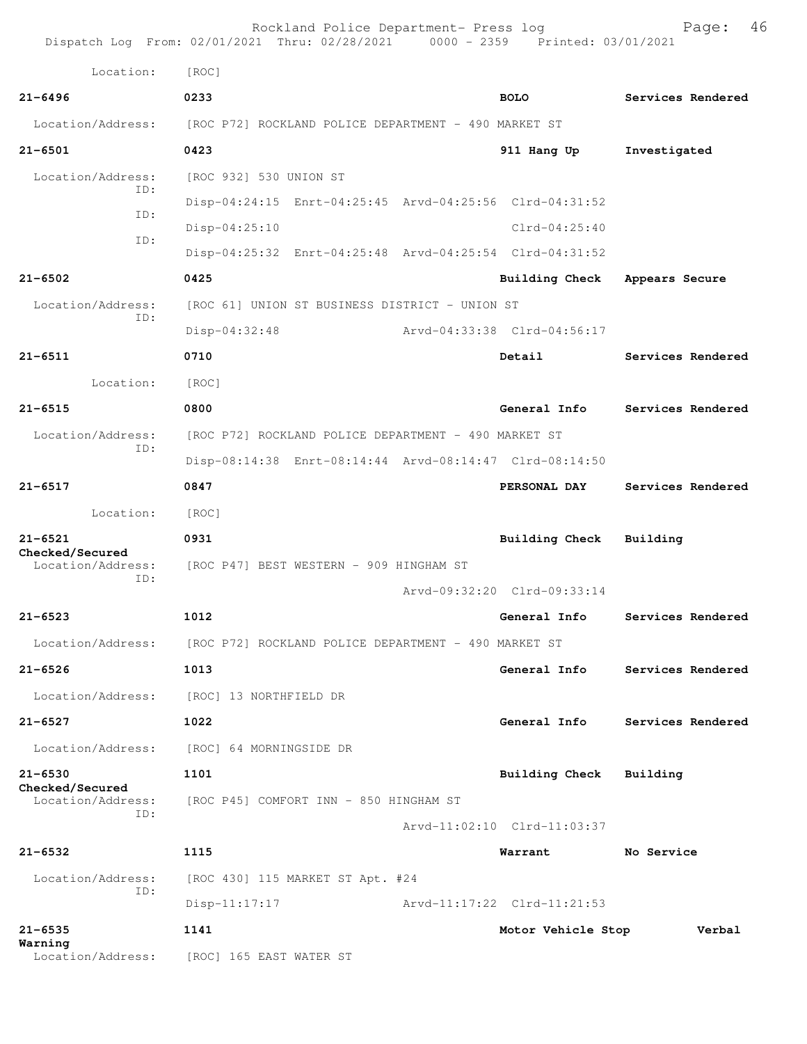|                                      | Dispatch Log From: 02/01/2021 Thru: 02/28/2021 0000 - 2359 Printed: 03/01/2021 | Rockland Police Department- Press log  |                             | 46<br>Page:       |  |  |
|--------------------------------------|--------------------------------------------------------------------------------|----------------------------------------|-----------------------------|-------------------|--|--|
| Location:                            | [ROC]                                                                          |                                        |                             |                   |  |  |
| $21 - 6496$                          | 0233                                                                           |                                        | <b>BOLO</b>                 | Services Rendered |  |  |
| Location/Address:                    | [ROC P72] ROCKLAND POLICE DEPARTMENT - 490 MARKET ST                           |                                        |                             |                   |  |  |
| $21 - 6501$                          | 0423                                                                           |                                        | 911 Hang Up                 | Investigated      |  |  |
| Location/Address:                    | [ROC 932] 530 UNION ST                                                         |                                        |                             |                   |  |  |
| ID:                                  | Disp-04:24:15 Enrt-04:25:45 Arvd-04:25:56 Clrd-04:31:52                        |                                        |                             |                   |  |  |
| ID:                                  | $Disp-04:25:10$                                                                |                                        | $Clrd-04:25:40$             |                   |  |  |
| ID:                                  | Disp-04:25:32 Enrt-04:25:48 Arvd-04:25:54 Clrd-04:31:52                        |                                        |                             |                   |  |  |
| $21 - 6502$                          | 0425                                                                           |                                        | <b>Building Check</b>       | Appears Secure    |  |  |
| Location/Address:                    | [ROC 61] UNION ST BUSINESS DISTRICT - UNION ST                                 |                                        |                             |                   |  |  |
| ID:                                  | $Disp-04:32:48$                                                                |                                        | Arvd-04:33:38 Clrd-04:56:17 |                   |  |  |
| $21 - 6511$                          | 0710                                                                           |                                        | Detail                      | Services Rendered |  |  |
| Location:                            | [ROC]                                                                          |                                        |                             |                   |  |  |
| $21 - 6515$                          | 0800                                                                           |                                        | General Info                | Services Rendered |  |  |
| Location/Address:                    | [ROC P72] ROCKLAND POLICE DEPARTMENT - 490 MARKET ST                           |                                        |                             |                   |  |  |
| ID:                                  | Disp-08:14:38 Enrt-08:14:44 Arvd-08:14:47 Clrd-08:14:50                        |                                        |                             |                   |  |  |
| $21 - 6517$                          | 0847                                                                           |                                        | PERSONAL DAY                | Services Rendered |  |  |
| Location:                            | [ROC]                                                                          |                                        |                             |                   |  |  |
| $21 - 6521$                          | 0931                                                                           |                                        | <b>Building Check</b>       | Building          |  |  |
| Checked/Secured<br>Location/Address: | [ROC P47] BEST WESTERN - 909 HINGHAM ST                                        |                                        |                             |                   |  |  |
| ID:                                  |                                                                                |                                        | Arvd-09:32:20 Clrd-09:33:14 |                   |  |  |
| $21 - 6523$                          | 1012                                                                           |                                        | General Info                | Services Rendered |  |  |
| Location/Address:                    | [ROC P72] ROCKLAND POLICE DEPARTMENT - 490 MARKET ST                           |                                        |                             |                   |  |  |
| $21 - 6526$                          | 1013                                                                           |                                        | General Info                | Services Rendered |  |  |
| Location/Address:                    | [ROC] 13 NORTHFIELD DR                                                         |                                        |                             |                   |  |  |
| $21 - 6527$                          | 1022                                                                           |                                        | General Info                | Services Rendered |  |  |
| Location/Address:                    | [ROC] 64 MORNINGSIDE DR                                                        |                                        |                             |                   |  |  |
| $21 - 6530$                          | 1101                                                                           |                                        | Building Check              | Building          |  |  |
| Checked/Secured<br>Location/Address: |                                                                                | [ROC P45] COMFORT INN - 850 HINGHAM ST |                             |                   |  |  |
| ID:                                  |                                                                                |                                        | Arvd-11:02:10 Clrd-11:03:37 |                   |  |  |
| $21 - 6532$                          | 1115                                                                           |                                        | Warrant                     | No Service        |  |  |
| Location/Address:                    | [ROC 430] 115 MARKET ST Apt. #24                                               |                                        |                             |                   |  |  |
| ID:                                  | $Disp-11:17:17$                                                                |                                        | Arvd-11:17:22 Clrd-11:21:53 |                   |  |  |
| $21 - 6535$                          | 1141                                                                           |                                        | Motor Vehicle Stop          | Verbal            |  |  |
| Warning<br>Location/Address:         | [ROC] 165 EAST WATER ST                                                        |                                        |                             |                   |  |  |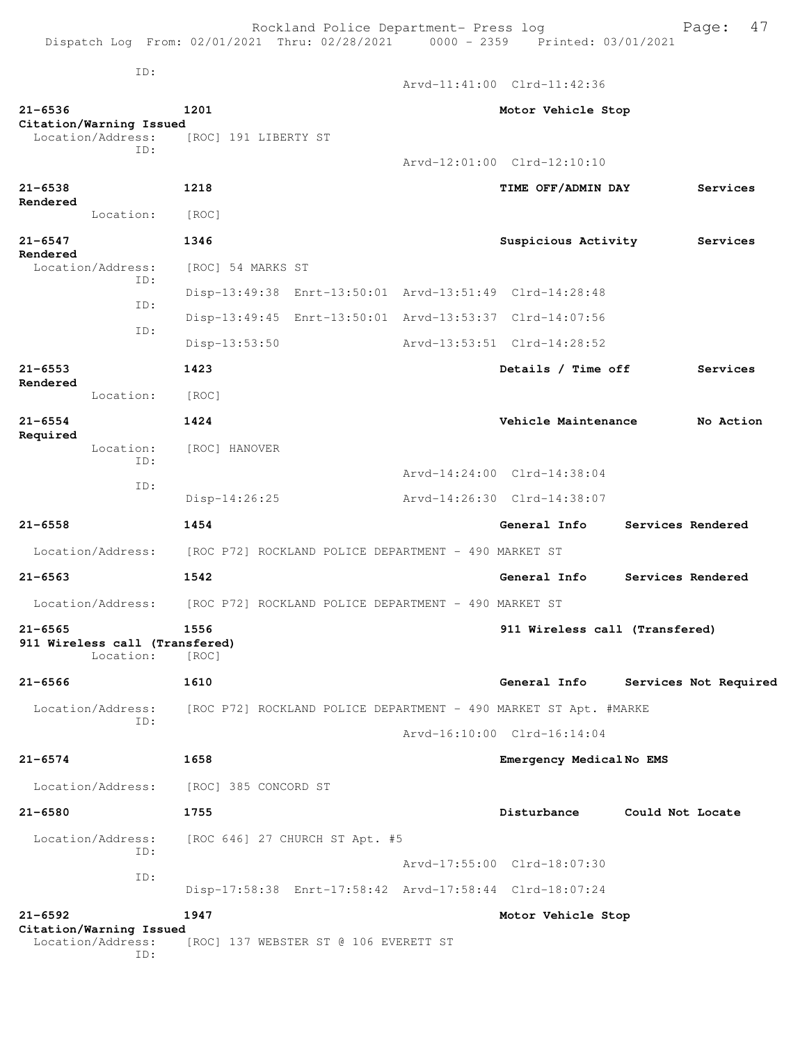Rockland Police Department- Press log entitled and Page: 47 Dispatch Log From: 02/01/2021 Thru: 02/28/2021 0000 - 2359 Printed: 03/01/2021

ID:

Arvd-11:41:00 Clrd-11:42:36

| $21 - 6536$             | Citation/Warning Issued                             | 1201                                                             | Motor Vehicle Stop             |                  |                       |
|-------------------------|-----------------------------------------------------|------------------------------------------------------------------|--------------------------------|------------------|-----------------------|
|                         | Location/Address:<br>TD:                            | [ROC] 191 LIBERTY ST                                             |                                |                  |                       |
|                         |                                                     |                                                                  | Arvd-12:01:00 Clrd-12:10:10    |                  |                       |
| $21 - 6538$<br>Rendered |                                                     | 1218                                                             | TIME OFF/ADMIN DAY             |                  | Services              |
|                         | Location:                                           | [ROC]                                                            |                                |                  |                       |
| $21 - 6547$             |                                                     | 1346                                                             | Suspicious Activity            |                  | Services              |
| Rendered                | Location/Address:<br>ID:                            | [ROC] 54 MARKS ST                                                |                                |                  |                       |
|                         | ID:                                                 | Disp-13:49:38 Enrt-13:50:01 Arvd-13:51:49 Clrd-14:28:48          |                                |                  |                       |
|                         | ID:                                                 | Disp-13:49:45 Enrt-13:50:01 Arvd-13:53:37 Clrd-14:07:56          |                                |                  |                       |
|                         |                                                     | Disp-13:53:50                                                    | Arvd-13:53:51 Clrd-14:28:52    |                  |                       |
| $21 - 6553$<br>Rendered |                                                     | 1423                                                             | Details / Time off             |                  | Services              |
|                         | Location:                                           | [ROC]                                                            |                                |                  |                       |
| $21 - 6554$             |                                                     | 1424                                                             | Vehicle Maintenance            |                  | No Action             |
| Required                | Location:<br>ID:                                    | [ROC] HANOVER                                                    |                                |                  |                       |
|                         | ID:                                                 |                                                                  | Arvd-14:24:00 Clrd-14:38:04    |                  |                       |
|                         |                                                     | Disp-14:26:25                                                    | Arvd-14:26:30 Clrd-14:38:07    |                  |                       |
| $21 - 6558$             |                                                     | 1454                                                             | General Info                   |                  | Services Rendered     |
|                         | Location/Address:                                   | [ROC P72] ROCKLAND POLICE DEPARTMENT - 490 MARKET ST             |                                |                  |                       |
| $21 - 6563$             |                                                     | 1542                                                             | General Info                   |                  | Services Rendered     |
|                         | Location/Address:                                   | [ROC P72] ROCKLAND POLICE DEPARTMENT - 490 MARKET ST             |                                |                  |                       |
| $21 - 6565$             | 911 Wireless call (Transfered)<br>Location:         | 1556<br>[ROC]                                                    | 911 Wireless call (Transfered) |                  |                       |
| $21 - 6566$             |                                                     | 1610                                                             | General Info                   |                  | Services Not Required |
|                         | Location/Address:                                   | [ROC P72] ROCKLAND POLICE DEPARTMENT - 490 MARKET ST Apt. #MARKE |                                |                  |                       |
|                         | ID:                                                 |                                                                  | Arvd-16:10:00 Clrd-16:14:04    |                  |                       |
| $21 - 6574$             |                                                     | 1658                                                             | Emergency MedicalNo EMS        |                  |                       |
|                         | Location/Address:                                   | [ROC] 385 CONCORD ST                                             |                                |                  |                       |
| $21 - 6580$             |                                                     | 1755                                                             | Disturbance                    | Could Not Locate |                       |
|                         | Location/Address:<br>ID:                            | [ROC 646] 27 CHURCH ST Apt. #5                                   |                                |                  |                       |
|                         | ID:                                                 |                                                                  | Arvd-17:55:00 Clrd-18:07:30    |                  |                       |
|                         |                                                     | Disp-17:58:38 Enrt-17:58:42 Arvd-17:58:44 Clrd-18:07:24          |                                |                  |                       |
| $21 - 6592$             |                                                     | 1947                                                             | Motor Vehicle Stop             |                  |                       |
|                         | Citation/Warning Issued<br>Location/Address:<br>ID: | [ROC] 137 WEBSTER ST @ 106 EVERETT ST                            |                                |                  |                       |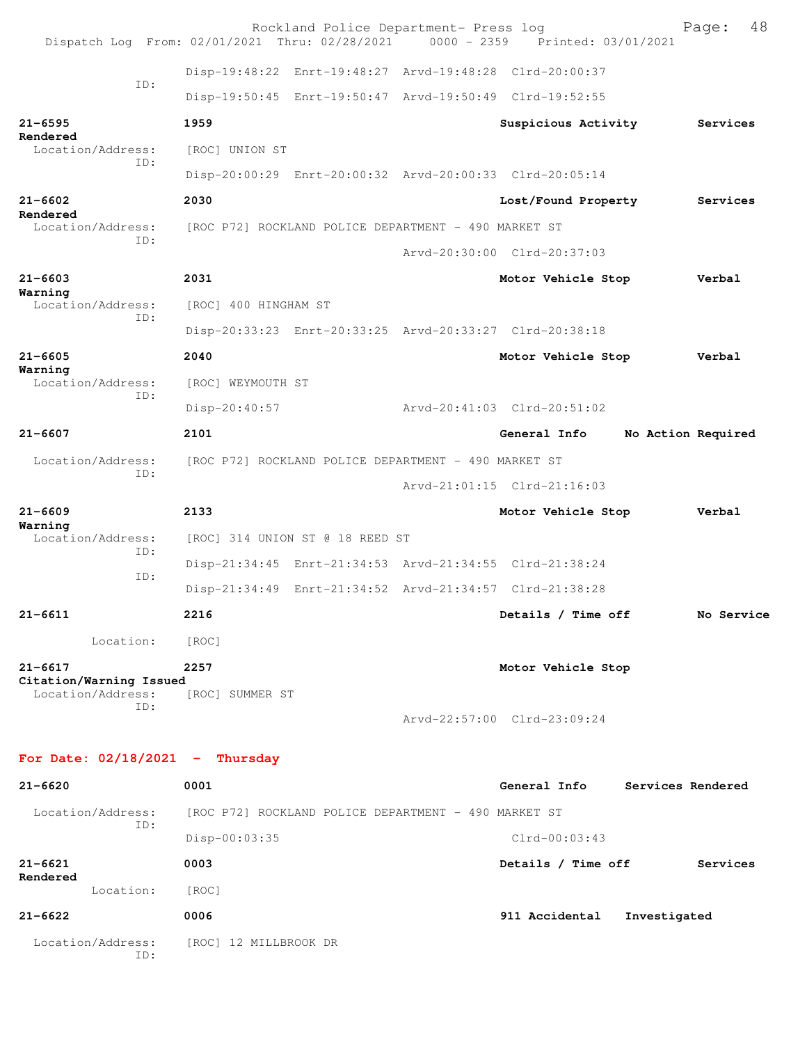| Dispatch Log From: 02/01/2021 Thru: 02/28/2021 0000 - 2359 Printed: 03/01/2021 |                                                      | Rockland Police Department- Press log |                                                         |                    | Page:      | 48 |
|--------------------------------------------------------------------------------|------------------------------------------------------|---------------------------------------|---------------------------------------------------------|--------------------|------------|----|
|                                                                                |                                                      |                                       | Disp-19:48:22 Enrt-19:48:27 Arvd-19:48:28 Clrd-20:00:37 |                    |            |    |
| ID:                                                                            |                                                      |                                       | Disp-19:50:45 Enrt-19:50:47 Arvd-19:50:49 Clrd-19:52:55 |                    |            |    |
| $21 - 6595$<br>Rendered                                                        | 1959                                                 |                                       | Suspicious Activity                                     |                    | Services   |    |
| Location/Address:<br>ID:                                                       | [ROC] UNION ST                                       |                                       |                                                         |                    |            |    |
|                                                                                |                                                      |                                       | Disp-20:00:29 Enrt-20:00:32 Arvd-20:00:33 Clrd-20:05:14 |                    |            |    |
| $21 - 6602$                                                                    | 2030                                                 |                                       | Lost/Found Property                                     |                    | Services   |    |
| Rendered<br>Location/Address:                                                  | [ROC P72] ROCKLAND POLICE DEPARTMENT - 490 MARKET ST |                                       |                                                         |                    |            |    |
| TD:                                                                            |                                                      |                                       | Arvd-20:30:00 Clrd-20:37:03                             |                    |            |    |
| $21 - 6603$                                                                    | 2031                                                 |                                       | Motor Vehicle Stop                                      |                    | Verbal     |    |
| Warning<br>Location/Address:                                                   | [ROC] 400 HINGHAM ST                                 |                                       |                                                         |                    |            |    |
| ID:                                                                            |                                                      |                                       | Disp-20:33:23 Enrt-20:33:25 Arvd-20:33:27 Clrd-20:38:18 |                    |            |    |
| $21 - 6605$                                                                    | 2040                                                 |                                       | Motor Vehicle Stop                                      |                    | Verbal     |    |
| Warning<br>Location/Address:                                                   | [ROC] WEYMOUTH ST                                    |                                       |                                                         |                    |            |    |
| ID:                                                                            | Disp-20:40:57                                        |                                       | Arvd-20:41:03 Clrd-20:51:02                             |                    |            |    |
| $21 - 6607$                                                                    | 2101                                                 |                                       | General Info                                            | No Action Required |            |    |
| Location/Address:                                                              | [ROC P72] ROCKLAND POLICE DEPARTMENT - 490 MARKET ST |                                       |                                                         |                    |            |    |
| ID:                                                                            |                                                      |                                       | Arvd-21:01:15 Clrd-21:16:03                             |                    |            |    |
| $21 - 6609$                                                                    | 2133                                                 |                                       | Motor Vehicle Stop                                      |                    | Verbal     |    |
| Warning<br>Location/Address:                                                   | [ROC] 314 UNION ST @ 18 REED ST                      |                                       |                                                         |                    |            |    |
| ID:                                                                            |                                                      |                                       | Disp-21:34:45 Enrt-21:34:53 Arvd-21:34:55 Clrd-21:38:24 |                    |            |    |
| ID:                                                                            |                                                      |                                       | Disp-21:34:49 Enrt-21:34:52 Arvd-21:34:57 Clrd-21:38:28 |                    |            |    |
| $21 - 6611$                                                                    | 2216                                                 |                                       | Details / Time off                                      |                    | No Service |    |
| Location:                                                                      | [ROC]                                                |                                       |                                                         |                    |            |    |
| $21 - 6617$                                                                    | 2257                                                 |                                       | Motor Vehicle Stop                                      |                    |            |    |
| Citation/Warning Issued<br>Location/Address:                                   | [ROC] SUMMER ST                                      |                                       |                                                         |                    |            |    |
| TD:                                                                            |                                                      |                                       | Arvd-22:57:00 Clrd-23:09:24                             |                    |            |    |
| For Date: $02/18/2021$ - Thursday                                              |                                                      |                                       |                                                         |                    |            |    |
| $21 - 6620$                                                                    | 0001                                                 |                                       | General Info                                            | Services Rendered  |            |    |
| Location/Address:                                                              | [ROC P72] ROCKLAND POLICE DEPARTMENT - 490 MARKET ST |                                       |                                                         |                    |            |    |
| ID:                                                                            | Disp-00:03:35                                        |                                       | $Clrd-00:03:43$                                         |                    |            |    |
| $21 - 6621$                                                                    | 0003                                                 |                                       | Details / Time off                                      |                    | Services   |    |
| Rendered<br>Location:                                                          | [ROC]                                                |                                       |                                                         |                    |            |    |
| $21 - 6622$                                                                    | 0006                                                 |                                       | 911 Accidental                                          | Investigated       |            |    |
| Location/Address:<br>ID:                                                       | [ROC] 12 MILLBROOK DR                                |                                       |                                                         |                    |            |    |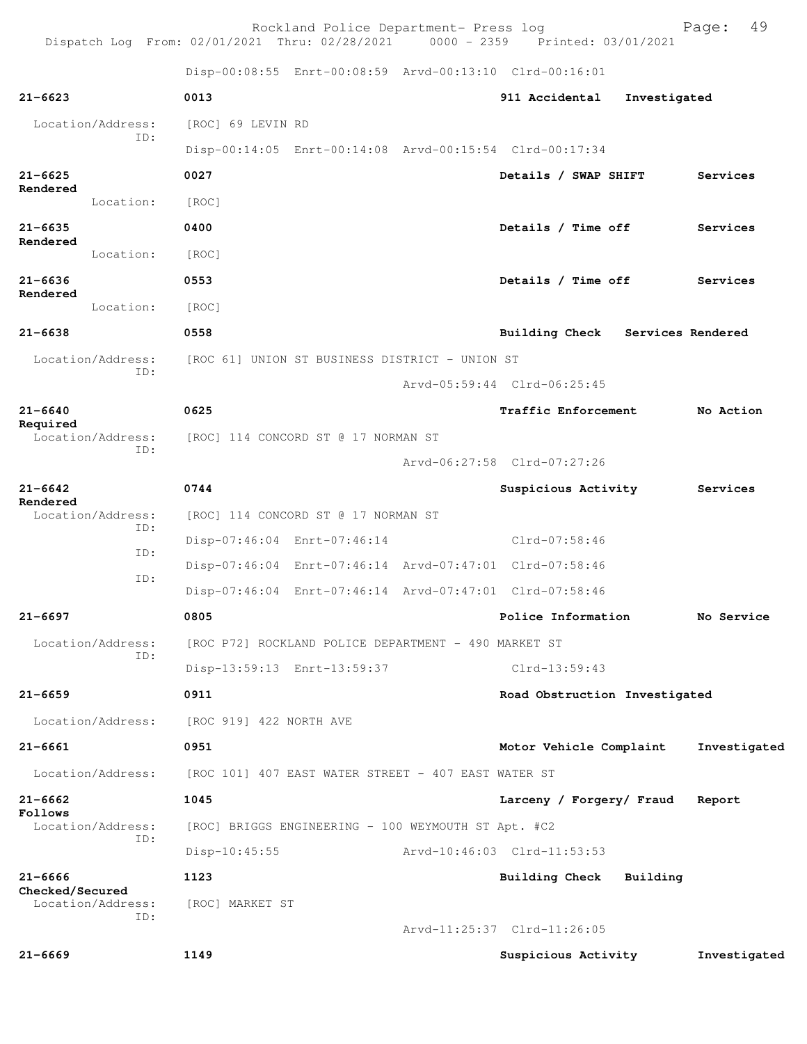Rockland Police Department- Press log entitled and Page: 49 Dispatch Log From: 02/01/2021 Thru: 02/28/2021 0000 - 2359 Printed: 03/01/2021

Disp-00:08:55 Enrt-00:08:59 Arvd-00:13:10 Clrd-00:16:01

| $21 - 6669$                    |                          | 1149                    |                                                         | Suspicious Activity                                     |              | Investigated |
|--------------------------------|--------------------------|-------------------------|---------------------------------------------------------|---------------------------------------------------------|--------------|--------------|
|                                | Location/Address:<br>ID: | [ROC] MARKET ST         |                                                         | Arvd-11:25:37 Clrd-11:26:05                             |              |              |
| $21 - 6666$<br>Checked/Secured |                          | 1123                    |                                                         | <b>Building Check</b>                                   | Building     |              |
|                                |                          | $Disp-10:45:55$         |                                                         | Arvd-10:46:03 Clrd-11:53:53                             |              |              |
|                                | Location/Address:<br>ID: |                         | [ROC] BRIGGS ENGINEERING - 100 WEYMOUTH ST Apt. #C2     |                                                         |              |              |
| $21 - 6662$<br>Follows         |                          | 1045                    |                                                         | Larceny / Forgery/ Fraud                                |              | Report       |
|                                | Location/Address:        |                         | [ROC 101] 407 EAST WATER STREET - 407 EAST WATER ST     |                                                         |              |              |
| $21 - 6661$                    |                          | 0951                    |                                                         | Motor Vehicle Complaint                                 |              | Investigated |
|                                | Location/Address:        | [ROC 919] 422 NORTH AVE |                                                         |                                                         |              |              |
| $21 - 6659$                    |                          | 0911                    |                                                         | Road Obstruction Investigated                           |              |              |
|                                |                          |                         | Disp-13:59:13 Enrt-13:59:37                             | $Clrd-13:59:43$                                         |              |              |
|                                | Location/Address:<br>ID: |                         | [ROC P72] ROCKLAND POLICE DEPARTMENT - 490 MARKET ST    |                                                         |              |              |
| $21 - 6697$                    |                          | 0805                    |                                                         | Police Information                                      |              | No Service   |
|                                |                          |                         | Disp-07:46:04 Enrt-07:46:14 Arvd-07:47:01 Clrd-07:58:46 |                                                         |              |              |
|                                | ID:                      |                         | Disp-07:46:04 Enrt-07:46:14 Arvd-07:47:01 Clrd-07:58:46 |                                                         |              |              |
|                                | ID:                      |                         | Disp-07:46:04 Enrt-07:46:14                             | Clrd-07:58:46                                           |              |              |
|                                | Location/Address:<br>ID: |                         | [ROC] 114 CONCORD ST @ 17 NORMAN ST                     |                                                         |              |              |
| $21 - 6642$<br>Rendered        |                          | 0744                    |                                                         | Suspicious Activity                                     |              | Services     |
|                                |                          |                         |                                                         | Arvd-06:27:58 Clrd-07:27:26                             |              |              |
|                                | Location/Address:<br>ID: |                         | [ROC] 114 CONCORD ST @ 17 NORMAN ST                     |                                                         |              |              |
| Required                       |                          |                         |                                                         | Traffic Enforcement                                     |              | No Action    |
| $21 - 6640$                    |                          | 0625                    |                                                         |                                                         |              |              |
|                                | Location/Address:<br>ID: |                         | [ROC 61] UNION ST BUSINESS DISTRICT - UNION ST          | Arvd-05:59:44 Clrd-06:25:45                             |              |              |
|                                |                          |                         |                                                         | Building Check Services Rendered                        |              |              |
| $21 - 6638$                    | Location:                | [ROC]<br>0558           |                                                         |                                                         |              |              |
| $21 - 6636$<br>Rendered        |                          | 0553                    |                                                         | Details / Time off                                      |              | Services     |
|                                | Location:                | [ROC]                   |                                                         |                                                         |              |              |
| $21 - 6635$<br>Rendered        |                          | 0400                    |                                                         | Details / Time off                                      |              | Services     |
|                                | Location:                | [ROC]                   |                                                         |                                                         |              |              |
| $21 - 6625$<br>Rendered        |                          | 0027                    |                                                         | Details / SWAP SHIFT                                    |              | Services     |
|                                |                          |                         |                                                         | Disp-00:14:05 Enrt-00:14:08 Arvd-00:15:54 Clrd-00:17:34 |              |              |
|                                | Location/Address:<br>ID: | [ROC] 69 LEVIN RD       |                                                         |                                                         |              |              |
| $21 - 6623$                    |                          | 0013                    |                                                         | 911 Accidental                                          | Investigated |              |
|                                |                          |                         |                                                         |                                                         |              |              |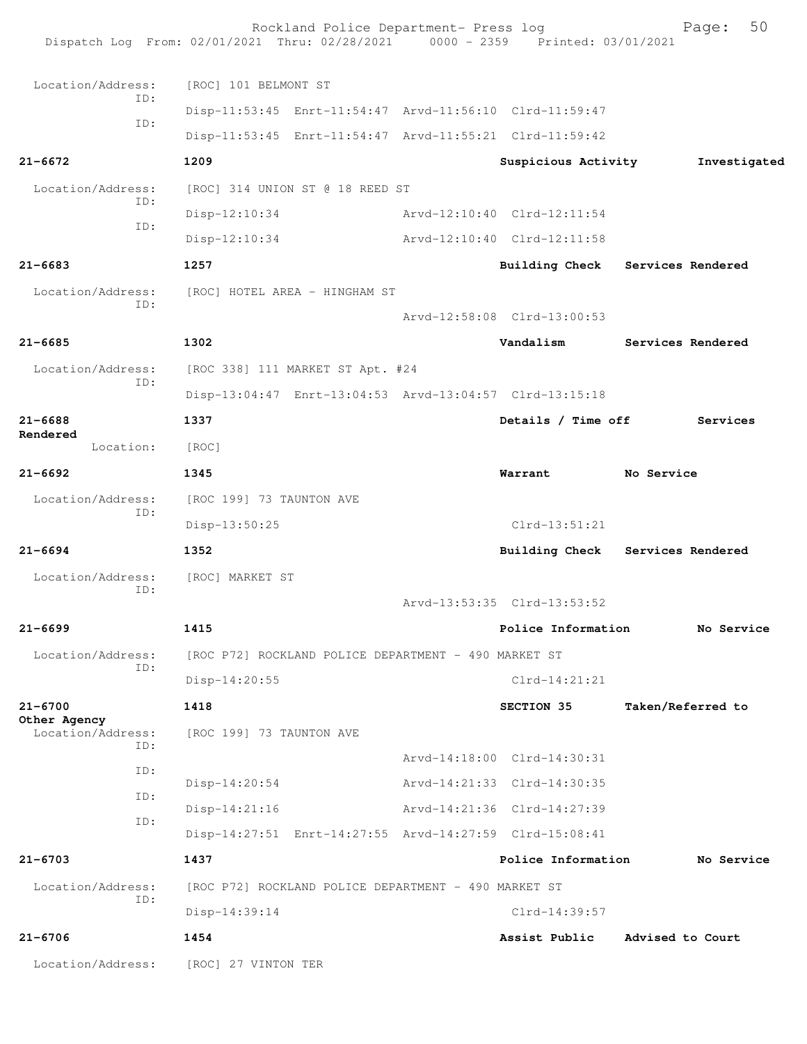|                                   | Rockland Police Department- Press log<br>Dispatch Log From: 02/01/2021 Thru: 02/28/2021 0000 - 2359 Printed: 03/01/2021 |                             | 50<br>Page:       |
|-----------------------------------|-------------------------------------------------------------------------------------------------------------------------|-----------------------------|-------------------|
| Location/Address:                 | [ROC] 101 BELMONT ST                                                                                                    |                             |                   |
| ID:                               | Disp-11:53:45 Enrt-11:54:47 Arvd-11:56:10 Clrd-11:59:47                                                                 |                             |                   |
| ID:                               | Disp-11:53:45 Enrt-11:54:47 Arvd-11:55:21 Clrd-11:59:42                                                                 |                             |                   |
| $21 - 6672$                       | 1209                                                                                                                    | Suspicious Activity         | Investigated      |
| Location/Address:                 | [ROC] 314 UNION ST @ 18 REED ST                                                                                         |                             |                   |
| ID:                               | $Disp-12:10:34$                                                                                                         | Arvd-12:10:40 Clrd-12:11:54 |                   |
| ID:                               | $Disp-12:10:34$                                                                                                         | Arvd-12:10:40 Clrd-12:11:58 |                   |
| $21 - 6683$                       | 1257                                                                                                                    | Building Check              | Services Rendered |
| Location/Address:                 | [ROC] HOTEL AREA - HINGHAM ST                                                                                           |                             |                   |
| ID:                               |                                                                                                                         | Arvd-12:58:08 Clrd-13:00:53 |                   |
| $21 - 6685$                       | 1302                                                                                                                    | Vandalism                   | Services Rendered |
| Location/Address:                 | [ROC 338] 111 MARKET ST Apt. #24                                                                                        |                             |                   |
| ID:                               | Disp-13:04:47 Enrt-13:04:53 Arvd-13:04:57 Clrd-13:15:18                                                                 |                             |                   |
| $21 - 6688$                       | 1337                                                                                                                    | Details / Time off          | Services          |
| Rendered<br>Location:             | [ROC]                                                                                                                   |                             |                   |
| $21 - 6692$                       | 1345                                                                                                                    | Warrant                     | No Service        |
| Location/Address:                 | [ROC 199] 73 TAUNTON AVE                                                                                                |                             |                   |
| ID:                               | Disp-13:50:25                                                                                                           | $Clrd-13:51:21$             |                   |
| $21 - 6694$                       | 1352                                                                                                                    | <b>Building Check</b>       | Services Rendered |
| Location/Address:                 | [ROC] MARKET ST                                                                                                         |                             |                   |
| ID:                               |                                                                                                                         | Arvd-13:53:35 Clrd-13:53:52 |                   |
| $21 - 6699$                       | 1415                                                                                                                    | Police Information          | No Service        |
| Location/Address:                 | [ROC P72] ROCKLAND POLICE DEPARTMENT - 490 MARKET ST                                                                    |                             |                   |
| ID:                               | $Disp-14:20:55$                                                                                                         | $Clrd-14:21:21$             |                   |
| $21 - 6700$                       | 1418                                                                                                                    | SECTION 35                  | Taken/Referred to |
| Other Agency<br>Location/Address: | [ROC 199] 73 TAUNTON AVE                                                                                                |                             |                   |
| ID:                               |                                                                                                                         | Arvd-14:18:00 Clrd-14:30:31 |                   |
| ID:<br>ID:                        | Disp-14:20:54                                                                                                           | Arvd-14:21:33 Clrd-14:30:35 |                   |
| ID:                               | $Disp-14:21:16$                                                                                                         | Arvd-14:21:36 Clrd-14:27:39 |                   |
|                                   | Disp-14:27:51 Enrt-14:27:55 Arvd-14:27:59 Clrd-15:08:41                                                                 |                             |                   |
| $21 - 6703$                       | 1437                                                                                                                    | Police Information          | No Service        |
| Location/Address:<br>TD:          | [ROC P72] ROCKLAND POLICE DEPARTMENT - 490 MARKET ST                                                                    |                             |                   |
|                                   | Disp-14:39:14                                                                                                           | Clrd-14:39:57               |                   |
| $21 - 6706$                       | 1454                                                                                                                    | Assist Public               | Advised to Court  |
| Location/Address:                 | [ROC] 27 VINTON TER                                                                                                     |                             |                   |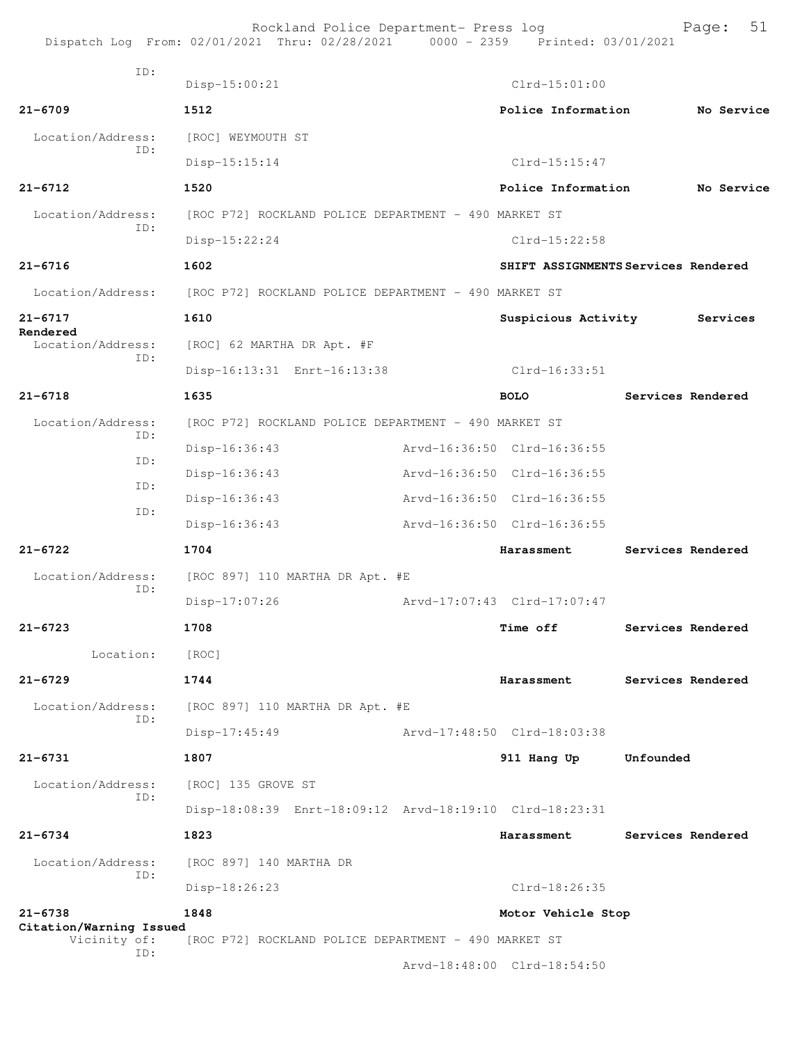|                                         | Rockland Police Department- Press log<br>Dispatch Log From: 02/01/2021 Thru: 02/28/2021 0000 - 2359 Printed: 03/01/2021 |                                     |           | 51<br>Page:       |
|-----------------------------------------|-------------------------------------------------------------------------------------------------------------------------|-------------------------------------|-----------|-------------------|
| TD:                                     | $Disp-15:00:21$                                                                                                         | $Clrd-15:01:00$                     |           |                   |
| $21 - 6709$                             | 1512                                                                                                                    | Police Information                  |           | No Service        |
| Location/Address:                       | [ROC] WEYMOUTH ST                                                                                                       |                                     |           |                   |
| ID:                                     | Disp-15:15:14                                                                                                           | $Clrd-15:15:47$                     |           |                   |
| $21 - 6712$                             | 1520                                                                                                                    | Police Information                  |           | No Service        |
| Location/Address:                       | [ROC P72] ROCKLAND POLICE DEPARTMENT - 490 MARKET ST                                                                    |                                     |           |                   |
| ID:                                     | Disp-15:22:24                                                                                                           | Clrd-15:22:58                       |           |                   |
| $21 - 6716$                             | 1602                                                                                                                    | SHIFT ASSIGNMENTS Services Rendered |           |                   |
| Location/Address:                       | [ROC P72] ROCKLAND POLICE DEPARTMENT - 490 MARKET ST                                                                    |                                     |           |                   |
| $21 - 6717$                             | 1610                                                                                                                    | Suspicious Activity                 |           | Services          |
| Rendered<br>Location/Address:           | [ROC] 62 MARTHA DR Apt. #F                                                                                              |                                     |           |                   |
| ID:                                     | Disp-16:13:31 Enrt-16:13:38                                                                                             | Clrd-16:33:51                       |           |                   |
| $21 - 6718$                             | 1635                                                                                                                    | <b>BOLO</b>                         |           | Services Rendered |
| Location/Address:                       | [ROC P72] ROCKLAND POLICE DEPARTMENT - 490 MARKET ST                                                                    |                                     |           |                   |
| ID:                                     | Disp-16:36:43                                                                                                           | Arvd-16:36:50 Clrd-16:36:55         |           |                   |
| ID:                                     | $Disp-16:36:43$                                                                                                         | Arvd-16:36:50 Clrd-16:36:55         |           |                   |
| ID:                                     | Disp-16:36:43                                                                                                           | Arvd-16:36:50 Clrd-16:36:55         |           |                   |
| ID:                                     | $Disp-16:36:43$                                                                                                         | Arvd-16:36:50 Clrd-16:36:55         |           |                   |
| $21 - 6722$                             | 1704                                                                                                                    | Harassment                          |           | Services Rendered |
| Location/Address:                       | [ROC 897] 110 MARTHA DR Apt. #E                                                                                         |                                     |           |                   |
| ID:                                     | $Disp-17:07:26$                                                                                                         | Arvd-17:07:43 Clrd-17:07:47         |           |                   |
| $21 - 6723$                             | 1708                                                                                                                    | <b>Time off</b>                     |           | Services Rendered |
| Location:                               | [ROC]                                                                                                                   |                                     |           |                   |
| $21 - 6729$                             | 1744                                                                                                                    | Harassment                          |           | Services Rendered |
| Location/Address:                       | [ROC 897] 110 MARTHA DR Apt. #E                                                                                         |                                     |           |                   |
| ID:                                     | $Disp-17:45:49$                                                                                                         | Arvd-17:48:50 Clrd-18:03:38         |           |                   |
| $21 - 6731$                             | 1807                                                                                                                    | 911 Hang Up                         | Unfounded |                   |
| Location/Address:<br>ID:                | [ROC] 135 GROVE ST                                                                                                      |                                     |           |                   |
|                                         | Disp-18:08:39 Enrt-18:09:12 Arvd-18:19:10 Clrd-18:23:31                                                                 |                                     |           |                   |
| $21 - 6734$                             | 1823                                                                                                                    | Harassment                          |           | Services Rendered |
| Location/Address:<br>TD:                | [ROC 897] 140 MARTHA DR                                                                                                 |                                     |           |                   |
|                                         | Disp-18:26:23                                                                                                           | $Clrd-18:26:35$                     |           |                   |
| $21 - 6738$                             | 1848                                                                                                                    | Motor Vehicle Stop                  |           |                   |
| Citation/Warning Issued<br>Vicinity of: | [ROC P72] ROCKLAND POLICE DEPARTMENT - 490 MARKET ST                                                                    |                                     |           |                   |
| ID:                                     |                                                                                                                         | Arvd-18:48:00 Clrd-18:54:50         |           |                   |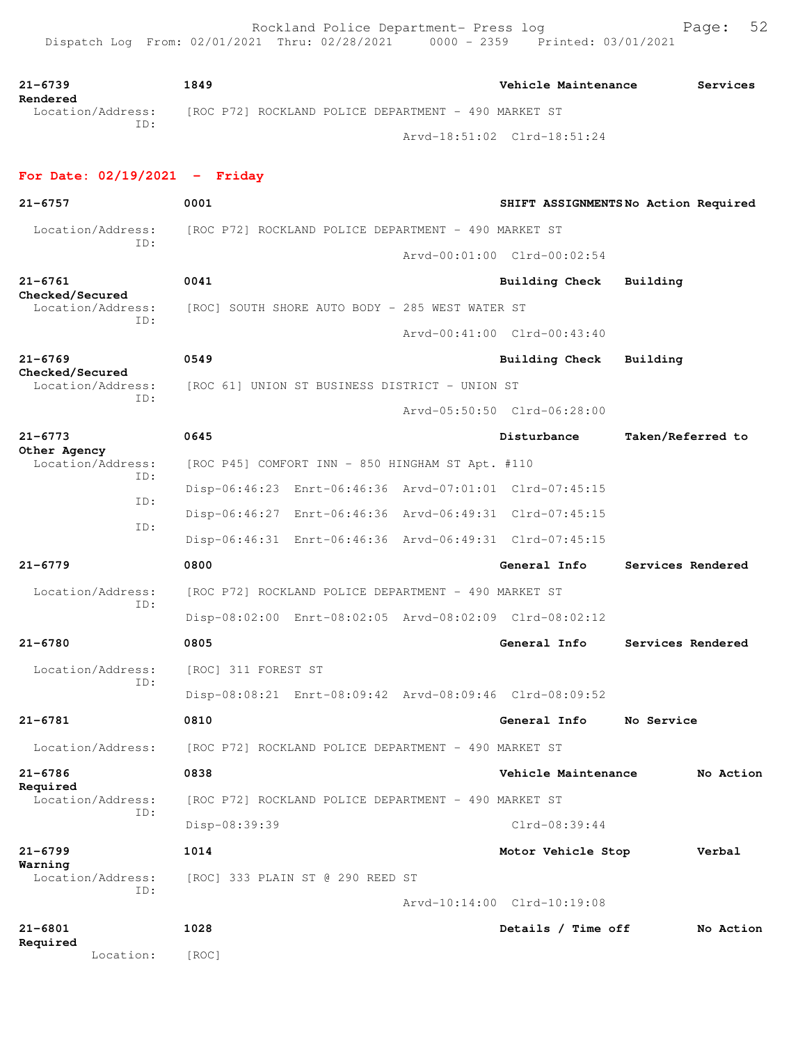**21-6739 1849 Vehicle Maintenance Services Rendered**<br>Location/Address: [ROC P72] ROCKLAND POLICE DEPARTMENT - 490 MARKET ST ID: Arvd-18:51:02 Clrd-18:51:24 **For Date: 02/19/2021 - Friday 21-6757 0001 SHIFT ASSIGNMENTS No Action Required** Location/Address: [ROC P72] ROCKLAND POLICE DEPARTMENT - 490 MARKET ST ID: Arvd-00:01:00 Clrd-00:02:54 **21-6761 0041 Building Check Building Checked/Secured**  Location/Address: [ROC] SOUTH SHORE AUTO BODY - 285 WEST WATER ST ID: Arvd-00:41:00 Clrd-00:43:40 **21-6769 0549 Building Check Building Checked/Secured**  Location/Address: [ROC 61] UNION ST BUSINESS DISTRICT - UNION ST ID: Arvd-05:50:50 Clrd-06:28:00 **21-6773 0645 Disturbance Taken/Referred to Other Agency**<br>Location/Address: [ROC P45] COMFORT INN - 850 HINGHAM ST Apt. #110 ID: Disp-06:46:23 Enrt-06:46:36 Arvd-07:01:01 Clrd-07:45:15 ID: Disp-06:46:27 Enrt-06:46:36 Arvd-06:49:31 Clrd-07:45:15 ID: Disp-06:46:31 Enrt-06:46:36 Arvd-06:49:31 Clrd-07:45:15 **21-6779 0800 General Info Services Rendered** Location/Address: [ROC P72] ROCKLAND POLICE DEPARTMENT - 490 MARKET ST ID: Disp-08:02:00 Enrt-08:02:05 Arvd-08:02:09 Clrd-08:02:12 **21-6780 0805 General Info Services Rendered** Location/Address: [ROC] 311 FOREST ST ID: Disp-08:08:21 Enrt-08:09:42 Arvd-08:09:46 Clrd-08:09:52 **21-6781 0810 General Info No Service** Location/Address: [ROC P72] ROCKLAND POLICE DEPARTMENT - 490 MARKET ST **21-6786 0838 Vehicle Maintenance No Action Required**  Location/Address: [ROC P72] ROCKLAND POLICE DEPARTMENT - 490 MARKET ST ID: Disp-08:39:39 Clrd-08:39:44 **21-6799 1014 Motor Vehicle Stop Verbal Warning**  Location/Address: [ROC] 333 PLAIN ST @ 290 REED ST ID: Arvd-10:14:00 Clrd-10:19:08 **21-6801 1028 Details / Time off No Action Required** 

Location: [ROC]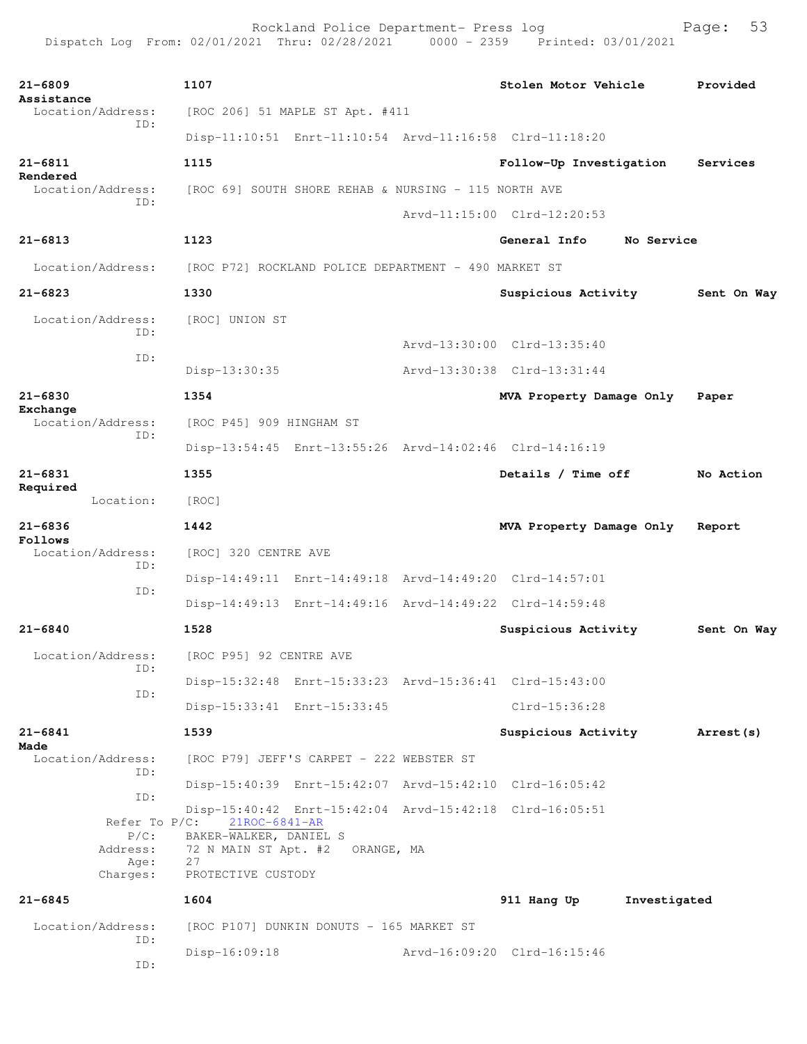Rockland Police Department- Press log Fage: 53 Dispatch Log From: 02/01/2021 Thru: 02/28/2021 0000 - 2359 Printed: 03/01/2021

**21-6809 1107 Stolen Motor Vehicle Provided Assistance**  Location/Address: [ROC 206] 51 MAPLE ST Apt. #411 ID: Disp-11:10:51 Enrt-11:10:54 Arvd-11:16:58 Clrd-11:18:20 **21-6811 1115 Follow-Up Investigation Services Rendered**<br>Location/Address: [ROC 69] SOUTH SHORE REHAB & NURSING - 115 NORTH AVE ID: Arvd-11:15:00 Clrd-12:20:53 **21-6813 1123 General Info No Service** Location/Address: [ROC P72] ROCKLAND POLICE DEPARTMENT - 490 MARKET ST **21-6823 1330 Suspicious Activity Sent On Way** Location/Address: [ROC] UNION ST ID: Arvd-13:30:00 Clrd-13:35:40 ID: Disp-13:30:35 Arvd-13:30:38 Clrd-13:31:44 **21-6830 1354 MVA Property Damage Only Paper Exchange**  Location/Address: [ROC P45] 909 HINGHAM ST ID: Disp-13:54:45 Enrt-13:55:26 Arvd-14:02:46 Clrd-14:16:19 **21-6831 1355 Details / Time off No Action Required**  Location: [ROC] **21-6836 1442 MVA Property Damage Only Report Follows**  Location/Address: [ROC] 320 CENTRE AVE ID: Disp-14:49:11 Enrt-14:49:18 Arvd-14:49:20 Clrd-14:57:01 ID: Disp-14:49:13 Enrt-14:49:16 Arvd-14:49:22 Clrd-14:59:48 **21-6840 1528 Suspicious Activity Sent On Way** Location/Address: [ROC P95] 92 CENTRE AVE ID: Disp-15:32:48 Enrt-15:33:23 Arvd-15:36:41 Clrd-15:43:00 ID: Disp-15:33:41 Enrt-15:33:45 Clrd-15:36:28 **21-6841 1539 Suspicious Activity Arrest(s) Made**  [ROC P79] JEFF'S CARPET - 222 WEBSTER ST ID: Disp-15:40:39 Enrt-15:42:07 Arvd-15:42:10 Clrd-16:05:42 ID: Disp-15:40:42 Enrt-15:42:04 Arvd-15:42:18 Clrd-16:05:51 Refer To P/C: 21ROC-6841-AR P/C: BAKER-WALKER, DANIEL S Address: 72 N MAIN ST Apt. #2 ORANGE, MA Age: Charges: PROTECTIVE CUSTODY **21-6845 1604 911 Hang Up Investigated** Location/Address: [ROC P107] DUNKIN DONUTS - 165 MARKET ST ID: Disp-16:09:18 Arvd-16:09:20 Clrd-16:15:46 ID: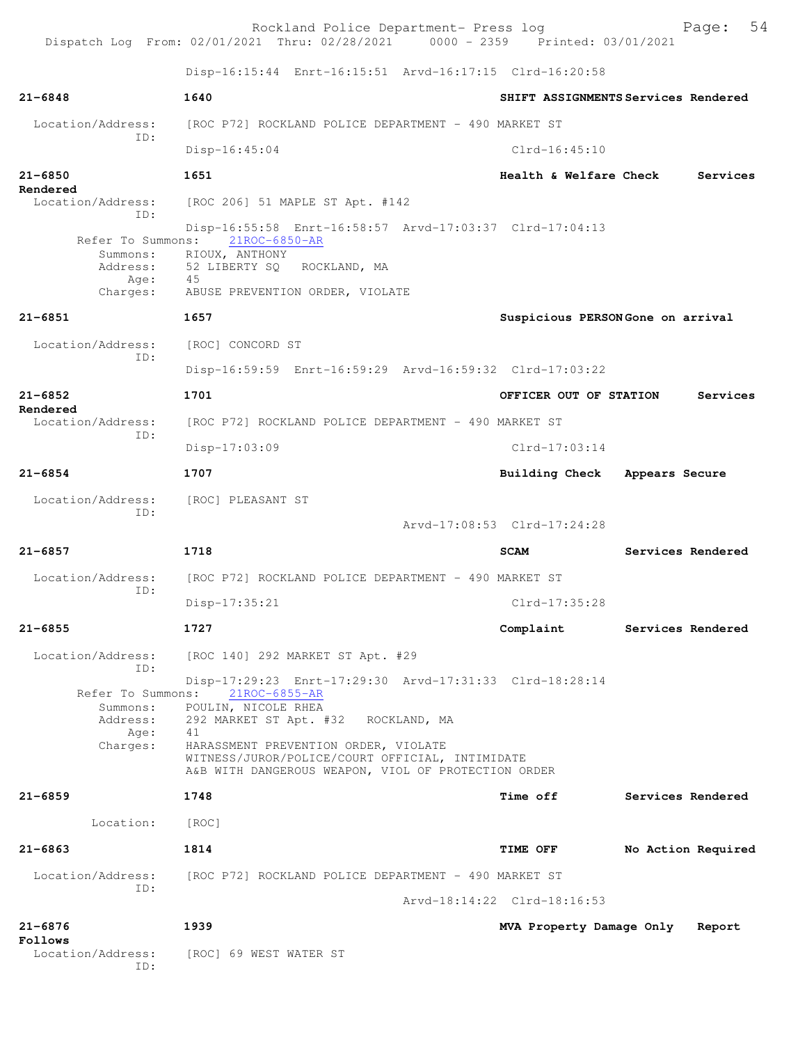Rockland Police Department- Press log Fage: 54 Dispatch Log From: 02/01/2021 Thru: 02/28/2021 0000 - 2359 Printed: 03/01/2021 Disp-16:15:44 Enrt-16:15:51 Arvd-16:17:15 Clrd-16:20:58 **21-6848 1640 SHIFT ASSIGNMENTS Services Rendered** Location/Address: [ROC P72] ROCKLAND POLICE DEPARTMENT - 490 MARKET ST ID: Disp-16:45:04 Clrd-16:45:10 **21-6850 1651 Health & Welfare Check Services Rendered**  Location/Address: [ROC 206] 51 MAPLE ST Apt. #142 ID: Disp-16:55:58 Enrt-16:58:57 Arvd-17:03:37 Clrd-17:04:13<br>ns: 21ROC-6850-AR Refer To Summons: Summons: RIOUX, ANTHONY<br>Address: 52 LIBERTY SQ 52 LIBERTY SQ ROCKLAND, MA Age: 45 Charges: ABUSE PREVENTION ORDER, VIOLATE **21-6851 1657 Suspicious PERSON Gone on arrival** Location/Address: [ROC] CONCORD ST ID: Disp-16:59:59 Enrt-16:59:29 Arvd-16:59:32 Clrd-17:03:22 **21-6852 1701 OFFICER OUT OF STATION Services Rendered**  Location/Address: [ROC P72] ROCKLAND POLICE DEPARTMENT - 490 MARKET ST ID: Disp-17:03:09 Clrd-17:03:14 **21-6854 1707 Building Check Appears Secure** Location/Address: [ROC] PLEASANT ST ID: Arvd-17:08:53 Clrd-17:24:28 **21-6857 1718 SCAM Services Rendered** Location/Address: [ROC P72] ROCKLAND POLICE DEPARTMENT - 490 MARKET ST ID: Disp-17:35:21 Clrd-17:35:28 **21-6855 1727 Complaint Services Rendered** Location/Address: [ROC 140] 292 MARKET ST Apt. #29 ID: Disp-17:29:23 Enrt-17:29:30 Arvd-17:31:33 Clrd-18:28:14 Refer To Summons: 21ROC-6855-AR Summons: POULIN, NICOLE RHEA Address: 292 MARKET ST Apt. #32 ROCKLAND, MA Age: 41 Charges: HARASSMENT PREVENTION ORDER, VIOLATE WITNESS/JUROR/POLICE/COURT OFFICIAL, INTIMIDATE A&B WITH DANGEROUS WEAPON, VIOL OF PROTECTION ORDER **21-6859 1748 Time off Services Rendered** Location: [ROC] **21-6863 1814 TIME OFF No Action Required** Location/Address: [ROC P72] ROCKLAND POLICE DEPARTMENT - 490 MARKET ST ID: Arvd-18:14:22 Clrd-18:16:53 **21-6876 1939 MVA Property Damage Only Report Follows**  Location/Address: [ROC] 69 WEST WATER ST ID: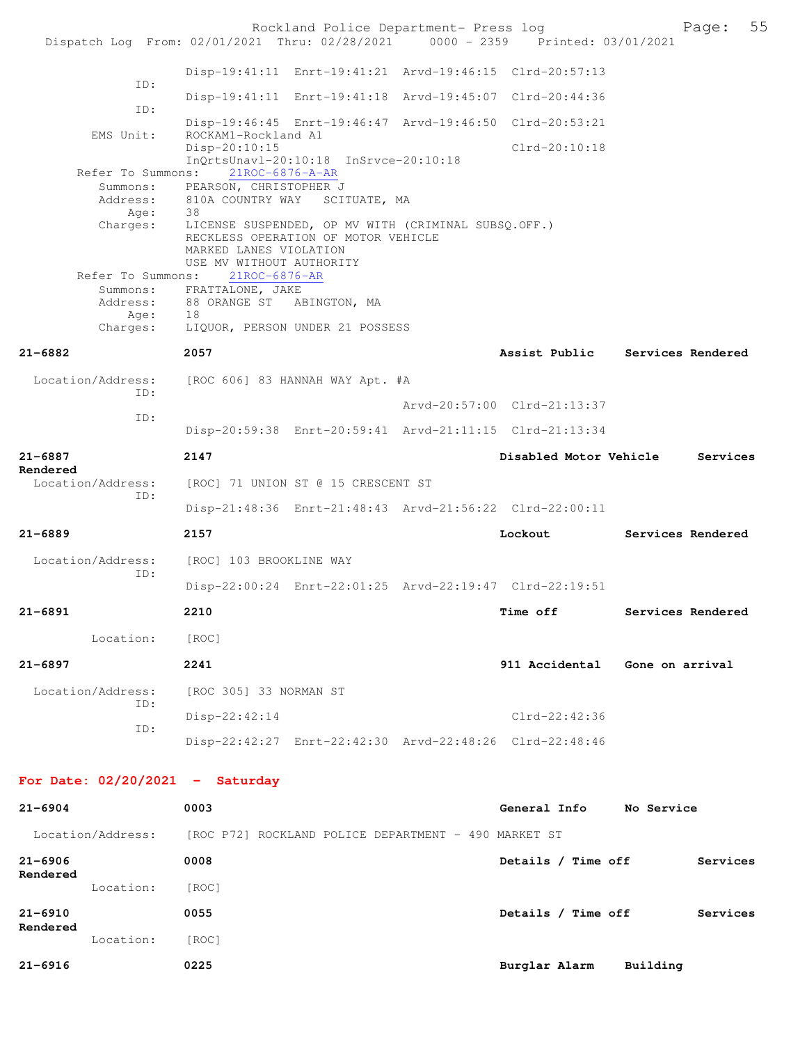|                                   | Rockland Police Department- Press log<br>Dispatch Log From: 02/01/2021 Thru: 02/28/2021 0000 - 2359 Printed: 03/01/2021                                |                                 |                   | Page:    | 55 |
|-----------------------------------|--------------------------------------------------------------------------------------------------------------------------------------------------------|---------------------------------|-------------------|----------|----|
|                                   |                                                                                                                                                        |                                 |                   |          |    |
| ID:                               | Disp-19:41:11 Enrt-19:41:21 Arvd-19:46:15 Clrd-20:57:13                                                                                                |                                 |                   |          |    |
| ID:                               | Disp-19:41:11 Enrt-19:41:18 Arvd-19:45:07 Clrd-20:44:36                                                                                                |                                 |                   |          |    |
| EMS Unit:                         | Disp-19:46:45 Enrt-19:46:47 Arvd-19:46:50 Clrd-20:53:21<br>ROCKAM1-Rockland A1                                                                         |                                 |                   |          |    |
|                                   | Disp-20:10:15<br>InOrtsUnavl-20:10:18 InSrvce-20:10:18                                                                                                 | $Clrd-20:10:18$                 |                   |          |    |
| Refer To Summons:                 | $21$ ROC-6876-A-AR                                                                                                                                     |                                 |                   |          |    |
| Summons:<br>Address:              | PEARSON, CHRISTOPHER J<br>810A COUNTRY WAY SCITUATE, MA                                                                                                |                                 |                   |          |    |
| Age:<br>Charges:                  | 38<br>LICENSE SUSPENDED, OP MV WITH (CRIMINAL SUBSQ.OFF.)<br>RECKLESS OPERATION OF MOTOR VEHICLE<br>MARKED LANES VIOLATION<br>USE MV WITHOUT AUTHORITY |                                 |                   |          |    |
| Refer To Summons:                 | 21ROC-6876-AR<br>Summons: FRATTALONE, JAKE                                                                                                             |                                 |                   |          |    |
| Address:<br>Age:                  | 88 ORANGE ST ABINGTON, MA<br>18                                                                                                                        |                                 |                   |          |    |
| Charges:                          | LIQUOR, PERSON UNDER 21 POSSESS                                                                                                                        |                                 |                   |          |    |
| 21-6882                           | 2057                                                                                                                                                   | Assist Public Services Rendered |                   |          |    |
| Location/Address:                 | [ROC 606] 83 HANNAH WAY Apt. #A                                                                                                                        |                                 |                   |          |    |
| ID:                               |                                                                                                                                                        | Arvd-20:57:00 Clrd-21:13:37     |                   |          |    |
| ID:                               | Disp-20:59:38 Enrt-20:59:41 Arvd-21:11:15 Clrd-21:13:34                                                                                                |                                 |                   |          |    |
| 21-6887<br>Rendered               | 2147                                                                                                                                                   | Disabled Motor Vehicle          |                   | Services |    |
| Location/Address:<br>ID:          | [ROC] 71 UNION ST @ 15 CRESCENT ST                                                                                                                     |                                 |                   |          |    |
|                                   | Disp-21:48:36 Enrt-21:48:43 Arvd-21:56:22 Clrd-22:00:11                                                                                                |                                 |                   |          |    |
| 21-6889                           | 2157                                                                                                                                                   | Lockout                         | Services Rendered |          |    |
| Location/Address:<br>ID:          | [ROC] 103 BROOKLINE WAY                                                                                                                                |                                 |                   |          |    |
|                                   | Disp-22:00:24 Enrt-22:01:25 Arvd-22:19:47 Clrd-22:19:51                                                                                                |                                 |                   |          |    |
| 21-6891                           | 2210                                                                                                                                                   | Time off Services Rendered      |                   |          |    |
| Location:                         | [ROC]                                                                                                                                                  |                                 |                   |          |    |
| 21-6897                           | 2241                                                                                                                                                   | 911 Accidental Gone on arrival  |                   |          |    |
| ID:                               | Location/Address: [ROC 305] 33 NORMAN ST                                                                                                               |                                 |                   |          |    |
| ID:                               | Disp-22:42:14                                                                                                                                          | Clrd-22:42:36                   |                   |          |    |
|                                   | Disp-22:42:27 Enrt-22:42:30 Arvd-22:48:26 Clrd-22:48:46                                                                                                |                                 |                   |          |    |
| For Date: $02/20/2021$ - Saturday |                                                                                                                                                        |                                 |                   |          |    |
| 21-6904                           | 0003                                                                                                                                                   | General Info No Service         |                   |          |    |
|                                   | Location/Address: [ROC P72] ROCKLAND POLICE DEPARTMENT - 490 MARKET ST                                                                                 |                                 |                   |          |    |
| 21-6906<br>Rendered               | 0008                                                                                                                                                   | Details / Time off              |                   | Services |    |
| Location:                         | [ROC]                                                                                                                                                  |                                 |                   |          |    |
| 21-6910                           | 0055                                                                                                                                                   | Details / Time off              |                   | Services |    |
| Rendered<br>Location:             | [ROC]                                                                                                                                                  |                                 |                   |          |    |
| 21-6916                           | 0225                                                                                                                                                   | Burglar Alarm Building          |                   |          |    |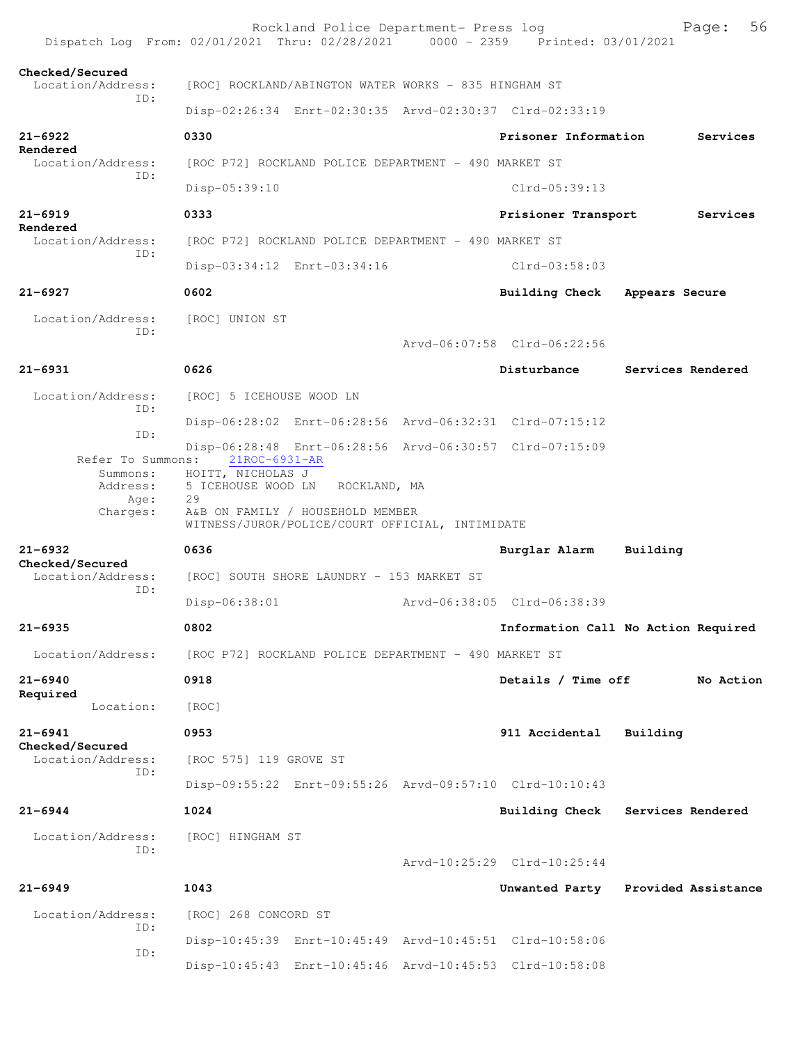|                                      | Rockland Police Department- Press log<br>Dispatch Log From: 02/01/2021 Thru: 02/28/2021 0000 - 2359 Printed: 03/01/2021 |                             | 56<br>Page:                         |
|--------------------------------------|-------------------------------------------------------------------------------------------------------------------------|-----------------------------|-------------------------------------|
| Checked/Secured<br>Location/Address: | [ROC] ROCKLAND/ABINGTON WATER WORKS - 835 HINGHAM ST                                                                    |                             |                                     |
| TD:                                  | Disp-02:26:34 Enrt-02:30:35 Arvd-02:30:37 Clrd-02:33:19                                                                 |                             |                                     |
| $21 - 6922$                          | 0330                                                                                                                    | Prisoner Information        | Services                            |
| Rendered<br>Location/Address:        | [ROC P72] ROCKLAND POLICE DEPARTMENT - 490 MARKET ST                                                                    |                             |                                     |
| ID:                                  | Disp-05:39:10                                                                                                           | $Clrd-05:39:13$             |                                     |
| $21 - 6919$                          | 0333                                                                                                                    | Prisioner Transport         | Services                            |
| Rendered<br>Location/Address:        | [ROC P72] ROCKLAND POLICE DEPARTMENT - 490 MARKET ST                                                                    |                             |                                     |
| ID:                                  | Disp-03:34:12 Enrt-03:34:16                                                                                             | $Clrd-03:58:03$             |                                     |
| $21 - 6927$                          | 0602                                                                                                                    | Building Check              | Appears Secure                      |
| Location/Address:                    | [ROC] UNION ST                                                                                                          |                             |                                     |
| TD:                                  |                                                                                                                         | Arvd-06:07:58 Clrd-06:22:56 |                                     |
| $21 - 6931$                          | 0626                                                                                                                    | Disturbance                 | Services Rendered                   |
| Location/Address:                    | [ROC] 5 ICEHOUSE WOOD LN                                                                                                |                             |                                     |
| ID:                                  | Disp-06:28:02 Enrt-06:28:56 Arvd-06:32:31 Clrd-07:15:12                                                                 |                             |                                     |
| ID:                                  | Disp-06:28:48 Enrt-06:28:56 Arvd-06:30:57 Clrd-07:15:09                                                                 |                             |                                     |
| Refer To Summons:<br>Summons:        | 21ROC-6931-AR<br>HOITT, NICHOLAS J                                                                                      |                             |                                     |
| Address:                             | 5 ICEHOUSE WOOD LN ROCKLAND, MA                                                                                         |                             |                                     |
| Age:                                 | 29                                                                                                                      |                             |                                     |
| Charges:                             | A&B ON FAMILY / HOUSEHOLD MEMBER<br>WITNESS/JUROR/POLICE/COURT OFFICIAL, INTIMIDATE                                     |                             |                                     |
| $21 - 6932$                          | 0636                                                                                                                    | Burglar Alarm               | Building                            |
| Checked/Secured<br>Location/Address: | [ROC] SOUTH SHORE LAUNDRY - 153 MARKET ST                                                                               |                             |                                     |
| ID:                                  | Disp-06:38:01                                                                                                           | Arvd-06:38:05 Clrd-06:38:39 |                                     |
| $21 - 6935$                          | 0802                                                                                                                    |                             | Information Call No Action Required |
| Location/Address:                    | [ROC P72] ROCKLAND POLICE DEPARTMENT - 490 MARKET ST                                                                    |                             |                                     |
| $21 - 6940$                          | 0918                                                                                                                    | Details / Time off          | No Action                           |
| Required<br>Location:                | [ROC]                                                                                                                   |                             |                                     |
| $21 - 6941$                          | 0953                                                                                                                    | 911 Accidental              | Building                            |
| Checked/Secured<br>Location/Address: | [ROC 575] 119 GROVE ST                                                                                                  |                             |                                     |
| TD:                                  | Disp-09:55:22 Enrt-09:55:26 Arvd-09:57:10 Clrd-10:10:43                                                                 |                             |                                     |
| $21 - 6944$                          | 1024                                                                                                                    | <b>Building Check</b>       | Services Rendered                   |
| Location/Address:                    | [ROC] HINGHAM ST                                                                                                        |                             |                                     |
| ID:                                  |                                                                                                                         | Arvd-10:25:29 Clrd-10:25:44 |                                     |
| $21 - 6949$                          | 1043                                                                                                                    |                             | Unwanted Party Provided Assistance  |
| Location/Address:                    | [ROC] 268 CONCORD ST                                                                                                    |                             |                                     |
| ID:<br>ID:                           | Disp-10:45:39 Enrt-10:45:49 Arvd-10:45:51 Clrd-10:58:06                                                                 |                             |                                     |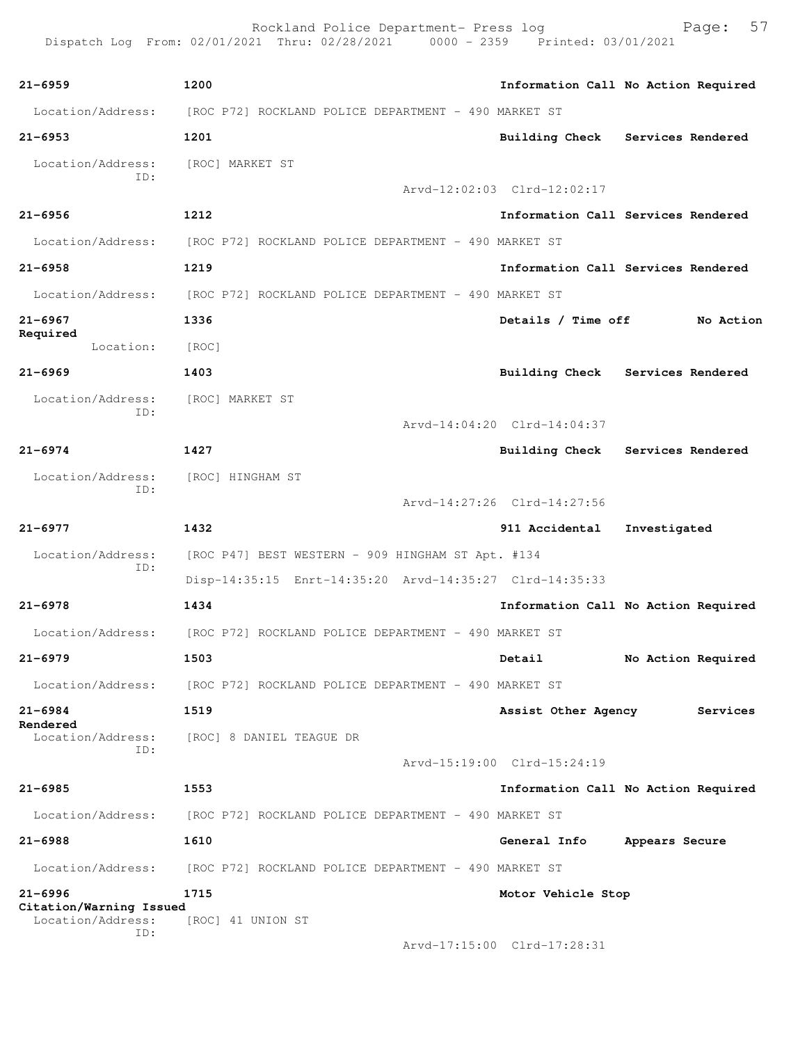Rockland Police Department- Press log Fage: 57<br>21 Thru: 02/28/2021 0000 - 2359 Printed: 03/01/2021 Dispatch Log From: 02/01/2021 Thru: 02/28/2021 **21-6959 1200 Information Call No Action Required** Location/Address: [ROC P72] ROCKLAND POLICE DEPARTMENT - 490 MARKET ST **21-6953 1201 Building Check Services Rendered** Location/Address: [ROC] MARKET ST ID: Arvd-12:02:03 Clrd-12:02:17 **21-6956 1212 Information Call Services Rendered** Location/Address: [ROC P72] ROCKLAND POLICE DEPARTMENT - 490 MARKET ST **21-6958 1219 Information Call Services Rendered** Location/Address: [ROC P72] ROCKLAND POLICE DEPARTMENT - 490 MARKET ST **21-6967 1336 Details / Time off No Action Required**  Location: [ROC] **21-6969 1403 Building Check Services Rendered** Location/Address: [ROC] MARKET ST ID: Arvd-14:04:20 Clrd-14:04:37 **21-6974 1427 Building Check Services Rendered** Location/Address: [ROC] HINGHAM ST ID: Arvd-14:27:26 Clrd-14:27:56 **21-6977 1432 911 Accidental Investigated** Location/Address: [ROC P47] BEST WESTERN - 909 HINGHAM ST Apt. #134 ID: Disp-14:35:15 Enrt-14:35:20 Arvd-14:35:27 Clrd-14:35:33 **21-6978 1434 Information Call No Action Required** Location/Address: [ROC P72] ROCKLAND POLICE DEPARTMENT - 490 MARKET ST **21-6979 1503 Detail No Action Required** Location/Address: [ROC P72] ROCKLAND POLICE DEPARTMENT - 490 MARKET ST **21-6984 1519 Assist Other Agency Services Rendered**  [ROC] 8 DANIEL TEAGUE DR ID: Arvd-15:19:00 Clrd-15:24:19 **21-6985 1553 Information Call No Action Required** Location/Address: [ROC P72] ROCKLAND POLICE DEPARTMENT - 490 MARKET ST **21-6988 1610 General Info Appears Secure** Location/Address: [ROC P72] ROCKLAND POLICE DEPARTMENT - 490 MARKET ST **21-6996 1715 Motor Vehicle Stop Citation/Warning Issued**  [ROC] 41 UNION ST ID:

Arvd-17:15:00 Clrd-17:28:31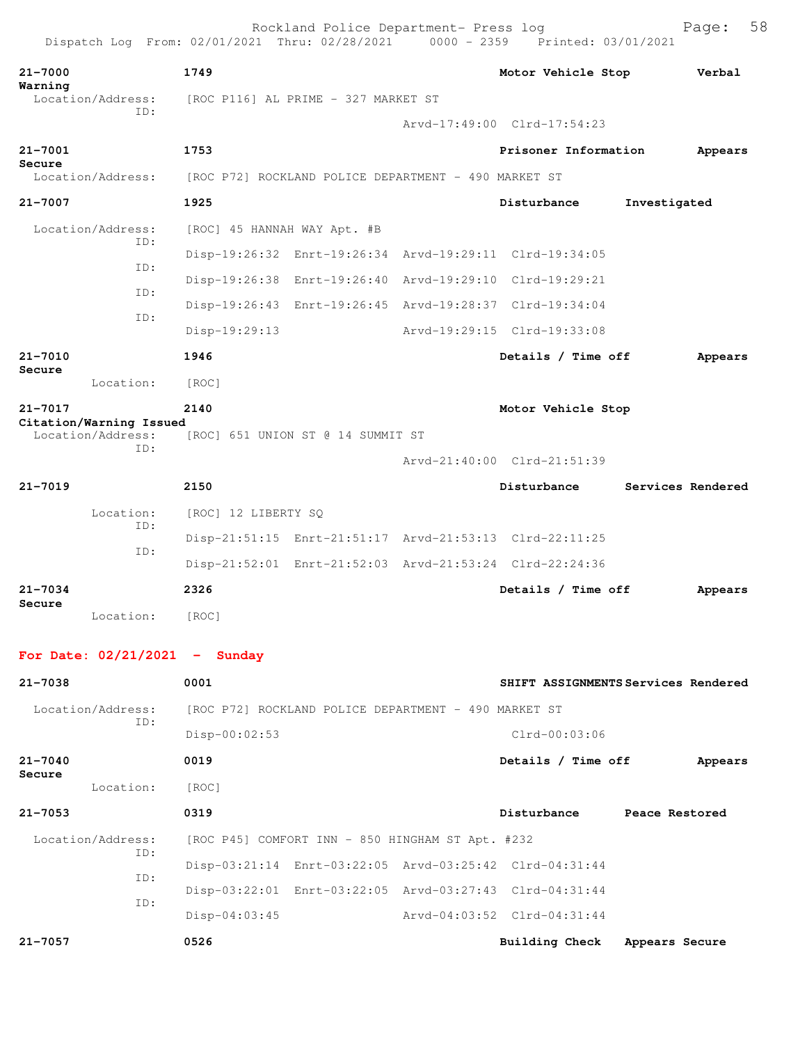| 21-7000<br>Warning |                                              | 1749                                                 |                                                         | Motor Vehicle Stop          | Verbal            |
|--------------------|----------------------------------------------|------------------------------------------------------|---------------------------------------------------------|-----------------------------|-------------------|
|                    | Location/Address:<br>ID:                     | [ROC P116] AL PRIME - 327 MARKET ST                  |                                                         |                             |                   |
|                    |                                              |                                                      |                                                         | Arvd-17:49:00 Clrd-17:54:23 |                   |
| 21-7001            |                                              | 1753                                                 |                                                         | Prisoner Information        | Appears           |
| Secure             | Location/Address:                            | [ROC P72] ROCKLAND POLICE DEPARTMENT - 490 MARKET ST |                                                         |                             |                   |
| 21-7007            |                                              | 1925                                                 |                                                         | Disturbance                 | Investigated      |
|                    | Location/Address:                            | [ROC] 45 HANNAH WAY Apt. #B                          |                                                         |                             |                   |
|                    | ID:                                          |                                                      | Disp-19:26:32 Enrt-19:26:34 Arvd-19:29:11 Clrd-19:34:05 |                             |                   |
|                    | TD:                                          |                                                      | Disp-19:26:38 Enrt-19:26:40 Arvd-19:29:10 Clrd-19:29:21 |                             |                   |
|                    | ID:<br>ID:                                   |                                                      | Disp-19:26:43 Enrt-19:26:45 Arvd-19:28:37 Clrd-19:34:04 |                             |                   |
|                    |                                              | $Disp-19:29:13$                                      |                                                         | Arvd-19:29:15 Clrd-19:33:08 |                   |
| 21-7010            |                                              | 1946                                                 |                                                         | Details / Time off          | Appears           |
| Secure             | Location:                                    | [ROC]                                                |                                                         |                             |                   |
| 21-7017            |                                              | 2140                                                 |                                                         | Motor Vehicle Stop          |                   |
|                    | Citation/Warning Issued<br>Location/Address: |                                                      | [ROC] 651 UNION ST @ 14 SUMMIT ST                       |                             |                   |
|                    | TD:                                          |                                                      |                                                         | Arvd-21:40:00 Clrd-21:51:39 |                   |
| 21-7019            |                                              | 2150                                                 |                                                         | Disturbance                 | Services Rendered |
|                    | Location:                                    | [ROC] 12 LIBERTY SQ                                  |                                                         |                             |                   |
|                    | ID:                                          |                                                      | Disp-21:51:15 Enrt-21:51:17 Arvd-21:53:13 Clrd-22:11:25 |                             |                   |
|                    | ID:                                          |                                                      | Disp-21:52:01 Enrt-21:52:03 Arvd-21:53:24 Clrd-22:24:36 |                             |                   |
| 21-7034            |                                              | 2326                                                 |                                                         | Details / Time off          | Appears           |
| Secure             | Location:                                    | [ROC]                                                |                                                         |                             |                   |

| $21 - 7038$              | 0001                                                    | SHIFT ASSIGNMENTS Services Rendered |                |         |
|--------------------------|---------------------------------------------------------|-------------------------------------|----------------|---------|
| Location/Address:<br>ID: | [ROC P72] ROCKLAND POLICE DEPARTMENT - 490 MARKET ST    |                                     |                |         |
|                          | $Disp-00:02:53$                                         | $Clrd-00:03:06$                     |                |         |
| $21 - 7040$<br>Secure    | 0019                                                    | Details / Time off                  |                | Appears |
| Location:                | [ROC]                                                   |                                     |                |         |
| $21 - 7053$              | 0319                                                    | Disturbance                         | Peace Restored |         |
| Location/Address:<br>ID: | [ROC P45] COMFORT INN - 850 HINGHAM ST Apt. #232        |                                     |                |         |
| ID:                      | Disp-03:21:14 Enrt-03:22:05 Arvd-03:25:42 Clrd-04:31:44 |                                     |                |         |
| ID:                      | Disp-03:22:01 Enrt-03:22:05 Arvd-03:27:43 Clrd-04:31:44 |                                     |                |         |
|                          | $Disp-04:03:45$                                         | Arvd-04:03:52 Clrd-04:31:44         |                |         |
| $21 - 7057$              | 0526                                                    | Building Check                      | Appears Secure |         |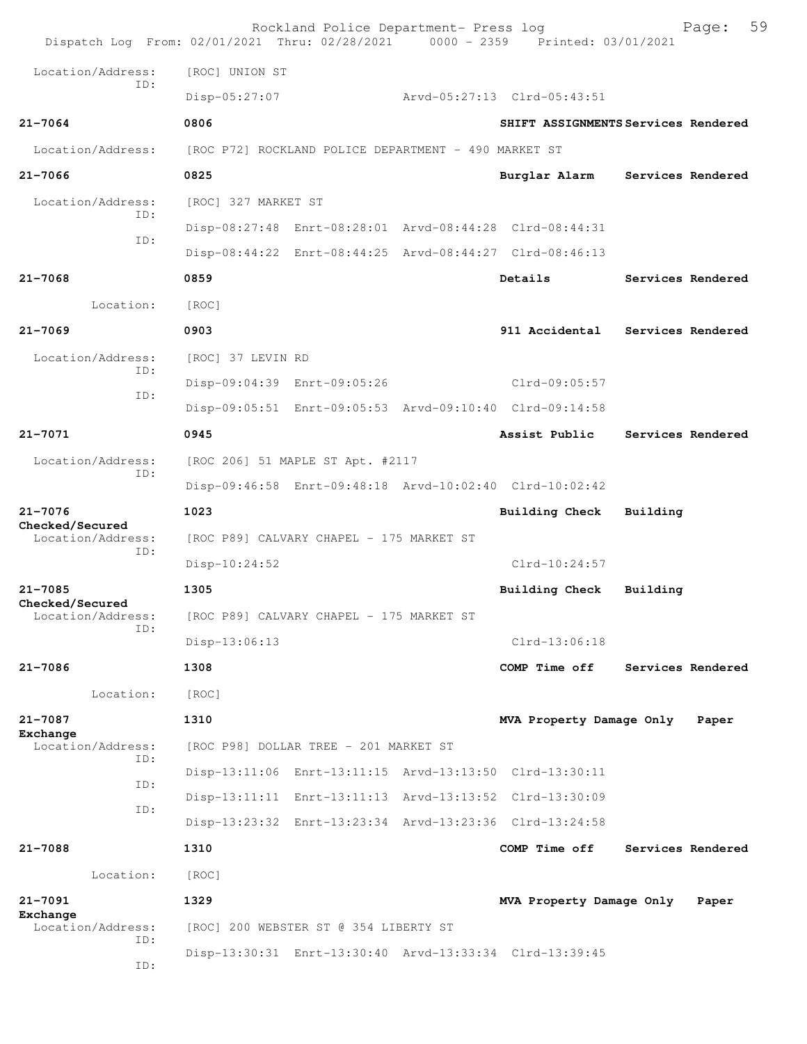| Dispatch Log From: 02/01/2021 Thru: 02/28/2021 0000 - 2359 Printed: 03/01/2021 |                                          | Rockland Police Department- Press log                |  |                                                         |                   | Page:             | 59 |
|--------------------------------------------------------------------------------|------------------------------------------|------------------------------------------------------|--|---------------------------------------------------------|-------------------|-------------------|----|
| Location/Address:                                                              | [ROC] UNION ST                           |                                                      |  |                                                         |                   |                   |    |
| TD:                                                                            | Disp-05:27:07                            |                                                      |  | Arvd-05:27:13 Clrd-05:43:51                             |                   |                   |    |
| $21 - 7064$                                                                    | 0806                                     |                                                      |  | SHIFT ASSIGNMENTS Services Rendered                     |                   |                   |    |
| Location/Address:                                                              |                                          | [ROC P72] ROCKLAND POLICE DEPARTMENT - 490 MARKET ST |  |                                                         |                   |                   |    |
| $21 - 7066$                                                                    | 0825                                     |                                                      |  | Burglar Alarm                                           | Services Rendered |                   |    |
| Location/Address:                                                              | [ROC] 327 MARKET ST                      |                                                      |  |                                                         |                   |                   |    |
| TD:<br>TD:                                                                     |                                          |                                                      |  | Disp-08:27:48 Enrt-08:28:01 Arvd-08:44:28 Clrd-08:44:31 |                   |                   |    |
|                                                                                |                                          |                                                      |  | Disp-08:44:22 Enrt-08:44:25 Arvd-08:44:27 Clrd-08:46:13 |                   |                   |    |
| $21 - 7068$                                                                    | 0859                                     |                                                      |  | Details                                                 |                   | Services Rendered |    |
| Location:                                                                      | [ROC]                                    |                                                      |  |                                                         |                   |                   |    |
| $21 - 7069$                                                                    | 0903                                     |                                                      |  | 911 Accidental                                          | Services Rendered |                   |    |
| Location/Address:<br>ID:                                                       | [ROC] 37 LEVIN RD                        |                                                      |  |                                                         |                   |                   |    |
| ID:                                                                            |                                          | Disp-09:04:39 Enrt-09:05:26                          |  | $Clrd-09:05:57$                                         |                   |                   |    |
|                                                                                |                                          |                                                      |  | Disp-09:05:51 Enrt-09:05:53 Arvd-09:10:40 Clrd-09:14:58 |                   |                   |    |
| $21 - 7071$                                                                    | 0945                                     |                                                      |  | Assist Public                                           |                   | Services Rendered |    |
| Location/Address:<br>ID:                                                       |                                          | [ROC 206] 51 MAPLE ST Apt. #2117                     |  |                                                         |                   |                   |    |
|                                                                                |                                          |                                                      |  | Disp-09:46:58 Enrt-09:48:18 Arvd-10:02:40 Clrd-10:02:42 |                   |                   |    |
| $21 - 7076$<br>Checked/Secured                                                 | 1023                                     |                                                      |  | <b>Building Check</b>                                   | Building          |                   |    |
| Location/Address:<br>ID:                                                       |                                          | [ROC P89] CALVARY CHAPEL - 175 MARKET ST             |  |                                                         |                   |                   |    |
|                                                                                | Disp-10:24:52                            |                                                      |  | $Clrd-10:24:57$                                         |                   |                   |    |
| $21 - 7085$<br>Checked/Secured                                                 | 1305                                     |                                                      |  | Building Check                                          | Building          |                   |    |
| Location/Address:<br>ID:                                                       | [ROC P89] CALVARY CHAPEL - 175 MARKET ST |                                                      |  |                                                         |                   |                   |    |
|                                                                                | Disp-13:06:13                            |                                                      |  | $Clrd-13:06:18$                                         |                   |                   |    |
| $21 - 7086$                                                                    | 1308                                     |                                                      |  | COMP Time off                                           |                   | Services Rendered |    |
| Location:                                                                      | [ROC]                                    |                                                      |  |                                                         |                   |                   |    |
| $21 - 7087$<br>Exchange                                                        | 1310                                     |                                                      |  | MVA Property Damage Only                                |                   | Paper             |    |
| Location/Address:<br>ID:                                                       |                                          | [ROC P98] DOLLAR TREE - 201 MARKET ST                |  |                                                         |                   |                   |    |
| ID:                                                                            |                                          |                                                      |  | Disp-13:11:06 Enrt-13:11:15 Arvd-13:13:50 Clrd-13:30:11 |                   |                   |    |
| ID:                                                                            |                                          |                                                      |  | Disp-13:11:11 Enrt-13:11:13 Arvd-13:13:52 Clrd-13:30:09 |                   |                   |    |
|                                                                                |                                          |                                                      |  | Disp-13:23:32 Enrt-13:23:34 Arvd-13:23:36 Clrd-13:24:58 |                   |                   |    |
| $21 - 7088$                                                                    | 1310                                     |                                                      |  | COMP Time off                                           |                   | Services Rendered |    |
| Location:                                                                      | [ROC]                                    |                                                      |  |                                                         |                   |                   |    |
| $21 - 7091$<br>Exchange                                                        | 1329                                     |                                                      |  | MVA Property Damage Only                                |                   | Paper             |    |
| Location/Address:<br>ID:                                                       |                                          | [ROC] 200 WEBSTER ST @ 354 LIBERTY ST                |  |                                                         |                   |                   |    |
| ID:                                                                            |                                          |                                                      |  | Disp-13:30:31 Enrt-13:30:40 Arvd-13:33:34 Clrd-13:39:45 |                   |                   |    |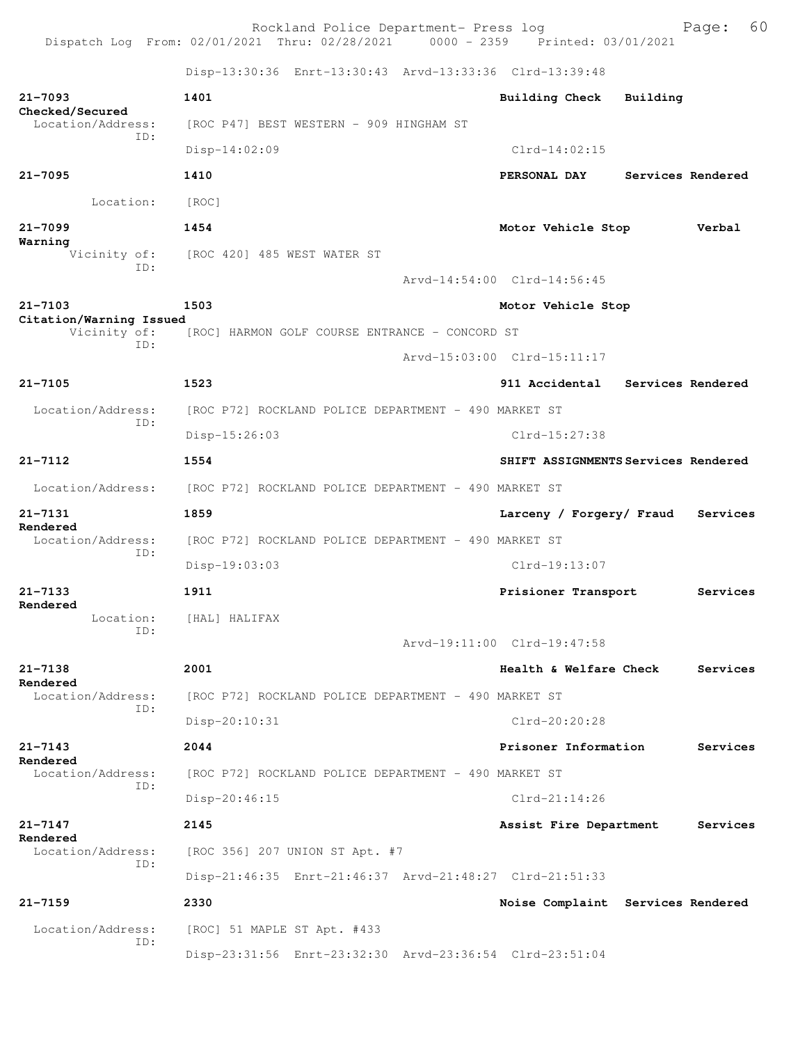Rockland Police Department- Press log entitled and Page: 60 Dispatch Log From: 02/01/2021 Thru: 02/28/2021 0000 - 2359 Printed: 03/01/2021

Disp-13:30:36 Enrt-13:30:43 Arvd-13:33:36 Clrd-13:39:48

| $21 - 7093$<br>Checked/Secured          | 1401                                                    | Building Check<br>Building          |                   |
|-----------------------------------------|---------------------------------------------------------|-------------------------------------|-------------------|
| Location/Address:<br>ID:                | [ROC P47] BEST WESTERN - 909 HINGHAM ST                 |                                     |                   |
|                                         | Disp-14:02:09                                           | $Clrd-14:02:15$                     |                   |
| $21 - 7095$                             | 1410                                                    | PERSONAL DAY                        | Services Rendered |
| Location:                               | [ROC]                                                   |                                     |                   |
| $21 - 7099$                             | 1454                                                    | Motor Vehicle Stop                  | Verbal            |
| Warning<br>Vicinity of:                 | [ROC 420] 485 WEST WATER ST                             |                                     |                   |
| ID:                                     |                                                         | Arvd-14:54:00 Clrd-14:56:45         |                   |
| $21 - 7103$                             | 1503                                                    | Motor Vehicle Stop                  |                   |
| Citation/Warning Issued<br>Vicinity of: | [ROC] HARMON GOLF COURSE ENTRANCE - CONCORD ST          |                                     |                   |
| ID:                                     |                                                         | Arvd-15:03:00 Clrd-15:11:17         |                   |
| $21 - 7105$                             | 1523                                                    | 911 Accidental                      | Services Rendered |
| Location/Address:                       | [ROC P72] ROCKLAND POLICE DEPARTMENT - 490 MARKET ST    |                                     |                   |
| TD:                                     | Disp-15:26:03                                           | Clrd-15:27:38                       |                   |
| $21 - 7112$                             | 1554                                                    | SHIFT ASSIGNMENTS Services Rendered |                   |
| Location/Address:                       | [ROC P72] ROCKLAND POLICE DEPARTMENT - 490 MARKET ST    |                                     |                   |
| $21 - 7131$                             | 1859                                                    | Larceny / Forgery/ Fraud            | Services          |
| Rendered<br>Location/Address:           | [ROC P72] ROCKLAND POLICE DEPARTMENT - 490 MARKET ST    |                                     |                   |
| ID:                                     | $Disp-19:03:03$                                         | Clrd-19:13:07                       |                   |
| $21 - 7133$                             | 1911                                                    | Prisioner Transport                 | Services          |
| Rendered<br>Location:                   | [HAL] HALIFAX                                           |                                     |                   |
| ID:                                     |                                                         | Arvd-19:11:00 Clrd-19:47:58         |                   |
| $21 - 7138$                             | 2001                                                    | Health & Welfare Check              | Services          |
| Rendered<br>Location/Address:           | [ROC P72] ROCKLAND POLICE DEPARTMENT - 490 MARKET ST    |                                     |                   |
| ID:                                     | Disp-20:10:31                                           | Clrd-20:20:28                       |                   |
| $21 - 7143$                             | 2044                                                    | Prisoner Information                | Services          |
| Rendered<br>Location/Address:           | [ROC P72] ROCKLAND POLICE DEPARTMENT - 490 MARKET ST    |                                     |                   |
| ID:                                     | Disp-20:46:15                                           | $Clrd-21:14:26$                     |                   |
| $21 - 7147$                             | 2145                                                    | Assist Fire Department              | Services          |
| Rendered<br>Location/Address:           | [ROC 356] 207 UNION ST Apt. #7                          |                                     |                   |
| ID:                                     | Disp-21:46:35 Enrt-21:46:37 Arvd-21:48:27 Clrd-21:51:33 |                                     |                   |
| $21 - 7159$                             | 2330                                                    | Noise Complaint Services Rendered   |                   |
| Location/Address:                       | [ROC] 51 MAPLE ST Apt. #433                             |                                     |                   |
| ID:                                     | Disp-23:31:56 Enrt-23:32:30 Arvd-23:36:54 Clrd-23:51:04 |                                     |                   |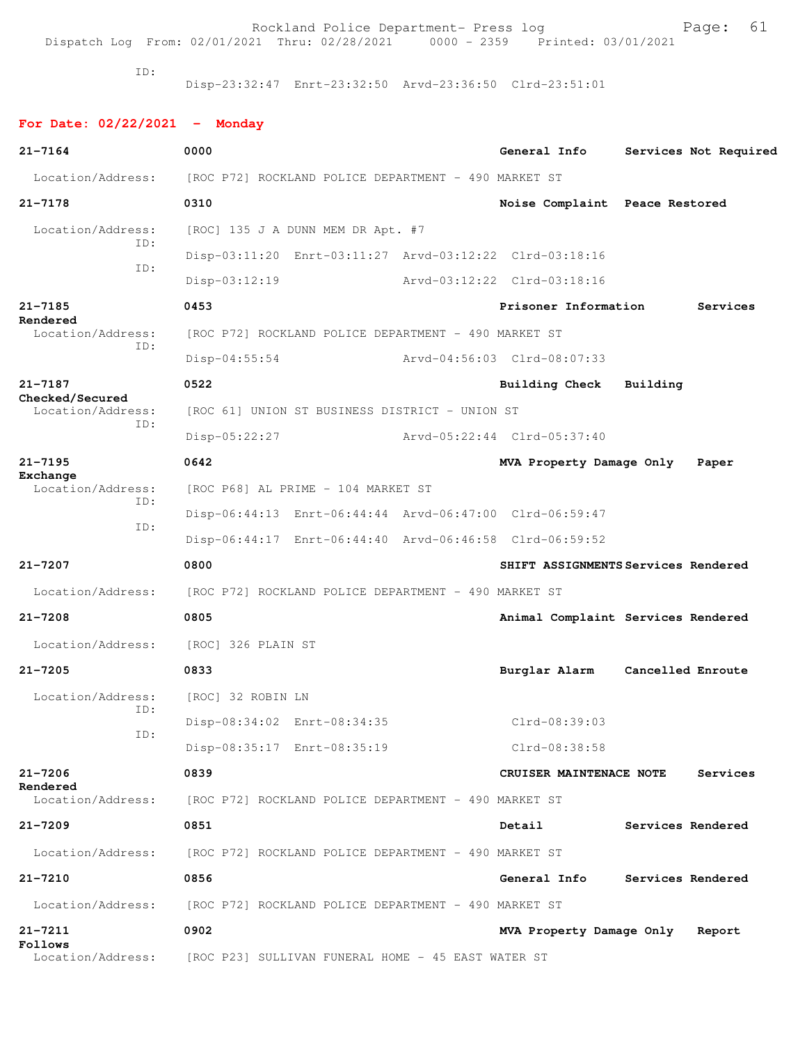Dispatch Log From: 02/01/2021 Thru: 02/28/2021 0000 - 2359 Printed: 03/01/2021

ID:

Disp-23:32:47 Enrt-23:32:50 Arvd-23:36:50 Clrd-23:51:01

| For Date: $02/22/2021$ - Monday      |                                                         |                                       |
|--------------------------------------|---------------------------------------------------------|---------------------------------------|
| $21 - 7164$                          | 0000                                                    | General Info<br>Services Not Required |
| Location/Address:                    | [ROC P72] ROCKLAND POLICE DEPARTMENT - 490 MARKET ST    |                                       |
| $21 - 7178$                          | 0310                                                    | Noise Complaint Peace Restored        |
| Location/Address:                    | [ROC] 135 J A DUNN MEM DR Apt. #7                       |                                       |
| TD:                                  | Disp-03:11:20 Enrt-03:11:27 Arvd-03:12:22 Clrd-03:18:16 |                                       |
| ID:                                  | $Disp-03:12:19$                                         | Arvd-03:12:22 Clrd-03:18:16           |
| $21 - 7185$                          | 0453                                                    | Prisoner Information<br>Services      |
| Rendered<br>Location/Address:        | [ROC P72] ROCKLAND POLICE DEPARTMENT - 490 MARKET ST    |                                       |
| ID:                                  | $Disp-04:55:54$                                         | Arvd-04:56:03 Clrd-08:07:33           |
| $21 - 7187$                          | 0522                                                    | Building<br>Building Check            |
| Checked/Secured<br>Location/Address: | [ROC 61] UNION ST BUSINESS DISTRICT - UNION ST          |                                       |
| ID:                                  | $Disp-05:22:27$                                         | Arvd-05:22:44 Clrd-05:37:40           |
| $21 - 7195$                          | 0642                                                    | MVA Property Damage Only<br>Paper     |
| Exchange<br>Location/Address:        | [ROC P68] AL PRIME - 104 MARKET ST                      |                                       |
| TD:                                  | Disp-06:44:13 Enrt-06:44:44 Arvd-06:47:00 Clrd-06:59:47 |                                       |
| ID:                                  | Disp-06:44:17 Enrt-06:44:40 Arvd-06:46:58 Clrd-06:59:52 |                                       |
| $21 - 7207$                          | 0800                                                    | SHIFT ASSIGNMENTS Services Rendered   |
| Location/Address:                    | [ROC P72] ROCKLAND POLICE DEPARTMENT - 490 MARKET ST    |                                       |
| $21 - 7208$                          | 0805                                                    | Animal Complaint Services Rendered    |
| Location/Address:                    | [ROC] 326 PLAIN ST                                      |                                       |
| $21 - 7205$                          | 0833                                                    | Cancelled Enroute<br>Burglar Alarm    |
| Location/Address:                    | [ROC] 32 ROBIN LN                                       |                                       |
| ID:                                  | Disp-08:34:02 Enrt-08:34:35                             | $Clrd-08:39:03$                       |
| ID:                                  | Disp-08:35:17 Enrt-08:35:19                             | Clrd-08:38:58                         |
| $21 - 7206$                          | 0839                                                    | CRUISER MAINTENACE NOTE<br>Services   |
| Rendered<br>Location/Address:        | [ROC P72] ROCKLAND POLICE DEPARTMENT - 490 MARKET ST    |                                       |
| $21 - 7209$                          | 0851                                                    | Detail<br>Services Rendered           |
| Location/Address:                    | [ROC P72] ROCKLAND POLICE DEPARTMENT - 490 MARKET ST    |                                       |
| $21 - 7210$                          | 0856                                                    | General Info<br>Services Rendered     |
| Location/Address:                    | [ROC P72] ROCKLAND POLICE DEPARTMENT - 490 MARKET ST    |                                       |
| $21 - 7211$                          | 0902                                                    | MVA Property Damage Only<br>Report    |
| Follows<br>Location/Address:         | [ROC P23] SULLIVAN FUNERAL HOME - 45 EAST WATER ST      |                                       |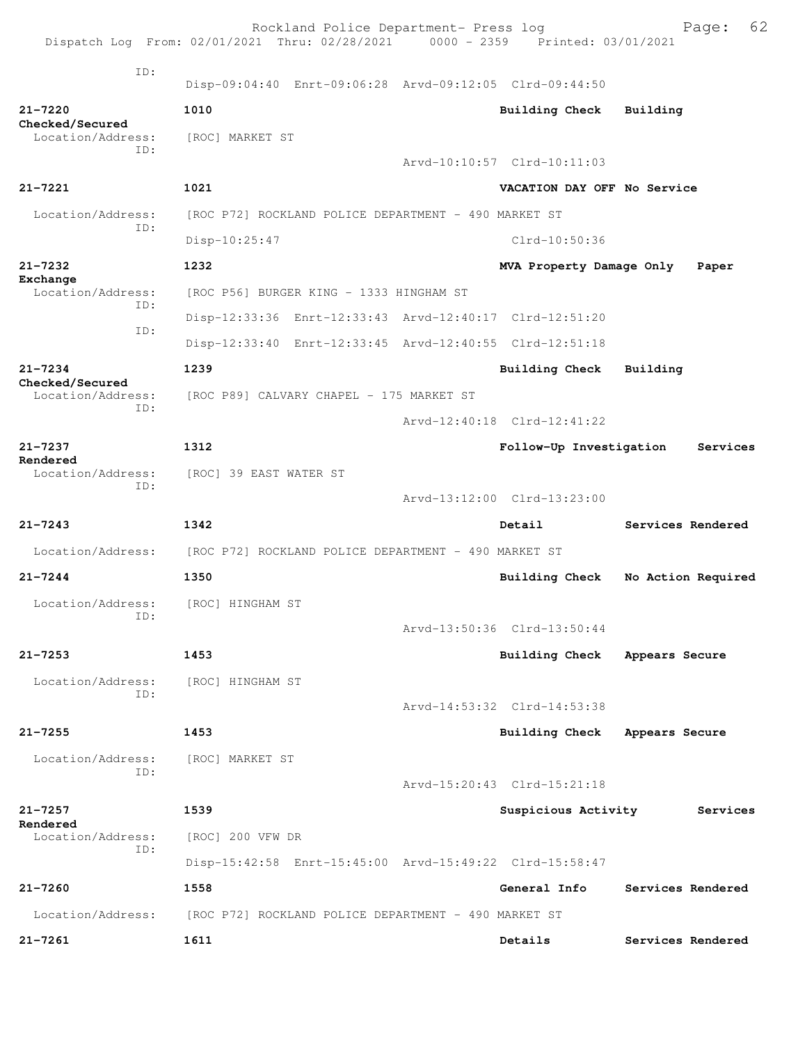|                                      | Rockland Police Department- Press log<br>Dispatch Log From: 02/01/2021 Thru: 02/28/2021 0000 - 2359 Printed: 03/01/2021 |                             | 62<br>Page:        |
|--------------------------------------|-------------------------------------------------------------------------------------------------------------------------|-----------------------------|--------------------|
|                                      |                                                                                                                         |                             |                    |
| TD:                                  | Disp-09:04:40 Enrt-09:06:28 Arvd-09:12:05 Clrd-09:44:50                                                                 |                             |                    |
| $21 - 7220$                          | 1010                                                                                                                    | Building Check              | Building           |
| Checked/Secured<br>Location/Address: | [ROC] MARKET ST                                                                                                         |                             |                    |
| ID:                                  |                                                                                                                         | Arvd-10:10:57 Clrd-10:11:03 |                    |
| $21 - 7221$                          | 1021                                                                                                                    | VACATION DAY OFF No Service |                    |
| Location/Address:                    | [ROC P72] ROCKLAND POLICE DEPARTMENT - 490 MARKET ST                                                                    |                             |                    |
| ID:                                  | Disp-10:25:47                                                                                                           | Clrd-10:50:36               |                    |
| 21-7232<br>Exchange                  | 1232                                                                                                                    | MVA Property Damage Only    | Paper              |
| Location/Address:<br>TD:             | [ROC P56] BURGER KING - 1333 HINGHAM ST                                                                                 |                             |                    |
| ID:                                  | Disp-12:33:36 Enrt-12:33:43 Arvd-12:40:17 Clrd-12:51:20                                                                 |                             |                    |
|                                      | Disp-12:33:40 Enrt-12:33:45 Arvd-12:40:55 Clrd-12:51:18                                                                 |                             |                    |
| $21 - 7234$<br>Checked/Secured       | 1239                                                                                                                    | Building Check              | Building           |
| Location/Address:<br>TD:             | [ROC P89] CALVARY CHAPEL - 175 MARKET ST                                                                                |                             |                    |
|                                      |                                                                                                                         | Arvd-12:40:18 Clrd-12:41:22 |                    |
| $21 - 7237$<br>Rendered              | 1312                                                                                                                    | Follow-Up Investigation     | Services           |
| Location/Address:<br>ID:             | [ROC] 39 EAST WATER ST                                                                                                  |                             |                    |
|                                      |                                                                                                                         | Arvd-13:12:00 Clrd-13:23:00 |                    |
| $21 - 7243$                          | 1342                                                                                                                    | Detail                      | Services Rendered  |
| Location/Address:                    | [ROC P72] ROCKLAND POLICE DEPARTMENT - 490 MARKET ST                                                                    |                             |                    |
| $21 - 7244$                          | 1350                                                                                                                    | Building Check              | No Action Required |
| Location/Address:<br>ID:             | [ROC] HINGHAM ST                                                                                                        |                             |                    |
|                                      |                                                                                                                         | Arvd-13:50:36 Clrd-13:50:44 |                    |
| $21 - 7253$                          | 1453                                                                                                                    | <b>Building Check</b>       | Appears Secure     |
| Location/Address:<br>ID:             | [ROC] HINGHAM ST                                                                                                        |                             |                    |
|                                      |                                                                                                                         | Arvd-14:53:32 Clrd-14:53:38 |                    |
| $21 - 7255$                          | 1453                                                                                                                    | <b>Building Check</b>       | Appears Secure     |
| Location/Address:<br>TD:             | [ROC] MARKET ST                                                                                                         |                             |                    |
|                                      |                                                                                                                         | Arvd-15:20:43 Clrd-15:21:18 |                    |
| $21 - 7257$<br>Rendered              | 1539                                                                                                                    | Suspicious Activity         | Services           |
| Location/Address:<br>TD:             | [ROC] 200 VFW DR                                                                                                        |                             |                    |
|                                      | Disp-15:42:58 Enrt-15:45:00 Arvd-15:49:22 Clrd-15:58:47                                                                 |                             |                    |
| $21 - 7260$                          | 1558                                                                                                                    | General Info                | Services Rendered  |
| Location/Address:                    | [ROC P72] ROCKLAND POLICE DEPARTMENT - 490 MARKET ST                                                                    |                             |                    |
| $21 - 7261$                          | 1611                                                                                                                    | Details                     | Services Rendered  |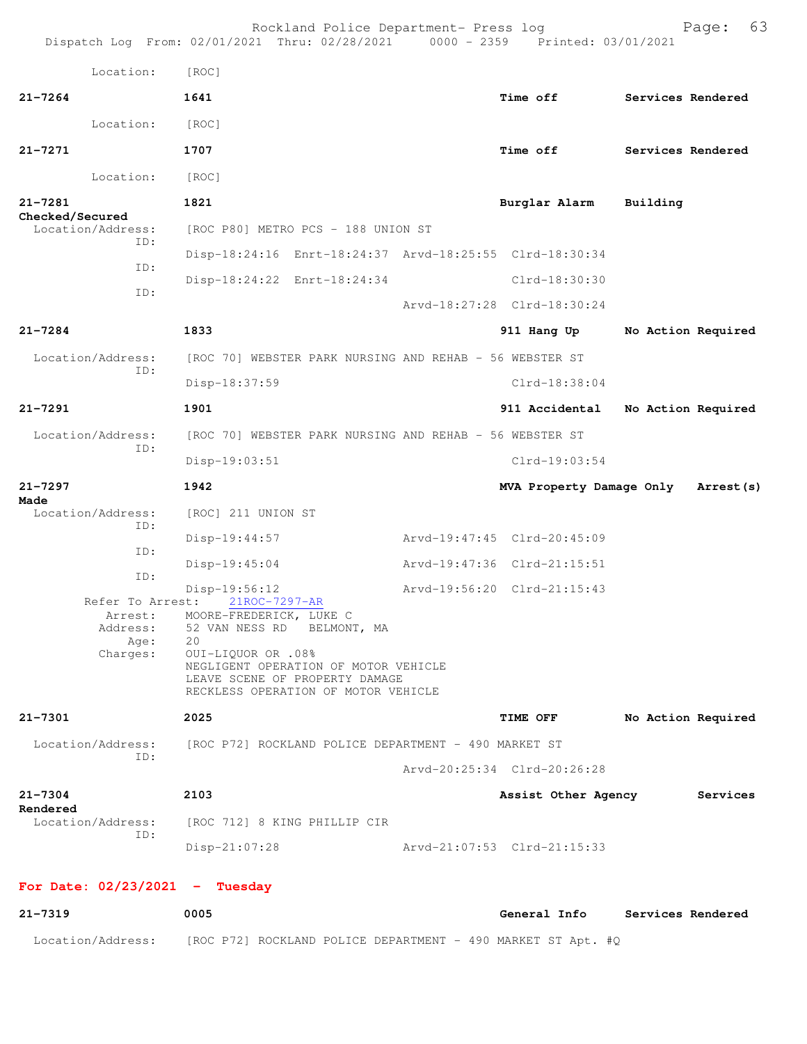|                                         | Rockland Police Department- Press log<br>Dispatch Log From: 02/01/2021 Thru: 02/28/2021 0000 - 2359 Printed: 03/01/2021 |                             |                             | 63<br>Page:        |
|-----------------------------------------|-------------------------------------------------------------------------------------------------------------------------|-----------------------------|-----------------------------|--------------------|
| Location:                               | [ROC]                                                                                                                   |                             |                             |                    |
| $21 - 7264$                             | 1641                                                                                                                    |                             | <b>Time off</b>             | Services Rendered  |
| Location:                               | [ROC]                                                                                                                   |                             |                             |                    |
| $21 - 7271$                             | 1707                                                                                                                    |                             | <b>Time off</b>             | Services Rendered  |
| Location:                               | [ROC]                                                                                                                   |                             |                             |                    |
| $21 - 7281$                             | 1821                                                                                                                    |                             | Burglar Alarm               | Building           |
| Checked/Secured<br>Location/Address:    | [ROC P80] METRO PCS - 188 UNION ST                                                                                      |                             |                             |                    |
| ID:                                     | Disp-18:24:16 Enrt-18:24:37 Arvd-18:25:55 Clrd-18:30:34                                                                 |                             |                             |                    |
| ID:                                     | Disp-18:24:22 Enrt-18:24:34                                                                                             |                             | Clrd-18:30:30               |                    |
| ID:                                     |                                                                                                                         |                             | Arvd-18:27:28 Clrd-18:30:24 |                    |
| $21 - 7284$                             | 1833                                                                                                                    |                             | 911 Hang Up                 | No Action Required |
| Location/Address:                       | [ROC 70] WEBSTER PARK NURSING AND REHAB - 56 WEBSTER ST                                                                 |                             |                             |                    |
| ID:                                     | Disp-18:37:59                                                                                                           |                             | $Clrd-18:38:04$             |                    |
| $21 - 7291$                             | 1901                                                                                                                    |                             | 911 Accidental              | No Action Required |
| Location/Address:<br>ID:                | [ROC 70] WEBSTER PARK NURSING AND REHAB - 56 WEBSTER ST                                                                 |                             |                             |                    |
|                                         | Disp-19:03:51                                                                                                           |                             | $Clrd-19:03:54$             |                    |
|                                         |                                                                                                                         |                             |                             |                    |
| $21 - 7297$                             | 1942                                                                                                                    |                             | MVA Property Damage Only    | Arrest (s)         |
| Made<br>Location/Address:               | [ROC] 211 UNION ST                                                                                                      |                             |                             |                    |
| ID:                                     | Disp-19:44:57                                                                                                           | Arvd-19:47:45 Clrd-20:45:09 |                             |                    |
| ID:                                     | $Disp-19:45:04$                                                                                                         | Arvd-19:47:36 Clrd-21:15:51 |                             |                    |
| ID:                                     | $Disp-19:56:12$                                                                                                         | Arvd-19:56:20 Clrd-21:15:43 |                             |                    |
| Refer To Arrest:<br>Arrest:<br>Address: | 21ROC-7297-AR<br>MOORE-FREDERICK, LUKE C                                                                                |                             |                             |                    |
| Age:                                    | 52 VAN NESS RD BELMONT, MA<br>20<br>OUI-LIQUOR OR .08%                                                                  |                             |                             |                    |
| Charges:                                | NEGLIGENT OPERATION OF MOTOR VEHICLE<br>LEAVE SCENE OF PROPERTY DAMAGE<br>RECKLESS OPERATION OF MOTOR VEHICLE           |                             |                             |                    |
| $21 - 7301$                             | 2025                                                                                                                    |                             | <b>TIME OFF</b>             | No Action Required |
| Location/Address:                       | [ROC P72] ROCKLAND POLICE DEPARTMENT – 490 MARKET ST                                                                    |                             |                             |                    |
| ID:                                     |                                                                                                                         |                             | Arvd-20:25:34 Clrd-20:26:28 |                    |
| $21 - 7304$                             | 2103                                                                                                                    |                             | Assist Other Agency         | Services           |
| Rendered<br>Location/Address:           | [ROC 712] 8 KING PHILLIP CIR                                                                                            |                             |                             |                    |
| ID:                                     | $Disp-21:07:28$                                                                                                         | Arvd-21:07:53 Clrd-21:15:33 |                             |                    |
| For Date: $02/23/2021$ - Tuesday        |                                                                                                                         |                             |                             |                    |

Location/Address: [ROC P72] ROCKLAND POLICE DEPARTMENT - 490 MARKET ST Apt. #Q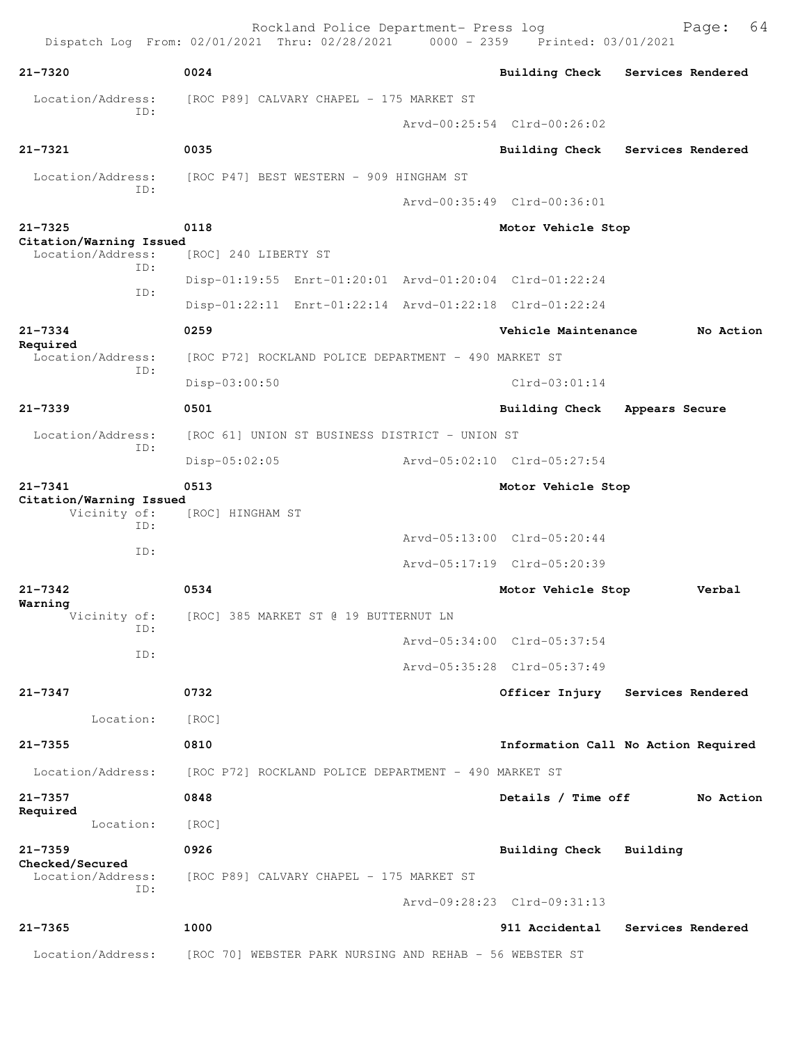Rockland Police Department- Press log Bookland Police Department- Press log Page: 64 Dispatch Log From: 02/01/2021 Thru: 02/28/2021 **21-7320 0024 Building Check Services Rendered** Location/Address: [ROC P89] CALVARY CHAPEL - 175 MARKET ST ID: Arvd-00:25:54 Clrd-00:26:02 **21-7321 0035 Building Check Services Rendered** Location/Address: [ROC P47] BEST WESTERN - 909 HINGHAM ST ID: Arvd-00:35:49 Clrd-00:36:01 **21-7325 0118 Motor Vehicle Stop Citation/Warning Issued**  Location/Address: [ROC] 240 LIBERTY ST ID: Disp-01:19:55 Enrt-01:20:01 Arvd-01:20:04 Clrd-01:22:24 ID: Disp-01:22:11 Enrt-01:22:14 Arvd-01:22:18 Clrd-01:22:24 **21-7334 0259 Vehicle Maintenance No Action Required**  Location/Address: [ROC P72] ROCKLAND POLICE DEPARTMENT - 490 MARKET ST ID: Disp-03:00:50 Clrd-03:01:14 **21-7339 0501 Building Check Appears Secure** Location/Address: [ROC 61] UNION ST BUSINESS DISTRICT - UNION ST ID: Disp-05:02:05 Arvd-05:02:10 Clrd-05:27:54 **21-7341 0513 Motor Vehicle Stop Citation/Warning Issued**  Vicinity of: [ROC] HINGHAM ST ID: Arvd-05:13:00 Clrd-05:20:44 ID: Arvd-05:17:19 Clrd-05:20:39 **21-7342 0534 Motor Vehicle Stop Verbal Warning**  Vicinity of: [ROC] 385 MARKET ST @ 19 BUTTERNUT LN ID: Arvd-05:34:00 Clrd-05:37:54 ID: Arvd-05:35:28 Clrd-05:37:49 **21-7347 0732 Officer Injury Services Rendered** Location: [ROC] **21-7355 0810 Information Call No Action Required** Location/Address: [ROC P72] ROCKLAND POLICE DEPARTMENT - 490 MARKET ST **21-7357 0848 Details / Time off No Action Required**  Location: [ROC] **21-7359 0926 Building Check Building Checked/Secured**  [ROC P89] CALVARY CHAPEL - 175 MARKET ST ID: Arvd-09:28:23 Clrd-09:31:13 **21-7365 1000 911 Accidental Services Rendered** Location/Address: [ROC 70] WEBSTER PARK NURSING AND REHAB - 56 WEBSTER ST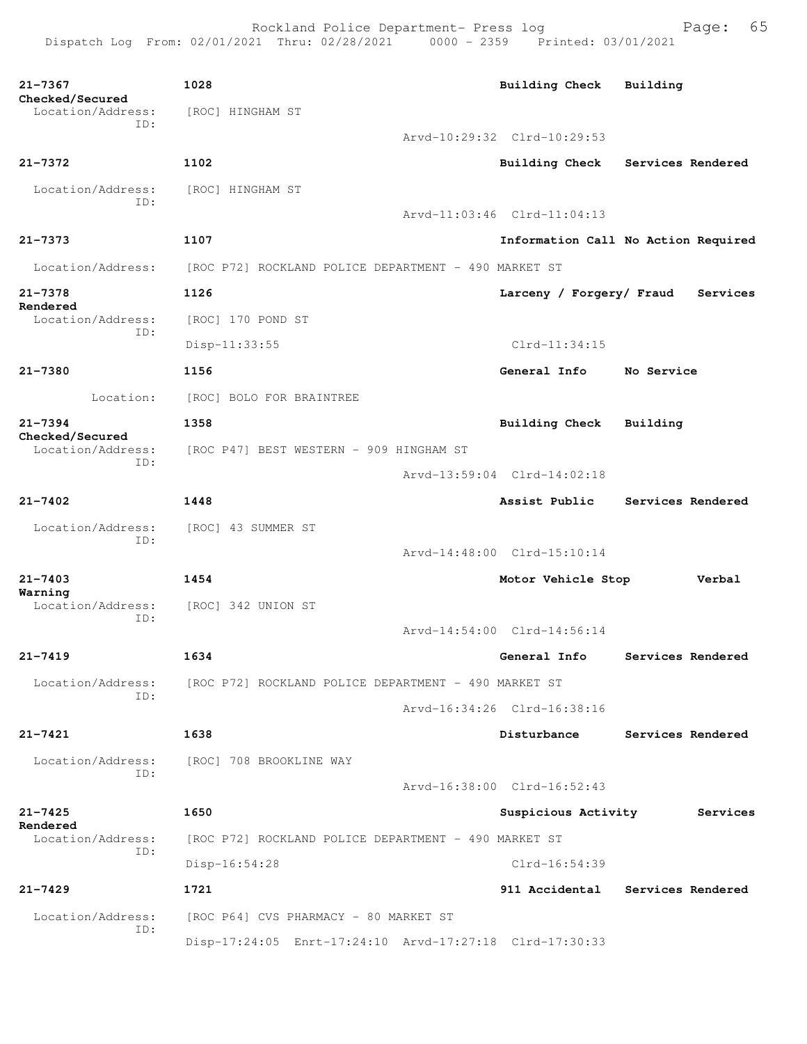| $21 - 7367$<br>Checked/Secured | 1028                                                    | <b>Building Check</b>       | Building                            |  |  |  |  |  |
|--------------------------------|---------------------------------------------------------|-----------------------------|-------------------------------------|--|--|--|--|--|
| Location/Address:<br>ID:       | [ROC] HINGHAM ST                                        |                             |                                     |  |  |  |  |  |
|                                |                                                         | Arvd-10:29:32 Clrd-10:29:53 |                                     |  |  |  |  |  |
| $21 - 7372$                    | 1102                                                    | Building Check              | Services Rendered                   |  |  |  |  |  |
| Location/Address:<br>TD:       | [ROC] HINGHAM ST                                        |                             |                                     |  |  |  |  |  |
|                                |                                                         | Arvd-11:03:46 Clrd-11:04:13 |                                     |  |  |  |  |  |
| $21 - 7373$                    | 1107                                                    |                             | Information Call No Action Required |  |  |  |  |  |
| Location/Address:              | [ROC P72] ROCKLAND POLICE DEPARTMENT - 490 MARKET ST    |                             |                                     |  |  |  |  |  |
| $21 - 7378$                    | 1126                                                    | Larceny / Forgery/ Fraud    | Services                            |  |  |  |  |  |
| Rendered<br>Location/Address:  | [ROC] 170 POND ST                                       |                             |                                     |  |  |  |  |  |
| ID:                            | Disp-11:33:55                                           | Clrd-11:34:15               |                                     |  |  |  |  |  |
| $21 - 7380$                    | 1156                                                    | General Info                | No Service                          |  |  |  |  |  |
| Location:                      | [ROC] BOLO FOR BRAINTREE                                |                             |                                     |  |  |  |  |  |
| $21 - 7394$<br>Checked/Secured | 1358                                                    | <b>Building Check</b>       | Building                            |  |  |  |  |  |
| Location/Address:<br>ID:       | [ROC P47] BEST WESTERN - 909 HINGHAM ST                 |                             |                                     |  |  |  |  |  |
|                                |                                                         | Arvd-13:59:04 Clrd-14:02:18 |                                     |  |  |  |  |  |
| $21 - 7402$                    | 1448                                                    | Assist Public               | Services Rendered                   |  |  |  |  |  |
| Location/Address:              | [ROC] 43 SUMMER ST                                      |                             |                                     |  |  |  |  |  |
| ID:                            |                                                         | Arvd-14:48:00 Clrd-15:10:14 |                                     |  |  |  |  |  |
| $21 - 7403$                    | 1454                                                    | Motor Vehicle Stop          | Verbal                              |  |  |  |  |  |
| Warning<br>Location/Address:   | [ROC] 342 UNION ST                                      |                             |                                     |  |  |  |  |  |
| ID:                            |                                                         | Arvd-14:54:00 Clrd-14:56:14 |                                     |  |  |  |  |  |
| $21 - 7419$                    | 1634                                                    | General Info                | Services Rendered                   |  |  |  |  |  |
| Location/Address:              | [ROC P72] ROCKLAND POLICE DEPARTMENT - 490 MARKET ST    |                             |                                     |  |  |  |  |  |
| ID:                            |                                                         | Arvd-16:34:26 Clrd-16:38:16 |                                     |  |  |  |  |  |
| $21 - 7421$                    | 1638                                                    | Disturbance                 | Services Rendered                   |  |  |  |  |  |
| Location/Address:              | [ROC] 708 BROOKLINE WAY                                 |                             |                                     |  |  |  |  |  |
| TD:                            |                                                         | Arvd-16:38:00 Clrd-16:52:43 |                                     |  |  |  |  |  |
| $21 - 7425$                    | 1650                                                    | Suspicious Activity         | Services                            |  |  |  |  |  |
| Rendered<br>Location/Address:  | [ROC P72] ROCKLAND POLICE DEPARTMENT - 490 MARKET ST    |                             |                                     |  |  |  |  |  |
| ID:                            | Disp-16:54:28                                           | $Clrd-16:54:39$             |                                     |  |  |  |  |  |
| $21 - 7429$                    | 1721                                                    | 911 Accidental              | Services Rendered                   |  |  |  |  |  |
| Location/Address:              | [ROC P64] CVS PHARMACY - 80 MARKET ST                   |                             |                                     |  |  |  |  |  |
| ID:                            | Disp-17:24:05 Enrt-17:24:10 Arvd-17:27:18 Clrd-17:30:33 |                             |                                     |  |  |  |  |  |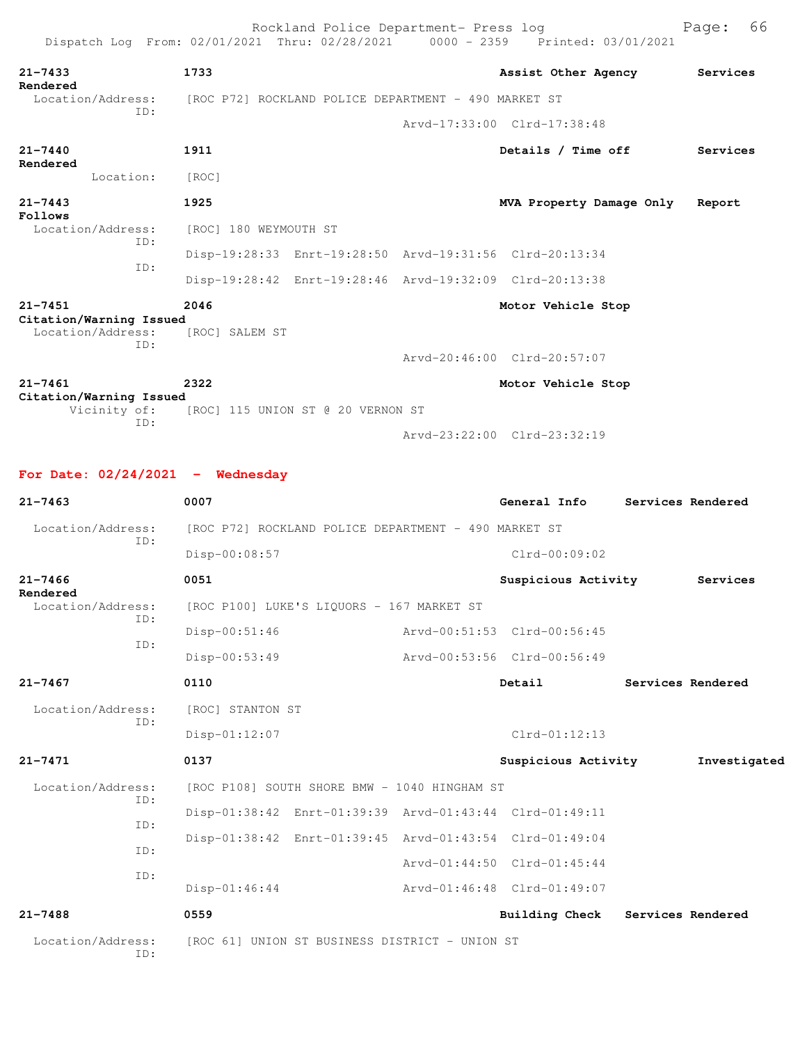| Dispatch Log From: 02/01/2021 Thru: 02/28/2021 0000 - 2359 Printed: 03/01/2021 |                                                      |  |  |                                                         |                   |          |  |
|--------------------------------------------------------------------------------|------------------------------------------------------|--|--|---------------------------------------------------------|-------------------|----------|--|
| 21-7433                                                                        | 1733                                                 |  |  | Assist Other Agency                                     |                   | Services |  |
| <b>Rendered</b><br>Location/Address:                                           | [ROC P72] ROCKLAND POLICE DEPARTMENT - 490 MARKET ST |  |  |                                                         |                   |          |  |
| TD:                                                                            |                                                      |  |  | Arvd-17:33:00 Clrd-17:38:48                             |                   |          |  |
| 21-7440                                                                        | 1911                                                 |  |  | Details / Time off                                      |                   | Services |  |
| Rendered<br>Location:                                                          | [ROC]                                                |  |  |                                                         |                   |          |  |
| $21 - 7443$                                                                    | 1925                                                 |  |  | MVA Property Damage Only                                |                   | Report   |  |
| Follows<br>Location/Address:                                                   | [ROC] 180 WEYMOUTH ST                                |  |  |                                                         |                   |          |  |
| ID:                                                                            |                                                      |  |  | Disp-19:28:33 Enrt-19:28:50 Arvd-19:31:56 Clrd-20:13:34 |                   |          |  |
| ID:                                                                            |                                                      |  |  | Disp-19:28:42 Enrt-19:28:46 Arvd-19:32:09 Clrd-20:13:38 |                   |          |  |
| 21-7451                                                                        | 2046                                                 |  |  | Motor Vehicle Stop                                      |                   |          |  |
| Citation/Warning Issued<br>Location/Address:                                   | [ROC] SALEM ST                                       |  |  |                                                         |                   |          |  |
| ID:                                                                            |                                                      |  |  | Arvd-20:46:00 Clrd-20:57:07                             |                   |          |  |
| $21 - 7461$                                                                    | 2322                                                 |  |  | Motor Vehicle Stop                                      |                   |          |  |
| Citation/Warning Issued                                                        | Vicinity of: [ROC] 115 UNION ST @ 20 VERNON ST       |  |  |                                                         |                   |          |  |
| TD:                                                                            |                                                      |  |  | Arvd-23:22:00 Clrd-23:32:19                             |                   |          |  |
|                                                                                |                                                      |  |  |                                                         |                   |          |  |
| For Date: $02/24/2021$ - Wednesday                                             |                                                      |  |  |                                                         |                   |          |  |
| $21 - 7463$                                                                    | 0007                                                 |  |  | General Info                                            | Services Rendered |          |  |
|                                                                                |                                                      |  |  |                                                         |                   |          |  |

| Location/Address:             |            | [ROC P72] ROCKLAND POLICE DEPARTMENT - 490 MARKET ST |                                                         |                             |                     |  |                   |
|-------------------------------|------------|------------------------------------------------------|---------------------------------------------------------|-----------------------------|---------------------|--|-------------------|
|                               | ID:        | Disp-00:08:57                                        |                                                         |                             | $Clrd-00:09:02$     |  |                   |
| $21 - 7466$                   |            | 0051                                                 |                                                         |                             | Suspicious Activity |  | Services          |
| Rendered<br>Location/Address: |            | [ROC P100] LUKE'S LIQUORS - 167 MARKET ST            |                                                         |                             |                     |  |                   |
|                               | ID:<br>TD: | Disp-00:51:46                                        |                                                         | Arvd-00:51:53 Clrd-00:56:45 |                     |  |                   |
|                               |            | Disp-00:53:49                                        |                                                         | Arvd-00:53:56 Clrd-00:56:49 |                     |  |                   |
| $21 - 7467$                   |            | 0110                                                 |                                                         |                             | Detail              |  | Services Rendered |
| Location/Address:<br>TD:      |            | [ROC] STANTON ST                                     |                                                         |                             |                     |  |                   |
|                               |            | Disp-01:12:07                                        |                                                         |                             | $Clrd-01:12:13$     |  |                   |
| $21 - 7471$                   |            | 0137                                                 |                                                         |                             | Suspicious Activity |  | Investigated      |
| Location/Address:             | ID:        | [ROC P108] SOUTH SHORE BMW - 1040 HINGHAM ST         |                                                         |                             |                     |  |                   |
|                               | ID:        |                                                      | Disp-01:38:42 Enrt-01:39:39 Arvd-01:43:44 Clrd-01:49:11 |                             |                     |  |                   |
|                               | ID:        |                                                      | Disp-01:38:42 Enrt-01:39:45 Arvd-01:43:54 Clrd-01:49:04 |                             |                     |  |                   |
|                               | TD:        |                                                      |                                                         | Arvd-01:44:50 Clrd-01:45:44 |                     |  |                   |
|                               |            | $Disp-01:46:44$                                      |                                                         | Arvd-01:46:48 Clrd-01:49:07 |                     |  |                   |
| $21 - 7488$                   |            | 0559                                                 |                                                         |                             | Building Check      |  | Services Rendered |
| Location/Address:             | TD:        | [ROC 61] UNION ST BUSINESS DISTRICT - UNION ST       |                                                         |                             |                     |  |                   |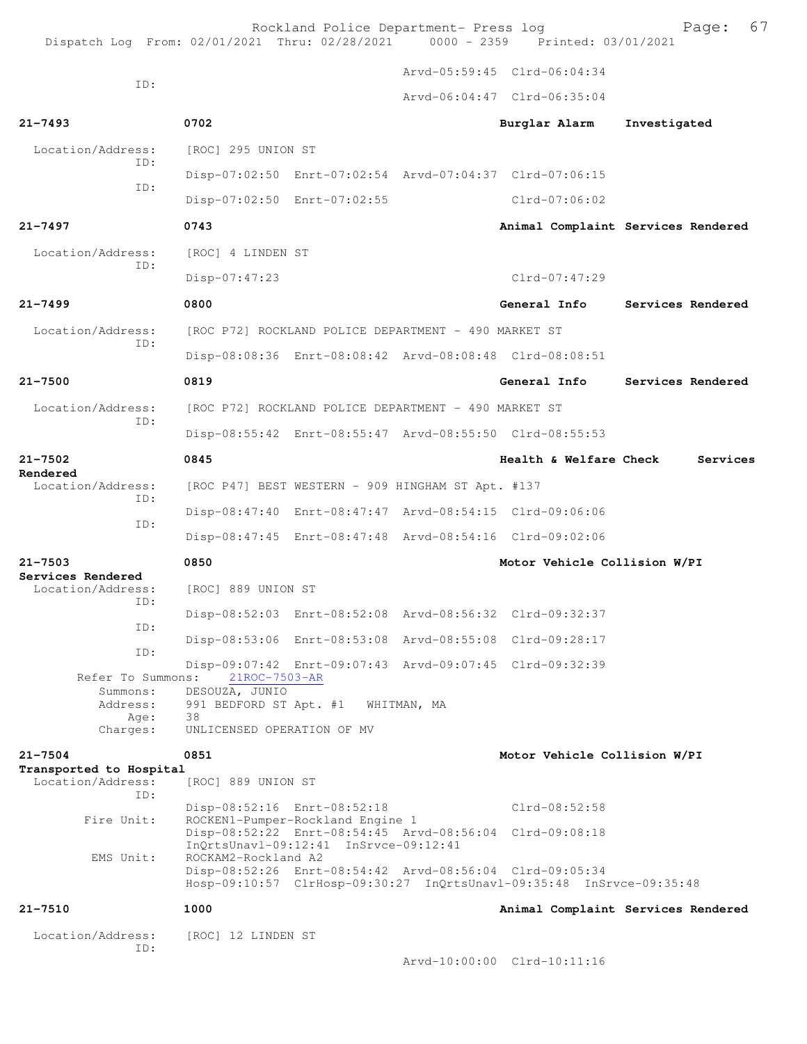| Dispatch Log From: 02/01/2021 Thru: 02/28/2021 0000 - 2359 Printed: 03/01/2021 |                                                                                                                                                                                            | Rockland Police Department- Press log                |             |                                                                                                                                 | 67<br>Page:                        |
|--------------------------------------------------------------------------------|--------------------------------------------------------------------------------------------------------------------------------------------------------------------------------------------|------------------------------------------------------|-------------|---------------------------------------------------------------------------------------------------------------------------------|------------------------------------|
|                                                                                |                                                                                                                                                                                            |                                                      |             | Arvd-05:59:45 Clrd-06:04:34                                                                                                     |                                    |
| ID:                                                                            |                                                                                                                                                                                            |                                                      |             | Arvd-06:04:47 Clrd-06:35:04                                                                                                     |                                    |
| $21 - 7493$                                                                    | 0702                                                                                                                                                                                       |                                                      |             | Burglar Alarm                                                                                                                   | Investigated                       |
| Location/Address:                                                              | [ROC] 295 UNION ST                                                                                                                                                                         |                                                      |             |                                                                                                                                 |                                    |
| TD:                                                                            |                                                                                                                                                                                            |                                                      |             | Disp-07:02:50 Enrt-07:02:54 Arvd-07:04:37 Clrd-07:06:15                                                                         |                                    |
| ID:                                                                            |                                                                                                                                                                                            | Disp-07:02:50 Enrt-07:02:55                          |             | $Clrd-07:06:02$                                                                                                                 |                                    |
| $21 - 7497$                                                                    | 0743                                                                                                                                                                                       |                                                      |             |                                                                                                                                 | Animal Complaint Services Rendered |
| Location/Address:<br>TD:                                                       | [ROC] 4 LINDEN ST                                                                                                                                                                          |                                                      |             |                                                                                                                                 |                                    |
|                                                                                | Disp-07:47:23                                                                                                                                                                              |                                                      |             | $Clrd-07:47:29$                                                                                                                 |                                    |
| $21 - 7499$                                                                    | 0800                                                                                                                                                                                       |                                                      |             | General Info                                                                                                                    | Services Rendered                  |
| Location/Address:                                                              |                                                                                                                                                                                            | [ROC P72] ROCKLAND POLICE DEPARTMENT - 490 MARKET ST |             |                                                                                                                                 |                                    |
| TD:                                                                            |                                                                                                                                                                                            |                                                      |             | Disp-08:08:36 Enrt-08:08:42 Arvd-08:08:48 Clrd-08:08:51                                                                         |                                    |
| $21 - 7500$                                                                    | 0819                                                                                                                                                                                       |                                                      |             | General Info                                                                                                                    | Services Rendered                  |
| Location/Address:                                                              |                                                                                                                                                                                            | [ROC P72] ROCKLAND POLICE DEPARTMENT - 490 MARKET ST |             |                                                                                                                                 |                                    |
| ID:                                                                            |                                                                                                                                                                                            |                                                      |             | Disp-08:55:42 Enrt-08:55:47 Arvd-08:55:50 Clrd-08:55:53                                                                         |                                    |
| $21 - 7502$                                                                    | 0845                                                                                                                                                                                       |                                                      |             | Health & Welfare Check                                                                                                          | Services                           |
| Rendered<br>Location/Address:<br>ID:                                           |                                                                                                                                                                                            | [ROC P47] BEST WESTERN - 909 HINGHAM ST Apt. #137    |             |                                                                                                                                 |                                    |
| ID:                                                                            |                                                                                                                                                                                            |                                                      |             | Disp-08:47:40 Enrt-08:47:47 Arvd-08:54:15 Clrd-09:06:06                                                                         |                                    |
|                                                                                |                                                                                                                                                                                            |                                                      |             | Disp-08:47:45 Enrt-08:47:48 Arvd-08:54:16 Clrd-09:02:06                                                                         |                                    |
| $21 - 7503$<br>Services Rendered                                               | 0850                                                                                                                                                                                       |                                                      |             | Motor Vehicle Collision W/PI                                                                                                    |                                    |
| Location/Address:<br>ID:                                                       | [ROC] 889 UNION ST                                                                                                                                                                         |                                                      |             |                                                                                                                                 |                                    |
| ID:                                                                            |                                                                                                                                                                                            |                                                      |             | Disp-08:52:03 Enrt-08:52:08 Arvd-08:56:32 Clrd-09:32:37                                                                         |                                    |
| ID:                                                                            |                                                                                                                                                                                            |                                                      |             | Disp-08:53:06 Enrt-08:53:08 Arvd-08:55:08 Clrd-09:28:17                                                                         |                                    |
| Refer To Summons:                                                              | 21ROC-7503-AR                                                                                                                                                                              |                                                      |             | Disp-09:07:42 Enrt-09:07:43 Arvd-09:07:45 Clrd-09:32:39                                                                         |                                    |
| Summons:<br>Address:                                                           | DESOUZA, JUNIO<br>991 BEDFORD ST Apt. #1                                                                                                                                                   |                                                      | WHITMAN, MA |                                                                                                                                 |                                    |
| Age:<br>Charges:                                                               | 38<br>UNLICENSED OPERATION OF MV                                                                                                                                                           |                                                      |             |                                                                                                                                 |                                    |
| $21 - 7504$                                                                    | 0851                                                                                                                                                                                       |                                                      |             | Motor Vehicle Collision W/PI                                                                                                    |                                    |
| Transported to Hospital<br>Location/Address:                                   | [ROC] 889 UNION ST                                                                                                                                                                         |                                                      |             |                                                                                                                                 |                                    |
| TD:                                                                            |                                                                                                                                                                                            |                                                      |             | $Clrd-08:52:58$                                                                                                                 |                                    |
| Fire Unit:                                                                     | Disp-08:52:16 Enrt-08:52:18<br>ROCKEN1-Pumper-Rockland Engine 1<br>Disp-08:52:22 Enrt-08:54:45 Arvd-08:56:04 Clrd-09:08:18<br>InQrtsUnavl-09:12:41 InSrvce-09:12:41<br>ROCKAM2-Rockland A2 |                                                      |             |                                                                                                                                 |                                    |
| EMS Unit:                                                                      |                                                                                                                                                                                            |                                                      |             |                                                                                                                                 |                                    |
|                                                                                |                                                                                                                                                                                            |                                                      |             | Disp-08:52:26 Enrt-08:54:42 Arvd-08:56:04 Clrd-09:05:34<br>Hosp-09:10:57 ClrHosp-09:30:27 InQrtsUnavl-09:35:48 InSrvce-09:35:48 |                                    |
| $21 - 7510$                                                                    | 1000                                                                                                                                                                                       |                                                      |             |                                                                                                                                 | Animal Complaint Services Rendered |
| Location/Address:                                                              | [ROC] 12 LINDEN ST                                                                                                                                                                         |                                                      |             |                                                                                                                                 |                                    |
| TD:                                                                            |                                                                                                                                                                                            |                                                      |             | Arvd-10:00:00 Clrd-10:11:16                                                                                                     |                                    |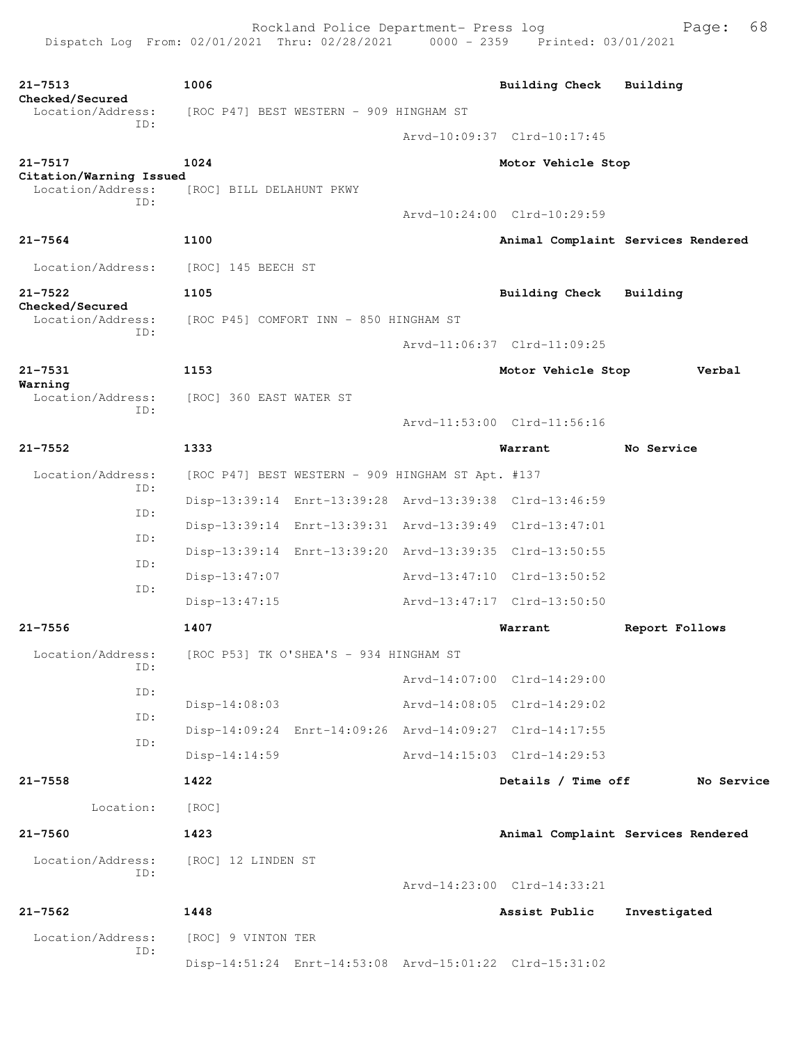| $21 - 7513$<br>Checked/Secured                                  | 1006                                    |                                                   | <b>Building Check</b>                                   | Building                           |
|-----------------------------------------------------------------|-----------------------------------------|---------------------------------------------------|---------------------------------------------------------|------------------------------------|
| Location/Address:                                               | [ROC P47] BEST WESTERN - 909 HINGHAM ST |                                                   |                                                         |                                    |
| ID:                                                             |                                         |                                                   | Arvd-10:09:37 Clrd-10:17:45                             |                                    |
| $21 - 7517$                                                     | 1024                                    |                                                   | Motor Vehicle Stop                                      |                                    |
| Citation/Warning Issued<br>Location/Address:                    | [ROC] BILL DELAHUNT PKWY                |                                                   |                                                         |                                    |
| ID:                                                             |                                         |                                                   | Arvd-10:24:00 Clrd-10:29:59                             |                                    |
| $21 - 7564$                                                     | 1100                                    |                                                   |                                                         | Animal Complaint Services Rendered |
| Location/Address:                                               | [ROC] 145 BEECH ST                      |                                                   |                                                         |                                    |
| $21 - 7522$                                                     | 1105                                    |                                                   | Building Check                                          | Building                           |
| Checked/Secured<br>Location/Address:                            | [ROC P45] COMFORT INN - 850 HINGHAM ST  |                                                   |                                                         |                                    |
| ID:                                                             |                                         |                                                   | Arvd-11:06:37 Clrd-11:09:25                             |                                    |
| $21 - 7531$                                                     | 1153                                    |                                                   | Motor Vehicle Stop                                      | Verbal                             |
| Warning<br>Location/Address:<br>ID:                             | [ROC] 360 EAST WATER ST                 |                                                   |                                                         |                                    |
|                                                                 |                                         |                                                   | Arvd-11:53:00 Clrd-11:56:16                             |                                    |
| $21 - 7552$                                                     | 1333                                    |                                                   | Warrant                                                 | No Service                         |
| Location/Address:                                               |                                         | [ROC P47] BEST WESTERN - 909 HINGHAM ST Apt. #137 |                                                         |                                    |
| ID:                                                             |                                         |                                                   | Disp-13:39:14 Enrt-13:39:28 Arvd-13:39:38 Clrd-13:46:59 |                                    |
| ID:<br>ID:                                                      |                                         |                                                   | Disp-13:39:14 Enrt-13:39:31 Arvd-13:39:49 Clrd-13:47:01 |                                    |
| ID:                                                             |                                         |                                                   | Disp-13:39:14 Enrt-13:39:20 Arvd-13:39:35 Clrd-13:50:55 |                                    |
| ID:                                                             | Disp-13:47:07                           |                                                   | Arvd-13:47:10 Clrd-13:50:52                             |                                    |
|                                                                 | $Disp-13:47:15$                         |                                                   | Arvd-13:47:17 Clrd-13:50:50                             |                                    |
| $21 - 7556$                                                     | 1407                                    |                                                   | Warrant                                                 | Report Follows                     |
| Location/Address: [ROC P53] TK O'SHEA'S - 934 HINGHAM ST<br>ID: |                                         |                                                   |                                                         |                                    |
| ID:                                                             |                                         |                                                   | Arvd-14:07:00 Clrd-14:29:00                             |                                    |
| ID:                                                             | $Disp-14:08:03$                         |                                                   | Arvd-14:08:05 Clrd-14:29:02                             |                                    |
| ID:                                                             |                                         |                                                   | Disp-14:09:24 Enrt-14:09:26 Arvd-14:09:27 Clrd-14:17:55 |                                    |
|                                                                 | Disp-14:14:59                           |                                                   | Arvd-14:15:03 Clrd-14:29:53                             |                                    |
| $21 - 7558$                                                     | 1422                                    |                                                   | Details / Time off                                      | No Service                         |
| Location:                                                       | [ROC]                                   |                                                   |                                                         |                                    |
| $21 - 7560$                                                     | 1423                                    |                                                   |                                                         | Animal Complaint Services Rendered |
| Location/Address:<br>ID:                                        | [ROC] 12 LINDEN ST                      |                                                   |                                                         |                                    |
|                                                                 |                                         |                                                   | Arvd-14:23:00 Clrd-14:33:21                             |                                    |
| $21 - 7562$                                                     | 1448                                    |                                                   | Assist Public                                           | Investigated                       |
| Location/Address:<br>ID:                                        | [ROC] 9 VINTON TER                      |                                                   |                                                         |                                    |
|                                                                 |                                         |                                                   | Disp-14:51:24 Enrt-14:53:08 Arvd-15:01:22 Clrd-15:31:02 |                                    |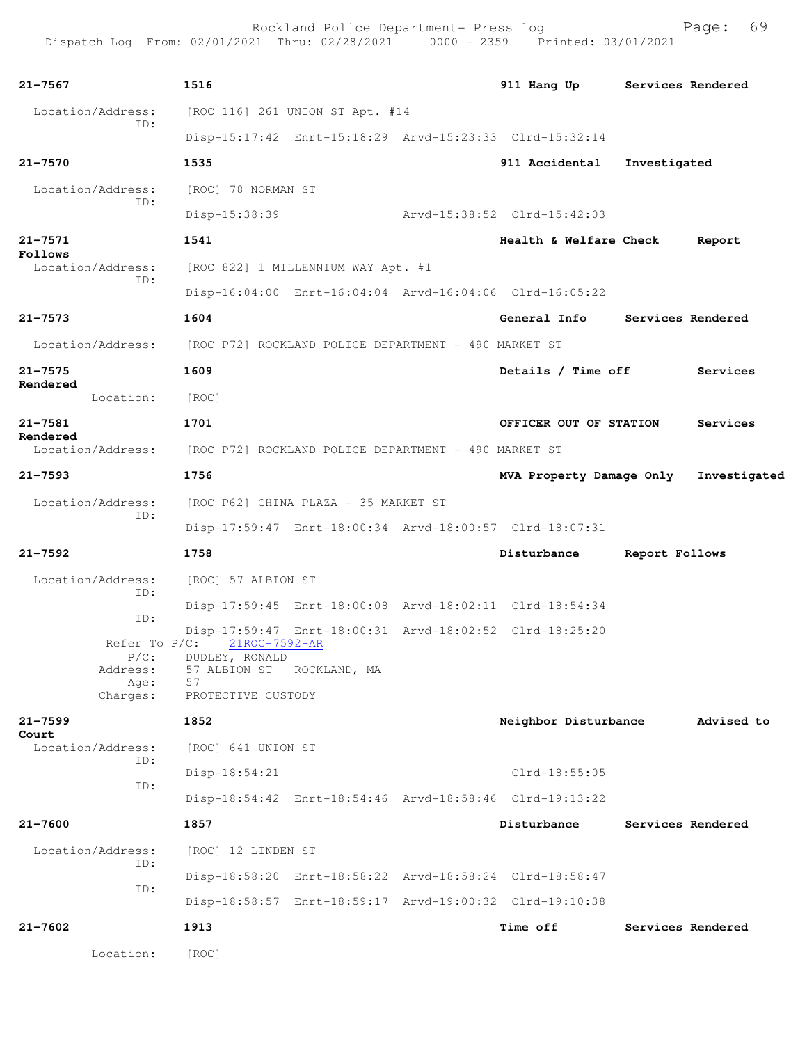| $21 - 7567$              | 1516                                                                   |  |  | 911 Hang Up                                             |                | Services Rendered |  |  |
|--------------------------|------------------------------------------------------------------------|--|--|---------------------------------------------------------|----------------|-------------------|--|--|
| Location/Address:<br>ID: | [ROC 116] 261 UNION ST Apt. #14                                        |  |  |                                                         |                |                   |  |  |
|                          |                                                                        |  |  | Disp-15:17:42 Enrt-15:18:29 Arvd-15:23:33 Clrd-15:32:14 |                |                   |  |  |
| $21 - 7570$              | 1535                                                                   |  |  | 911 Accidental                                          | Investigated   |                   |  |  |
| Location/Address:<br>ID: | [ROC] 78 NORMAN ST                                                     |  |  |                                                         |                |                   |  |  |
|                          | Disp-15:38:39                                                          |  |  | Arvd-15:38:52 Clrd-15:42:03                             |                |                   |  |  |
| $21 - 7571$<br>Follows   | 1541                                                                   |  |  | Health & Welfare Check                                  |                | Report            |  |  |
| Location/Address:<br>ID: | [ROC 822] 1 MILLENNIUM WAY Apt. #1                                     |  |  |                                                         |                |                   |  |  |
|                          |                                                                        |  |  | Disp-16:04:00 Enrt-16:04:04 Arvd-16:04:06 Clrd-16:05:22 |                |                   |  |  |
| $21 - 7573$              | 1604                                                                   |  |  | General Info Services Rendered                          |                |                   |  |  |
| Location/Address:        | [ROC P72] ROCKLAND POLICE DEPARTMENT - 490 MARKET ST                   |  |  |                                                         |                |                   |  |  |
| $21 - 7575$              | 1609                                                                   |  |  | Details / Time off Services                             |                |                   |  |  |
| Rendered<br>Location:    | [ROC]                                                                  |  |  |                                                         |                |                   |  |  |
| $21 - 7581$              | 1701                                                                   |  |  | OFFICER OUT OF STATION                                  |                | Services          |  |  |
| Rendered                 | Location/Address: [ROC P72] ROCKLAND POLICE DEPARTMENT - 490 MARKET ST |  |  |                                                         |                |                   |  |  |
| $21 - 7593$              | 1756                                                                   |  |  | MVA Property Damage Only Investigated                   |                |                   |  |  |
| Location/Address:        | [ROC P62] CHINA PLAZA - 35 MARKET ST                                   |  |  |                                                         |                |                   |  |  |
| ID:                      |                                                                        |  |  | Disp-17:59:47 Enrt-18:00:34 Arvd-18:00:57 Clrd-18:07:31 |                |                   |  |  |
| $21 - 7592$              | 1758                                                                   |  |  | Disturbance                                             | Report Follows |                   |  |  |
| Location/Address:        | [ROC] 57 ALBION ST                                                     |  |  |                                                         |                |                   |  |  |
| ID:                      |                                                                        |  |  | Disp-17:59:45 Enrt-18:00:08 Arvd-18:02:11 Clrd-18:54:34 |                |                   |  |  |
| ID:                      |                                                                        |  |  | Disp-17:59:47 Enrt-18:00:31 Arvd-18:02:52 Clrd-18:25:20 |                |                   |  |  |
| Refer To $P/C$ :         | 21ROC-7592-AR<br>P/C: DUDLEY, RONALD                                   |  |  |                                                         |                |                   |  |  |
| Address:<br>Age:         | 57 ALBION ST ROCKLAND, MA<br>57                                        |  |  |                                                         |                |                   |  |  |
| Charges:                 | PROTECTIVE CUSTODY                                                     |  |  |                                                         |                |                   |  |  |
| $21 - 7599$<br>Court     | 1852                                                                   |  |  | Neighbor Disturbance                                    |                | Advised to        |  |  |
| Location/Address:<br>ID: | [ROC] 641 UNION ST                                                     |  |  |                                                         |                |                   |  |  |
| ID:                      | Disp-18:54:21                                                          |  |  | Clrd-18:55:05                                           |                |                   |  |  |
|                          |                                                                        |  |  | Disp-18:54:42 Enrt-18:54:46 Arvd-18:58:46 Clrd-19:13:22 |                |                   |  |  |
| $21 - 7600$              | 1857                                                                   |  |  | Disturbance                                             |                | Services Rendered |  |  |
| Location/Address:<br>ID: | [ROC] 12 LINDEN ST                                                     |  |  |                                                         |                |                   |  |  |
| ID:                      |                                                                        |  |  | Disp-18:58:20 Enrt-18:58:22 Arvd-18:58:24 Clrd-18:58:47 |                |                   |  |  |
|                          |                                                                        |  |  | Disp-18:58:57 Enrt-18:59:17 Arvd-19:00:32 Clrd-19:10:38 |                |                   |  |  |
| $21 - 7602$              | 1913                                                                   |  |  | <b>Time off</b>                                         |                | Services Rendered |  |  |
| Location:                | [ROC]                                                                  |  |  |                                                         |                |                   |  |  |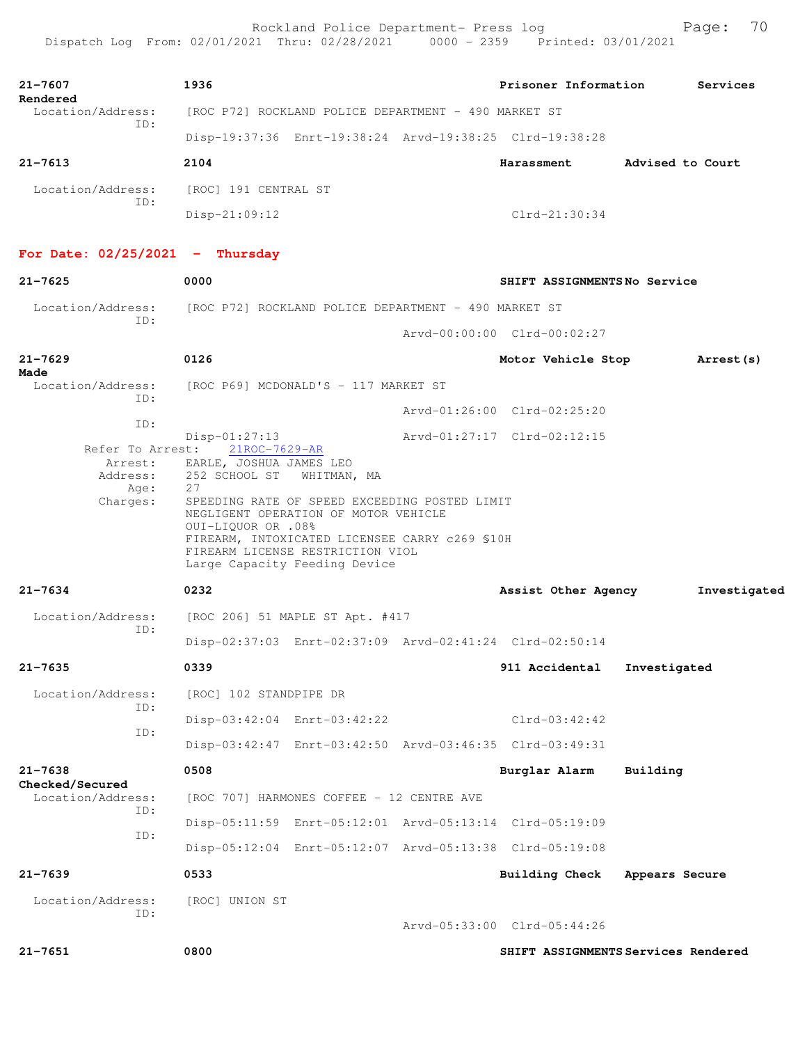| 21-7607<br>Rendered                                                    | 1936                                                                         |                                                                                                                                                                                                                             |  | Prisoner Information                                    |                  | Services     |  |
|------------------------------------------------------------------------|------------------------------------------------------------------------------|-----------------------------------------------------------------------------------------------------------------------------------------------------------------------------------------------------------------------------|--|---------------------------------------------------------|------------------|--------------|--|
| Location/Address:<br>ID:                                               | [ROC P72] ROCKLAND POLICE DEPARTMENT - 490 MARKET ST                         |                                                                                                                                                                                                                             |  |                                                         |                  |              |  |
|                                                                        |                                                                              |                                                                                                                                                                                                                             |  | Disp-19:37:36 Enrt-19:38:24 Arvd-19:38:25 Clrd-19:38:28 |                  |              |  |
| $21 - 7613$                                                            | 2104                                                                         |                                                                                                                                                                                                                             |  | Harassment                                              | Advised to Court |              |  |
| Location/Address:                                                      | [ROC] 191 CENTRAL ST                                                         |                                                                                                                                                                                                                             |  |                                                         |                  |              |  |
| ID:                                                                    | $Disp-21:09:12$                                                              |                                                                                                                                                                                                                             |  | $Clrd-21:30:34$                                         |                  |              |  |
| For Date: $02/25/2021$ - Thursday                                      |                                                                              |                                                                                                                                                                                                                             |  |                                                         |                  |              |  |
| $21 - 7625$                                                            | 0000                                                                         |                                                                                                                                                                                                                             |  | SHIFT ASSIGNMENTSNo Service                             |                  |              |  |
| Location/Address: [ROC P72] ROCKLAND POLICE DEPARTMENT - 490 MARKET ST |                                                                              |                                                                                                                                                                                                                             |  |                                                         |                  |              |  |
| ID:                                                                    |                                                                              |                                                                                                                                                                                                                             |  | Arvd-00:00:00 Clrd-00:02:27                             |                  |              |  |
| $21 - 7629$                                                            | 0126                                                                         |                                                                                                                                                                                                                             |  | Motor Vehicle Stop                                      |                  | Arrest (s)   |  |
| Made<br>Location/Address: [ROC P69] MCDONALD'S - 117 MARKET ST         |                                                                              |                                                                                                                                                                                                                             |  |                                                         |                  |              |  |
| ID:                                                                    |                                                                              |                                                                                                                                                                                                                             |  | Arvd-01:26:00 Clrd-02:25:20                             |                  |              |  |
| ID:                                                                    | $Disp-01:27:13$<br>Refer To Arrest: 21ROC-7629-AR                            |                                                                                                                                                                                                                             |  | Arvd-01:27:17 Clrd-02:12:15                             |                  |              |  |
| Address:<br>Age:<br>Charges:                                           | Arrest: EARLE, JOSHUA JAMES LEO<br>252 SCHOOL ST<br>27<br>0UI-LIQUOR OR .08% | WHITMAN, MA<br>SPEEDING RATE OF SPEED EXCEEDING POSTED LIMIT<br>NEGLIGENT OPERATION OF MOTOR VEHICLE<br>FIREARM, INTOXICATED LICENSEE CARRY c269 \$10H<br>FIREARM LICENSE RESTRICTION VIOL<br>Large Capacity Feeding Device |  |                                                         |                  |              |  |
| $21 - 7634$                                                            | 0232                                                                         |                                                                                                                                                                                                                             |  | Assist Other Agency                                     |                  | Investigated |  |
| Location/Address:                                                      | [ROC 206] 51 MAPLE ST Apt. #417                                              |                                                                                                                                                                                                                             |  |                                                         |                  |              |  |
| ID:                                                                    |                                                                              |                                                                                                                                                                                                                             |  | Disp-02:37:03 Enrt-02:37:09 Arvd-02:41:24 Clrd-02:50:14 |                  |              |  |
| $21 - 7635$                                                            | 0339                                                                         |                                                                                                                                                                                                                             |  | 911 Accidental                                          | Investigated     |              |  |
| Location/Address:                                                      | [ROC] 102 STANDPIPE DR                                                       |                                                                                                                                                                                                                             |  |                                                         |                  |              |  |
| ID:                                                                    |                                                                              | Disp-03:42:04 Enrt-03:42:22                                                                                                                                                                                                 |  | $Clrd-03:42:42$                                         |                  |              |  |
| ID:                                                                    |                                                                              |                                                                                                                                                                                                                             |  | Disp-03:42:47 Enrt-03:42:50 Arvd-03:46:35 Clrd-03:49:31 |                  |              |  |
| $21 - 7638$                                                            | 0508                                                                         |                                                                                                                                                                                                                             |  | Burglar Alarm                                           | Building         |              |  |
| Checked/Secured<br>Location/Address:                                   | [ROC 707] HARMONES COFFEE - 12 CENTRE AVE                                    |                                                                                                                                                                                                                             |  |                                                         |                  |              |  |
| ID:                                                                    |                                                                              |                                                                                                                                                                                                                             |  | Disp-05:11:59 Enrt-05:12:01 Arvd-05:13:14 Clrd-05:19:09 |                  |              |  |
| ID:                                                                    |                                                                              |                                                                                                                                                                                                                             |  | Disp-05:12:04 Enrt-05:12:07 Arvd-05:13:38 Clrd-05:19:08 |                  |              |  |
| $21 - 7639$                                                            | 0533                                                                         |                                                                                                                                                                                                                             |  | <b>Building Check</b>                                   | Appears Secure   |              |  |
| Location/Address:                                                      | [ROC] UNION ST                                                               |                                                                                                                                                                                                                             |  |                                                         |                  |              |  |
| ID:                                                                    |                                                                              |                                                                                                                                                                                                                             |  | Arvd-05:33:00 Clrd-05:44:26                             |                  |              |  |
| $21 - 7651$                                                            | 0800                                                                         |                                                                                                                                                                                                                             |  | SHIFT ASSIGNMENTS Services Rendered                     |                  |              |  |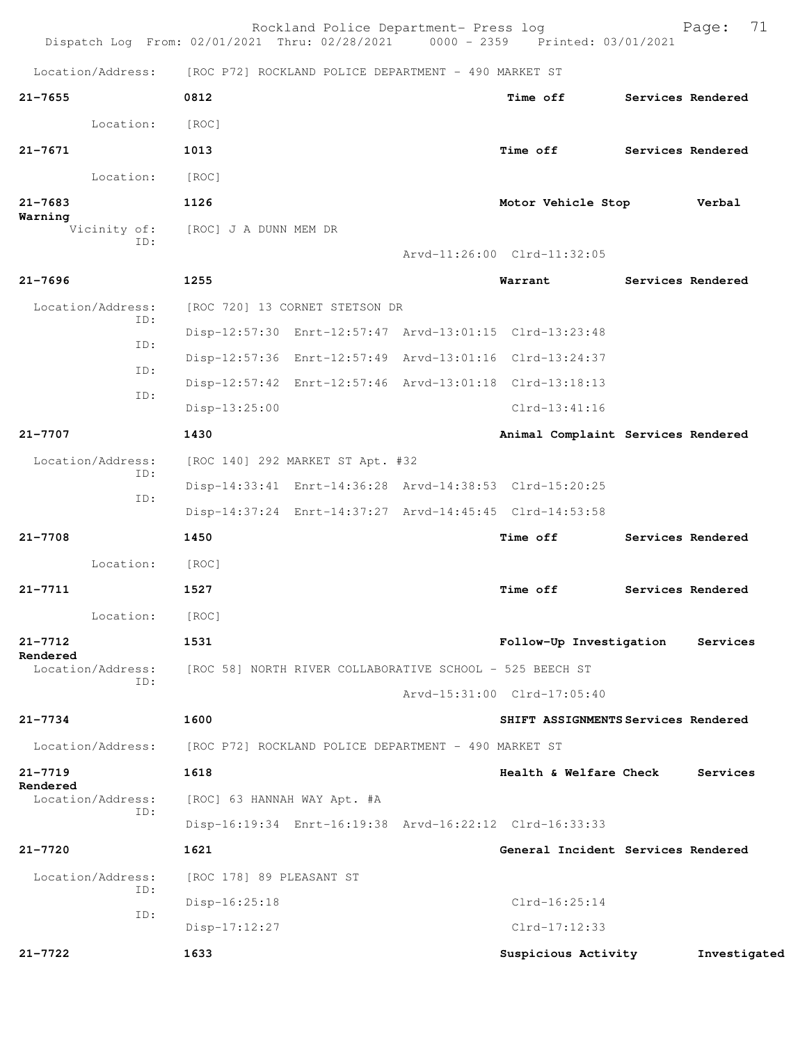|                                | Rockland Police Department- Press log<br>Dispatch Log From: 02/01/2021 Thru: 02/28/2021 0000 - 2359 Printed: 03/01/2021 |  |                                     |  | 71<br>Page:       |
|--------------------------------|-------------------------------------------------------------------------------------------------------------------------|--|-------------------------------------|--|-------------------|
| Location/Address:              | [ROC P72] ROCKLAND POLICE DEPARTMENT - 490 MARKET ST                                                                    |  |                                     |  |                   |
| $21 - 7655$                    | 0812                                                                                                                    |  | <b>Time off</b>                     |  | Services Rendered |
| Location:                      | [ROC]                                                                                                                   |  |                                     |  |                   |
| $21 - 7671$                    | 1013                                                                                                                    |  | Time off                            |  | Services Rendered |
| Location:                      | [ROC]                                                                                                                   |  |                                     |  |                   |
| $21 - 7683$                    | 1126                                                                                                                    |  | Motor Vehicle Stop                  |  | Verbal            |
| Warning<br>Vicinity of:<br>ID: | [ROC] J A DUNN MEM DR                                                                                                   |  | Arvd-11:26:00 Clrd-11:32:05         |  |                   |
| $21 - 7696$                    | 1255                                                                                                                    |  | Warrant                             |  | Services Rendered |
| Location/Address:              | [ROC 720] 13 CORNET STETSON DR                                                                                          |  |                                     |  |                   |
| ID:<br>ID:<br>ID:              | Disp-12:57:30 Enrt-12:57:47 Arvd-13:01:15 Clrd-13:23:48                                                                 |  |                                     |  |                   |
|                                | Disp-12:57:36 Enrt-12:57:49 Arvd-13:01:16 Clrd-13:24:37                                                                 |  |                                     |  |                   |
|                                | Disp-12:57:42 Enrt-12:57:46 Arvd-13:01:18 Clrd-13:18:13                                                                 |  |                                     |  |                   |
| ID:                            | Disp-13:25:00                                                                                                           |  | $Clrd-13:41:16$                     |  |                   |
| $21 - 7707$                    | 1430                                                                                                                    |  | Animal Complaint Services Rendered  |  |                   |
| Location/Address:              | [ROC 140] 292 MARKET ST Apt. #32                                                                                        |  |                                     |  |                   |
| ID:                            | Disp-14:33:41 Enrt-14:36:28 Arvd-14:38:53 Clrd-15:20:25                                                                 |  |                                     |  |                   |
| ID:                            | Disp-14:37:24 Enrt-14:37:27 Arvd-14:45:45 Clrd-14:53:58                                                                 |  |                                     |  |                   |
| $21 - 7708$                    | 1450                                                                                                                    |  | Time off                            |  | Services Rendered |
| Location:                      | [ROC]                                                                                                                   |  |                                     |  |                   |
| $21 - 7711$                    | 1527                                                                                                                    |  | Time off                            |  | Services Rendered |
| Location:                      | [ROC]                                                                                                                   |  |                                     |  |                   |
| $21 - 7712$<br>Rendered        | 1531                                                                                                                    |  | Follow-Up Investigation             |  | Services          |
| Location/Address:<br>TD:       | [ROC 58] NORTH RIVER COLLABORATIVE SCHOOL - 525 BEECH ST                                                                |  |                                     |  |                   |
|                                |                                                                                                                         |  | Arvd-15:31:00 Clrd-17:05:40         |  |                   |
| $21 - 7734$                    | 1600                                                                                                                    |  | SHIFT ASSIGNMENTS Services Rendered |  |                   |
| Location/Address:              | [ROC P72] ROCKLAND POLICE DEPARTMENT - 490 MARKET ST                                                                    |  |                                     |  |                   |
| $21 - 7719$<br>Rendered        | 1618                                                                                                                    |  | Health & Welfare Check              |  | Services          |
| Location/Address:<br>ID:       | [ROC] 63 HANNAH WAY Apt. #A                                                                                             |  |                                     |  |                   |
|                                | Disp-16:19:34 Enrt-16:19:38 Arvd-16:22:12 Clrd-16:33:33                                                                 |  |                                     |  |                   |
| $21 - 7720$                    | 1621                                                                                                                    |  | General Incident Services Rendered  |  |                   |
| Location/Address:<br>ID:       | [ROC 178] 89 PLEASANT ST                                                                                                |  |                                     |  |                   |
| ID:                            | $Disp-16:25:18$                                                                                                         |  | $Clrd-16:25:14$                     |  |                   |
|                                | $Disp-17:12:27$                                                                                                         |  | $Clrd-17:12:33$                     |  |                   |
| 21-7722                        | 1633                                                                                                                    |  | Suspicious Activity                 |  | Investigated      |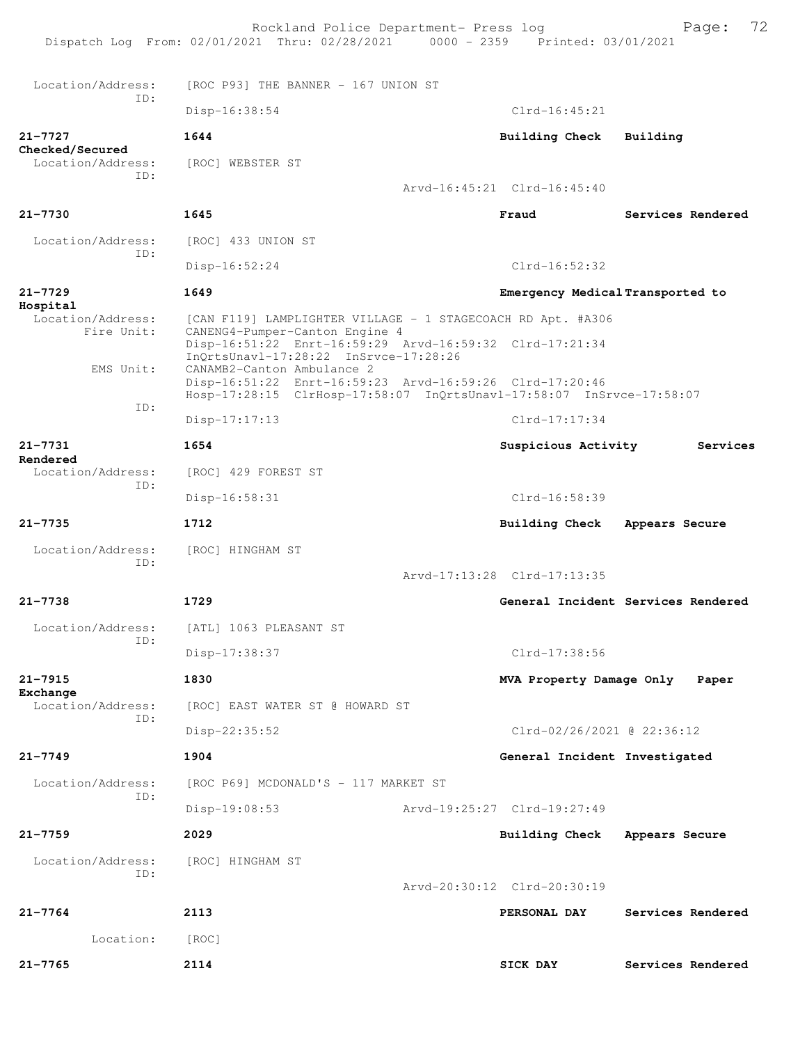Rockland Police Department- Press log Bookland Police Department- Press log<br>21 Thru: 02/28/2021 0000 - 2359 Printed: 03/01/2021 Dispatch Log From: 02/01/2021 Thru: 02/28/2021 Location/Address: [ROC P93] THE BANNER - 167 UNION ST ID: Disp-16:38:54 Clrd-16:45:21 **21-7727 1644 Building Check Building Checked/Secured**  Location/Address: [ROC] WEBSTER ST ID: Arvd-16:45:21 Clrd-16:45:40 **21-7730 1645 Fraud Services Rendered** Location/Address: [ROC] 433 UNION ST ID: Disp-16:52:24 Clrd-16:52:32 **21-7729 1649 Emergency Medical Transported to Hospital**  Location/Address: [CAN F119] LAMPLIGHTER VILLAGE - 1 STAGECOACH RD Apt. #A306 Fire Unit: CANENG4-Pumper-Canton Engine 4 Disp-16:51:22 Enrt-16:59:29 Arvd-16:59:32 Clrd-17:21:34 InQrtsUnavl-17:28:22 InSrvce-17:28:26<br>EMS Unit: CANAMB2-Canton Ambulance 2 CANAMB2-Canton Ambulance 2 Disp-16:51:22 Enrt-16:59:23 Arvd-16:59:26 Clrd-17:20:46 Hosp-17:28:15 ClrHosp-17:58:07 InQrtsUnavl-17:58:07 InSrvce-17:58:07 ID: Disp-17:17:13 Clrd-17:17:34 **21-7731 1654 Suspicious Activity Services Rendered**  [ROC] 429 FOREST ST ID: Disp-16:58:31 Clrd-16:58:39 **21-7735 1712 Building Check Appears Secure** Location/Address: [ROC] HINGHAM ST ID: Arvd-17:13:28 Clrd-17:13:35 **21-7738 1729 General Incident Services Rendered** Location/Address: [ATL] 1063 PLEASANT ST ID: Disp-17:38:37 Clrd-17:38:56 **21-7915 1830 MVA Property Damage Only Paper** Exchange<br>Location/Address: [ROC] EAST WATER ST @ HOWARD ST ID: Disp-22:35:52 Clrd-02/26/2021 @ 22:36:12 **21-7749 1904 General Incident Investigated** Location/Address: [ROC P69] MCDONALD'S - 117 MARKET ST ID: Disp-19:08:53 Arvd-19:25:27 Clrd-19:27:49 **21-7759 2029 Building Check Appears Secure** Location/Address: [ROC] HINGHAM ST ID: Arvd-20:30:12 Clrd-20:30:19 **21-7764 2113 PERSONAL DAY Services Rendered** Location: [ROC] **21-7765 2114 SICK DAY Services Rendered**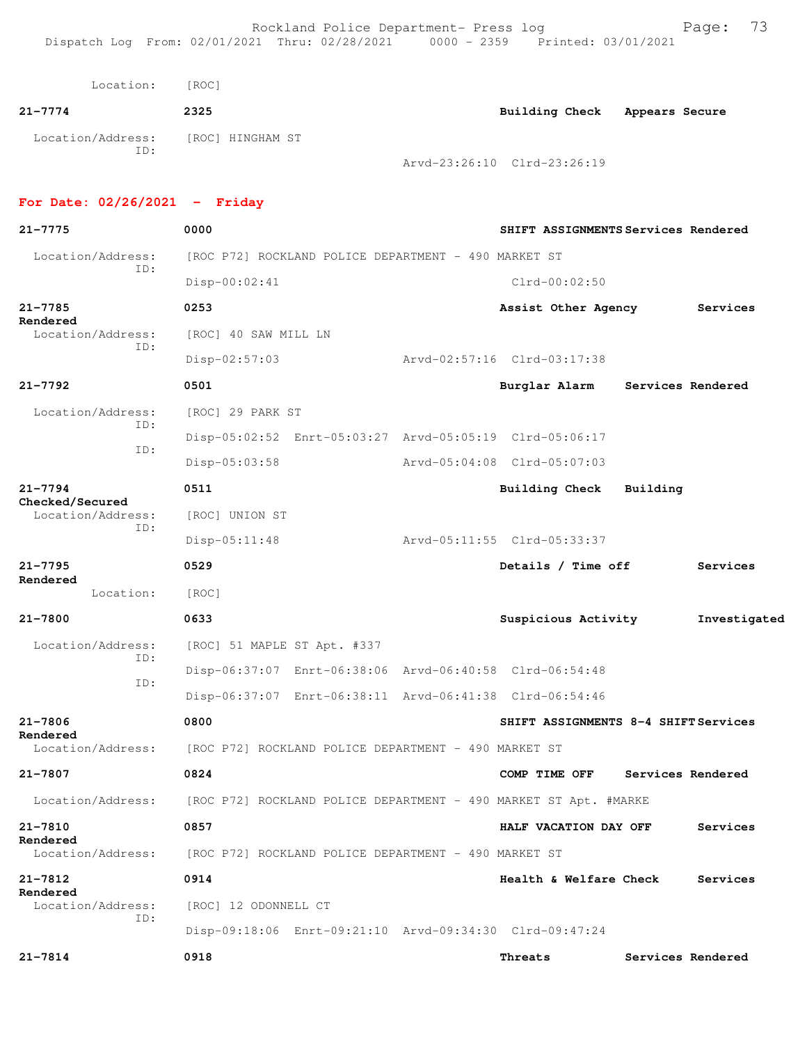| Location:         | [ROC] |                                                 |                       |                |
|-------------------|-------|-------------------------------------------------|-----------------------|----------------|
| $21 - 7774$       | 2325  |                                                 | <b>Building Check</b> | Appears Secure |
| Location/Address: | ID:   | [ROC] HINGHAM ST<br>Arvd-23:26:10 Clrd-23:26:19 |                       |                |

## **For Date: 02/26/2021 - Friday**

| 21-7775                        | 0000                                                             |  | SHIFT ASSIGNMENTS Services Rendered  |          |                   |
|--------------------------------|------------------------------------------------------------------|--|--------------------------------------|----------|-------------------|
| Location/Address:              | [ROC P72] ROCKLAND POLICE DEPARTMENT - 490 MARKET ST             |  |                                      |          |                   |
| ID:                            | Disp-00:02:41                                                    |  | $Clrd-00:02:50$                      |          |                   |
| 21-7785<br>Rendered            | 0253                                                             |  | Assist Other Agency                  |          | Services          |
| Location/Address:<br>ID:       | [ROC] 40 SAW MILL LN                                             |  |                                      |          |                   |
|                                | Disp-02:57:03                                                    |  | Arvd-02:57:16 Clrd-03:17:38          |          |                   |
| $21 - 7792$                    | 0501                                                             |  | Burglar Alarm                        |          | Services Rendered |
| Location/Address:<br>TD:       | [ROC] 29 PARK ST                                                 |  |                                      |          |                   |
| ID:                            | Disp-05:02:52 Enrt-05:03:27 Arvd-05:05:19 Clrd-05:06:17          |  |                                      |          |                   |
|                                | Disp-05:03:58                                                    |  | Arvd-05:04:08 Clrd-05:07:03          |          |                   |
| $21 - 7794$<br>Checked/Secured | 0511                                                             |  | <b>Building Check</b>                | Building |                   |
| Location/Address:              | [ROC] UNION ST                                                   |  |                                      |          |                   |
| ID:                            | $Disp-05:11:48$                                                  |  | Arvd-05:11:55 Clrd-05:33:37          |          |                   |
| $21 - 7795$                    | 0529                                                             |  | Details / Time off                   |          | Services          |
| Rendered<br>Location:          | [ROC]                                                            |  |                                      |          |                   |
| $21 - 7800$                    | 0633                                                             |  | Suspicious Activity                  |          | Investigated      |
| Location/Address:              | [ROC] 51 MAPLE ST Apt. #337                                      |  |                                      |          |                   |
| ID:                            | Disp-06:37:07 Enrt-06:38:06 Arvd-06:40:58 Clrd-06:54:48          |  |                                      |          |                   |
| ID:                            | Disp-06:37:07 Enrt-06:38:11 Arvd-06:41:38 Clrd-06:54:46          |  |                                      |          |                   |
| $21 - 7806$                    | 0800                                                             |  | SHIFT ASSIGNMENTS 8-4 SHIFT Services |          |                   |
| Rendered<br>Location/Address:  | [ROC P72] ROCKLAND POLICE DEPARTMENT - 490 MARKET ST             |  |                                      |          |                   |
| 21-7807                        | 0824                                                             |  | COMP TIME OFF                        |          | Services Rendered |
| Location/Address:              | [ROC P72] ROCKLAND POLICE DEPARTMENT - 490 MARKET ST Apt. #MARKE |  |                                      |          |                   |
| 21-7810                        | 0857                                                             |  | HALF VACATION DAY OFF                |          | Services          |
| Rendered<br>Location/Address:  | [ROC P72] ROCKLAND POLICE DEPARTMENT - 490 MARKET ST             |  |                                      |          |                   |
| 21-7812                        | 0914                                                             |  | Health & Welfare Check               |          | Services          |
| Rendered<br>Location/Address:  | [ROC] 12 ODONNELL CT                                             |  |                                      |          |                   |
| ID:                            | Disp-09:18:06 Enrt-09:21:10 Arvd-09:34:30 Clrd-09:47:24          |  |                                      |          |                   |
| 21-7814                        | 0918                                                             |  | Threats                              |          | Services Rendered |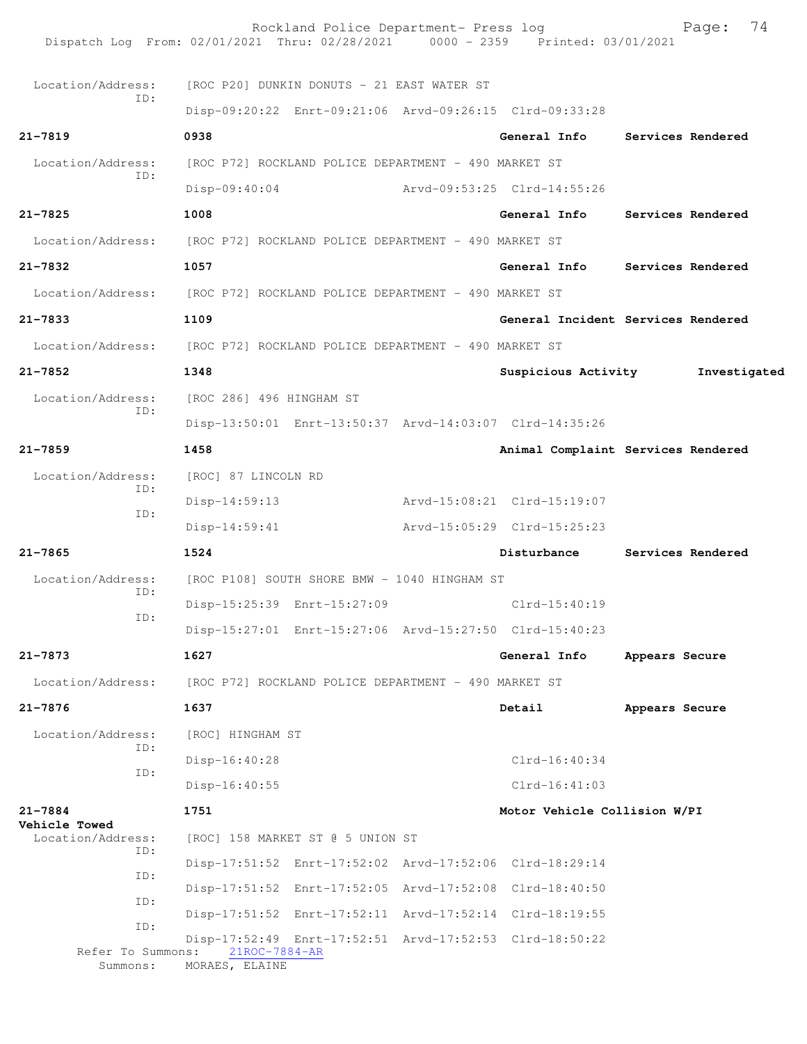| Dispatch Log From: 02/01/2021 Thru: 02/28/2021 0000 - 2359 Printed: 03/01/2021 |                                                      | Rockland Police Department- Press log |                                                         |                | Page:             | 74 |
|--------------------------------------------------------------------------------|------------------------------------------------------|---------------------------------------|---------------------------------------------------------|----------------|-------------------|----|
| Location/Address:                                                              | [ROC P20] DUNKIN DONUTS - 21 EAST WATER ST           |                                       |                                                         |                |                   |    |
| ID:                                                                            |                                                      |                                       | Disp-09:20:22 Enrt-09:21:06 Arvd-09:26:15 Clrd-09:33:28 |                |                   |    |
| $21 - 7819$                                                                    | 0938                                                 |                                       | General Info                                            |                | Services Rendered |    |
| Location/Address:                                                              | [ROC P72] ROCKLAND POLICE DEPARTMENT - 490 MARKET ST |                                       |                                                         |                |                   |    |
| ID:                                                                            | $Disp-09:40:04$                                      |                                       | Arvd-09:53:25 Clrd-14:55:26                             |                |                   |    |
| $21 - 7825$                                                                    | 1008                                                 |                                       | General Info                                            |                | Services Rendered |    |
| Location/Address:                                                              | [ROC P72] ROCKLAND POLICE DEPARTMENT - 490 MARKET ST |                                       |                                                         |                |                   |    |
| 21-7832                                                                        | 1057                                                 |                                       | General Info                                            |                | Services Rendered |    |
| Location/Address:                                                              | [ROC P72] ROCKLAND POLICE DEPARTMENT - 490 MARKET ST |                                       |                                                         |                |                   |    |
| 21-7833                                                                        | 1109                                                 |                                       | General Incident Services Rendered                      |                |                   |    |
| Location/Address:                                                              | [ROC P72] ROCKLAND POLICE DEPARTMENT - 490 MARKET ST |                                       |                                                         |                |                   |    |
| $21 - 7852$                                                                    | 1348                                                 |                                       | Suspicious Activity                                     |                | Investigated      |    |
| Location/Address:                                                              | [ROC 286] 496 HINGHAM ST                             |                                       |                                                         |                |                   |    |
| ID:                                                                            |                                                      |                                       | Disp-13:50:01 Enrt-13:50:37 Arvd-14:03:07 Clrd-14:35:26 |                |                   |    |
| $21 - 7859$                                                                    | 1458                                                 |                                       | Animal Complaint Services Rendered                      |                |                   |    |
| Location/Address:                                                              | [ROC] 87 LINCOLN RD                                  |                                       |                                                         |                |                   |    |
| ID:                                                                            | $Disp-14:59:13$                                      |                                       | Arvd-15:08:21 Clrd-15:19:07                             |                |                   |    |
| ID:                                                                            | $Disp-14:59:41$                                      |                                       | Arvd-15:05:29 Clrd-15:25:23                             |                |                   |    |
| $21 - 7865$                                                                    | 1524                                                 |                                       | Disturbance                                             |                | Services Rendered |    |
| Location/Address:                                                              | [ROC P108] SOUTH SHORE BMW - 1040 HINGHAM ST         |                                       |                                                         |                |                   |    |
| ID:                                                                            | Disp-15:25:39 Enrt-15:27:09                          |                                       | $Clrd-15:40:19$                                         |                |                   |    |
| ID:                                                                            |                                                      |                                       | Disp-15:27:01 Enrt-15:27:06 Arvd-15:27:50 Clrd-15:40:23 |                |                   |    |
| 21-7873                                                                        | 1627                                                 |                                       | General Info                                            | Appears Secure |                   |    |
| Location/Address:                                                              | [ROC P72] ROCKLAND POLICE DEPARTMENT - 490 MARKET ST |                                       |                                                         |                |                   |    |
| 21-7876                                                                        | 1637                                                 |                                       | Detail                                                  | Appears Secure |                   |    |
| Location/Address:                                                              | [ROC] HINGHAM ST                                     |                                       |                                                         |                |                   |    |
| ID:                                                                            | Disp-16:40:28                                        |                                       | $Clrd-16:40:34$                                         |                |                   |    |
| ID:                                                                            | $Disp-16:40:55$                                      |                                       | $Clrd-16:41:03$                                         |                |                   |    |
| 21-7884                                                                        | 1751                                                 |                                       | Motor Vehicle Collision W/PI                            |                |                   |    |
| <b>Vehicle Towed</b><br>Location/Address:                                      | [ROC] 158 MARKET ST @ 5 UNION ST                     |                                       |                                                         |                |                   |    |
| ID:                                                                            |                                                      |                                       | Disp-17:51:52 Enrt-17:52:02 Arvd-17:52:06 Clrd-18:29:14 |                |                   |    |
| ID:                                                                            |                                                      |                                       | Disp-17:51:52 Enrt-17:52:05 Arvd-17:52:08 Clrd-18:40:50 |                |                   |    |
| ID:                                                                            |                                                      |                                       | Disp-17:51:52 Enrt-17:52:11 Arvd-17:52:14 Clrd-18:19:55 |                |                   |    |
| ID:<br>Refer To Summons:                                                       | 21ROC-7884-AR                                        |                                       | Disp-17:52:49 Enrt-17:52:51 Arvd-17:52:53 Clrd-18:50:22 |                |                   |    |
| Summons:                                                                       | MORAES, ELAINE                                       |                                       |                                                         |                |                   |    |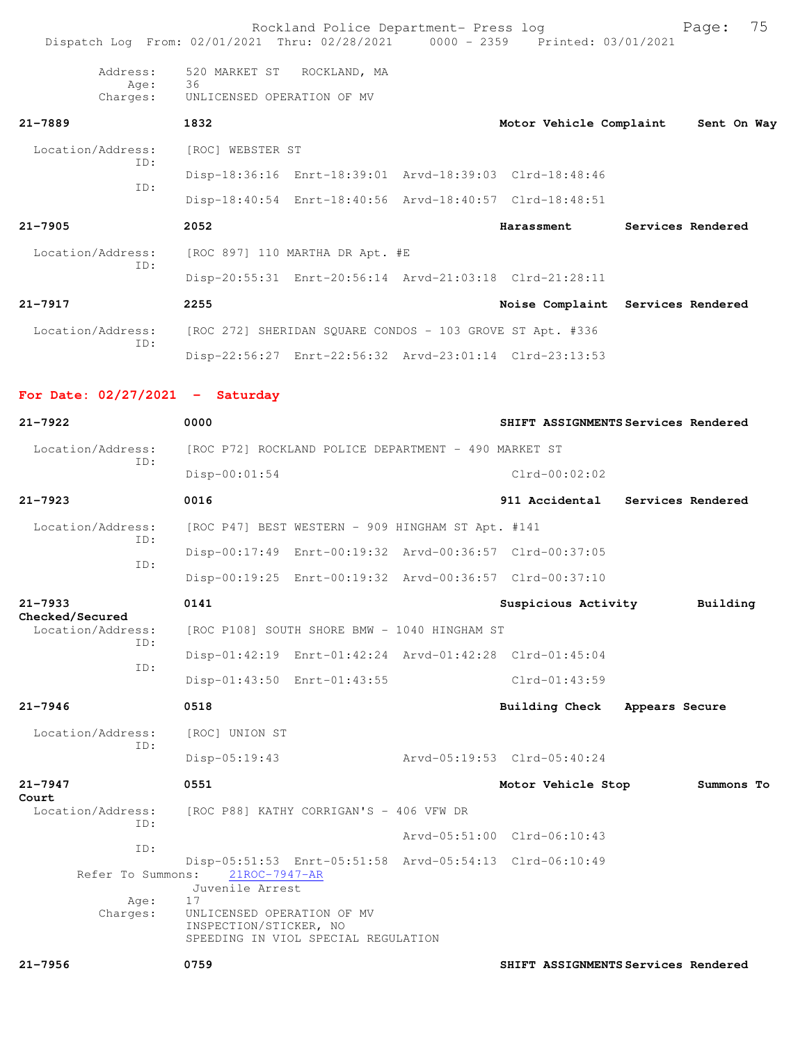|                                   | Rockland Police Department- Press log<br>Dispatch Log From: 02/01/2021 Thru: 02/28/2021 0000 - 2359 Printed: 03/01/2021 |                         | 75<br>Page:                         |  |  |
|-----------------------------------|-------------------------------------------------------------------------------------------------------------------------|-------------------------|-------------------------------------|--|--|
| Address:<br>Age:<br>Charges:      | 520 MARKET ST<br>ROCKLAND, MA<br>36<br>UNLICENSED OPERATION OF MV                                                       |                         |                                     |  |  |
| $21 - 7889$                       | 1832                                                                                                                    | Motor Vehicle Complaint | Sent On Way                         |  |  |
| Location/Address:                 | [ROC] WEBSTER ST                                                                                                        |                         |                                     |  |  |
| TD:                               | Disp-18:36:16 Enrt-18:39:01 Arvd-18:39:03 Clrd-18:48:46                                                                 |                         |                                     |  |  |
| TD:                               | Disp-18:40:54 Enrt-18:40:56 Arvd-18:40:57 Clrd-18:48:51                                                                 |                         |                                     |  |  |
| $21 - 7905$                       | 2052                                                                                                                    | Harassment              | Services Rendered                   |  |  |
| Location/Address:<br>ID:          | [ROC 897] 110 MARTHA DR Apt. #E                                                                                         |                         |                                     |  |  |
|                                   | Disp-20:55:31 Enrt-20:56:14 Arvd-21:03:18 Clrd-21:28:11                                                                 |                         |                                     |  |  |
| $21 - 7917$                       | 2255                                                                                                                    |                         | Noise Complaint Services Rendered   |  |  |
| Location/Address:<br>ID:          | [ROC 272] SHERIDAN SQUARE CONDOS - 103 GROVE ST Apt. #336                                                               |                         |                                     |  |  |
|                                   | Disp-22:56:27 Enrt-22:56:32 Arvd-23:01:14 Clrd-23:13:53                                                                 |                         |                                     |  |  |
| For Date: $02/27/2021$ - Saturday |                                                                                                                         |                         |                                     |  |  |
| $21 - 7922$                       | 0000                                                                                                                    |                         | SHIFT ASSIGNMENTS Services Rendered |  |  |
| Location/Address:<br>TD:          | [ROC P72] ROCKLAND POLICE DEPARTMENT - 490 MARKET ST                                                                    |                         |                                     |  |  |
|                                   | $Disp-00:01:54$                                                                                                         | $Clrd-00:02:02$         |                                     |  |  |
| $21 - 7923$                       | 0016                                                                                                                    | 911 Accidental          | Services Rendered                   |  |  |
| Location/Address:<br>TD:          | [ROC P47] BEST WESTERN - 909 HINGHAM ST Apt. #141                                                                       |                         |                                     |  |  |
|                                   | Disp-00:17:49 Enrt-00:19:32 Arvd-00:36:57 Clrd-00:37:05                                                                 |                         |                                     |  |  |
| ID:                               | Disp-00:19:25 Enrt-00:19:32 Arvd-00:36:57 Clrd-00:37:10                                                                 |                         |                                     |  |  |
| $21 - 7933$<br>Checked/Secured    | 0141                                                                                                                    | Suspicious Activity     | Building                            |  |  |
| Location/Address:                 | [ROC P108] SOUTH SHORE BMW - 1040 HINGHAM ST                                                                            |                         |                                     |  |  |

|  |  | Disp-01:42:19 Enrt-01:42:24 Arvd-01:42:28 Clrd-01:45:04 |  |
|--|--|---------------------------------------------------------|--|
|  |  |                                                         |  |

Disp-01:43:50 Enrt-01:43:55 Clrd-01:43:59

## **21-7946 0518 Building Check Appears Secure**

 Location/Address: [ROC] UNION ST ID:

Disp-05:19:43 Arvd-05:19:53 Clrd-05:40:24

## **21-7947 0551 Motor Vehicle Stop Summons To Court**  [ROC P88] KATHY CORRIGAN'S - 406 VFW DR ID: Arvd-05:51:00 Clrd-06:10:43 ID: Disp-05:51:53 Enrt-05:51:58 Arvd-05:54:13 Clrd-06:10:49 Refer To Summons: 21ROC-7947-AR Juvenile Arrest Age: 17 Charges: UNLICENSED OPERATION OF MV INSPECTION/STICKER, NO SPEEDING IN VIOL SPECIAL REGULATION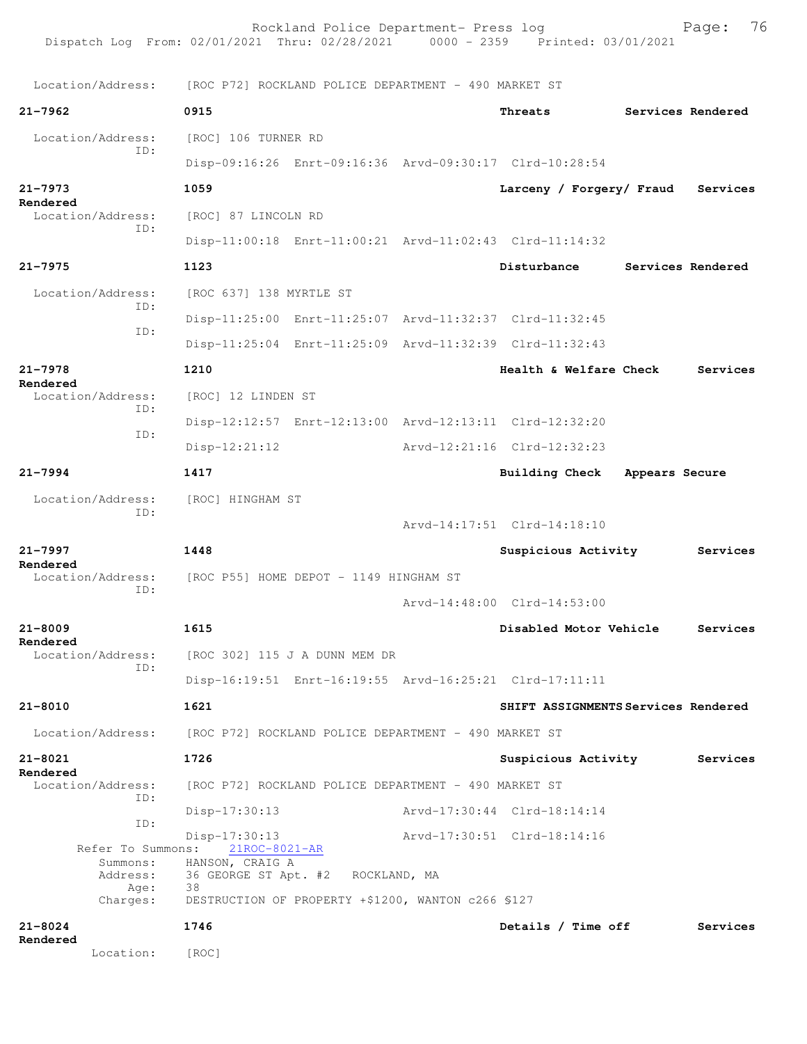Rockland Police Department- Press log Fage: 76 Dispatch Log From: 02/01/2021 Thru: 02/28/2021 0000 - 2359 Printed: 03/01/2021 Location/Address: [ROC P72] ROCKLAND POLICE DEPARTMENT - 490 MARKET ST **21-7962 0915 Threats Services Rendered** Location/Address: [ROC] 106 TURNER RD ID: Disp-09:16:26 Enrt-09:16:36 Arvd-09:30:17 Clrd-10:28:54 **21-7973 1059 Larceny / Forgery/ Fraud Services Rendered**<br>Location/Address: [ROC] 87 LINCOLN RD ID: Disp-11:00:18 Enrt-11:00:21 Arvd-11:02:43 Clrd-11:14:32 **21-7975 1123 Disturbance Services Rendered** Location/Address: [ROC 637] 138 MYRTLE ST ID: Disp-11:25:00 Enrt-11:25:07 Arvd-11:32:37 Clrd-11:32:45 ID: Disp-11:25:04 Enrt-11:25:09 Arvd-11:32:39 Clrd-11:32:43 **21-7978 1210 Health & Welfare Check Services Rendered**  Location/Address: [ROC] 12 LINDEN ST ID: Disp-12:12:57 Enrt-12:13:00 Arvd-12:13:11 Clrd-12:32:20 ID: Disp-12:21:12 Arvd-12:21:16 Clrd-12:32:23 **21-7994 1417 Building Check Appears Secure** Location/Address: [ROC] HINGHAM ST ID: Arvd-14:17:51 Clrd-14:18:10 **21-7997 1448 Suspicious Activity Services Rendered**  Location/Address: [ROC P55] HOME DEPOT - 1149 HINGHAM ST ID: Arvd-14:48:00 Clrd-14:53:00 **21-8009 1615 Disabled Motor Vehicle Services Rendered**  Location/Address: [ROC 302] 115 J A DUNN MEM DR ID: Disp-16:19:51 Enrt-16:19:55 Arvd-16:25:21 Clrd-17:11:11 **21-8010 1621 SHIFT ASSIGNMENTS Services Rendered** Location/Address: [ROC P72] ROCKLAND POLICE DEPARTMENT - 490 MARKET ST **21-8021 1726 Suspicious Activity Services Rendered**  Location/Address: [ROC P72] ROCKLAND POLICE DEPARTMENT - 490 MARKET ST ID: Disp-17:30:13 Arvd-17:30:44 Clrd-18:14:14 ID: Disp-17:30:13 Arvd-17:30:51 Clrd-18:14:16 Refer To Summons: Summons: HANSON, CRAIG A Address: 36 GEORGE ST Apt. #2 ROCKLAND, MA Age: 38 Charges: DESTRUCTION OF PROPERTY +\$1200, WANTON c266 §127 **21-8024 1746 Details / Time off Services Rendered**  Location: [ROC]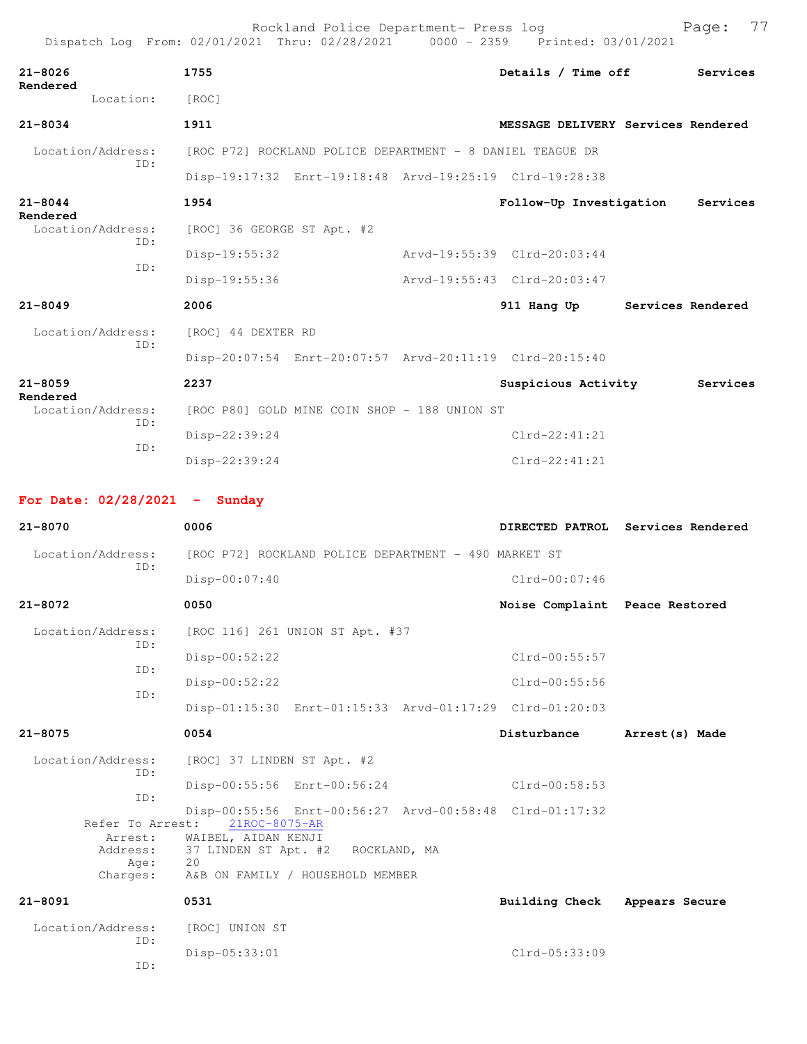|                                 | Rockland Police Department- Press log<br>Dispatch Log From: 02/01/2021 Thru: 02/28/2021 0000 - 2359 Printed: 03/01/2021 |                                | 77<br>Page:                        |
|---------------------------------|-------------------------------------------------------------------------------------------------------------------------|--------------------------------|------------------------------------|
| $21 - 8026$                     | 1755                                                                                                                    | Details / Time off             | Services                           |
| Rendered<br>Location:           | [ROC]                                                                                                                   |                                |                                    |
| $21 - 8034$                     | 1911                                                                                                                    |                                | MESSAGE DELIVERY Services Rendered |
| Location/Address:               | [ROC P72] ROCKLAND POLICE DEPARTMENT - 8 DANIEL TEAGUE DR                                                               |                                |                                    |
| ID:                             | Disp-19:17:32 Enrt-19:18:48 Arvd-19:25:19 Clrd-19:28:38                                                                 |                                |                                    |
| $21 - 8044$                     | 1954                                                                                                                    | Follow-Up Investigation        | Services                           |
| Rendered<br>Location/Address:   | [ROC] 36 GEORGE ST Apt. #2                                                                                              |                                |                                    |
| TD:                             | $Disp-19:55:32$                                                                                                         | Arvd-19:55:39 Clrd-20:03:44    |                                    |
| ID:                             | Disp-19:55:36                                                                                                           | Arvd-19:55:43 Clrd-20:03:47    |                                    |
| $21 - 8049$                     | 2006                                                                                                                    | 911 Hang Up                    | Services Rendered                  |
| Location/Address:               | [ROC] 44 DEXTER RD                                                                                                      |                                |                                    |
| ID:                             | Disp-20:07:54 Enrt-20:07:57 Arvd-20:11:19 Clrd-20:15:40                                                                 |                                |                                    |
| $21 - 8059$                     | 2237                                                                                                                    | Suspicious Activity            | Services                           |
| Rendered<br>Location/Address:   | [ROC P80] GOLD MINE COIN SHOP - 188 UNION ST                                                                            |                                |                                    |
| TD:                             | Disp-22:39:24                                                                                                           | $Clrd-22:41:21$                |                                    |
| ID:                             | $Disp-22:39:24$                                                                                                         | $Clrd-22:41:21$                |                                    |
|                                 |                                                                                                                         |                                |                                    |
| For Date: $02/28/2021$ - Sunday |                                                                                                                         |                                |                                    |
| $21 - 8070$                     | 0006                                                                                                                    |                                | DIRECTED PATROL Services Rendered  |
| Location/Address:<br>ID:        | [ROC P72] ROCKLAND POLICE DEPARTMENT - 490 MARKET ST                                                                    |                                |                                    |
|                                 | $Disp-00:07:40$                                                                                                         | $Clrd-00:07:46$                |                                    |
| 21-8072                         | 0050                                                                                                                    | Noise Complaint Peace Restored |                                    |
| Location/Address:<br>ID:        | [ROC 116] 261 UNION ST Apt. #37                                                                                         |                                |                                    |
| ID:                             | Disp-00:52:22                                                                                                           | Clrd-00:55:57                  |                                    |
| ID:                             | Disp-00:52:22                                                                                                           | Clrd-00:55:56                  |                                    |
|                                 | Disp-01:15:30 Enrt-01:15:33 Arvd-01:17:29 Clrd-01:20:03                                                                 |                                |                                    |
| $21 - 8075$                     | 0054                                                                                                                    | Disturbance                    | Arrest (s) Made                    |
| Location/Address:<br>ID:        | [ROC] 37 LINDEN ST Apt. #2                                                                                              |                                |                                    |
| ID:                             | Disp-00:55:56 Enrt-00:56:24                                                                                             | Clrd-00:58:53                  |                                    |
| Refer To Arrest:                | Disp-00:55:56 Enrt-00:56:27 Arvd-00:58:48 Clrd-01:17:32<br>21ROC-8075-AR                                                |                                |                                    |
| Arrest:<br>Address:             | WAIBEL, AIDAN KENJI<br>37 LINDEN ST Apt. #2 ROCKLAND, MA                                                                |                                |                                    |
| Age:<br>Charges:                | 20<br>A&B ON FAMILY / HOUSEHOLD MEMBER                                                                                  |                                |                                    |
| $21 - 8091$                     | 0531                                                                                                                    | <b>Building Check</b>          | Appears Secure                     |
| Location/Address:               | [ROC] UNION ST                                                                                                          |                                |                                    |
| ID:                             | Disp-05:33:01                                                                                                           | Clrd-05:33:09                  |                                    |
| ID:                             |                                                                                                                         |                                |                                    |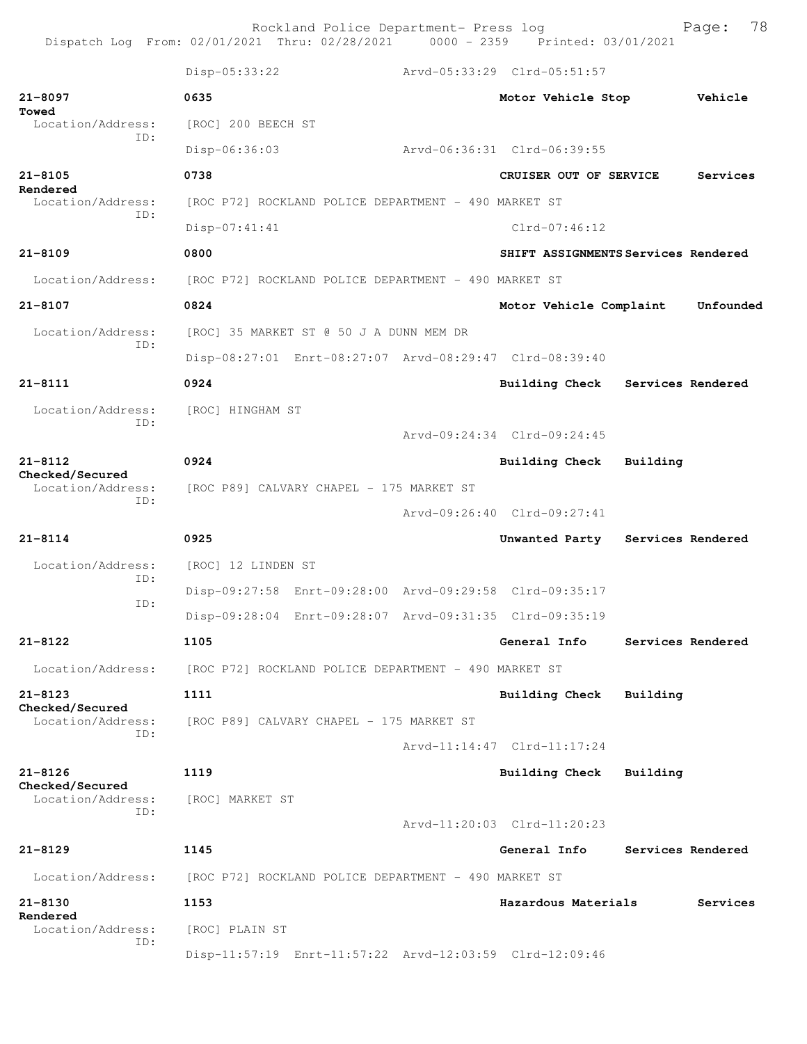Rockland Police Department- Press log Bookland Police Department- Press log Page: 78<br>21 Thru: 02/28/2021 0000 - 2359 Printed: 03/01/2021 Dispatch Log From:  $02/01/2021$  Thru:  $02/28/2021$  0000 - 2359

 Disp-05:33:22 Arvd-05:33:29 Clrd-05:51:57 **21-8097 0635 Motor Vehicle Stop Vehicle Towed**  Location/Address: [ROC] 200 BEECH ST ID: Disp-06:36:03 Arvd-06:36:31 Clrd-06:39:55 **21-8105 0738 CRUISER OUT OF SERVICE Services Rendered**  Location/Address: [ROC P72] ROCKLAND POLICE DEPARTMENT - 490 MARKET ST ID: Disp-07:41:41 Clrd-07:46:12 **21-8109 0800 SHIFT ASSIGNMENTS Services Rendered** Location/Address: [ROC P72] ROCKLAND POLICE DEPARTMENT - 490 MARKET ST **21-8107 0824 Motor Vehicle Complaint Unfounded** Location/Address: [ROC] 35 MARKET ST @ 50 J A DUNN MEM DR ID: Disp-08:27:01 Enrt-08:27:07 Arvd-08:29:47 Clrd-08:39:40 **21-8111 0924 Building Check Services Rendered** Location/Address: [ROC] HINGHAM ST ID: Arvd-09:24:34 Clrd-09:24:45 **21-8112 0924 Building Check Building Checked/Secured**  Location/Address: [ROC P89] CALVARY CHAPEL - 175 MARKET ST ID: Arvd-09:26:40 Clrd-09:27:41 **21-8114 0925 Unwanted Party Services Rendered** Location/Address: [ROC] 12 LINDEN ST ID: Disp-09:27:58 Enrt-09:28:00 Arvd-09:29:58 Clrd-09:35:17 ID: Disp-09:28:04 Enrt-09:28:07 Arvd-09:31:35 Clrd-09:35:19 **21-8122 1105 General Info Services Rendered** Location/Address: [ROC P72] ROCKLAND POLICE DEPARTMENT - 490 MARKET ST **21-8123 1111 Building Check Building Checked/Secured**  Location/Address: [ROC P89] CALVARY CHAPEL - 175 MARKET ST ID: Arvd-11:14:47 Clrd-11:17:24 **21-8126 1119 Building Check Building Checked/Secured**  Location/Address: [ROC] MARKET ST ID: Arvd-11:20:03 Clrd-11:20:23 **21-8129 1145 General Info Services Rendered** Location/Address: [ROC P72] ROCKLAND POLICE DEPARTMENT - 490 MARKET ST **21-8130 1153 Hazardous Materials Services Rendered**  Location/Address: [ROC] PLAIN ST ID: Disp-11:57:19 Enrt-11:57:22 Arvd-12:03:59 Clrd-12:09:46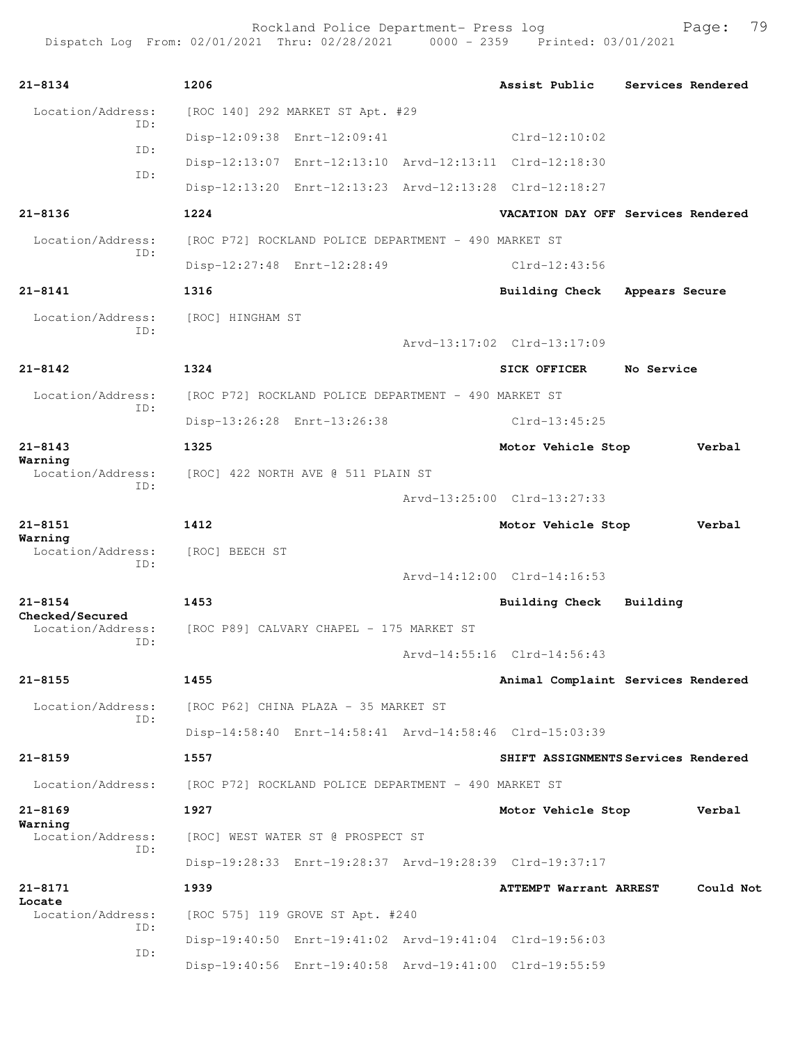Rockland Police Department- Press log Fage: 79 Dispatch Log From: 02/01/2021 Thru: 02/28/2021 0000 - 2359 Printed: 03/01/2021

**21-8134 1206 Assist Public Services Rendered** Location/Address: [ROC 140] 292 MARKET ST Apt. #29 ID: Disp-12:09:38 Enrt-12:09:41 Clrd-12:10:02 ID: Disp-12:13:07 Enrt-12:13:10 Arvd-12:13:11 Clrd-12:18:30 ID: Disp-12:13:20 Enrt-12:13:23 Arvd-12:13:28 Clrd-12:18:27 **21-8136 1224 VACATION DAY OFF Services Rendered** Location/Address: [ROC P72] ROCKLAND POLICE DEPARTMENT - 490 MARKET ST ID: Disp-12:27:48 Enrt-12:28:49 Clrd-12:43:56 **21-8141 1316 Building Check Appears Secure** Location/Address: [ROC] HINGHAM ST ID: Arvd-13:17:02 Clrd-13:17:09 **21-8142 1324 SICK OFFICER No Service** Location/Address: [ROC P72] ROCKLAND POLICE DEPARTMENT - 490 MARKET ST ID: Disp-13:26:28 Enrt-13:26:38 Clrd-13:45:25 **21-8143 1325 Motor Vehicle Stop Verbal Warning**  Location/Address: [ROC] 422 NORTH AVE @ 511 PLAIN ST ID: Arvd-13:25:00 Clrd-13:27:33 **21-8151 1412 Motor Vehicle Stop Verbal Warning**  Location/Address: [ROC] BEECH ST ID: Arvd-14:12:00 Clrd-14:16:53 **21-8154 1453 Building Check Building Checked/Secured**  Location/Address: [ROC P89] CALVARY CHAPEL - 175 MARKET ST ID: Arvd-14:55:16 Clrd-14:56:43 **21-8155 1455 Animal Complaint Services Rendered** Location/Address: [ROC P62] CHINA PLAZA - 35 MARKET ST ID: Disp-14:58:40 Enrt-14:58:41 Arvd-14:58:46 Clrd-15:03:39 **21-8159 1557 SHIFT ASSIGNMENTS Services Rendered** Location/Address: [ROC P72] ROCKLAND POLICE DEPARTMENT - 490 MARKET ST **21-8169 1927 Motor Vehicle Stop Verbal Warning**  Location/Address: [ROC] WEST WATER ST @ PROSPECT ST ID: Disp-19:28:33 Enrt-19:28:37 Arvd-19:28:39 Clrd-19:37:17 **21-8171 1939 ATTEMPT Warrant ARREST Could Not Locate**  Location/Address: [ROC 575] 119 GROVE ST Apt. #240 ID: Disp-19:40:50 Enrt-19:41:02 Arvd-19:41:04 Clrd-19:56:03 ID: Disp-19:40:56 Enrt-19:40:58 Arvd-19:41:00 Clrd-19:55:59